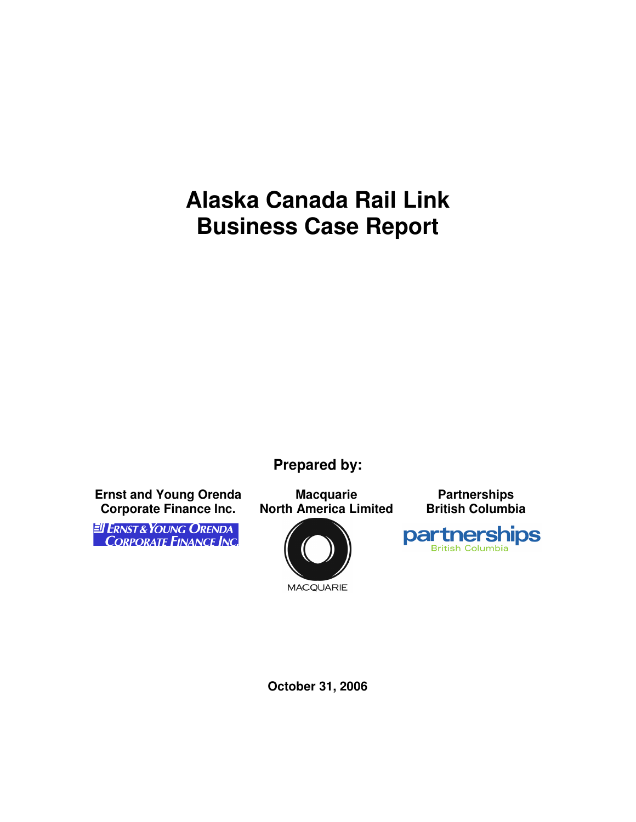# **Alaska Canada Rail Link Business Case Report**

**Prepared by:** 

**Ernst and Young Orenda Corporate Finance Inc.** 

EI ERNST & YOUNG ORENDA<br>CORPORATE FINANCE INC.

**Macquarie North America Limited** 



**MACQUARIE** 

**Partnerships British Columbia** 



**October 31, 2006**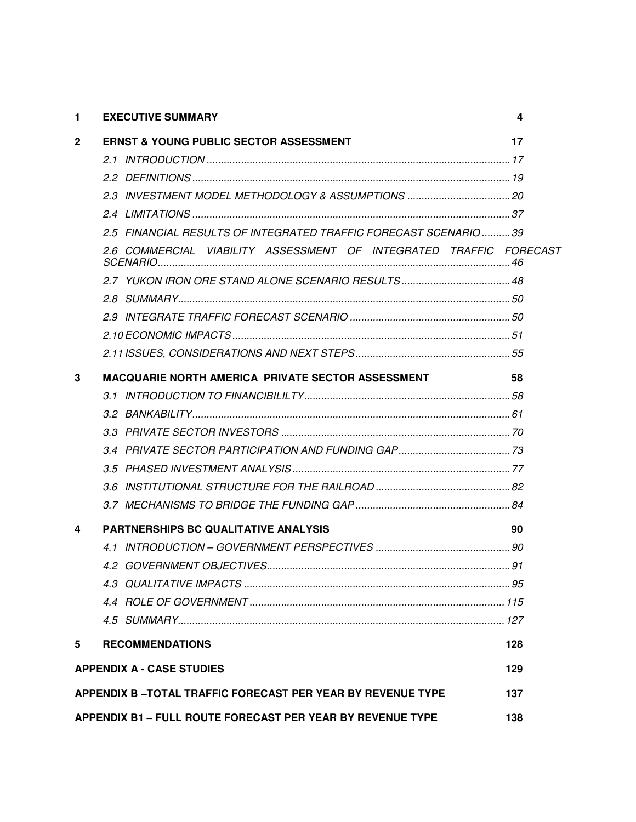| 1                                | <b>EXECUTIVE SUMMARY</b>                                           | 4   |  |
|----------------------------------|--------------------------------------------------------------------|-----|--|
| $\mathbf{2}$                     | <b>ERNST &amp; YOUNG PUBLIC SECTOR ASSESSMENT</b>                  | 17  |  |
|                                  |                                                                    |     |  |
|                                  |                                                                    |     |  |
|                                  | 2.3 INVESTMENT MODEL METHODOLOGY & ASSUMPTIONS  20                 |     |  |
|                                  |                                                                    |     |  |
|                                  | 2.5 FINANCIAL RESULTS OF INTEGRATED TRAFFIC FORECAST SCENARIO 39   |     |  |
|                                  | 2.6 COMMERCIAL VIABILITY ASSESSMENT OF INTEGRATED TRAFFIC FORECAST |     |  |
|                                  |                                                                    |     |  |
|                                  |                                                                    |     |  |
|                                  |                                                                    |     |  |
|                                  |                                                                    |     |  |
|                                  |                                                                    |     |  |
| 3                                | <b>MACQUARIE NORTH AMERICA PRIVATE SECTOR ASSESSMENT</b>           | 58  |  |
|                                  |                                                                    |     |  |
|                                  |                                                                    |     |  |
|                                  |                                                                    |     |  |
|                                  |                                                                    |     |  |
|                                  |                                                                    |     |  |
|                                  |                                                                    |     |  |
|                                  |                                                                    |     |  |
| 4                                | <b>PARTNERSHIPS BC QUALITATIVE ANALYSIS</b>                        | 90  |  |
|                                  |                                                                    |     |  |
|                                  |                                                                    |     |  |
|                                  |                                                                    |     |  |
|                                  |                                                                    |     |  |
|                                  |                                                                    |     |  |
| 5                                | <b>RECOMMENDATIONS</b>                                             | 128 |  |
| <b>APPENDIX A - CASE STUDIES</b> |                                                                    |     |  |
|                                  | <b>APPENDIX B-TOTAL TRAFFIC FORECAST PER YEAR BY REVENUE TYPE</b>  | 137 |  |
|                                  | APPENDIX B1 - FULL ROUTE FORECAST PER YEAR BY REVENUE TYPE         | 138 |  |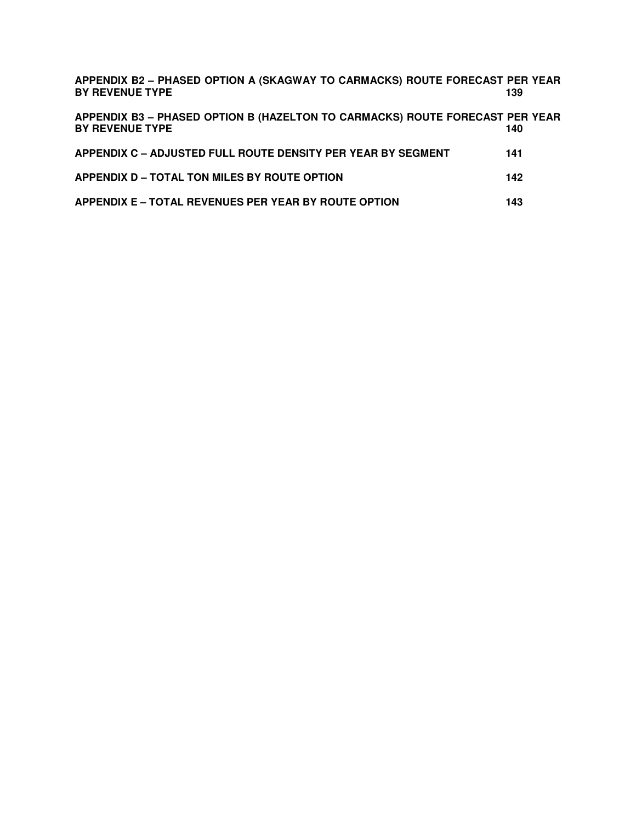| APPENDIX B2 - PHASED OPTION A (SKAGWAY TO CARMACKS) ROUTE FORECAST PER YEAR<br><b>BY REVENUE TYPE</b>  | 139 |  |
|--------------------------------------------------------------------------------------------------------|-----|--|
| APPENDIX B3 - PHASED OPTION B (HAZELTON TO CARMACKS) ROUTE FORECAST PER YEAR<br><b>BY REVENUE TYPE</b> | 140 |  |
| APPENDIX C - ADJUSTED FULL ROUTE DENSITY PER YEAR BY SEGMENT                                           | 141 |  |
| APPENDIX D - TOTAL TON MILES BY ROUTE OPTION                                                           | 142 |  |
| <b>APPENDIX E - TOTAL REVENUES PER YEAR BY ROUTE OPTION</b>                                            | 143 |  |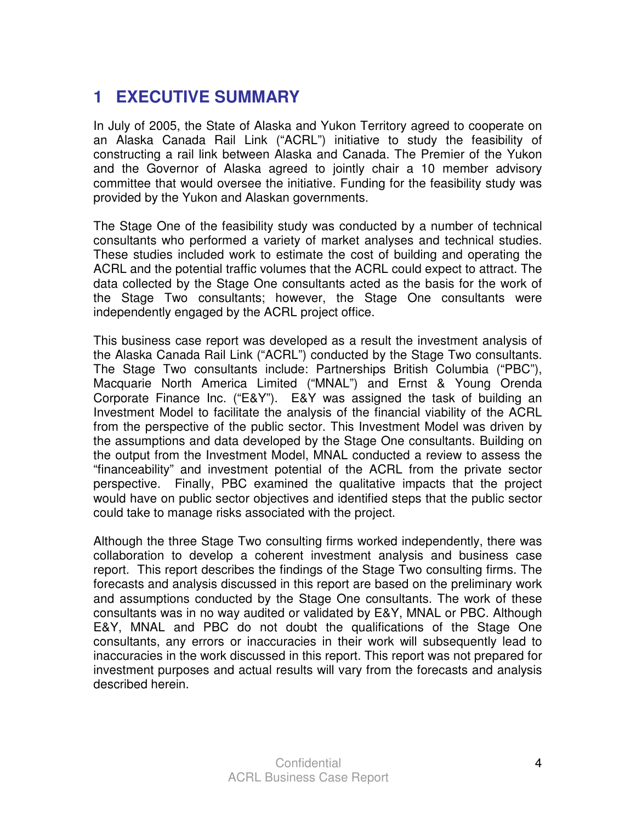## **1 EXECUTIVE SUMMARY**

In July of 2005, the State of Alaska and Yukon Territory agreed to cooperate on an Alaska Canada Rail Link ("ACRL") initiative to study the feasibility of constructing a rail link between Alaska and Canada. The Premier of the Yukon and the Governor of Alaska agreed to jointly chair a 10 member advisory committee that would oversee the initiative. Funding for the feasibility study was provided by the Yukon and Alaskan governments.

The Stage One of the feasibility study was conducted by a number of technical consultants who performed a variety of market analyses and technical studies. These studies included work to estimate the cost of building and operating the ACRL and the potential traffic volumes that the ACRL could expect to attract. The data collected by the Stage One consultants acted as the basis for the work of the Stage Two consultants; however, the Stage One consultants were independently engaged by the ACRL project office.

This business case report was developed as a result the investment analysis of the Alaska Canada Rail Link ("ACRL") conducted by the Stage Two consultants. The Stage Two consultants include: Partnerships British Columbia ("PBC"), Macquarie North America Limited ("MNAL") and Ernst & Young Orenda Corporate Finance Inc. ("E&Y"). E&Y was assigned the task of building an Investment Model to facilitate the analysis of the financial viability of the ACRL from the perspective of the public sector. This Investment Model was driven by the assumptions and data developed by the Stage One consultants. Building on the output from the Investment Model, MNAL conducted a review to assess the "financeability" and investment potential of the ACRL from the private sector perspective. Finally, PBC examined the qualitative impacts that the project would have on public sector objectives and identified steps that the public sector could take to manage risks associated with the project.

Although the three Stage Two consulting firms worked independently, there was collaboration to develop a coherent investment analysis and business case report. This report describes the findings of the Stage Two consulting firms. The forecasts and analysis discussed in this report are based on the preliminary work and assumptions conducted by the Stage One consultants. The work of these consultants was in no way audited or validated by E&Y, MNAL or PBC. Although E&Y, MNAL and PBC do not doubt the qualifications of the Stage One consultants, any errors or inaccuracies in their work will subsequently lead to inaccuracies in the work discussed in this report. This report was not prepared for investment purposes and actual results will vary from the forecasts and analysis described herein.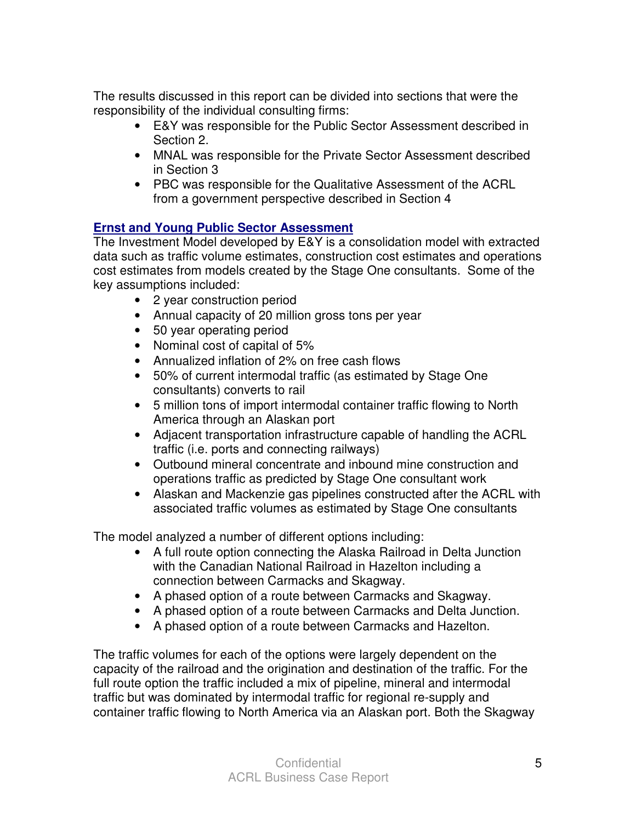The results discussed in this report can be divided into sections that were the responsibility of the individual consulting firms:

- E&Y was responsible for the Public Sector Assessment described in Section 2.
- MNAL was responsible for the Private Sector Assessment described in Section 3
- PBC was responsible for the Qualitative Assessment of the ACRL from a government perspective described in Section 4

#### **Ernst and Young Public Sector Assessment**

The Investment Model developed by E&Y is a consolidation model with extracted data such as traffic volume estimates, construction cost estimates and operations cost estimates from models created by the Stage One consultants. Some of the key assumptions included:

- 2 year construction period
- Annual capacity of 20 million gross tons per year
- 50 year operating period
- Nominal cost of capital of 5%
- Annualized inflation of 2% on free cash flows
- 50% of current intermodal traffic (as estimated by Stage One consultants) converts to rail
- 5 million tons of import intermodal container traffic flowing to North America through an Alaskan port
- Adjacent transportation infrastructure capable of handling the ACRL traffic (i.e. ports and connecting railways)
- Outbound mineral concentrate and inbound mine construction and operations traffic as predicted by Stage One consultant work
- Alaskan and Mackenzie gas pipelines constructed after the ACRL with associated traffic volumes as estimated by Stage One consultants

The model analyzed a number of different options including:

- A full route option connecting the Alaska Railroad in Delta Junction with the Canadian National Railroad in Hazelton including a connection between Carmacks and Skagway.
- A phased option of a route between Carmacks and Skagway.
- A phased option of a route between Carmacks and Delta Junction.
- A phased option of a route between Carmacks and Hazelton.

The traffic volumes for each of the options were largely dependent on the capacity of the railroad and the origination and destination of the traffic. For the full route option the traffic included a mix of pipeline, mineral and intermodal traffic but was dominated by intermodal traffic for regional re-supply and container traffic flowing to North America via an Alaskan port. Both the Skagway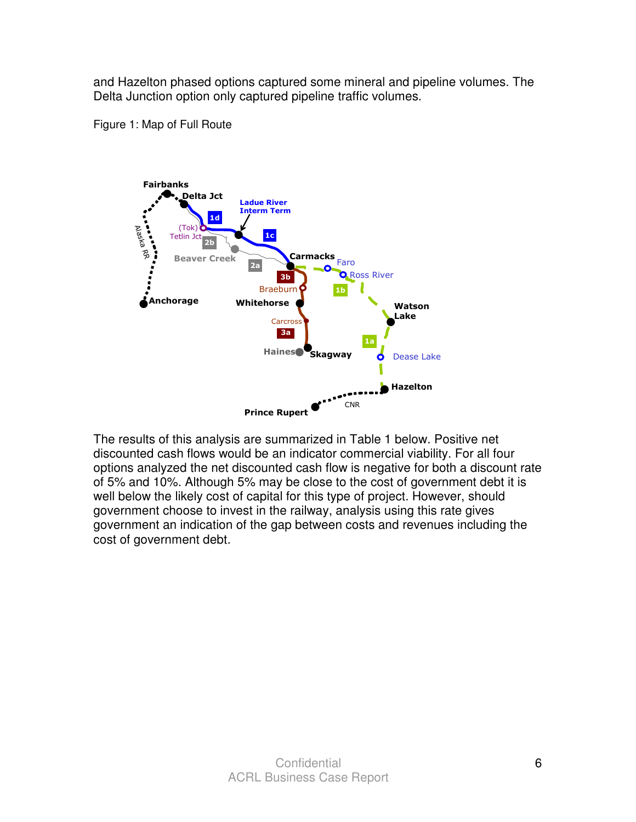and Hazelton phased options captured some mineral and pipeline volumes. The Delta Junction option only captured pipeline traffic volumes.





The results of this analysis are summarized in Table 1 below. Positive net discounted cash flows would be an indicator commercial viability. For all four options analyzed the net discounted cash flow is negative for both a discount rate of 5% and 10%. Although 5% may be close to the cost of government debt it is well below the likely cost of capital for this type of project. However, should government choose to invest in the railway, analysis using this rate gives government an indication of the gap between costs and revenues including the cost of government debt.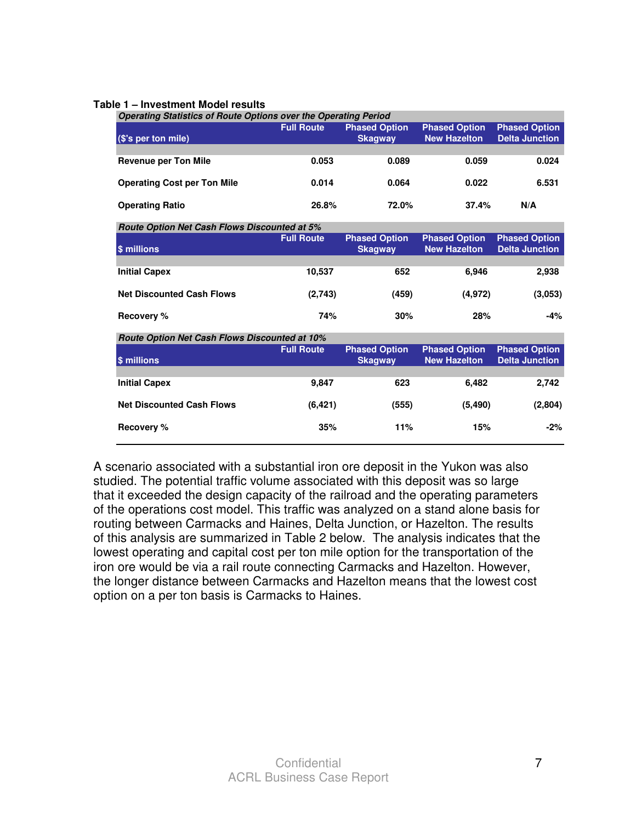#### **Table 1 – Investment Model results**

| <b>Operating Statistics of Route Options over the Operating Period</b> |                   |                                        |                                             |                                               |  |  |  |
|------------------------------------------------------------------------|-------------------|----------------------------------------|---------------------------------------------|-----------------------------------------------|--|--|--|
| (\$'s per ton mile)                                                    | <b>Full Route</b> | <b>Phased Option</b><br><b>Skagway</b> | <b>Phased Option</b><br><b>New Hazelton</b> | <b>Phased Option</b><br><b>Delta Junction</b> |  |  |  |
|                                                                        |                   |                                        |                                             |                                               |  |  |  |
| <b>Revenue per Ton Mile</b>                                            | 0.053             | 0.089                                  | 0.059                                       | 0.024                                         |  |  |  |
| <b>Operating Cost per Ton Mile</b>                                     | 0.014             | 0.064                                  | 0.022                                       | 6.531                                         |  |  |  |
| <b>Operating Ratio</b>                                                 | 26.8%             | 72.0%                                  | 37.4%                                       | N/A                                           |  |  |  |
| Route Option Net Cash Flows Discounted at 5%                           |                   |                                        |                                             |                                               |  |  |  |
| \$ millions                                                            | <b>Full Route</b> | <b>Phased Option</b><br><b>Skagway</b> | <b>Phased Option</b><br><b>New Hazelton</b> | <b>Phased Option</b><br><b>Delta Junction</b> |  |  |  |
|                                                                        |                   |                                        |                                             |                                               |  |  |  |
| <b>Initial Capex</b>                                                   | 10,537            | 652                                    | 6,946                                       | 2,938                                         |  |  |  |
| <b>Net Discounted Cash Flows</b>                                       | (2,743)           | (459)                                  | (4, 972)                                    | (3,053)                                       |  |  |  |
| <b>Recovery %</b>                                                      | 74%               | 30%                                    | 28%                                         | -4%                                           |  |  |  |
| Route Option Net Cash Flows Discounted at 10%                          |                   |                                        |                                             |                                               |  |  |  |
| \$ millions                                                            | <b>Full Route</b> | <b>Phased Option</b><br><b>Skagway</b> | <b>Phased Option</b><br><b>New Hazelton</b> | <b>Phased Option</b><br><b>Delta Junction</b> |  |  |  |
|                                                                        |                   |                                        |                                             |                                               |  |  |  |
| <b>Initial Capex</b>                                                   | 9,847             | 623                                    | 6,482                                       | 2,742                                         |  |  |  |
| <b>Net Discounted Cash Flows</b>                                       | (6, 421)          | (555)                                  | (5, 490)                                    | (2,804)                                       |  |  |  |
| Recovery %                                                             | 35%               | 11%                                    | 15%                                         | $-2%$                                         |  |  |  |

A scenario associated with a substantial iron ore deposit in the Yukon was also studied. The potential traffic volume associated with this deposit was so large that it exceeded the design capacity of the railroad and the operating parameters of the operations cost model. This traffic was analyzed on a stand alone basis for routing between Carmacks and Haines, Delta Junction, or Hazelton. The results of this analysis are summarized in Table 2 below. The analysis indicates that the lowest operating and capital cost per ton mile option for the transportation of the iron ore would be via a rail route connecting Carmacks and Hazelton. However, the longer distance between Carmacks and Hazelton means that the lowest cost option on a per ton basis is Carmacks to Haines.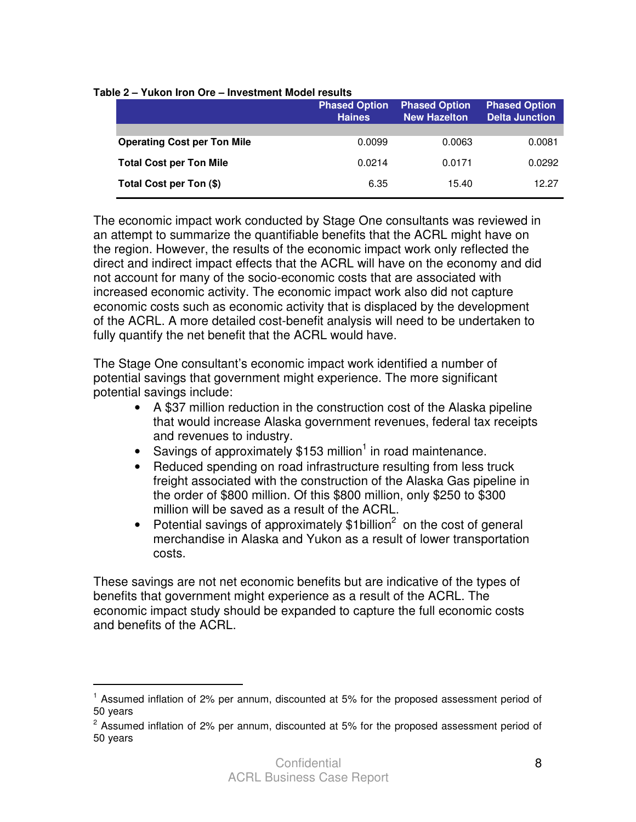|                                    | <b>Phased Option</b><br><b>Haines</b> | <b>Phased Option</b><br><b>New Hazelton</b> | <b>Phased Option</b><br><b>Delta Junction</b> |
|------------------------------------|---------------------------------------|---------------------------------------------|-----------------------------------------------|
|                                    |                                       |                                             |                                               |
| <b>Operating Cost per Ton Mile</b> | 0.0099                                | 0.0063                                      | 0.0081                                        |
| <b>Total Cost per Ton Mile</b>     | 0.0214                                | 0.0171                                      | 0.0292                                        |
| Total Cost per Ton (\$)            | 6.35                                  | 15.40                                       | 12.27                                         |

**Table 2 – Yukon Iron Ore – Investment Model results**

The economic impact work conducted by Stage One consultants was reviewed in an attempt to summarize the quantifiable benefits that the ACRL might have on the region. However, the results of the economic impact work only reflected the direct and indirect impact effects that the ACRL will have on the economy and did not account for many of the socio-economic costs that are associated with increased economic activity. The economic impact work also did not capture economic costs such as economic activity that is displaced by the development of the ACRL. A more detailed cost-benefit analysis will need to be undertaken to fully quantify the net benefit that the ACRL would have.

The Stage One consultant's economic impact work identified a number of potential savings that government might experience. The more significant potential savings include:

- A \$37 million reduction in the construction cost of the Alaska pipeline that would increase Alaska government revenues, federal tax receipts and revenues to industry.
- Savings of approximately  $$153$  million<sup>1</sup> in road maintenance.
- Reduced spending on road infrastructure resulting from less truck freight associated with the construction of the Alaska Gas pipeline in the order of \$800 million. Of this \$800 million, only \$250 to \$300 million will be saved as a result of the ACRL.
- Potential savings of approximately  $$1$ billion<sup>2</sup> on the cost of general merchandise in Alaska and Yukon as a result of lower transportation costs.

These savings are not net economic benefits but are indicative of the types of benefits that government might experience as a result of the ACRL. The economic impact study should be expanded to capture the full economic costs and benefits of the ACRL.

 $\overline{a}$ 

<sup>&</sup>lt;sup>1</sup> Assumed inflation of 2% per annum, discounted at 5% for the proposed assessment period of 50 years

 $2$  Assumed inflation of 2% per annum, discounted at 5% for the proposed assessment period of 50 years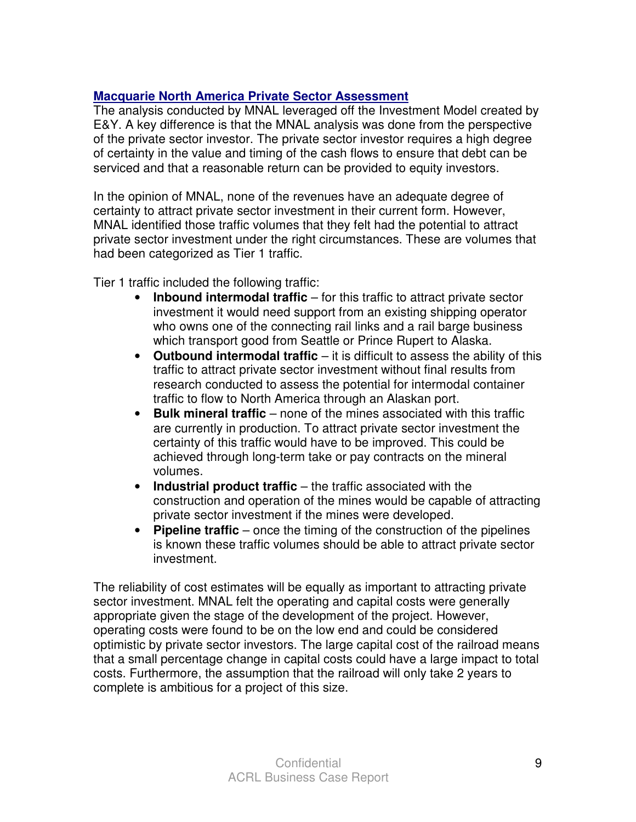#### **Macquarie North America Private Sector Assessment**

The analysis conducted by MNAL leveraged off the Investment Model created by E&Y. A key difference is that the MNAL analysis was done from the perspective of the private sector investor. The private sector investor requires a high degree of certainty in the value and timing of the cash flows to ensure that debt can be serviced and that a reasonable return can be provided to equity investors.

In the opinion of MNAL, none of the revenues have an adequate degree of certainty to attract private sector investment in their current form. However, MNAL identified those traffic volumes that they felt had the potential to attract private sector investment under the right circumstances. These are volumes that had been categorized as Tier 1 traffic.

Tier 1 traffic included the following traffic:

- **Inbound intermodal traffic** for this traffic to attract private sector investment it would need support from an existing shipping operator who owns one of the connecting rail links and a rail barge business which transport good from Seattle or Prince Rupert to Alaska.
- **Outbound intermodal traffic** it is difficult to assess the ability of this traffic to attract private sector investment without final results from research conducted to assess the potential for intermodal container traffic to flow to North America through an Alaskan port.
- **Bulk mineral traffic** none of the mines associated with this traffic are currently in production. To attract private sector investment the certainty of this traffic would have to be improved. This could be achieved through long-term take or pay contracts on the mineral volumes.
- **Industrial product traffic** the traffic associated with the construction and operation of the mines would be capable of attracting private sector investment if the mines were developed.
- **Pipeline traffic** once the timing of the construction of the pipelines is known these traffic volumes should be able to attract private sector investment.

The reliability of cost estimates will be equally as important to attracting private sector investment. MNAL felt the operating and capital costs were generally appropriate given the stage of the development of the project. However, operating costs were found to be on the low end and could be considered optimistic by private sector investors. The large capital cost of the railroad means that a small percentage change in capital costs could have a large impact to total costs. Furthermore, the assumption that the railroad will only take 2 years to complete is ambitious for a project of this size.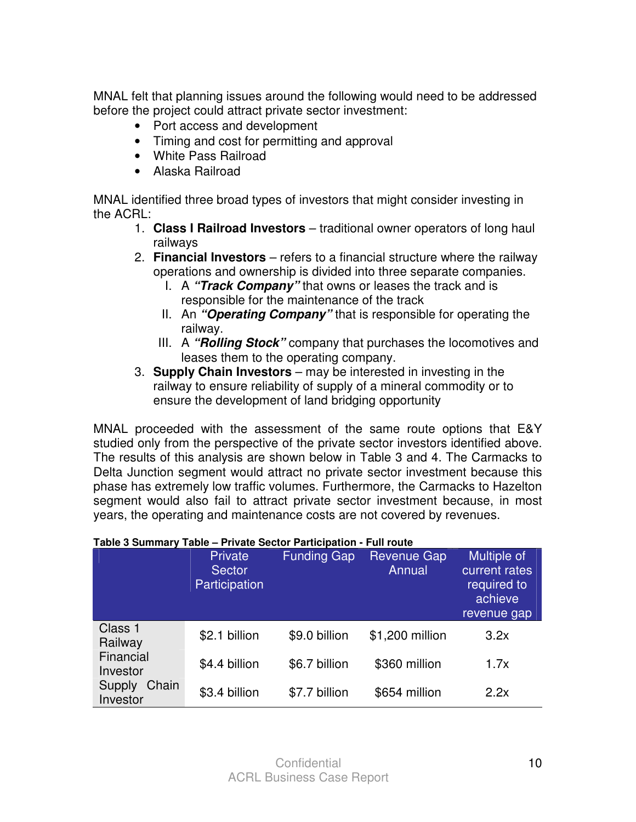MNAL felt that planning issues around the following would need to be addressed before the project could attract private sector investment:

- Port access and development
- Timing and cost for permitting and approval
- White Pass Railroad
- Alaska Railroad

MNAL identified three broad types of investors that might consider investing in the ACRL:

- 1. **Class I Railroad Investors** traditional owner operators of long haul railways
- 2. **Financial Investors** refers to a financial structure where the railway operations and ownership is divided into three separate companies.
	- I. A **"Track Company"** that owns or leases the track and is responsible for the maintenance of the track
	- II. An **"Operating Company"** that is responsible for operating the railway.
	- III. A **"Rolling Stock"** company that purchases the locomotives and leases them to the operating company.
- 3. **Supply Chain Investors** may be interested in investing in the railway to ensure reliability of supply of a mineral commodity or to ensure the development of land bridging opportunity

MNAL proceeded with the assessment of the same route options that E&Y studied only from the perspective of the private sector investors identified above. The results of this analysis are shown below in Table 3 and 4. The Carmacks to Delta Junction segment would attract no private sector investment because this phase has extremely low traffic volumes. Furthermore, the Carmacks to Hazelton segment would also fail to attract private sector investment because, in most years, the operating and maintenance costs are not covered by revenues.

| Table 3 Summary Table - Private Sector Participation - Full route |                                                  |                    |                              |                                                                     |  |  |  |  |
|-------------------------------------------------------------------|--------------------------------------------------|--------------------|------------------------------|---------------------------------------------------------------------|--|--|--|--|
|                                                                   | <b>Private</b><br><b>Sector</b><br>Participation | <b>Funding Gap</b> | <b>Revenue Gap</b><br>Annual | Multiple of<br>current rate<br>required to<br>achieve<br>revenue ga |  |  |  |  |
| Class 1<br>Railway                                                | \$2.1 billion                                    | \$9.0 billion      | \$1,200 million              | 3.2x                                                                |  |  |  |  |
| Financial<br>Investor                                             | \$4.4 billion                                    | \$6.7 billion      | \$360 million                | 1.7x                                                                |  |  |  |  |
| Chain<br>Supply<br>Investor                                       | \$3.4 billion                                    | \$7.7 billion      | \$654 million                | 2.2x                                                                |  |  |  |  |

tes  $\overline{a}$ 

rap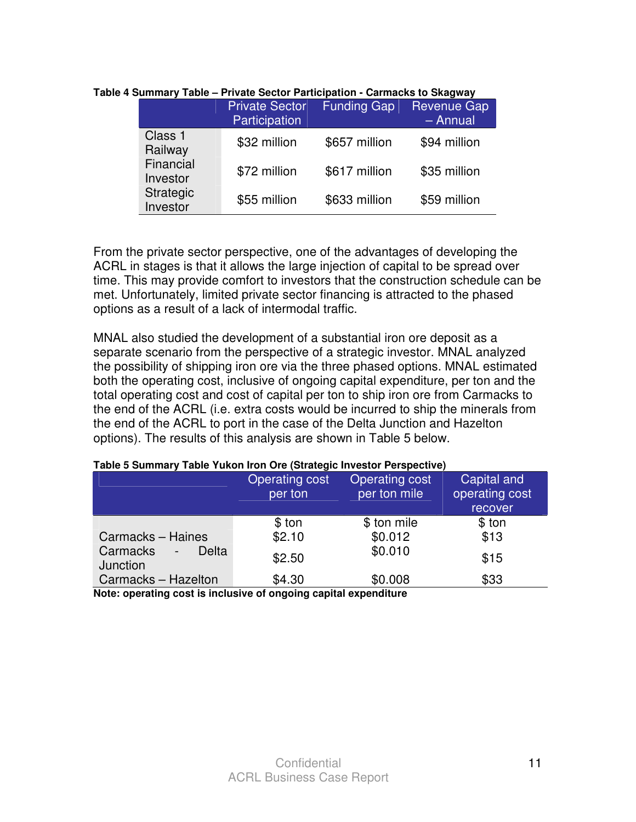|  |                       | <b>Private Sector</b><br>Participation | <b>Funding Gap</b> | <b>Revenue Gap</b><br>$-$ Annual |
|--|-----------------------|----------------------------------------|--------------------|----------------------------------|
|  | Class 1<br>Railway    | \$32 million                           | \$657 million      | \$94 million                     |
|  | Financial<br>Investor | \$72 million                           | \$617 million      | \$35 million                     |
|  | Strategic<br>Investor | \$55 million                           | \$633 million      | \$59 million                     |

**Table 4 Summary Table – Private Sector Participation - Carmacks to Skagway** 

From the private sector perspective, one of the advantages of developing the ACRL in stages is that it allows the large injection of capital to be spread over time. This may provide comfort to investors that the construction schedule can be met. Unfortunately, limited private sector financing is attracted to the phased options as a result of a lack of intermodal traffic.

MNAL also studied the development of a substantial iron ore deposit as a separate scenario from the perspective of a strategic investor. MNAL analyzed the possibility of shipping iron ore via the three phased options. MNAL estimated both the operating cost, inclusive of ongoing capital expenditure, per ton and the total operating cost and cost of capital per ton to ship iron ore from Carmacks to the end of the ACRL (i.e. extra costs would be incurred to ship the minerals from the end of the ACRL to port in the case of the Delta Junction and Hazelton options). The results of this analysis are shown in Table 5 below.

#### **Table 5 Summary Table Yukon Iron Ore (Strategic Investor Perspective)**

| per ton | Operating cost<br>per ton mile | Capital and<br>operating cost                                     |
|---------|--------------------------------|-------------------------------------------------------------------|
|         |                                | recover                                                           |
| \$ ton  | \$ ton mile                    | \$ ton                                                            |
| \$2.10  | \$0.012                        | \$13                                                              |
| \$2.50  | \$0.010                        | \$15                                                              |
| \$4.30  | \$0.008                        | \$33                                                              |
|         | <b>Operating cost</b>          | Nata: anavating agat is inglusive of angelian agaital avnonditure |

**Note: operating cost is inclusive of ongoing capital expenditure**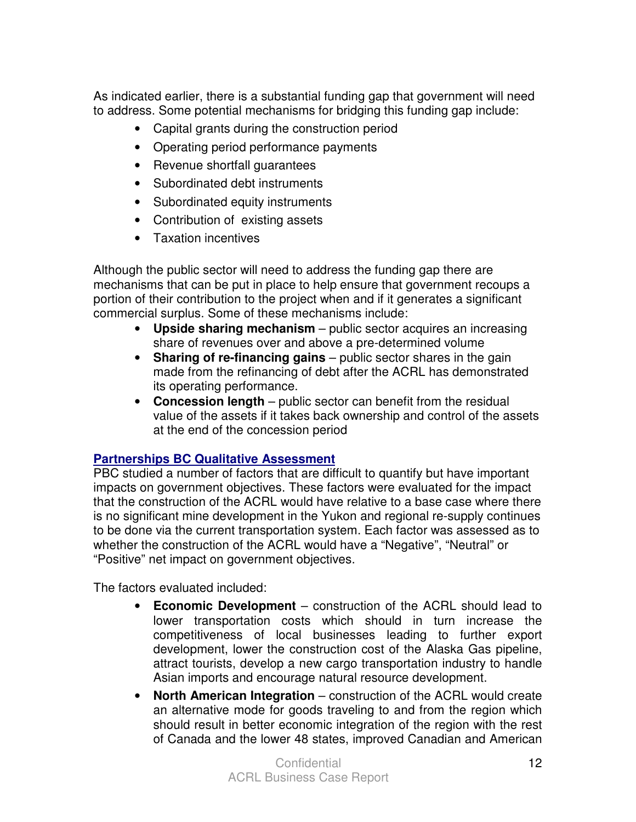As indicated earlier, there is a substantial funding gap that government will need to address. Some potential mechanisms for bridging this funding gap include:

- Capital grants during the construction period
- Operating period performance payments
- Revenue shortfall guarantees
- Subordinated debt instruments
- Subordinated equity instruments
- Contribution of existing assets
- Taxation incentives

Although the public sector will need to address the funding gap there are mechanisms that can be put in place to help ensure that government recoups a portion of their contribution to the project when and if it generates a significant commercial surplus. Some of these mechanisms include:

- **Upside sharing mechanism**  public sector acquires an increasing share of revenues over and above a pre-determined volume
- **Sharing of re-financing gains** public sector shares in the gain made from the refinancing of debt after the ACRL has demonstrated its operating performance.
- **Concession length** public sector can benefit from the residual value of the assets if it takes back ownership and control of the assets at the end of the concession period

#### **Partnerships BC Qualitative Assessment**

PBC studied a number of factors that are difficult to quantify but have important impacts on government objectives. These factors were evaluated for the impact that the construction of the ACRL would have relative to a base case where there is no significant mine development in the Yukon and regional re-supply continues to be done via the current transportation system. Each factor was assessed as to whether the construction of the ACRL would have a "Negative", "Neutral" or "Positive" net impact on government objectives.

The factors evaluated included:

- **Economic Development** construction of the ACRL should lead to lower transportation costs which should in turn increase the competitiveness of local businesses leading to further export development, lower the construction cost of the Alaska Gas pipeline, attract tourists, develop a new cargo transportation industry to handle Asian imports and encourage natural resource development.
- **North American Integration** construction of the ACRL would create an alternative mode for goods traveling to and from the region which should result in better economic integration of the region with the rest of Canada and the lower 48 states, improved Canadian and American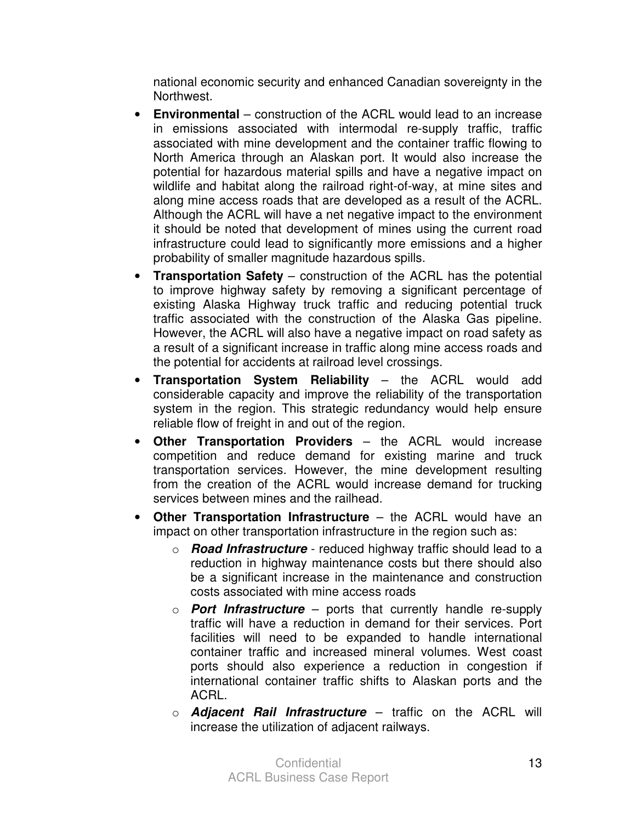national economic security and enhanced Canadian sovereignty in the Northwest.

- **Environmental** construction of the ACRL would lead to an increase in emissions associated with intermodal re-supply traffic, traffic associated with mine development and the container traffic flowing to North America through an Alaskan port. It would also increase the potential for hazardous material spills and have a negative impact on wildlife and habitat along the railroad right-of-way, at mine sites and along mine access roads that are developed as a result of the ACRL. Although the ACRL will have a net negative impact to the environment it should be noted that development of mines using the current road infrastructure could lead to significantly more emissions and a higher probability of smaller magnitude hazardous spills.
- **Transportation Safety** construction of the ACRL has the potential to improve highway safety by removing a significant percentage of existing Alaska Highway truck traffic and reducing potential truck traffic associated with the construction of the Alaska Gas pipeline. However, the ACRL will also have a negative impact on road safety as a result of a significant increase in traffic along mine access roads and the potential for accidents at railroad level crossings.
- **Transportation System Reliability** the ACRL would add considerable capacity and improve the reliability of the transportation system in the region. This strategic redundancy would help ensure reliable flow of freight in and out of the region.
- **Other Transportation Providers** the ACRL would increase competition and reduce demand for existing marine and truck transportation services. However, the mine development resulting from the creation of the ACRL would increase demand for trucking services between mines and the railhead.
- **Other Transportation Infrastructure** the ACRL would have an impact on other transportation infrastructure in the region such as:
	- o **Road Infrastructure** reduced highway traffic should lead to a reduction in highway maintenance costs but there should also be a significant increase in the maintenance and construction costs associated with mine access roads
	- o **Port Infrastructure** ports that currently handle re-supply traffic will have a reduction in demand for their services. Port facilities will need to be expanded to handle international container traffic and increased mineral volumes. West coast ports should also experience a reduction in congestion if international container traffic shifts to Alaskan ports and the ACRL.
	- o **Adjacent Rail Infrastructure** traffic on the ACRL will increase the utilization of adjacent railways.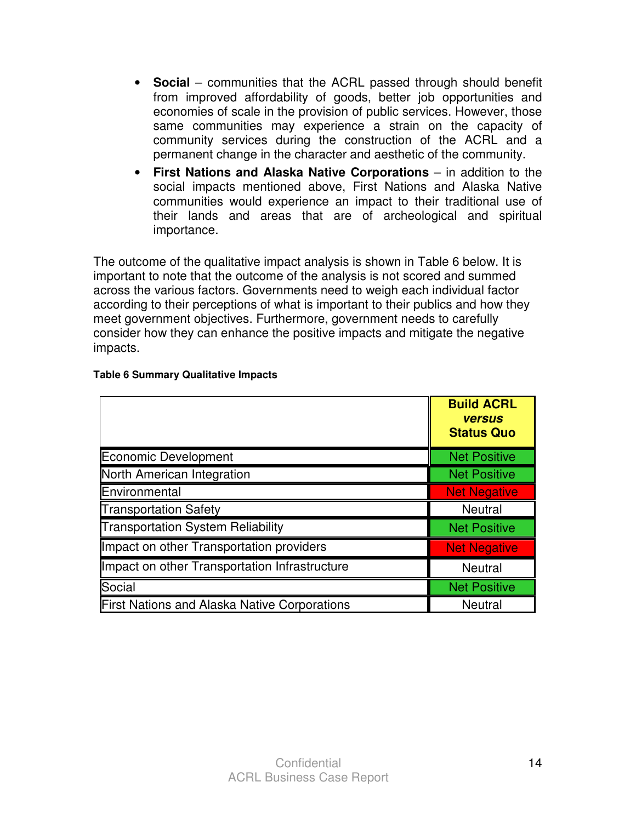- **Social** communities that the ACRL passed through should benefit from improved affordability of goods, better job opportunities and economies of scale in the provision of public services. However, those same communities may experience a strain on the capacity of community services during the construction of the ACRL and a permanent change in the character and aesthetic of the community.
- **First Nations and Alaska Native Corporations** in addition to the social impacts mentioned above, First Nations and Alaska Native communities would experience an impact to their traditional use of their lands and areas that are of archeological and spiritual importance.

The outcome of the qualitative impact analysis is shown in Table 6 below. It is important to note that the outcome of the analysis is not scored and summed across the various factors. Governments need to weigh each individual factor according to their perceptions of what is important to their publics and how they meet government objectives. Furthermore, government needs to carefully consider how they can enhance the positive impacts and mitigate the negative impacts.

|                                                     | <b>Build ACRL</b><br><b>versus</b><br><b>Status Quo</b> |
|-----------------------------------------------------|---------------------------------------------------------|
| Economic Development                                | <b>Net Positive</b>                                     |
| North American Integration                          | <b>Net Positive</b>                                     |
| Environmental                                       | <b>Net Negative</b>                                     |
| <b>Transportation Safety</b>                        | <b>Neutral</b>                                          |
| <b>Transportation System Reliability</b>            | <b>Net Positive</b>                                     |
| Impact on other Transportation providers            | <b>Net Negative</b>                                     |
| Impact on other Transportation Infrastructure       | <b>Neutral</b>                                          |
| Social                                              | <b>Net Positive</b>                                     |
| <b>First Nations and Alaska Native Corporations</b> | <b>Neutral</b>                                          |

#### **Table 6 Summary Qualitative Impacts**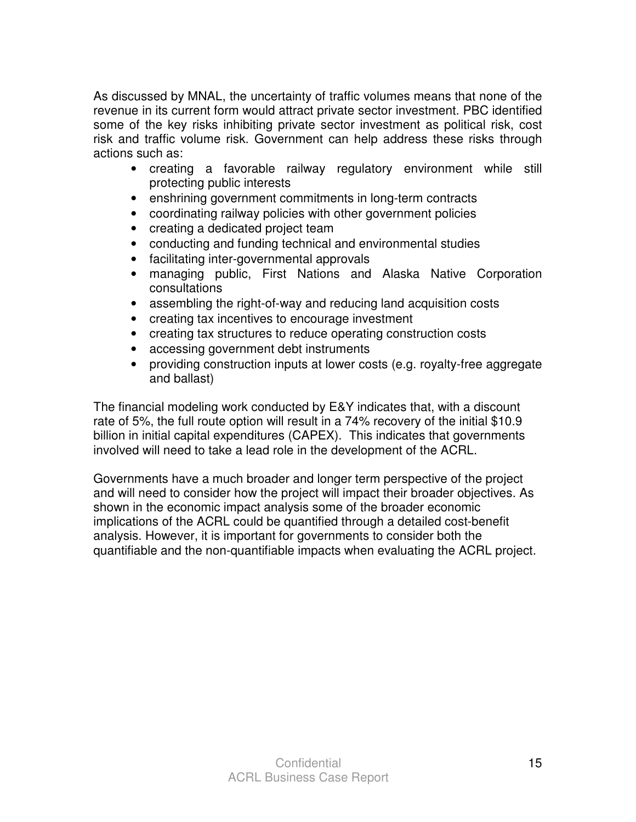As discussed by MNAL, the uncertainty of traffic volumes means that none of the revenue in its current form would attract private sector investment. PBC identified some of the key risks inhibiting private sector investment as political risk, cost risk and traffic volume risk. Government can help address these risks through actions such as:

- creating a favorable railway regulatory environment while still protecting public interests
- enshrining government commitments in long-term contracts
- coordinating railway policies with other government policies
- creating a dedicated project team
- conducting and funding technical and environmental studies
- facilitating inter-governmental approvals
- managing public, First Nations and Alaska Native Corporation consultations
- assembling the right-of-way and reducing land acquisition costs
- creating tax incentives to encourage investment
- creating tax structures to reduce operating construction costs
- accessing government debt instruments
- providing construction inputs at lower costs (e.g. royalty-free aggregate and ballast)

The financial modeling work conducted by E&Y indicates that, with a discount rate of 5%, the full route option will result in a 74% recovery of the initial \$10.9 billion in initial capital expenditures (CAPEX). This indicates that governments involved will need to take a lead role in the development of the ACRL.

Governments have a much broader and longer term perspective of the project and will need to consider how the project will impact their broader objectives. As shown in the economic impact analysis some of the broader economic implications of the ACRL could be quantified through a detailed cost-benefit analysis. However, it is important for governments to consider both the quantifiable and the non-quantifiable impacts when evaluating the ACRL project.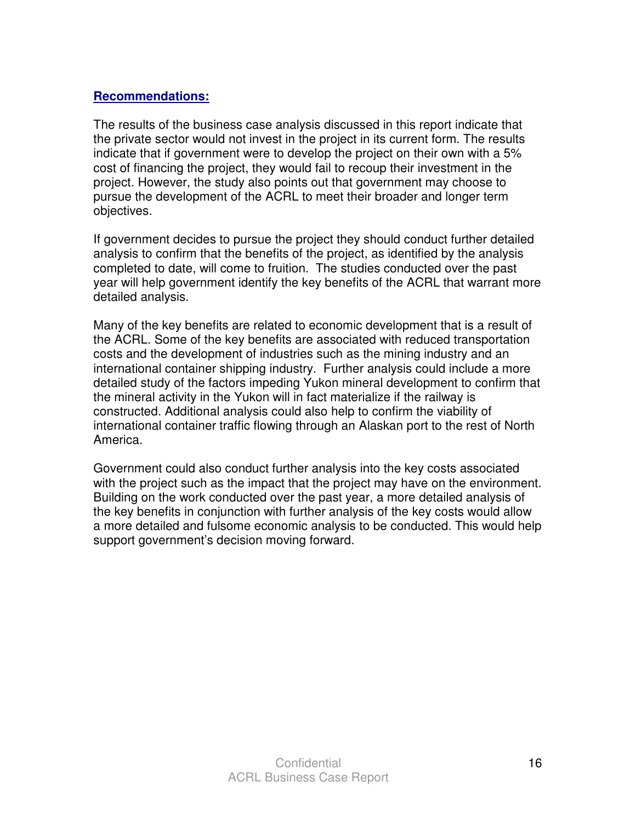#### **Recommendations:**

The results of the business case analysis discussed in this report indicate that the private sector would not invest in the project in its current form. The results indicate that if government were to develop the project on their own with a 5% cost of financing the project, they would fail to recoup their investment in the project. However, the study also points out that government may choose to pursue the development of the ACRL to meet their broader and longer term objectives.

If government decides to pursue the project they should conduct further detailed analysis to confirm that the benefits of the project, as identified by the analysis completed to date, will come to fruition. The studies conducted over the past year will help government identify the key benefits of the ACRL that warrant more detailed analysis.

Many of the key benefits are related to economic development that is a result of the ACRL. Some of the key benefits are associated with reduced transportation costs and the development of industries such as the mining industry and an international container shipping industry. Further analysis could include a more detailed study of the factors impeding Yukon mineral development to confirm that the mineral activity in the Yukon will in fact materialize if the railway is constructed. Additional analysis could also help to confirm the viability of international container traffic flowing through an Alaskan port to the rest of North America.

Government could also conduct further analysis into the key costs associated with the project such as the impact that the project may have on the environment. Building on the work conducted over the past year, a more detailed analysis of the key benefits in conjunction with further analysis of the key costs would allow a more detailed and fulsome economic analysis to be conducted. This would help support government's decision moving forward.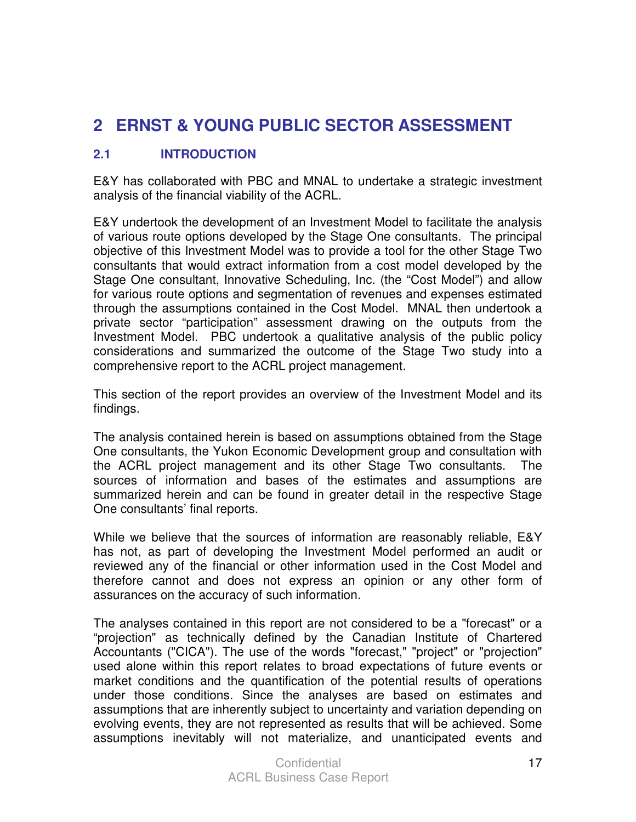## **2 ERNST & YOUNG PUBLIC SECTOR ASSESSMENT**

#### **2.1 INTRODUCTION**

E&Y has collaborated with PBC and MNAL to undertake a strategic investment analysis of the financial viability of the ACRL.

E&Y undertook the development of an Investment Model to facilitate the analysis of various route options developed by the Stage One consultants. The principal objective of this Investment Model was to provide a tool for the other Stage Two consultants that would extract information from a cost model developed by the Stage One consultant, Innovative Scheduling, Inc. (the "Cost Model") and allow for various route options and segmentation of revenues and expenses estimated through the assumptions contained in the Cost Model. MNAL then undertook a private sector "participation" assessment drawing on the outputs from the Investment Model. PBC undertook a qualitative analysis of the public policy considerations and summarized the outcome of the Stage Two study into a comprehensive report to the ACRL project management.

This section of the report provides an overview of the Investment Model and its findings.

The analysis contained herein is based on assumptions obtained from the Stage One consultants, the Yukon Economic Development group and consultation with the ACRL project management and its other Stage Two consultants. The sources of information and bases of the estimates and assumptions are summarized herein and can be found in greater detail in the respective Stage One consultants' final reports.

While we believe that the sources of information are reasonably reliable, E&Y has not, as part of developing the Investment Model performed an audit or reviewed any of the financial or other information used in the Cost Model and therefore cannot and does not express an opinion or any other form of assurances on the accuracy of such information.

The analyses contained in this report are not considered to be a "forecast" or a "projection" as technically defined by the Canadian Institute of Chartered Accountants ("CICA"). The use of the words "forecast," "project" or "projection" used alone within this report relates to broad expectations of future events or market conditions and the quantification of the potential results of operations under those conditions. Since the analyses are based on estimates and assumptions that are inherently subject to uncertainty and variation depending on evolving events, they are not represented as results that will be achieved. Some assumptions inevitably will not materialize, and unanticipated events and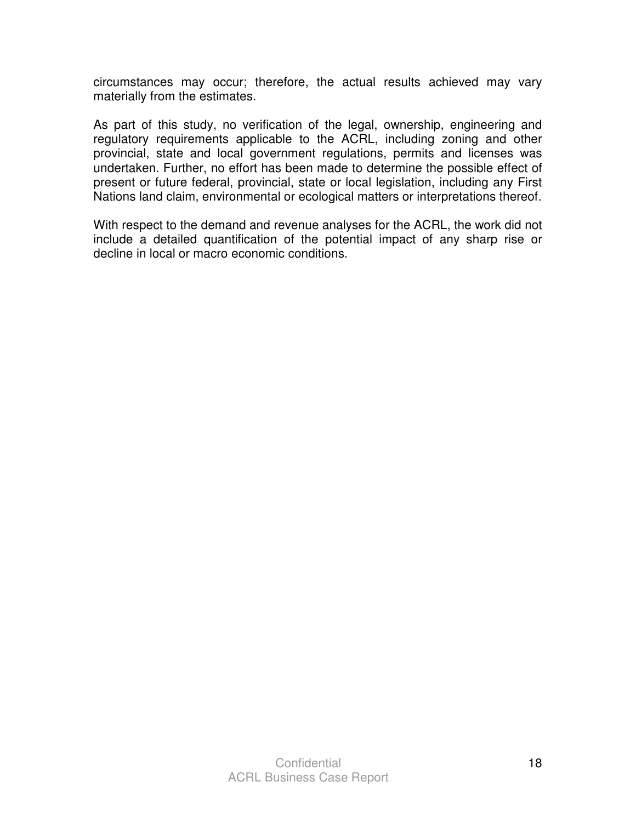circumstances may occur; therefore, the actual results achieved may vary materially from the estimates.

As part of this study, no verification of the legal, ownership, engineering and regulatory requirements applicable to the ACRL, including zoning and other provincial, state and local government regulations, permits and licenses was undertaken. Further, no effort has been made to determine the possible effect of present or future federal, provincial, state or local legislation, including any First Nations land claim, environmental or ecological matters or interpretations thereof.

With respect to the demand and revenue analyses for the ACRL, the work did not include a detailed quantification of the potential impact of any sharp rise or decline in local or macro economic conditions.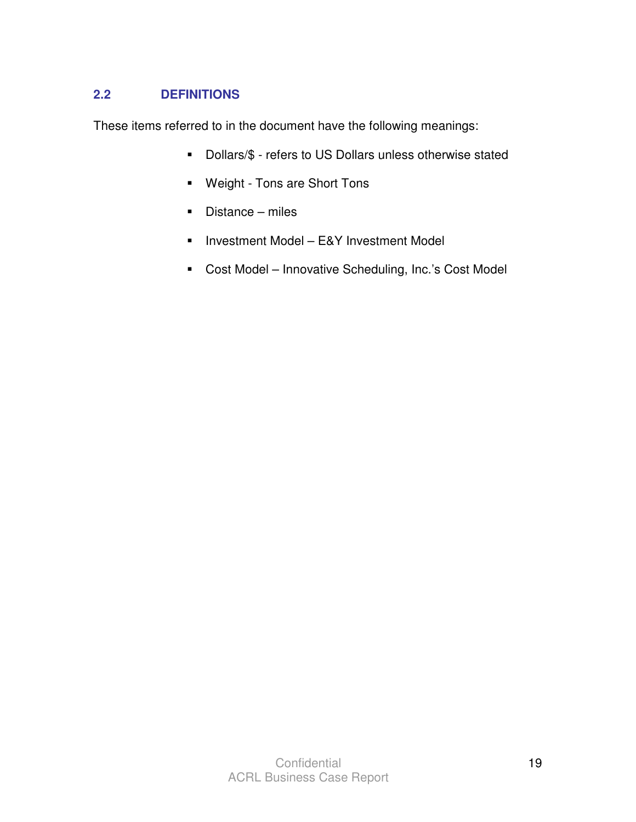### **2.2 DEFINITIONS**

These items referred to in the document have the following meanings:

- Dollars/\$ refers to US Dollars unless otherwise stated
- Weight Tons are Short Tons
- Distance miles
- **Investment Model E&Y Investment Model**
- **-** Cost Model Innovative Scheduling, Inc.'s Cost Model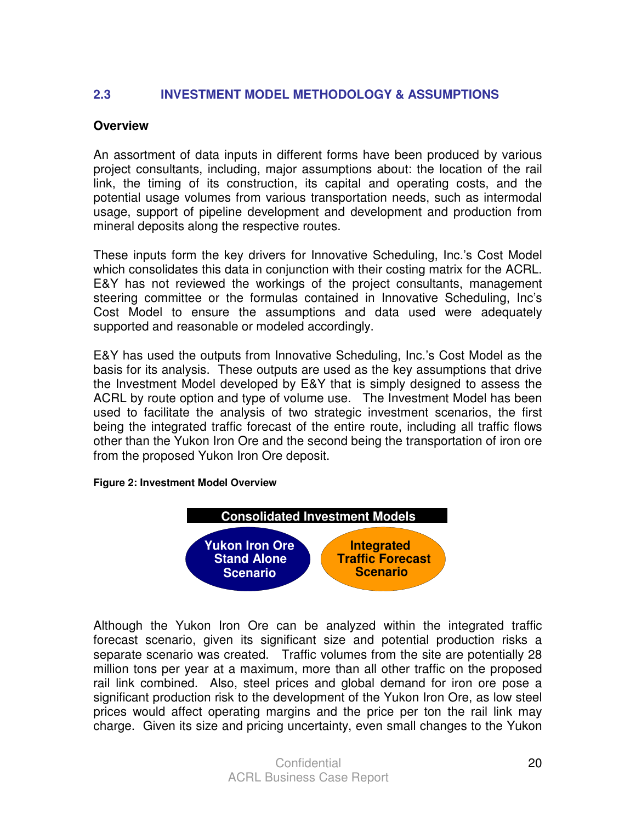#### **2.3 INVESTMENT MODEL METHODOLOGY & ASSUMPTIONS**

#### **Overview**

An assortment of data inputs in different forms have been produced by various project consultants, including, major assumptions about: the location of the rail link, the timing of its construction, its capital and operating costs, and the potential usage volumes from various transportation needs, such as intermodal usage, support of pipeline development and development and production from mineral deposits along the respective routes.

These inputs form the key drivers for Innovative Scheduling, Inc.'s Cost Model which consolidates this data in conjunction with their costing matrix for the ACRL. E&Y has not reviewed the workings of the project consultants, management steering committee or the formulas contained in Innovative Scheduling, Inc's Cost Model to ensure the assumptions and data used were adequately supported and reasonable or modeled accordingly.

E&Y has used the outputs from Innovative Scheduling, Inc.'s Cost Model as the basis for its analysis. These outputs are used as the key assumptions that drive the Investment Model developed by E&Y that is simply designed to assess the ACRL by route option and type of volume use. The Investment Model has been used to facilitate the analysis of two strategic investment scenarios, the first being the integrated traffic forecast of the entire route, including all traffic flows other than the Yukon Iron Ore and the second being the transportation of iron ore from the proposed Yukon Iron Ore deposit.

#### **Figure 2: Investment Model Overview**



Although the Yukon Iron Ore can be analyzed within the integrated traffic forecast scenario, given its significant size and potential production risks a separate scenario was created. Traffic volumes from the site are potentially 28 million tons per year at a maximum, more than all other traffic on the proposed rail link combined. Also, steel prices and global demand for iron ore pose a significant production risk to the development of the Yukon Iron Ore, as low steel prices would affect operating margins and the price per ton the rail link may charge. Given its size and pricing uncertainty, even small changes to the Yukon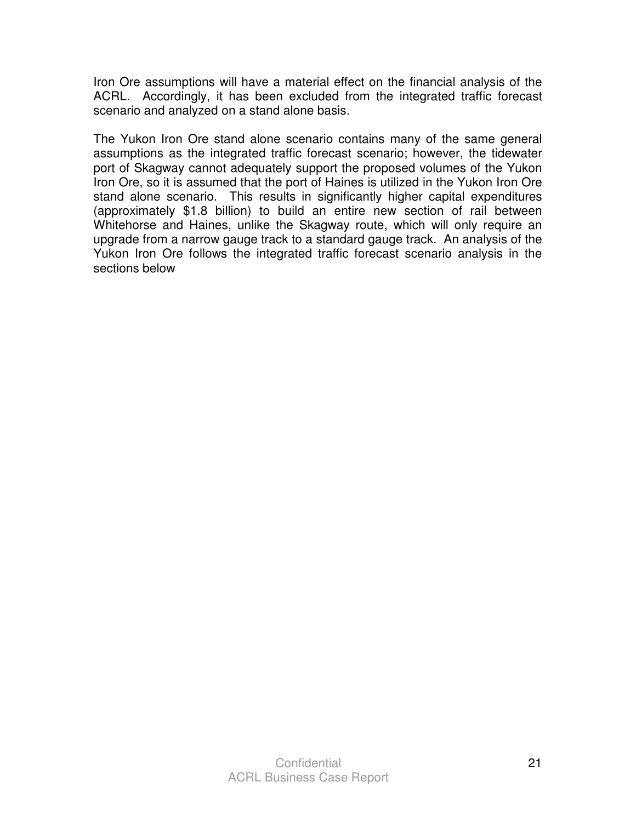Iron Ore assumptions will have a material effect on the financial analysis of the ACRL. Accordingly, it has been excluded from the integrated traffic forecast scenario and analyzed on a stand alone basis.

The Yukon Iron Ore stand alone scenario contains many of the same general assumptions as the integrated traffic forecast scenario; however, the tidewater port of Skagway cannot adequately support the proposed volumes of the Yukon Iron Ore, so it is assumed that the port of Haines is utilized in the Yukon Iron Ore stand alone scenario. This results in significantly higher capital expenditures (approximately \$1.8 billion) to build an entire new section of rail between Whitehorse and Haines, unlike the Skagway route, which will only require an upgrade from a narrow gauge track to a standard gauge track. An analysis of the Yukon Iron Ore follows the integrated traffic forecast scenario analysis in the sections below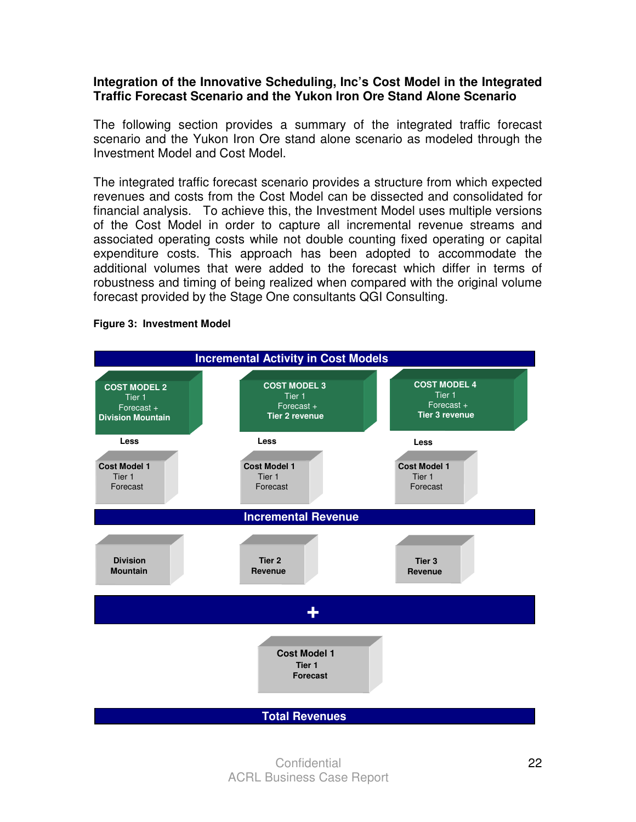#### **Integration of the Innovative Scheduling, Inc's Cost Model in the Integrated Traffic Forecast Scenario and the Yukon Iron Ore Stand Alone Scenario**

The following section provides a summary of the integrated traffic forecast scenario and the Yukon Iron Ore stand alone scenario as modeled through the Investment Model and Cost Model.

The integrated traffic forecast scenario provides a structure from which expected revenues and costs from the Cost Model can be dissected and consolidated for financial analysis. To achieve this, the Investment Model uses multiple versions of the Cost Model in order to capture all incremental revenue streams and associated operating costs while not double counting fixed operating or capital expenditure costs. This approach has been adopted to accommodate the additional volumes that were added to the forecast which differ in terms of robustness and timing of being realized when compared with the original volume forecast provided by the Stage One consultants QGI Consulting.



#### **Figure 3: Investment Model**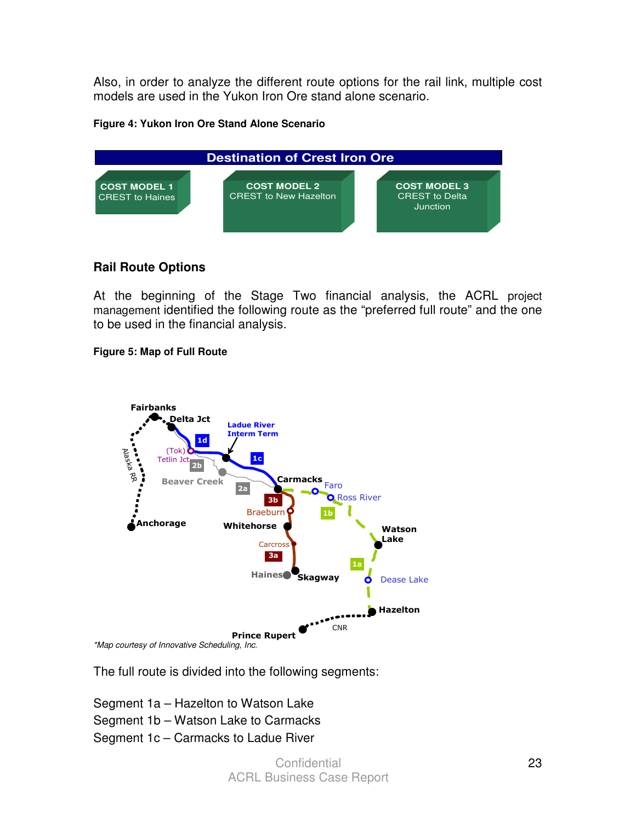Also, in order to analyze the different route options for the rail link, multiple cost models are used in the Yukon Iron Ore stand alone scenario.

#### **Figure 4: Yukon Iron Ore Stand Alone Scenario**



#### **Rail Route Options**

At the beginning of the Stage Two financial analysis, the ACRL project management identified the following route as the "preferred full route" and the one to be used in the financial analysis.

#### **Figure 5: Map of Full Route**



The full route is divided into the following segments:

Segment 1a – Hazelton to Watson Lake Segment 1b – Watson Lake to Carmacks

Segment 1c – Carmacks to Ladue River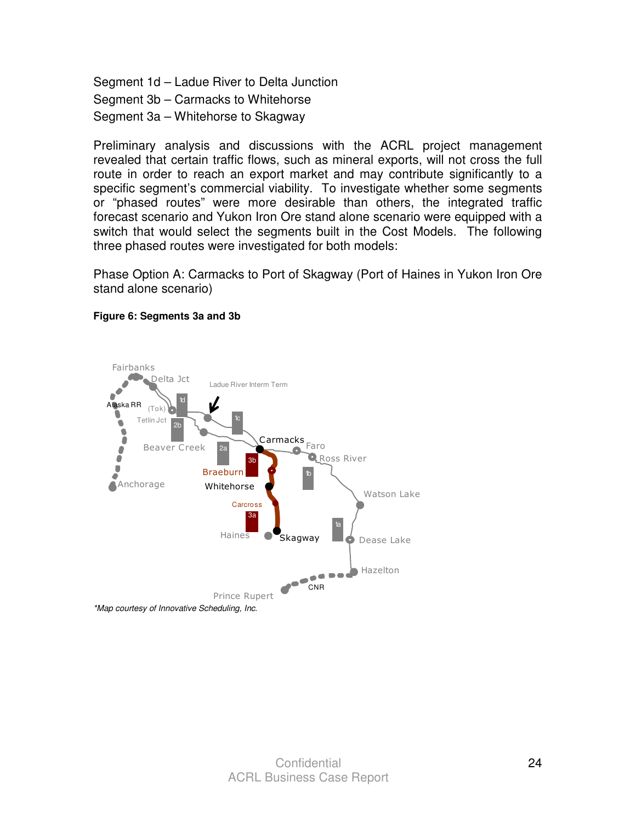Segment 1d – Ladue River to Delta Junction Segment 3b – Carmacks to Whitehorse Segment 3a – Whitehorse to Skagway

Preliminary analysis and discussions with the ACRL project management revealed that certain traffic flows, such as mineral exports, will not cross the full route in order to reach an export market and may contribute significantly to a specific segment's commercial viability. To investigate whether some segments or "phased routes" were more desirable than others, the integrated traffic forecast scenario and Yukon Iron Ore stand alone scenario were equipped with a switch that would select the segments built in the Cost Models. The following three phased routes were investigated for both models:

Phase Option A: Carmacks to Port of Skagway (Port of Haines in Yukon Iron Ore stand alone scenario)



#### **Figure 6: Segments 3a and 3b**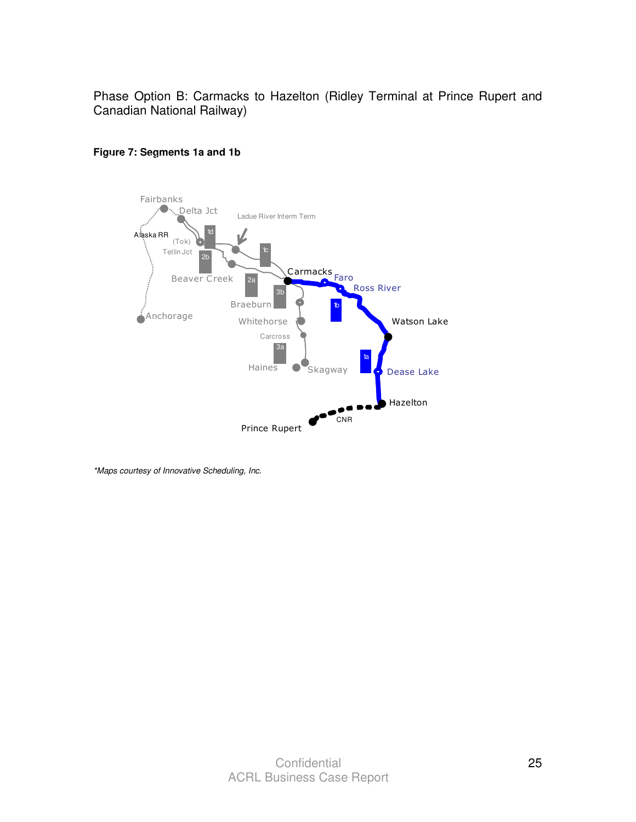Phase Option B: Carmacks to Hazelton (Ridley Terminal at Prince Rupert and Canadian National Railway)





\*Maps courtesy of Innovative Scheduling, Inc.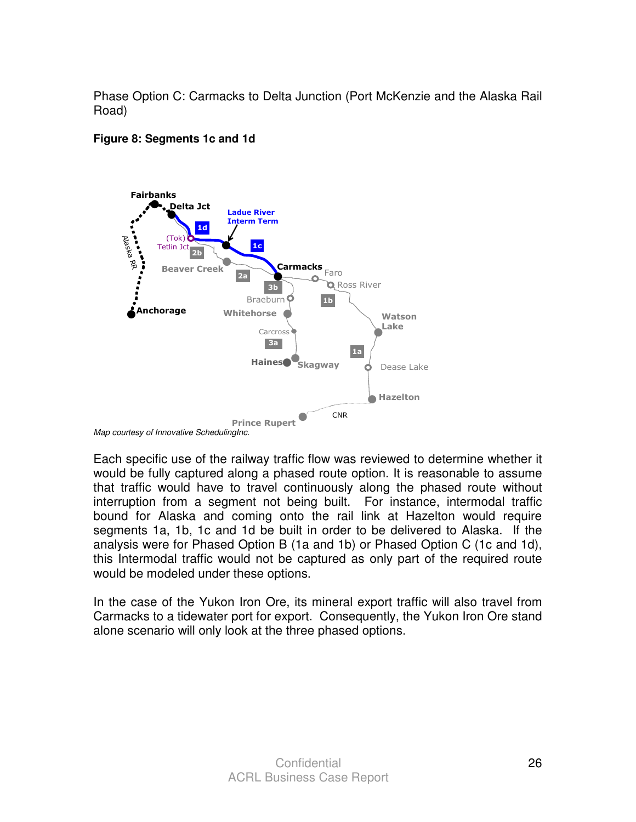Phase Option C: Carmacks to Delta Junction (Port McKenzie and the Alaska Rail Road)

#### **Figure 8: Segments 1c and 1d**



Each specific use of the railway traffic flow was reviewed to determine whether it would be fully captured along a phased route option. It is reasonable to assume that traffic would have to travel continuously along the phased route without interruption from a segment not being built. For instance, intermodal traffic bound for Alaska and coming onto the rail link at Hazelton would require segments 1a, 1b, 1c and 1d be built in order to be delivered to Alaska. If the analysis were for Phased Option B (1a and 1b) or Phased Option C (1c and 1d), this Intermodal traffic would not be captured as only part of the required route would be modeled under these options.

In the case of the Yukon Iron Ore, its mineral export traffic will also travel from Carmacks to a tidewater port for export. Consequently, the Yukon Iron Ore stand alone scenario will only look at the three phased options.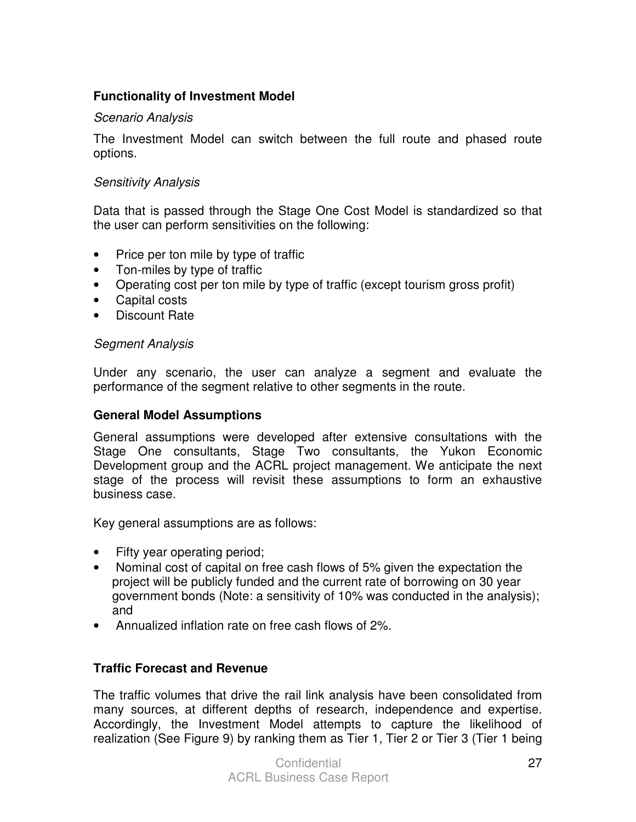#### **Functionality of Investment Model**

#### Scenario Analysis

The Investment Model can switch between the full route and phased route options.

#### Sensitivity Analysis

Data that is passed through the Stage One Cost Model is standardized so that the user can perform sensitivities on the following:

- Price per ton mile by type of traffic
- Ton-miles by type of traffic
- Operating cost per ton mile by type of traffic (except tourism gross profit)
- Capital costs
- Discount Rate

#### Segment Analysis

Under any scenario, the user can analyze a segment and evaluate the performance of the segment relative to other segments in the route.

#### **General Model Assumptions**

General assumptions were developed after extensive consultations with the Stage One consultants, Stage Two consultants, the Yukon Economic Development group and the ACRL project management. We anticipate the next stage of the process will revisit these assumptions to form an exhaustive business case.

Key general assumptions are as follows:

- Fifty year operating period;
- Nominal cost of capital on free cash flows of 5% given the expectation the project will be publicly funded and the current rate of borrowing on 30 year government bonds (Note: a sensitivity of 10% was conducted in the analysis); and
- Annualized inflation rate on free cash flows of 2%.

#### **Traffic Forecast and Revenue**

The traffic volumes that drive the rail link analysis have been consolidated from many sources, at different depths of research, independence and expertise. Accordingly, the Investment Model attempts to capture the likelihood of realization (See Figure 9) by ranking them as Tier 1, Tier 2 or Tier 3 (Tier 1 being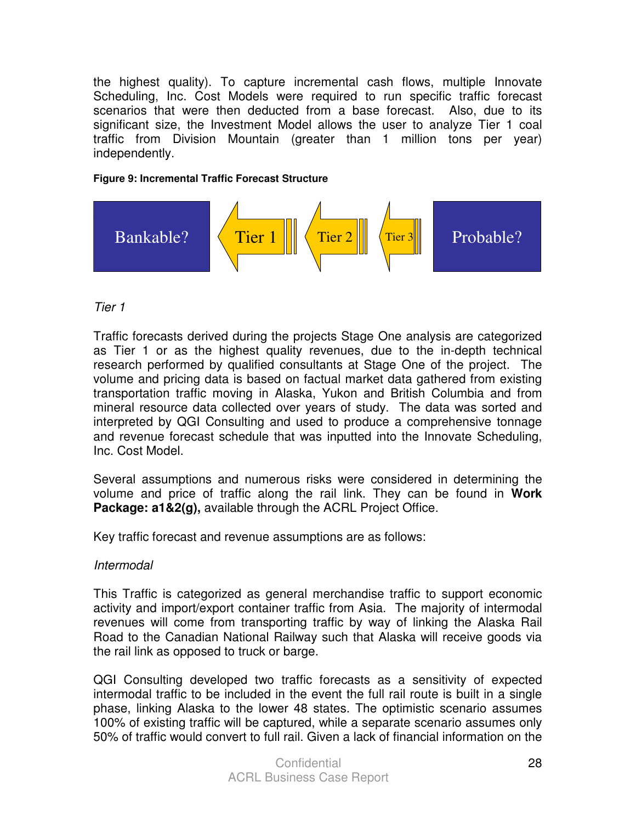the highest quality). To capture incremental cash flows, multiple Innovate Scheduling, Inc. Cost Models were required to run specific traffic forecast scenarios that were then deducted from a base forecast. Also, due to its significant size, the Investment Model allows the user to analyze Tier 1 coal traffic from Division Mountain (greater than 1 million tons per year) independently.

#### **Figure 9: Incremental Traffic Forecast Structure**



#### Tier 1

Traffic forecasts derived during the projects Stage One analysis are categorized as Tier 1 or as the highest quality revenues, due to the in-depth technical research performed by qualified consultants at Stage One of the project. The volume and pricing data is based on factual market data gathered from existing transportation traffic moving in Alaska, Yukon and British Columbia and from mineral resource data collected over years of study. The data was sorted and interpreted by QGI Consulting and used to produce a comprehensive tonnage and revenue forecast schedule that was inputted into the Innovate Scheduling, Inc. Cost Model.

Several assumptions and numerous risks were considered in determining the volume and price of traffic along the rail link. They can be found in **Work Package: a1&2(g),** available through the ACRL Project Office.

Key traffic forecast and revenue assumptions are as follows:

#### Intermodal

This Traffic is categorized as general merchandise traffic to support economic activity and import/export container traffic from Asia. The majority of intermodal revenues will come from transporting traffic by way of linking the Alaska Rail Road to the Canadian National Railway such that Alaska will receive goods via the rail link as opposed to truck or barge.

QGI Consulting developed two traffic forecasts as a sensitivity of expected intermodal traffic to be included in the event the full rail route is built in a single phase, linking Alaska to the lower 48 states. The optimistic scenario assumes 100% of existing traffic will be captured, while a separate scenario assumes only 50% of traffic would convert to full rail. Given a lack of financial information on the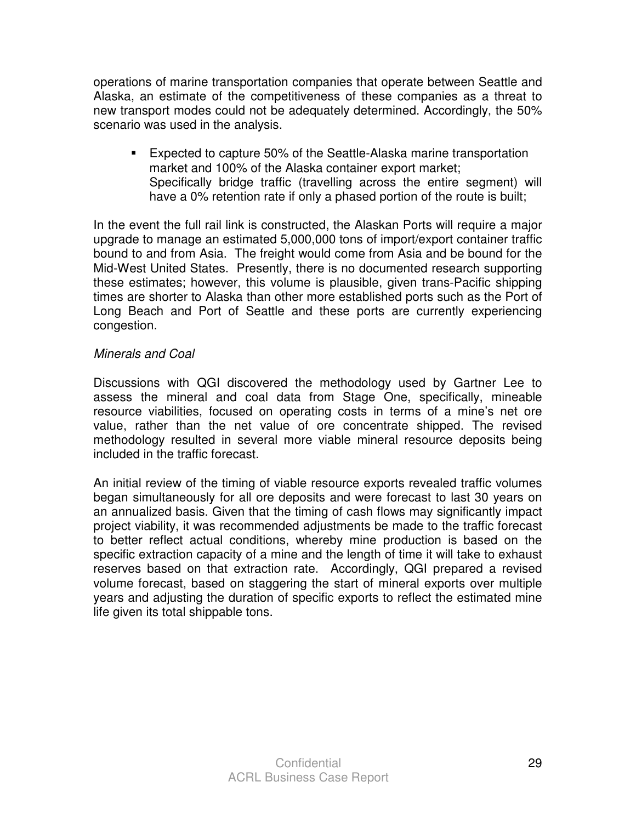operations of marine transportation companies that operate between Seattle and Alaska, an estimate of the competitiveness of these companies as a threat to new transport modes could not be adequately determined. Accordingly, the 50% scenario was used in the analysis.

- Expected to capture 50% of the Seattle-Alaska marine transportation market and 100% of the Alaska container export market; Specifically bridge traffic (travelling across the entire segment) will have a 0% retention rate if only a phased portion of the route is built;

In the event the full rail link is constructed, the Alaskan Ports will require a major upgrade to manage an estimated 5,000,000 tons of import/export container traffic bound to and from Asia. The freight would come from Asia and be bound for the Mid-West United States. Presently, there is no documented research supporting these estimates; however, this volume is plausible, given trans-Pacific shipping times are shorter to Alaska than other more established ports such as the Port of Long Beach and Port of Seattle and these ports are currently experiencing congestion.

#### Minerals and Coal

Discussions with QGI discovered the methodology used by Gartner Lee to assess the mineral and coal data from Stage One, specifically, mineable resource viabilities, focused on operating costs in terms of a mine's net ore value, rather than the net value of ore concentrate shipped. The revised methodology resulted in several more viable mineral resource deposits being included in the traffic forecast.

An initial review of the timing of viable resource exports revealed traffic volumes began simultaneously for all ore deposits and were forecast to last 30 years on an annualized basis. Given that the timing of cash flows may significantly impact project viability, it was recommended adjustments be made to the traffic forecast to better reflect actual conditions, whereby mine production is based on the specific extraction capacity of a mine and the length of time it will take to exhaust reserves based on that extraction rate. Accordingly, QGI prepared a revised volume forecast, based on staggering the start of mineral exports over multiple years and adjusting the duration of specific exports to reflect the estimated mine life given its total shippable tons.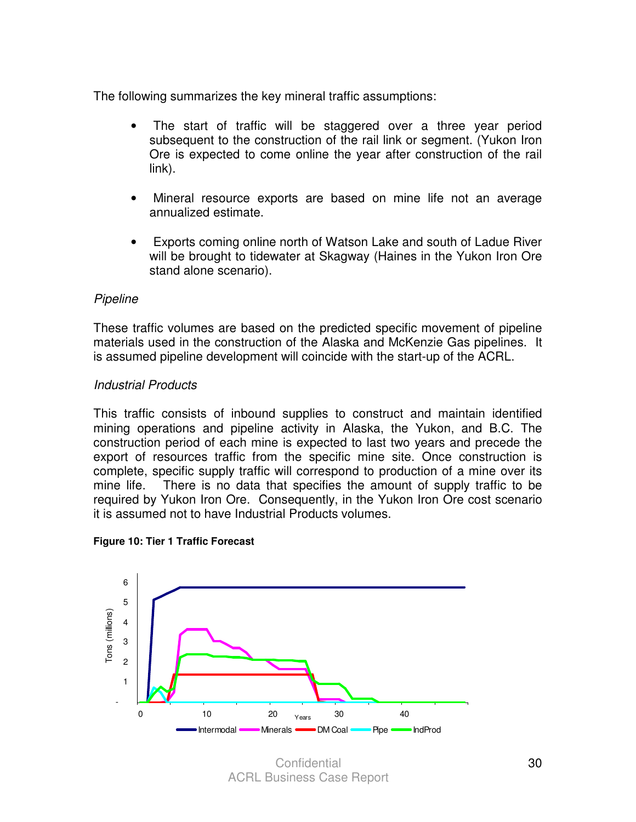The following summarizes the key mineral traffic assumptions:

- The start of traffic will be staggered over a three year period subsequent to the construction of the rail link or segment. (Yukon Iron Ore is expected to come online the year after construction of the rail link).
- Mineral resource exports are based on mine life not an average annualized estimate.
- Exports coming online north of Watson Lake and south of Ladue River will be brought to tidewater at Skagway (Haines in the Yukon Iron Ore stand alone scenario).

#### Pipeline

These traffic volumes are based on the predicted specific movement of pipeline materials used in the construction of the Alaska and McKenzie Gas pipelines. It is assumed pipeline development will coincide with the start-up of the ACRL.

#### Industrial Products

This traffic consists of inbound supplies to construct and maintain identified mining operations and pipeline activity in Alaska, the Yukon, and B.C. The construction period of each mine is expected to last two years and precede the export of resources traffic from the specific mine site. Once construction is complete, specific supply traffic will correspond to production of a mine over its mine life. There is no data that specifies the amount of supply traffic to be required by Yukon Iron Ore. Consequently, in the Yukon Iron Ore cost scenario it is assumed not to have Industrial Products volumes.





**Confidential** ACRL Business Case Report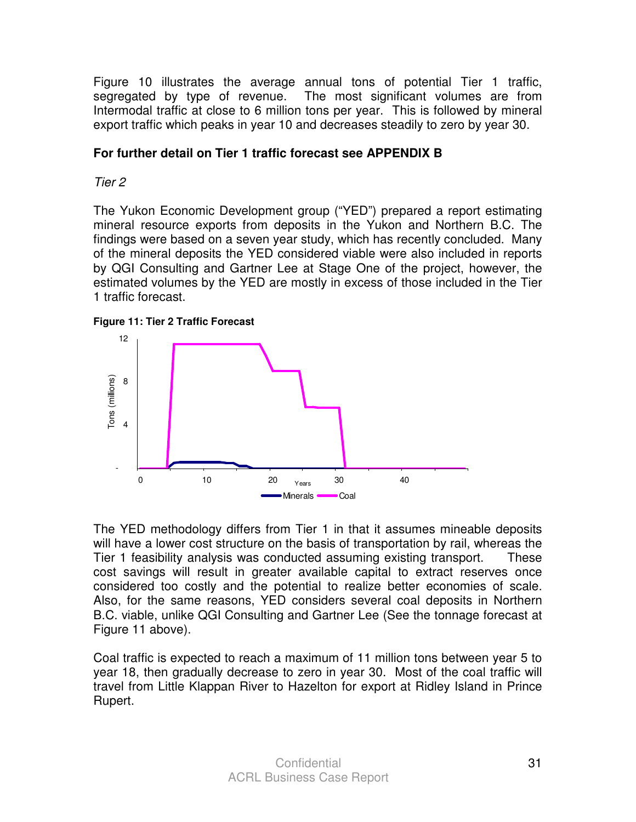Figure 10 illustrates the average annual tons of potential Tier 1 traffic, segregated by type of revenue. The most significant volumes are from Intermodal traffic at close to 6 million tons per year. This is followed by mineral export traffic which peaks in year 10 and decreases steadily to zero by year 30.

#### **For further detail on Tier 1 traffic forecast see APPENDIX B**

Tier 2

The Yukon Economic Development group ("YED") prepared a report estimating mineral resource exports from deposits in the Yukon and Northern B.C. The findings were based on a seven year study, which has recently concluded. Many of the mineral deposits the YED considered viable were also included in reports by QGI Consulting and Gartner Lee at Stage One of the project, however, the estimated volumes by the YED are mostly in excess of those included in the Tier 1 traffic forecast.





The YED methodology differs from Tier 1 in that it assumes mineable deposits will have a lower cost structure on the basis of transportation by rail, whereas the Tier 1 feasibility analysis was conducted assuming existing transport. These cost savings will result in greater available capital to extract reserves once considered too costly and the potential to realize better economies of scale. Also, for the same reasons, YED considers several coal deposits in Northern B.C. viable, unlike QGI Consulting and Gartner Lee (See the tonnage forecast at Figure 11 above).

Coal traffic is expected to reach a maximum of 11 million tons between year 5 to year 18, then gradually decrease to zero in year 30. Most of the coal traffic will travel from Little Klappan River to Hazelton for export at Ridley Island in Prince Rupert.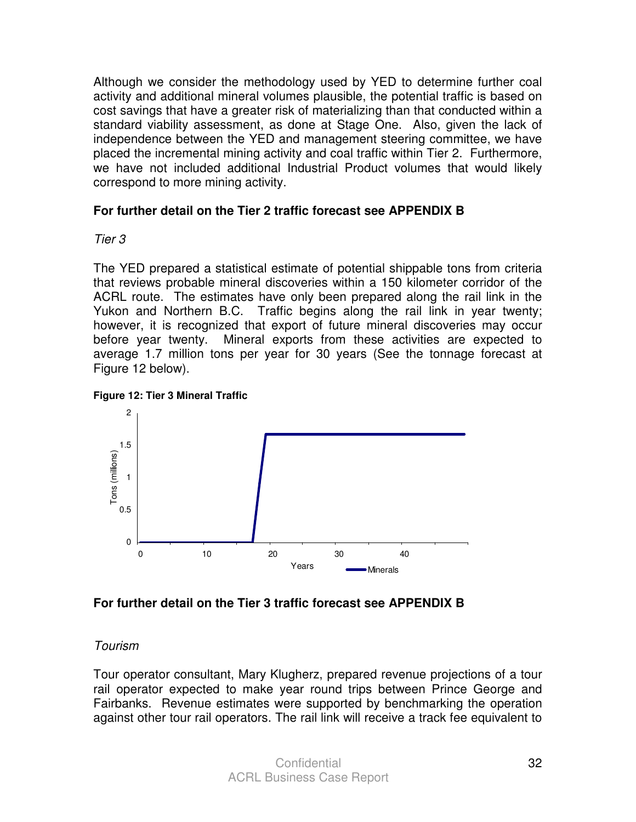Although we consider the methodology used by YED to determine further coal activity and additional mineral volumes plausible, the potential traffic is based on cost savings that have a greater risk of materializing than that conducted within a standard viability assessment, as done at Stage One. Also, given the lack of independence between the YED and management steering committee, we have placed the incremental mining activity and coal traffic within Tier 2. Furthermore, we have not included additional Industrial Product volumes that would likely correspond to more mining activity.

#### **For further detail on the Tier 2 traffic forecast see APPENDIX B**

#### Tier 3

The YED prepared a statistical estimate of potential shippable tons from criteria that reviews probable mineral discoveries within a 150 kilometer corridor of the ACRL route. The estimates have only been prepared along the rail link in the Yukon and Northern B.C. Traffic begins along the rail link in year twenty; however, it is recognized that export of future mineral discoveries may occur before year twenty. Mineral exports from these activities are expected to average 1.7 million tons per year for 30 years (See the tonnage forecast at Figure 12 below).





#### **For further detail on the Tier 3 traffic forecast see APPENDIX B**

#### Tourism

Tour operator consultant, Mary Klugherz, prepared revenue projections of a tour rail operator expected to make year round trips between Prince George and Fairbanks. Revenue estimates were supported by benchmarking the operation against other tour rail operators. The rail link will receive a track fee equivalent to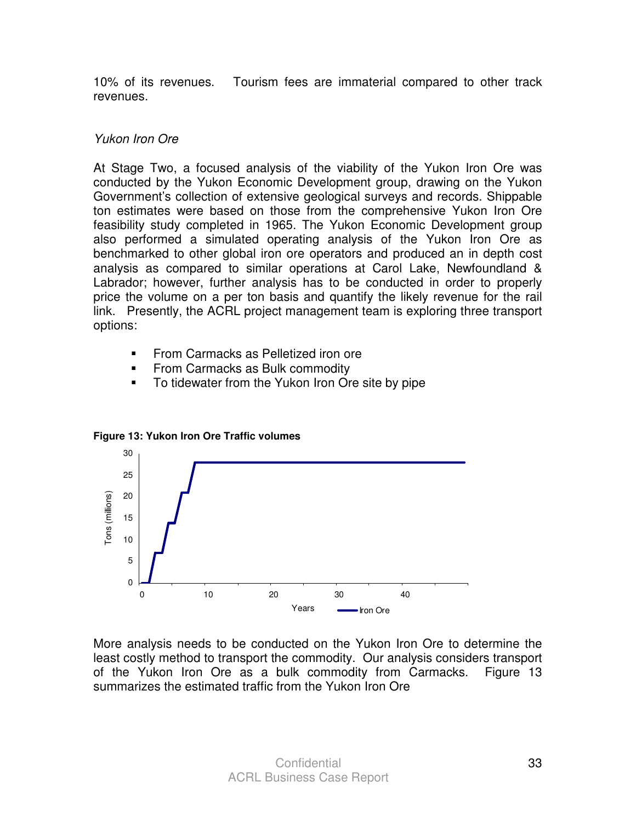10% of its revenues. Tourism fees are immaterial compared to other track revenues.

#### Yukon Iron Ore

At Stage Two, a focused analysis of the viability of the Yukon Iron Ore was conducted by the Yukon Economic Development group, drawing on the Yukon Government's collection of extensive geological surveys and records. Shippable ton estimates were based on those from the comprehensive Yukon Iron Ore feasibility study completed in 1965. The Yukon Economic Development group also performed a simulated operating analysis of the Yukon Iron Ore as benchmarked to other global iron ore operators and produced an in depth cost analysis as compared to similar operations at Carol Lake, Newfoundland & Labrador; however, further analysis has to be conducted in order to properly price the volume on a per ton basis and quantify the likely revenue for the rail link. Presently, the ACRL project management team is exploring three transport options:

- -From Carmacks as Pelletized iron ore
- -From Carmacks as Bulk commodity
- -To tidewater from the Yukon Iron Ore site by pipe



**Figure 13: Yukon Iron Ore Traffic volumes** 

More analysis needs to be conducted on the Yukon Iron Ore to determine the least costly method to transport the commodity. Our analysis considers transport of the Yukon Iron Ore as a bulk commodity from Carmacks. Figure 13 summarizes the estimated traffic from the Yukon Iron Ore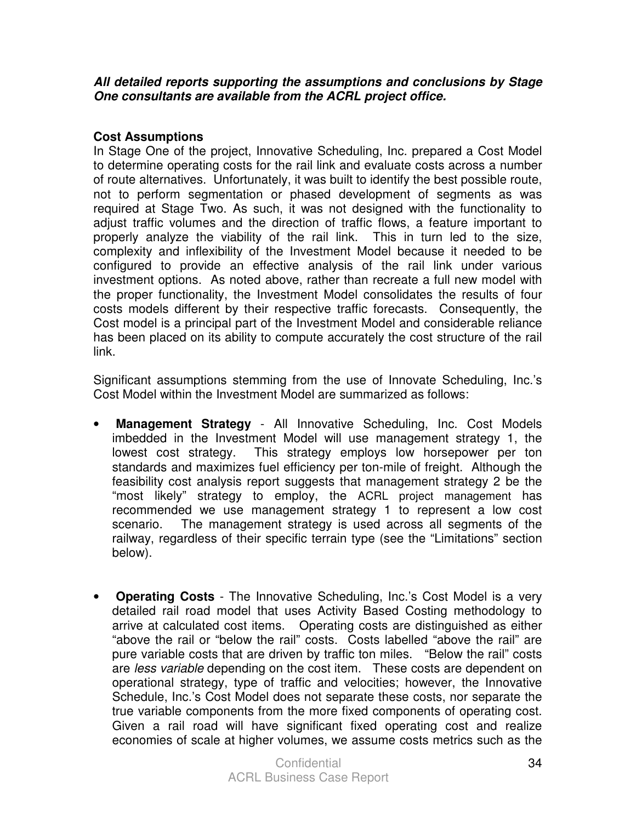#### **All detailed reports supporting the assumptions and conclusions by Stage One consultants are available from the ACRL project office.**

#### **Cost Assumptions**

In Stage One of the project, Innovative Scheduling, Inc. prepared a Cost Model to determine operating costs for the rail link and evaluate costs across a number of route alternatives. Unfortunately, it was built to identify the best possible route, not to perform segmentation or phased development of segments as was required at Stage Two. As such, it was not designed with the functionality to adjust traffic volumes and the direction of traffic flows, a feature important to properly analyze the viability of the rail link. This in turn led to the size, complexity and inflexibility of the Investment Model because it needed to be configured to provide an effective analysis of the rail link under various investment options. As noted above, rather than recreate a full new model with the proper functionality, the Investment Model consolidates the results of four costs models different by their respective traffic forecasts. Consequently, the Cost model is a principal part of the Investment Model and considerable reliance has been placed on its ability to compute accurately the cost structure of the rail link.

Significant assumptions stemming from the use of Innovate Scheduling, Inc.'s Cost Model within the Investment Model are summarized as follows:

- **Management Strategy** All Innovative Scheduling, Inc. Cost Models imbedded in the Investment Model will use management strategy 1, the lowest cost strategy. This strategy employs low horsepower per ton standards and maximizes fuel efficiency per ton-mile of freight. Although the feasibility cost analysis report suggests that management strategy 2 be the "most likely" strategy to employ, the ACRL project management has recommended we use management strategy 1 to represent a low cost scenario. The management strategy is used across all segments of the railway, regardless of their specific terrain type (see the "Limitations" section below).
- **Operating Costs** The Innovative Scheduling, Inc.'s Cost Model is a very detailed rail road model that uses Activity Based Costing methodology to arrive at calculated cost items. Operating costs are distinguished as either "above the rail or "below the rail" costs. Costs labelled "above the rail" are pure variable costs that are driven by traffic ton miles. "Below the rail" costs are less variable depending on the cost item. These costs are dependent on operational strategy, type of traffic and velocities; however, the Innovative Schedule, Inc.'s Cost Model does not separate these costs, nor separate the true variable components from the more fixed components of operating cost. Given a rail road will have significant fixed operating cost and realize economies of scale at higher volumes, we assume costs metrics such as the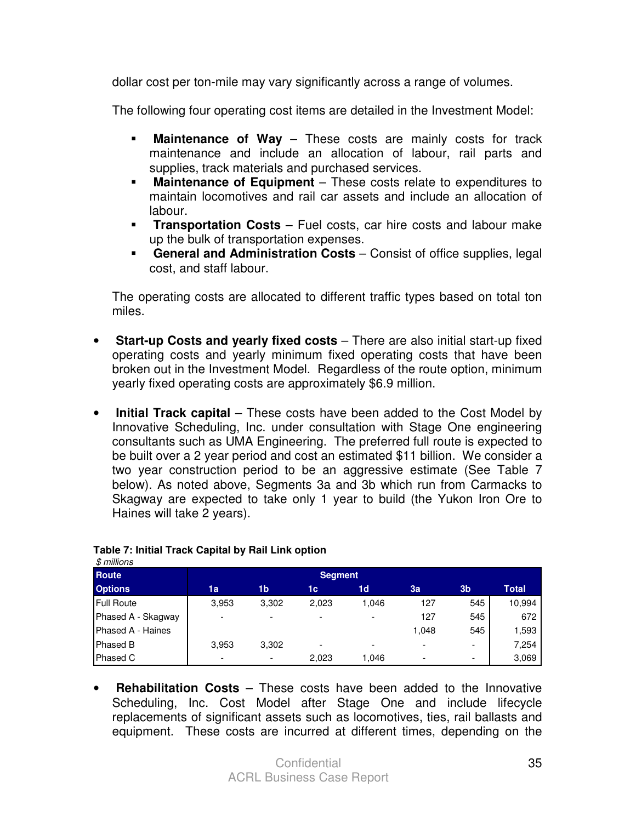dollar cost per ton-mile may vary significantly across a range of volumes.

The following four operating cost items are detailed in the Investment Model:

- -**Maintenance of Way** – These costs are mainly costs for track maintenance and include an allocation of labour, rail parts and supplies, track materials and purchased services.
- **Maintenance of Equipment** These costs relate to expenditures to maintain locomotives and rail car assets and include an allocation of labour.
- **Transportation Costs** Fuel costs, car hire costs and labour make up the bulk of transportation expenses.
- **General and Administration Costs** Consist of office supplies, legal cost, and staff labour.

The operating costs are allocated to different traffic types based on total ton miles.

- **Start-up Costs and yearly fixed costs** There are also initial start-up fixed operating costs and yearly minimum fixed operating costs that have been broken out in the Investment Model. Regardless of the route option, minimum yearly fixed operating costs are approximately \$6.9 million.
- **Initial Track capital** These costs have been added to the Cost Model by Innovative Scheduling, Inc. under consultation with Stage One engineering consultants such as UMA Engineering. The preferred full route is expected to be built over a 2 year period and cost an estimated \$11 billion. We consider a two year construction period to be an aggressive estimate (See Table 7 below). As noted above, Segments 3a and 3b which run from Carmacks to Skagway are expected to take only 1 year to build (the Yukon Iron Ore to Haines will take 2 years).

| <b>Route</b>       |                          |       | <b>Segment</b> |       |       |                          |        |
|--------------------|--------------------------|-------|----------------|-------|-------|--------------------------|--------|
| <b>Options</b>     | 1a                       | 1b    | 1c             | 1d    | 3a    | 3 <sub>b</sub>           | Total  |
| Full Route         | 3,953                    | 3,302 | 2,023          | 1,046 | 127   | 545                      | 10,994 |
| Phased A - Skagway | $\overline{\phantom{0}}$ |       |                |       | 127   | 545                      | 672    |
| Phased A - Haines  |                          |       |                |       | 1.048 | 545                      | 1,593  |
| Phased B           | 3,953                    | 3,302 |                |       |       | -                        | 7,254  |
| Phased C           |                          |       | 2,023          | 1.046 |       | $\overline{\phantom{0}}$ | 3,069  |

#### **Table 7: Initial Track Capital by Rail Link option**  \$ millions

• **Rehabilitation Costs** – These costs have been added to the Innovative Scheduling, Inc. Cost Model after Stage One and include lifecycle replacements of significant assets such as locomotives, ties, rail ballasts and equipment. These costs are incurred at different times, depending on the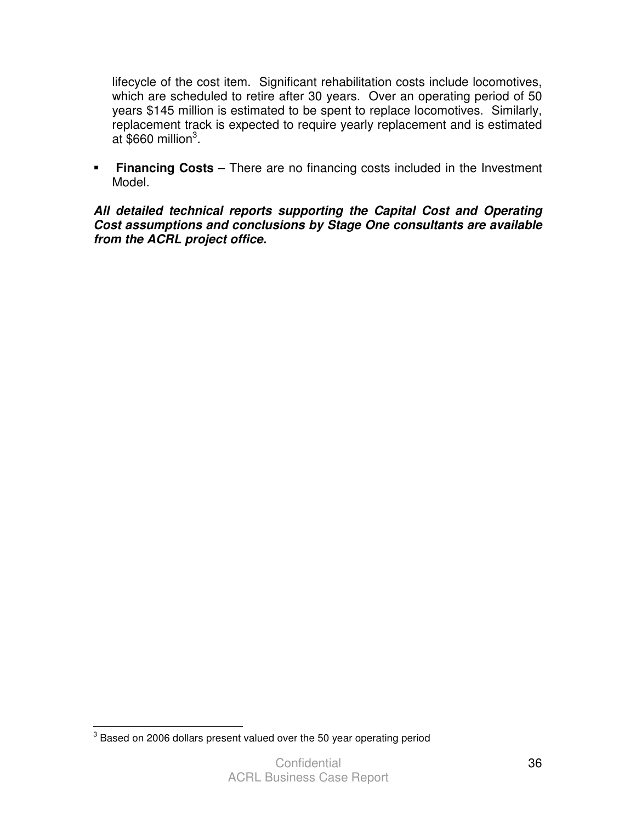lifecycle of the cost item. Significant rehabilitation costs include locomotives, which are scheduled to retire after 30 years. Over an operating period of 50 years \$145 million is estimated to be spent to replace locomotives. Similarly, replacement track is expected to require yearly replacement and is estimated at \$660 million $3$ .

**Financing Costs** – There are no financing costs included in the Investment Model.

**All detailed technical reports supporting the Capital Cost and Operating Cost assumptions and conclusions by Stage One consultants are available from the ACRL project office.** 

 3 Based on 2006 dollars present valued over the 50 year operating period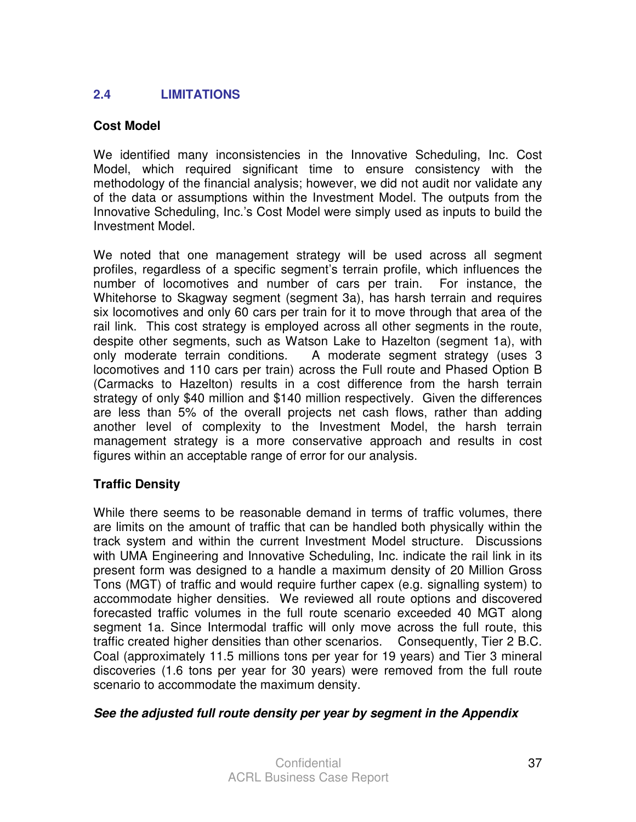# **2.4 LIMITATIONS**

### **Cost Model**

We identified many inconsistencies in the Innovative Scheduling, Inc. Cost Model, which required significant time to ensure consistency with the methodology of the financial analysis; however, we did not audit nor validate any of the data or assumptions within the Investment Model. The outputs from the Innovative Scheduling, Inc.'s Cost Model were simply used as inputs to build the Investment Model.

We noted that one management strategy will be used across all segment profiles, regardless of a specific segment's terrain profile, which influences the number of locomotives and number of cars per train. For instance, the Whitehorse to Skagway segment (segment 3a), has harsh terrain and requires six locomotives and only 60 cars per train for it to move through that area of the rail link. This cost strategy is employed across all other segments in the route, despite other segments, such as Watson Lake to Hazelton (segment 1a), with only moderate terrain conditions. A moderate segment strategy (uses 3 locomotives and 110 cars per train) across the Full route and Phased Option B (Carmacks to Hazelton) results in a cost difference from the harsh terrain strategy of only \$40 million and \$140 million respectively. Given the differences are less than 5% of the overall projects net cash flows, rather than adding another level of complexity to the Investment Model, the harsh terrain management strategy is a more conservative approach and results in cost figures within an acceptable range of error for our analysis.

# **Traffic Density**

While there seems to be reasonable demand in terms of traffic volumes, there are limits on the amount of traffic that can be handled both physically within the track system and within the current Investment Model structure. Discussions with UMA Engineering and Innovative Scheduling, Inc. indicate the rail link in its present form was designed to a handle a maximum density of 20 Million Gross Tons (MGT) of traffic and would require further capex (e.g. signalling system) to accommodate higher densities. We reviewed all route options and discovered forecasted traffic volumes in the full route scenario exceeded 40 MGT along segment 1a. Since Intermodal traffic will only move across the full route, this traffic created higher densities than other scenarios. Consequently, Tier 2 B.C. Coal (approximately 11.5 millions tons per year for 19 years) and Tier 3 mineral discoveries (1.6 tons per year for 30 years) were removed from the full route scenario to accommodate the maximum density.

### **See the adjusted full route density per year by segment in the Appendix**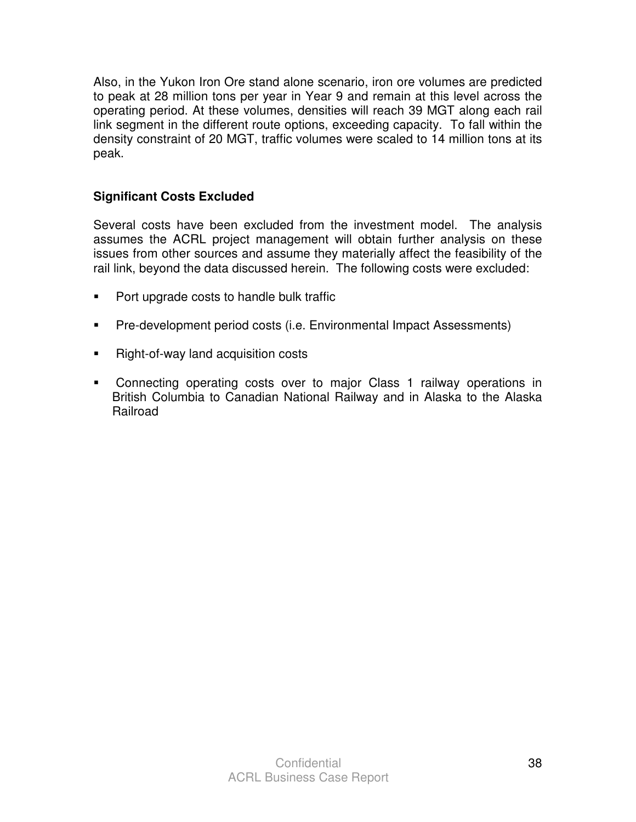Also, in the Yukon Iron Ore stand alone scenario, iron ore volumes are predicted to peak at 28 million tons per year in Year 9 and remain at this level across the operating period. At these volumes, densities will reach 39 MGT along each rail link segment in the different route options, exceeding capacity. To fall within the density constraint of 20 MGT, traffic volumes were scaled to 14 million tons at its peak.

# **Significant Costs Excluded**

Several costs have been excluded from the investment model. The analysis assumes the ACRL project management will obtain further analysis on these issues from other sources and assume they materially affect the feasibility of the rail link, beyond the data discussed herein. The following costs were excluded:

- -Port upgrade costs to handle bulk traffic
- -Pre-development period costs (i.e. Environmental Impact Assessments)
- -Right-of-way land acquisition costs
- Connecting operating costs over to major Class 1 railway operations in British Columbia to Canadian National Railway and in Alaska to the Alaska Railroad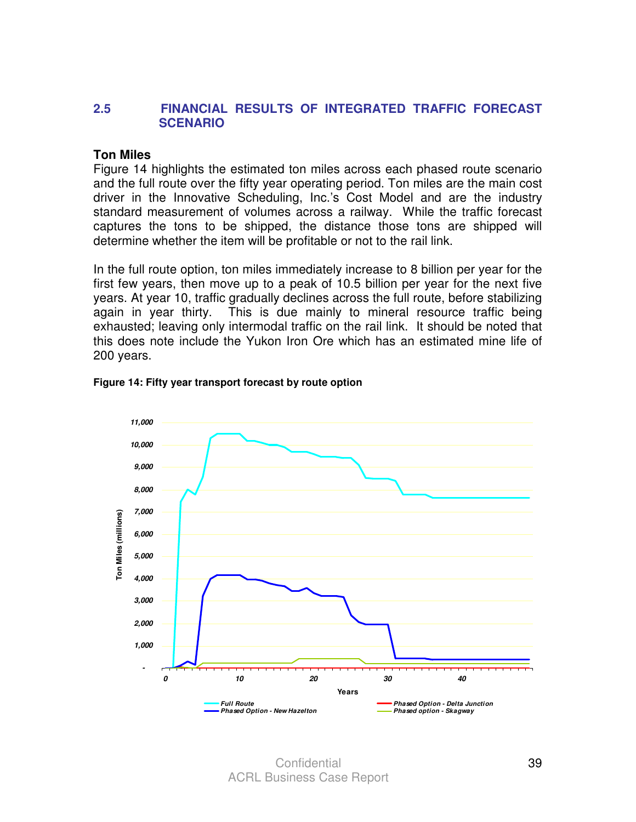### **2.5 FINANCIAL RESULTS OF INTEGRATED TRAFFIC FORECAST SCENARIO**

#### **Ton Miles**

Figure 14 highlights the estimated ton miles across each phased route scenario and the full route over the fifty year operating period. Ton miles are the main cost driver in the Innovative Scheduling, Inc.'s Cost Model and are the industry standard measurement of volumes across a railway. While the traffic forecast captures the tons to be shipped, the distance those tons are shipped will determine whether the item will be profitable or not to the rail link.

In the full route option, ton miles immediately increase to 8 billion per year for the first few years, then move up to a peak of 10.5 billion per year for the next five years. At year 10, traffic gradually declines across the full route, before stabilizing again in year thirty. This is due mainly to mineral resource traffic being exhausted; leaving only intermodal traffic on the rail link. It should be noted that this does note include the Yukon Iron Ore which has an estimated mine life of 200 years.



#### **Figure 14: Fifty year transport forecast by route option**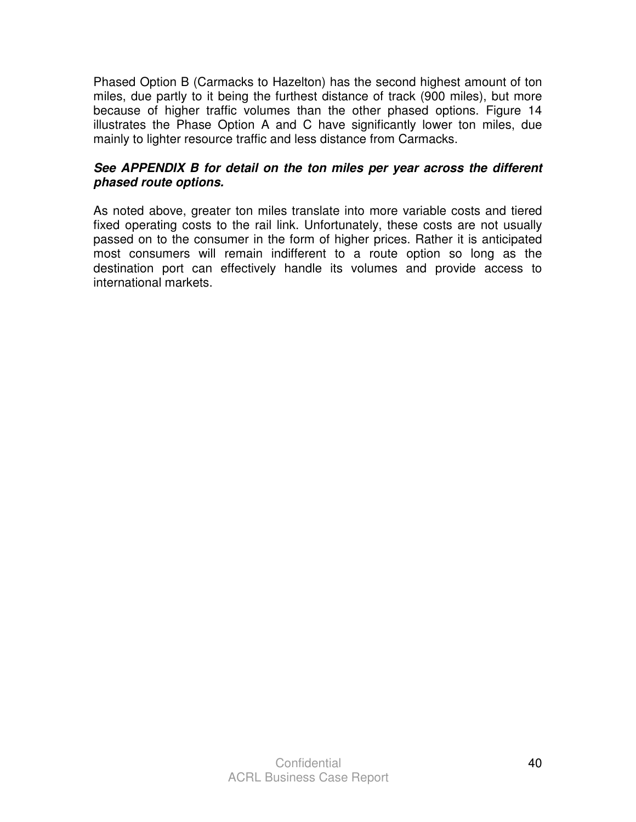Phased Option B (Carmacks to Hazelton) has the second highest amount of ton miles, due partly to it being the furthest distance of track (900 miles), but more because of higher traffic volumes than the other phased options. Figure 14 illustrates the Phase Option A and C have significantly lower ton miles, due mainly to lighter resource traffic and less distance from Carmacks.

### **See APPENDIX B for detail on the ton miles per year across the different phased route options.**

As noted above, greater ton miles translate into more variable costs and tiered fixed operating costs to the rail link. Unfortunately, these costs are not usually passed on to the consumer in the form of higher prices. Rather it is anticipated most consumers will remain indifferent to a route option so long as the destination port can effectively handle its volumes and provide access to international markets.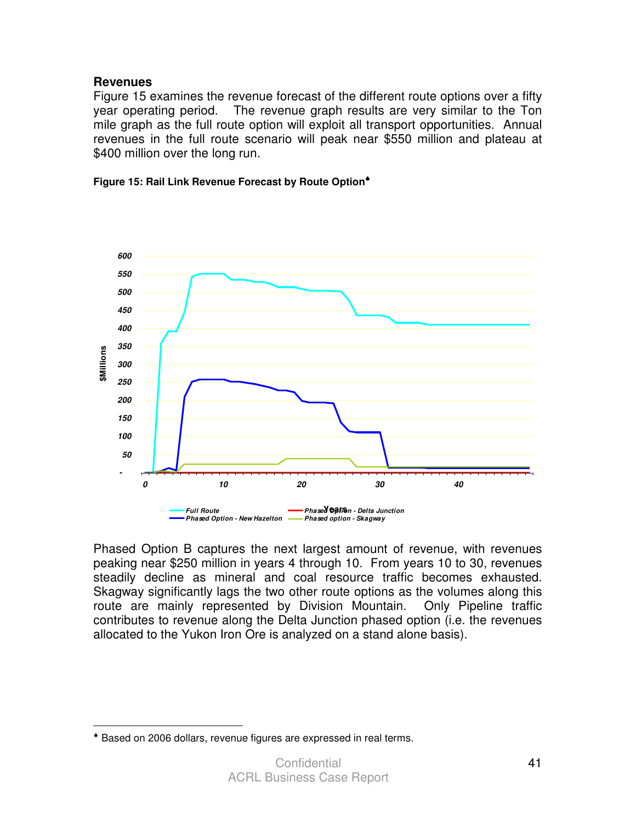### **Revenues**

 $\overline{a}$ 

Figure 15 examines the revenue forecast of the different route options over a fifty year operating period. The revenue graph results are very similar to the Ton mile graph as the full route option will exploit all transport opportunities. Annual revenues in the full route scenario will peak near \$550 million and plateau at \$400 million over the long run.





Phased Option B captures the next largest amount of revenue, with revenues peaking near \$250 million in years 4 through 10. From years 10 to 30, revenues steadily decline as mineral and coal resource traffic becomes exhausted. Skagway significantly lags the two other route options as the volumes along this route are mainly represented by Division Mountain. Only Pipeline traffic contributes to revenue along the Delta Junction phased option (i.e. the revenues allocated to the Yukon Iron Ore is analyzed on a stand alone basis).

<sup>♠</sup> Based on 2006 dollars, revenue figures are expressed in real terms.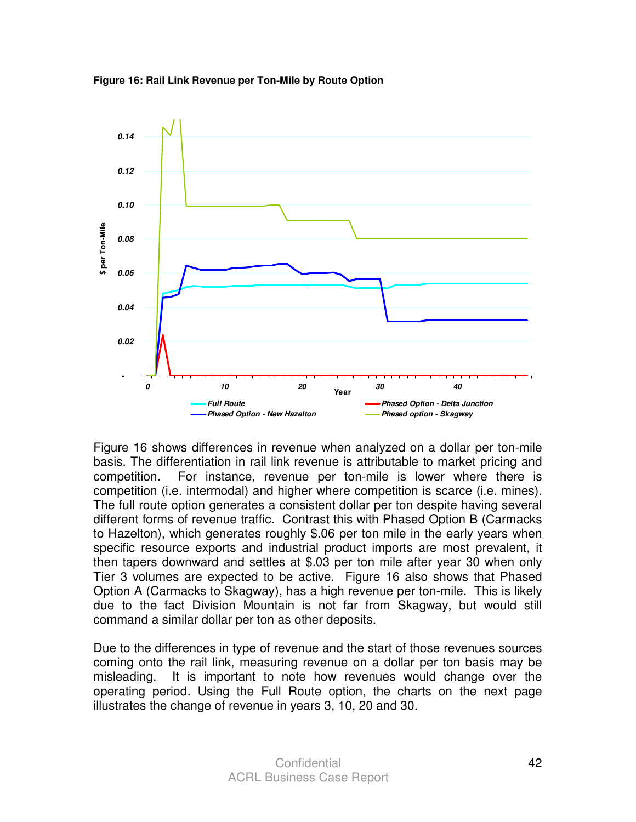



Figure 16 shows differences in revenue when analyzed on a dollar per ton-mile basis. The differentiation in rail link revenue is attributable to market pricing and competition. For instance, revenue per ton-mile is lower where there is competition (i.e. intermodal) and higher where competition is scarce (i.e. mines). The full route option generates a consistent dollar per ton despite having several different forms of revenue traffic. Contrast this with Phased Option B (Carmacks to Hazelton), which generates roughly \$.06 per ton mile in the early years when specific resource exports and industrial product imports are most prevalent, it then tapers downward and settles at \$.03 per ton mile after year 30 when only Tier 3 volumes are expected to be active. Figure 16 also shows that Phased Option A (Carmacks to Skagway), has a high revenue per ton-mile. This is likely due to the fact Division Mountain is not far from Skagway, but would still command a similar dollar per ton as other deposits.

Due to the differences in type of revenue and the start of those revenues sources coming onto the rail link, measuring revenue on a dollar per ton basis may be misleading. It is important to note how revenues would change over the operating period. Using the Full Route option, the charts on the next page illustrates the change of revenue in years 3, 10, 20 and 30.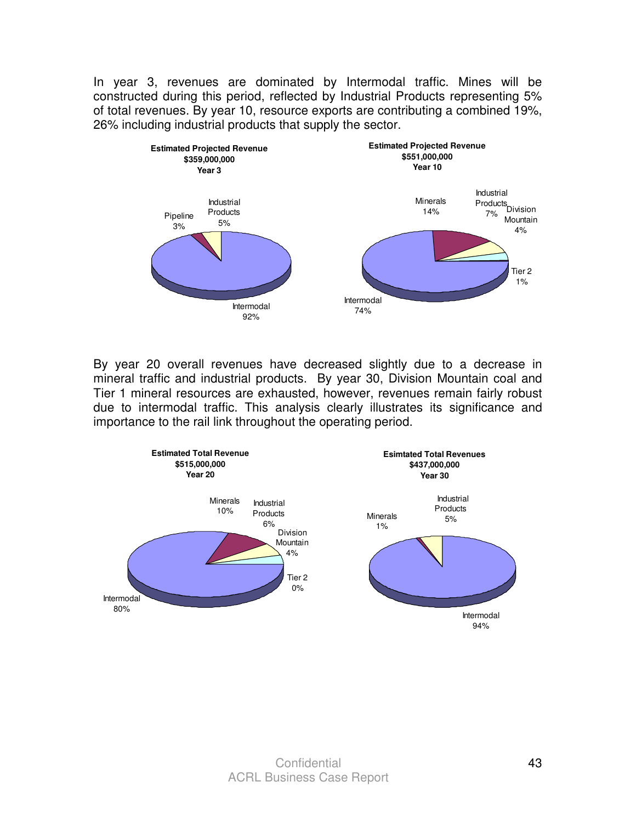In year 3, revenues are dominated by Intermodal traffic. Mines will be constructed during this period, reflected by Industrial Products representing 5% of total revenues. By year 10, resource exports are contributing a combined 19%, 26% including industrial products that supply the sector.



By year 20 overall revenues have decreased slightly due to a decrease in mineral traffic and industrial products. By year 30, Division Mountain coal and Tier 1 mineral resources are exhausted, however, revenues remain fairly robust due to intermodal traffic. This analysis clearly illustrates its significance and importance to the rail link throughout the operating period.

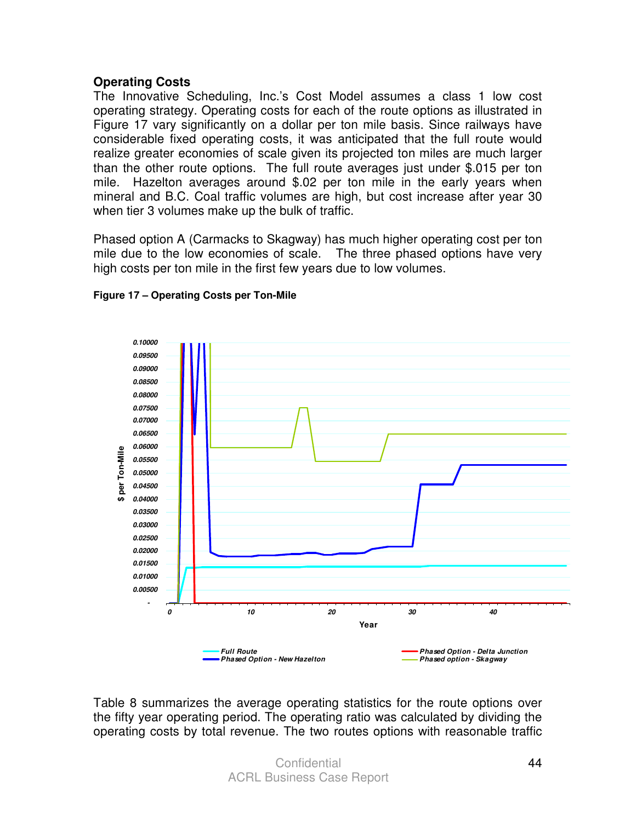### **Operating Costs**

The Innovative Scheduling, Inc.'s Cost Model assumes a class 1 low cost operating strategy. Operating costs for each of the route options as illustrated in Figure 17 vary significantly on a dollar per ton mile basis. Since railways have considerable fixed operating costs, it was anticipated that the full route would realize greater economies of scale given its projected ton miles are much larger than the other route options. The full route averages just under \$.015 per ton mile. Hazelton averages around \$.02 per ton mile in the early years when mineral and B.C. Coal traffic volumes are high, but cost increase after year 30 when tier 3 volumes make up the bulk of traffic.

Phased option A (Carmacks to Skagway) has much higher operating cost per ton mile due to the low economies of scale. The three phased options have very high costs per ton mile in the first few years due to low volumes.



#### **Figure 17 – Operating Costs per Ton-Mile**

Table 8 summarizes the average operating statistics for the route options over the fifty year operating period. The operating ratio was calculated by dividing the operating costs by total revenue. The two routes options with reasonable traffic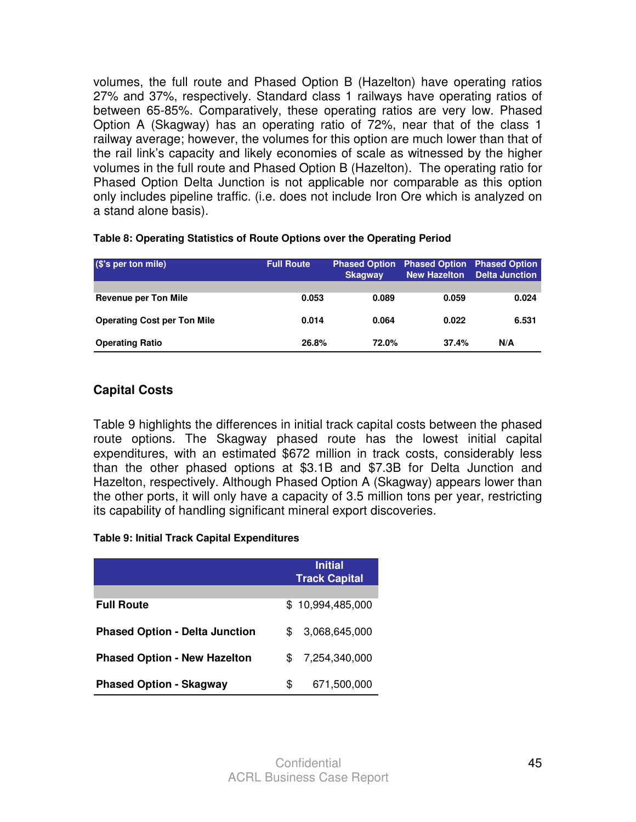volumes, the full route and Phased Option B (Hazelton) have operating ratios 27% and 37%, respectively. Standard class 1 railways have operating ratios of between 65-85%. Comparatively, these operating ratios are very low. Phased Option A (Skagway) has an operating ratio of 72%, near that of the class 1 railway average; however, the volumes for this option are much lower than that of the rail link's capacity and likely economies of scale as witnessed by the higher volumes in the full route and Phased Option B (Hazelton). The operating ratio for Phased Option Delta Junction is not applicable nor comparable as this option only includes pipeline traffic. (i.e. does not include Iron Ore which is analyzed on a stand alone basis).

| (\$'s per ton mile)                | <b>Full Route</b> | <b>Phased Option</b><br><b>Skagway</b> |       | <b>Phased Option Phased Option</b><br>New Hazelton Delta Junction |
|------------------------------------|-------------------|----------------------------------------|-------|-------------------------------------------------------------------|
|                                    |                   |                                        |       |                                                                   |
| <b>Revenue per Ton Mile</b>        | 0.053             | 0.089                                  | 0.059 | 0.024                                                             |
| <b>Operating Cost per Ton Mile</b> | 0.014             | 0.064                                  | 0.022 | 6.531                                                             |
| <b>Operating Ratio</b>             | 26.8%             | 72.0%                                  | 37.4% | N/A                                                               |

#### **Table 8: Operating Statistics of Route Options over the Operating Period**

### **Capital Costs**

Table 9 highlights the differences in initial track capital costs between the phased route options. The Skagway phased route has the lowest initial capital expenditures, with an estimated \$672 million in track costs, considerably less than the other phased options at \$3.1B and \$7.3B for Delta Junction and Hazelton, respectively. Although Phased Option A (Skagway) appears lower than the other ports, it will only have a capacity of 3.5 million tons per year, restricting its capability of handling significant mineral export discoveries.

#### **Table 9: Initial Track Capital Expenditures**

|                                       | <b>Initial</b><br><b>Track Capital</b> |  |  |
|---------------------------------------|----------------------------------------|--|--|
| <b>Full Route</b>                     | \$10,994,485,000                       |  |  |
| <b>Phased Option - Delta Junction</b> | 3.068.645.000<br>\$.                   |  |  |
| <b>Phased Option - New Hazelton</b>   | 7,254,340,000<br>\$.                   |  |  |
| <b>Phased Option - Skagway</b>        | 671,500,000<br>\$                      |  |  |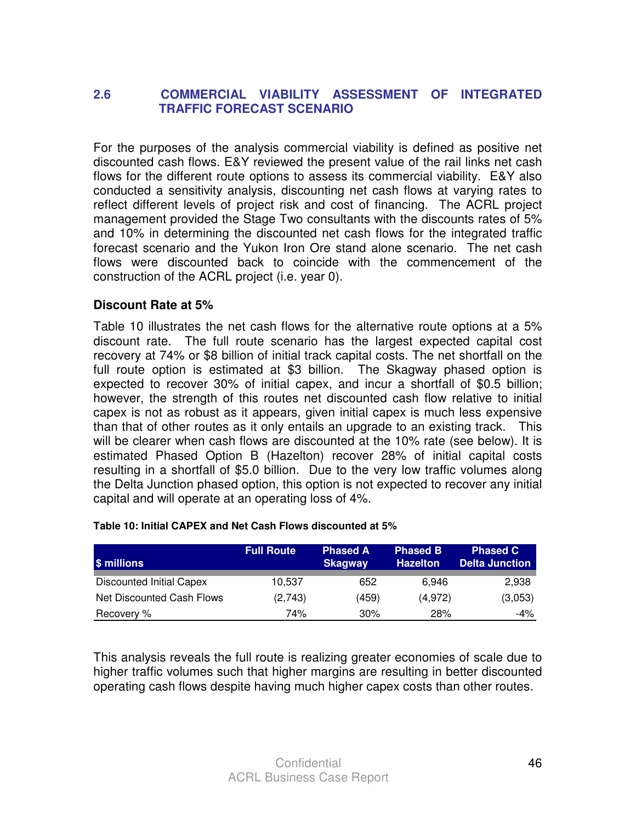### **2.6 COMMERCIAL VIABILITY ASSESSMENT OF INTEGRATED TRAFFIC FORECAST SCENARIO**

For the purposes of the analysis commercial viability is defined as positive net discounted cash flows. E&Y reviewed the present value of the rail links net cash flows for the different route options to assess its commercial viability. E&Y also conducted a sensitivity analysis, discounting net cash flows at varying rates to reflect different levels of project risk and cost of financing. The ACRL project management provided the Stage Two consultants with the discounts rates of 5% and 10% in determining the discounted net cash flows for the integrated traffic forecast scenario and the Yukon Iron Ore stand alone scenario. The net cash flows were discounted back to coincide with the commencement of the construction of the ACRL project (i.e. year 0).

### **Discount Rate at 5%**

Table 10 illustrates the net cash flows for the alternative route options at a 5% discount rate. The full route scenario has the largest expected capital cost recovery at 74% or \$8 billion of initial track capital costs. The net shortfall on the full route option is estimated at \$3 billion. The Skagway phased option is expected to recover 30% of initial capex, and incur a shortfall of \$0.5 billion; however, the strength of this routes net discounted cash flow relative to initial capex is not as robust as it appears, given initial capex is much less expensive than that of other routes as it only entails an upgrade to an existing track. This will be clearer when cash flows are discounted at the 10% rate (see below). It is estimated Phased Option B (Hazelton) recover 28% of initial capital costs resulting in a shortfall of \$5.0 billion. Due to the very low traffic volumes along the Delta Junction phased option, this option is not expected to recover any initial capital and will operate at an operating loss of 4%.

| <b>S</b> millions         | <b>Full Route</b> | <b>Phased A</b><br><b>Skagway</b> | <b>Phased B</b><br><b>Hazelton</b> | <b>Phased C</b><br><b>Delta Junction</b> |
|---------------------------|-------------------|-----------------------------------|------------------------------------|------------------------------------------|
| Discounted Initial Capex  | 10,537            | 652                               | 6.946                              | 2,938                                    |
| Net Discounted Cash Flows | (2,743)           | (459)                             | (4,972)                            | (3,053)                                  |
| Recovery %                | 74%               | 30%                               | 28%                                | $-4\%$                                   |

#### **Table 10: Initial CAPEX and Net Cash Flows discounted at 5%**

This analysis reveals the full route is realizing greater economies of scale due to higher traffic volumes such that higher margins are resulting in better discounted operating cash flows despite having much higher capex costs than other routes.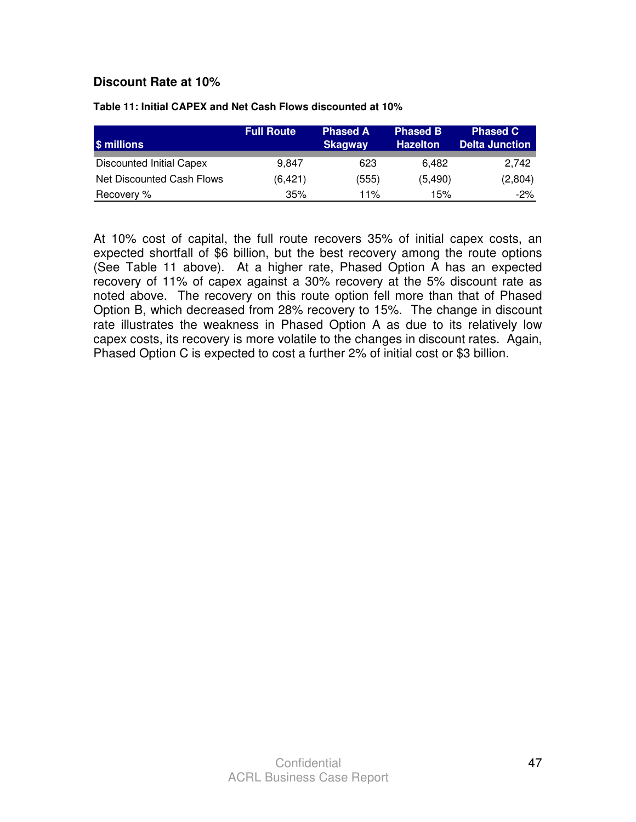### **Discount Rate at 10%**

| \$ millions                     | <b>Full Route</b> | <b>Phased A</b><br><b>Skagway</b> | <b>Phased B</b><br><b>Hazelton</b> | <b>Phased C</b><br><b>Delta Junction</b> |
|---------------------------------|-------------------|-----------------------------------|------------------------------------|------------------------------------------|
| <b>Discounted Initial Capex</b> | 9.847             | 623                               | 6.482                              | 2.742                                    |
| Net Discounted Cash Flows       | (6,421)           | (555)                             | (5, 490)                           | (2,804)                                  |
| Recovery %                      | 35%               | 11%                               | 15%                                | -2%                                      |

**Table 11: Initial CAPEX and Net Cash Flows discounted at 10%** 

At 10% cost of capital, the full route recovers 35% of initial capex costs, an expected shortfall of \$6 billion, but the best recovery among the route options (See Table 11 above). At a higher rate, Phased Option A has an expected recovery of 11% of capex against a 30% recovery at the 5% discount rate as noted above. The recovery on this route option fell more than that of Phased Option B, which decreased from 28% recovery to 15%. The change in discount rate illustrates the weakness in Phased Option A as due to its relatively low capex costs, its recovery is more volatile to the changes in discount rates. Again, Phased Option C is expected to cost a further 2% of initial cost or \$3 billion.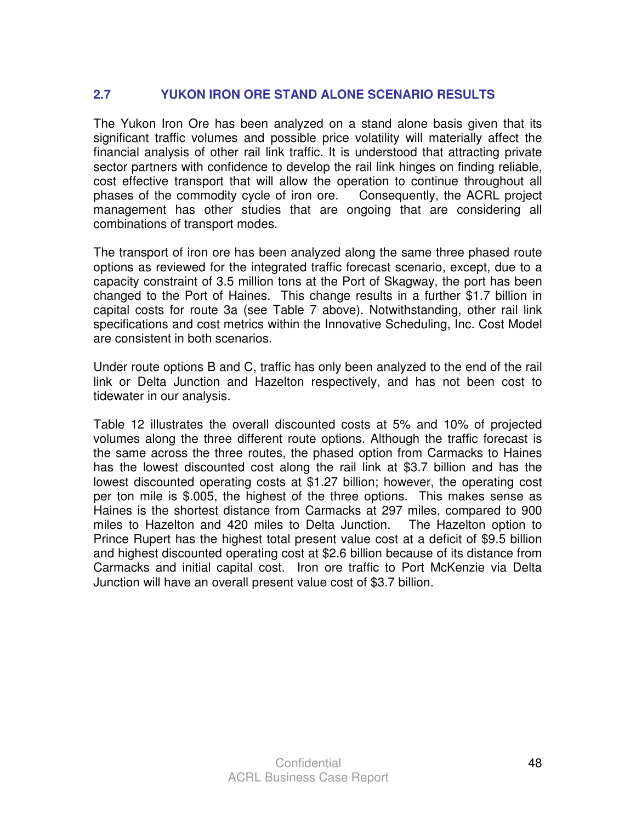## **2.7 YUKON IRON ORE STAND ALONE SCENARIO RESULTS**

The Yukon Iron Ore has been analyzed on a stand alone basis given that its significant traffic volumes and possible price volatility will materially affect the financial analysis of other rail link traffic. It is understood that attracting private sector partners with confidence to develop the rail link hinges on finding reliable, cost effective transport that will allow the operation to continue throughout all phases of the commodity cycle of iron ore. Consequently, the ACRL project management has other studies that are ongoing that are considering all combinations of transport modes.

The transport of iron ore has been analyzed along the same three phased route options as reviewed for the integrated traffic forecast scenario, except, due to a capacity constraint of 3.5 million tons at the Port of Skagway, the port has been changed to the Port of Haines. This change results in a further \$1.7 billion in capital costs for route 3a (see Table 7 above). Notwithstanding, other rail link specifications and cost metrics within the Innovative Scheduling, Inc. Cost Model are consistent in both scenarios.

Under route options B and C, traffic has only been analyzed to the end of the rail link or Delta Junction and Hazelton respectively, and has not been cost to tidewater in our analysis.

Table 12 illustrates the overall discounted costs at 5% and 10% of projected volumes along the three different route options. Although the traffic forecast is the same across the three routes, the phased option from Carmacks to Haines has the lowest discounted cost along the rail link at \$3.7 billion and has the lowest discounted operating costs at \$1.27 billion; however, the operating cost per ton mile is \$.005, the highest of the three options. This makes sense as Haines is the shortest distance from Carmacks at 297 miles, compared to 900 miles to Hazelton and 420 miles to Delta Junction. The Hazelton option to Prince Rupert has the highest total present value cost at a deficit of \$9.5 billion and highest discounted operating cost at \$2.6 billion because of its distance from Carmacks and initial capital cost. Iron ore traffic to Port McKenzie via Delta Junction will have an overall present value cost of \$3.7 billion.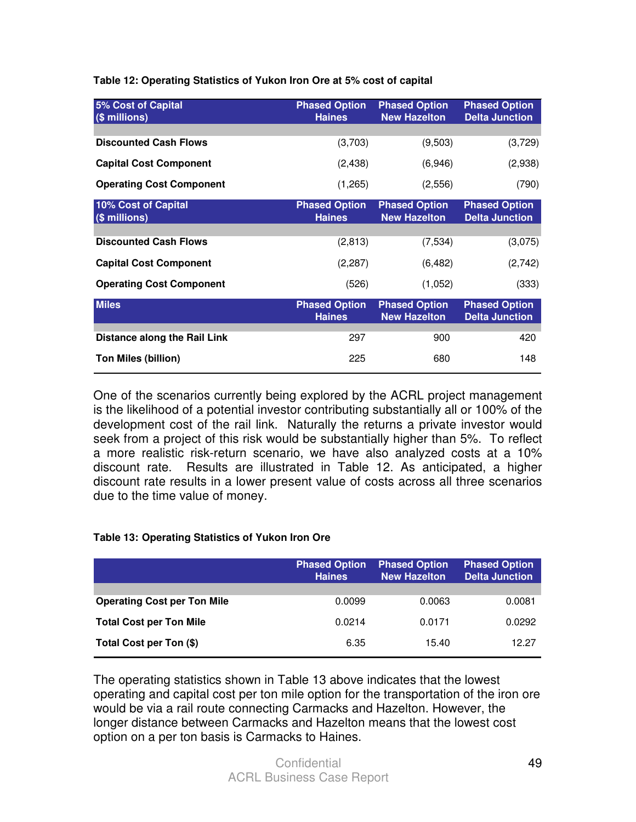**Table 12: Operating Statistics of Yukon Iron Ore at 5% cost of capital** 

| 5% Cost of Capital<br>(\$ millions)  | <b>Phased Option</b><br><b>Haines</b> | <b>Phased Option</b><br><b>New Hazelton</b> | <b>Phased Option</b><br><b>Delta Junction</b> |
|--------------------------------------|---------------------------------------|---------------------------------------------|-----------------------------------------------|
|                                      |                                       |                                             |                                               |
| <b>Discounted Cash Flows</b>         | (3,703)                               | (9,503)                                     | (3,729)                                       |
| <b>Capital Cost Component</b>        | (2, 438)                              | (6,946)                                     | (2,938)                                       |
| <b>Operating Cost Component</b>      | (1,265)                               | (2,556)                                     | (790)                                         |
| 10% Cost of Capital<br>(\$ millions) | <b>Phased Option</b><br><b>Haines</b> | <b>Phased Option</b><br><b>New Hazelton</b> | <b>Phased Option</b><br><b>Delta Junction</b> |
|                                      |                                       |                                             |                                               |
| <b>Discounted Cash Flows</b>         | (2,813)                               | (7,534)                                     | (3,075)                                       |
| <b>Capital Cost Component</b>        | (2,287)                               | (6, 482)                                    | (2,742)                                       |
| <b>Operating Cost Component</b>      | (526)                                 | (1,052)                                     | (333)                                         |
| <b>Miles</b>                         | <b>Phased Option</b><br><b>Haines</b> | <b>Phased Option</b><br><b>New Hazelton</b> | <b>Phased Option</b><br><b>Delta Junction</b> |
|                                      |                                       |                                             |                                               |
| Distance along the Rail Link         | 297                                   | 900                                         | 420                                           |
| <b>Ton Miles (billion)</b>           | 225                                   | 680                                         | 148                                           |

One of the scenarios currently being explored by the ACRL project management is the likelihood of a potential investor contributing substantially all or 100% of the development cost of the rail link. Naturally the returns a private investor would seek from a project of this risk would be substantially higher than 5%. To reflect a more realistic risk-return scenario, we have also analyzed costs at a 10% discount rate. Results are illustrated in Table 12. As anticipated, a higher discount rate results in a lower present value of costs across all three scenarios due to the time value of money.

#### **Table 13: Operating Statistics of Yukon Iron Ore**

|                                    | <b>Phased Option</b><br><b>Haines</b> | <b>Phased Option</b><br><b>New Hazelton</b> | <b>Phased Option</b><br><b>Delta Junction</b> |
|------------------------------------|---------------------------------------|---------------------------------------------|-----------------------------------------------|
| <b>Operating Cost per Ton Mile</b> | 0.0099                                | 0.0063                                      | 0.0081                                        |
| <b>Total Cost per Ton Mile</b>     | 0.0214                                | 0.0171                                      | 0.0292                                        |
| Total Cost per Ton (\$)            | 6.35                                  | 15.40                                       | 12.27                                         |

The operating statistics shown in Table 13 above indicates that the lowest operating and capital cost per ton mile option for the transportation of the iron ore would be via a rail route connecting Carmacks and Hazelton. However, the longer distance between Carmacks and Hazelton means that the lowest cost option on a per ton basis is Carmacks to Haines.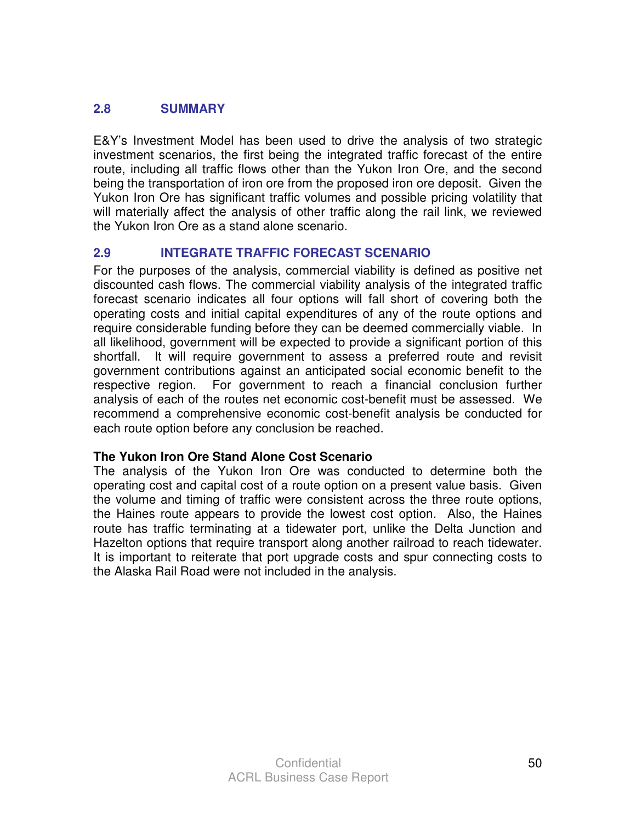### **2.8 SUMMARY**

E&Y's Investment Model has been used to drive the analysis of two strategic investment scenarios, the first being the integrated traffic forecast of the entire route, including all traffic flows other than the Yukon Iron Ore, and the second being the transportation of iron ore from the proposed iron ore deposit. Given the Yukon Iron Ore has significant traffic volumes and possible pricing volatility that will materially affect the analysis of other traffic along the rail link, we reviewed the Yukon Iron Ore as a stand alone scenario.

### **2.9 INTEGRATE TRAFFIC FORECAST SCENARIO**

For the purposes of the analysis, commercial viability is defined as positive net discounted cash flows. The commercial viability analysis of the integrated traffic forecast scenario indicates all four options will fall short of covering both the operating costs and initial capital expenditures of any of the route options and require considerable funding before they can be deemed commercially viable. In all likelihood, government will be expected to provide a significant portion of this shortfall. It will require government to assess a preferred route and revisit government contributions against an anticipated social economic benefit to the respective region. For government to reach a financial conclusion further analysis of each of the routes net economic cost-benefit must be assessed. We recommend a comprehensive economic cost-benefit analysis be conducted for each route option before any conclusion be reached.

### **The Yukon Iron Ore Stand Alone Cost Scenario**

The analysis of the Yukon Iron Ore was conducted to determine both the operating cost and capital cost of a route option on a present value basis. Given the volume and timing of traffic were consistent across the three route options, the Haines route appears to provide the lowest cost option. Also, the Haines route has traffic terminating at a tidewater port, unlike the Delta Junction and Hazelton options that require transport along another railroad to reach tidewater. It is important to reiterate that port upgrade costs and spur connecting costs to the Alaska Rail Road were not included in the analysis.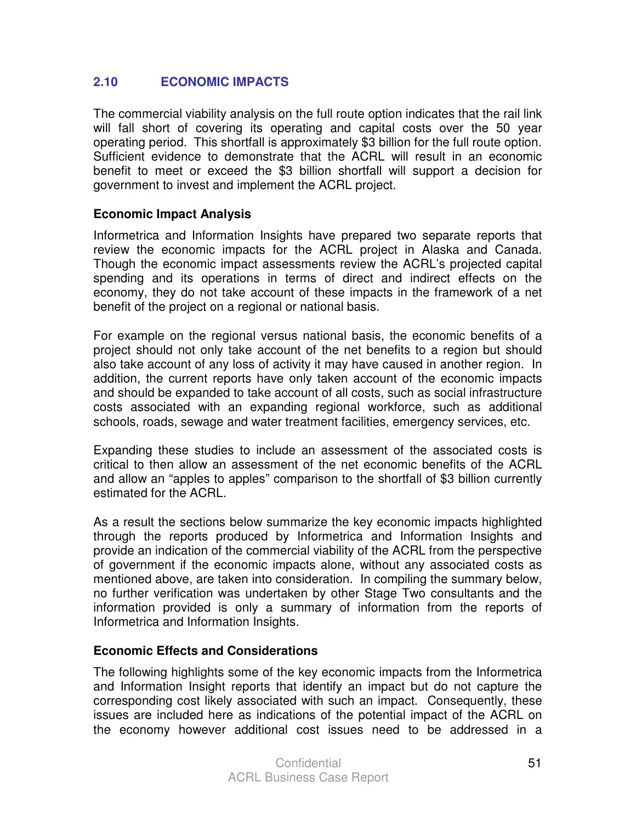### **2.10 ECONOMIC IMPACTS**

The commercial viability analysis on the full route option indicates that the rail link will fall short of covering its operating and capital costs over the 50 year operating period. This shortfall is approximately \$3 billion for the full route option. Sufficient evidence to demonstrate that the ACRL will result in an economic benefit to meet or exceed the \$3 billion shortfall will support a decision for government to invest and implement the ACRL project.

### **Economic Impact Analysis**

Informetrica and Information Insights have prepared two separate reports that review the economic impacts for the ACRL project in Alaska and Canada. Though the economic impact assessments review the ACRL's projected capital spending and its operations in terms of direct and indirect effects on the economy, they do not take account of these impacts in the framework of a net benefit of the project on a regional or national basis.

For example on the regional versus national basis, the economic benefits of a project should not only take account of the net benefits to a region but should also take account of any loss of activity it may have caused in another region. In addition, the current reports have only taken account of the economic impacts and should be expanded to take account of all costs, such as social infrastructure costs associated with an expanding regional workforce, such as additional schools, roads, sewage and water treatment facilities, emergency services, etc.

Expanding these studies to include an assessment of the associated costs is critical to then allow an assessment of the net economic benefits of the ACRL and allow an "apples to apples" comparison to the shortfall of \$3 billion currently estimated for the ACRL.

As a result the sections below summarize the key economic impacts highlighted through the reports produced by Informetrica and Information Insights and provide an indication of the commercial viability of the ACRL from the perspective of government if the economic impacts alone, without any associated costs as mentioned above, are taken into consideration. In compiling the summary below, no further verification was undertaken by other Stage Two consultants and the information provided is only a summary of information from the reports of Informetrica and Information Insights.

### **Economic Effects and Considerations**

The following highlights some of the key economic impacts from the Informetrica and Information Insight reports that identify an impact but do not capture the corresponding cost likely associated with such an impact. Consequently, these issues are included here as indications of the potential impact of the ACRL on the economy however additional cost issues need to be addressed in a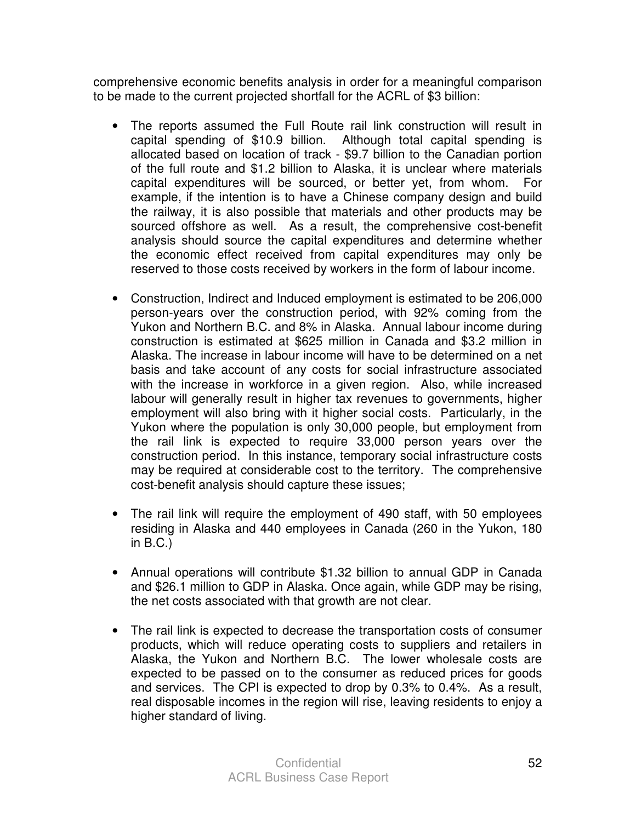comprehensive economic benefits analysis in order for a meaningful comparison to be made to the current projected shortfall for the ACRL of \$3 billion:

- The reports assumed the Full Route rail link construction will result in capital spending of \$10.9 billion. Although total capital spending is allocated based on location of track - \$9.7 billion to the Canadian portion of the full route and \$1.2 billion to Alaska, it is unclear where materials capital expenditures will be sourced, or better yet, from whom. For example, if the intention is to have a Chinese company design and build the railway, it is also possible that materials and other products may be sourced offshore as well. As a result, the comprehensive cost-benefit analysis should source the capital expenditures and determine whether the economic effect received from capital expenditures may only be reserved to those costs received by workers in the form of labour income.
- Construction, Indirect and Induced employment is estimated to be 206,000 person-years over the construction period, with 92% coming from the Yukon and Northern B.C. and 8% in Alaska. Annual labour income during construction is estimated at \$625 million in Canada and \$3.2 million in Alaska. The increase in labour income will have to be determined on a net basis and take account of any costs for social infrastructure associated with the increase in workforce in a given region. Also, while increased labour will generally result in higher tax revenues to governments, higher employment will also bring with it higher social costs. Particularly, in the Yukon where the population is only 30,000 people, but employment from the rail link is expected to require 33,000 person years over the construction period. In this instance, temporary social infrastructure costs may be required at considerable cost to the territory. The comprehensive cost-benefit analysis should capture these issues;
- The rail link will require the employment of 490 staff, with 50 employees residing in Alaska and 440 employees in Canada (260 in the Yukon, 180 in B.C.)
- Annual operations will contribute \$1.32 billion to annual GDP in Canada and \$26.1 million to GDP in Alaska. Once again, while GDP may be rising, the net costs associated with that growth are not clear.
- The rail link is expected to decrease the transportation costs of consumer products, which will reduce operating costs to suppliers and retailers in Alaska, the Yukon and Northern B.C. The lower wholesale costs are expected to be passed on to the consumer as reduced prices for goods and services. The CPI is expected to drop by 0.3% to 0.4%. As a result, real disposable incomes in the region will rise, leaving residents to enjoy a higher standard of living.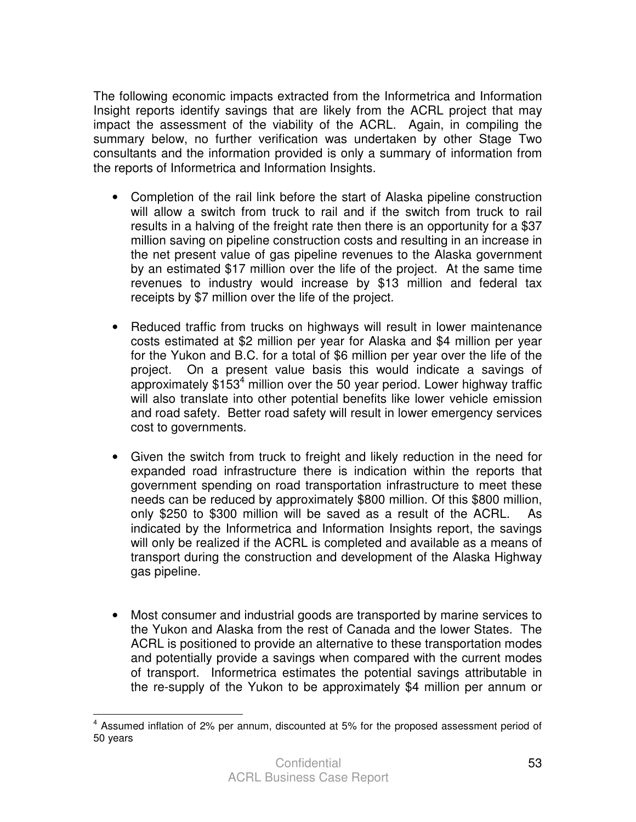The following economic impacts extracted from the Informetrica and Information Insight reports identify savings that are likely from the ACRL project that may impact the assessment of the viability of the ACRL. Again, in compiling the summary below, no further verification was undertaken by other Stage Two consultants and the information provided is only a summary of information from the reports of Informetrica and Information Insights.

- Completion of the rail link before the start of Alaska pipeline construction will allow a switch from truck to rail and if the switch from truck to rail results in a halving of the freight rate then there is an opportunity for a \$37 million saving on pipeline construction costs and resulting in an increase in the net present value of gas pipeline revenues to the Alaska government by an estimated \$17 million over the life of the project. At the same time revenues to industry would increase by \$13 million and federal tax receipts by \$7 million over the life of the project.
- Reduced traffic from trucks on highways will result in lower maintenance costs estimated at \$2 million per year for Alaska and \$4 million per year for the Yukon and B.C. for a total of \$6 million per year over the life of the project. On a present value basis this would indicate a savings of approximately  $$153<sup>4</sup>$  million over the 50 year period. Lower highway traffic will also translate into other potential benefits like lower vehicle emission and road safety. Better road safety will result in lower emergency services cost to governments.
- Given the switch from truck to freight and likely reduction in the need for expanded road infrastructure there is indication within the reports that government spending on road transportation infrastructure to meet these needs can be reduced by approximately \$800 million. Of this \$800 million, only \$250 to \$300 million will be saved as a result of the ACRL. As indicated by the Informetrica and Information Insights report, the savings will only be realized if the ACRL is completed and available as a means of transport during the construction and development of the Alaska Highway gas pipeline.
- Most consumer and industrial goods are transported by marine services to the Yukon and Alaska from the rest of Canada and the lower States. The ACRL is positioned to provide an alternative to these transportation modes and potentially provide a savings when compared with the current modes of transport. Informetrica estimates the potential savings attributable in the re-supply of the Yukon to be approximately \$4 million per annum or

 4 Assumed inflation of 2% per annum, discounted at 5% for the proposed assessment period of 50 years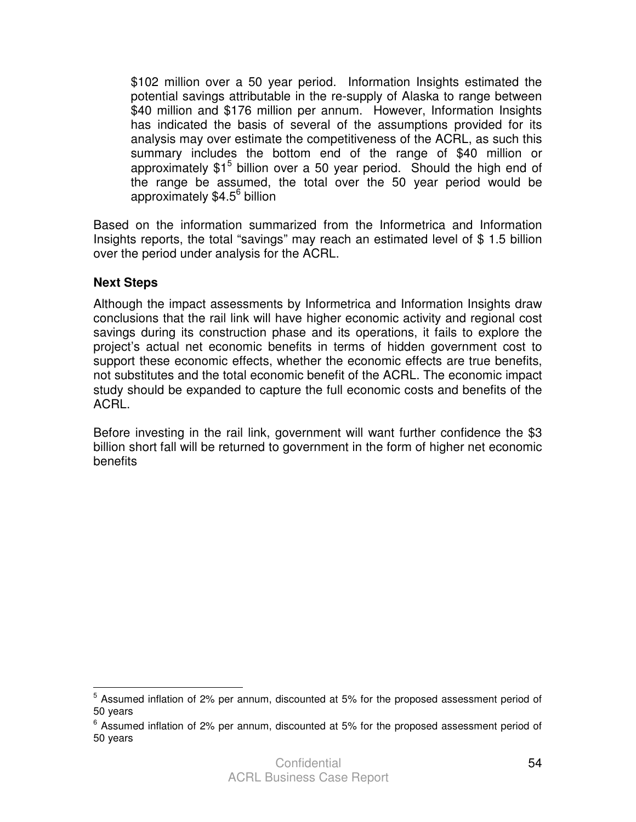\$102 million over a 50 year period. Information Insights estimated the potential savings attributable in the re-supply of Alaska to range between \$40 million and \$176 million per annum. However, Information Insights has indicated the basis of several of the assumptions provided for its analysis may over estimate the competitiveness of the ACRL, as such this summary includes the bottom end of the range of \$40 million or approximately  $$1<sup>5</sup>$  billion over a 50 year period. Should the high end of the range be assumed, the total over the 50 year period would be approximately \$4.5<sup>6</sup> billion

Based on the information summarized from the Informetrica and Information Insights reports, the total "savings" may reach an estimated level of \$ 1.5 billion over the period under analysis for the ACRL.

### **Next Steps**

Although the impact assessments by Informetrica and Information Insights draw conclusions that the rail link will have higher economic activity and regional cost savings during its construction phase and its operations, it fails to explore the project's actual net economic benefits in terms of hidden government cost to support these economic effects, whether the economic effects are true benefits, not substitutes and the total economic benefit of the ACRL. The economic impact study should be expanded to capture the full economic costs and benefits of the ACRL.

Before investing in the rail link, government will want further confidence the \$3 billion short fall will be returned to government in the form of higher net economic benefits

**EXECUTE:**<br><sup>5</sup> Assumed inflation of 2% per annum, discounted at 5% for the proposed assessment period of 50 years

<sup>&</sup>lt;sup>6</sup> Assumed inflation of 2% per annum, discounted at 5% for the proposed assessment period of 50 years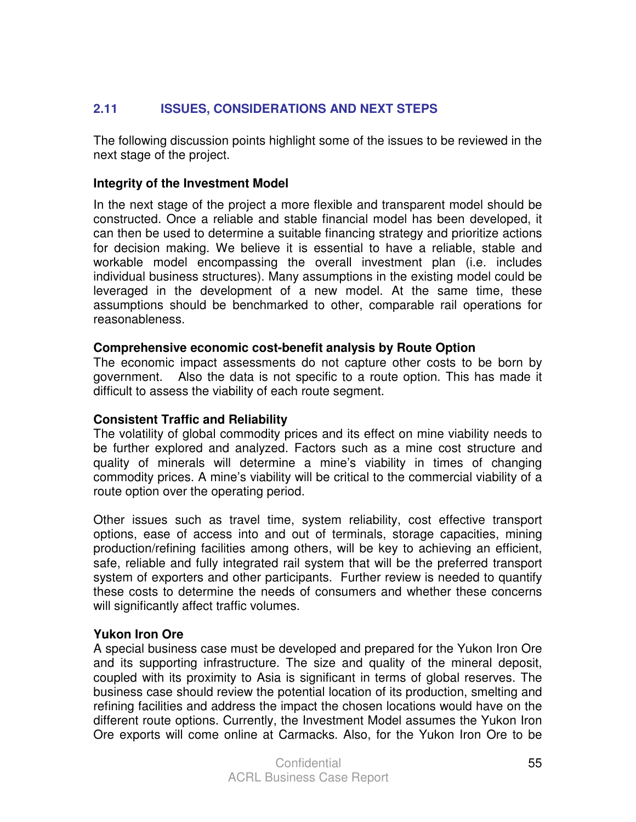### **2.11 ISSUES, CONSIDERATIONS AND NEXT STEPS**

The following discussion points highlight some of the issues to be reviewed in the next stage of the project.

### **Integrity of the Investment Model**

In the next stage of the project a more flexible and transparent model should be constructed. Once a reliable and stable financial model has been developed, it can then be used to determine a suitable financing strategy and prioritize actions for decision making. We believe it is essential to have a reliable, stable and workable model encompassing the overall investment plan (i.e. includes individual business structures). Many assumptions in the existing model could be leveraged in the development of a new model. At the same time, these assumptions should be benchmarked to other, comparable rail operations for reasonableness.

### **Comprehensive economic cost-benefit analysis by Route Option**

The economic impact assessments do not capture other costs to be born by government. Also the data is not specific to a route option. This has made it difficult to assess the viability of each route segment.

### **Consistent Traffic and Reliability**

The volatility of global commodity prices and its effect on mine viability needs to be further explored and analyzed. Factors such as a mine cost structure and quality of minerals will determine a mine's viability in times of changing commodity prices. A mine's viability will be critical to the commercial viability of a route option over the operating period.

Other issues such as travel time, system reliability, cost effective transport options, ease of access into and out of terminals, storage capacities, mining production/refining facilities among others, will be key to achieving an efficient, safe, reliable and fully integrated rail system that will be the preferred transport system of exporters and other participants. Further review is needed to quantify these costs to determine the needs of consumers and whether these concerns will significantly affect traffic volumes.

### **Yukon Iron Ore**

A special business case must be developed and prepared for the Yukon Iron Ore and its supporting infrastructure. The size and quality of the mineral deposit, coupled with its proximity to Asia is significant in terms of global reserves. The business case should review the potential location of its production, smelting and refining facilities and address the impact the chosen locations would have on the different route options. Currently, the Investment Model assumes the Yukon Iron Ore exports will come online at Carmacks. Also, for the Yukon Iron Ore to be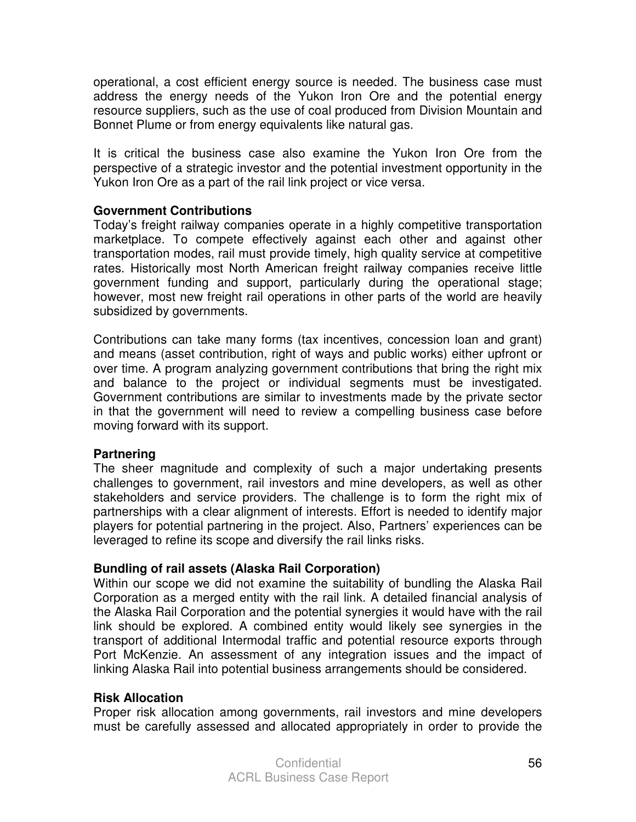operational, a cost efficient energy source is needed. The business case must address the energy needs of the Yukon Iron Ore and the potential energy resource suppliers, such as the use of coal produced from Division Mountain and Bonnet Plume or from energy equivalents like natural gas.

It is critical the business case also examine the Yukon Iron Ore from the perspective of a strategic investor and the potential investment opportunity in the Yukon Iron Ore as a part of the rail link project or vice versa.

### **Government Contributions**

Today's freight railway companies operate in a highly competitive transportation marketplace. To compete effectively against each other and against other transportation modes, rail must provide timely, high quality service at competitive rates. Historically most North American freight railway companies receive little government funding and support, particularly during the operational stage; however, most new freight rail operations in other parts of the world are heavily subsidized by governments.

Contributions can take many forms (tax incentives, concession loan and grant) and means (asset contribution, right of ways and public works) either upfront or over time. A program analyzing government contributions that bring the right mix and balance to the project or individual segments must be investigated. Government contributions are similar to investments made by the private sector in that the government will need to review a compelling business case before moving forward with its support.

### **Partnering**

The sheer magnitude and complexity of such a major undertaking presents challenges to government, rail investors and mine developers, as well as other stakeholders and service providers. The challenge is to form the right mix of partnerships with a clear alignment of interests. Effort is needed to identify major players for potential partnering in the project. Also, Partners' experiences can be leveraged to refine its scope and diversify the rail links risks.

### **Bundling of rail assets (Alaska Rail Corporation)**

Within our scope we did not examine the suitability of bundling the Alaska Rail Corporation as a merged entity with the rail link. A detailed financial analysis of the Alaska Rail Corporation and the potential synergies it would have with the rail link should be explored. A combined entity would likely see synergies in the transport of additional Intermodal traffic and potential resource exports through Port McKenzie. An assessment of any integration issues and the impact of linking Alaska Rail into potential business arrangements should be considered.

### **Risk Allocation**

Proper risk allocation among governments, rail investors and mine developers must be carefully assessed and allocated appropriately in order to provide the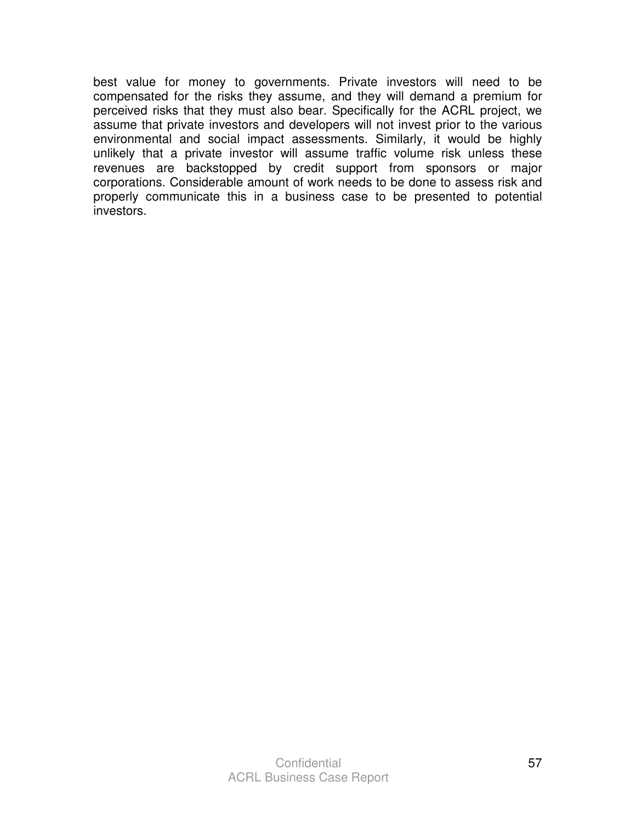best value for money to governments. Private investors will need to be compensated for the risks they assume, and they will demand a premium for perceived risks that they must also bear. Specifically for the ACRL project, we assume that private investors and developers will not invest prior to the various environmental and social impact assessments. Similarly, it would be highly unlikely that a private investor will assume traffic volume risk unless these revenues are backstopped by credit support from sponsors or major corporations. Considerable amount of work needs to be done to assess risk and properly communicate this in a business case to be presented to potential investors.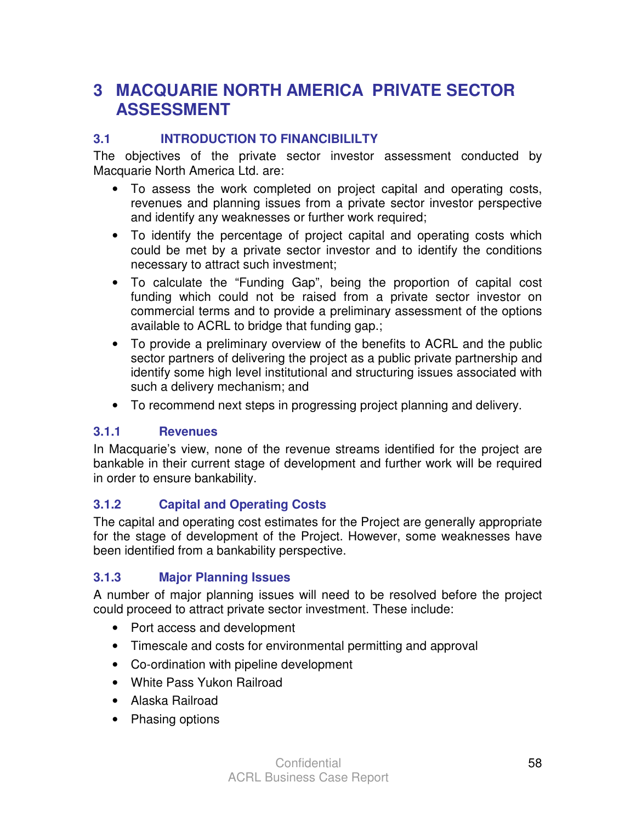# **3 MACQUARIE NORTH AMERICA PRIVATE SECTOR ASSESSMENT**

# **3.1 INTRODUCTION TO FINANCIBILILTY**

The objectives of the private sector investor assessment conducted by Macquarie North America Ltd. are:

- To assess the work completed on project capital and operating costs, revenues and planning issues from a private sector investor perspective and identify any weaknesses or further work required;
- To identify the percentage of project capital and operating costs which could be met by a private sector investor and to identify the conditions necessary to attract such investment;
- To calculate the "Funding Gap", being the proportion of capital cost funding which could not be raised from a private sector investor on commercial terms and to provide a preliminary assessment of the options available to ACRL to bridge that funding gap.;
- To provide a preliminary overview of the benefits to ACRL and the public sector partners of delivering the project as a public private partnership and identify some high level institutional and structuring issues associated with such a delivery mechanism; and
- To recommend next steps in progressing project planning and delivery.

### **3.1.1 Revenues**

In Macquarie's view, none of the revenue streams identified for the project are bankable in their current stage of development and further work will be required in order to ensure bankability.

### **3.1.2 Capital and Operating Costs**

The capital and operating cost estimates for the Project are generally appropriate for the stage of development of the Project. However, some weaknesses have been identified from a bankability perspective.

### **3.1.3 Major Planning Issues**

A number of major planning issues will need to be resolved before the project could proceed to attract private sector investment. These include:

- Port access and development
- Timescale and costs for environmental permitting and approval
- Co-ordination with pipeline development
- White Pass Yukon Railroad
- Alaska Railroad
- Phasing options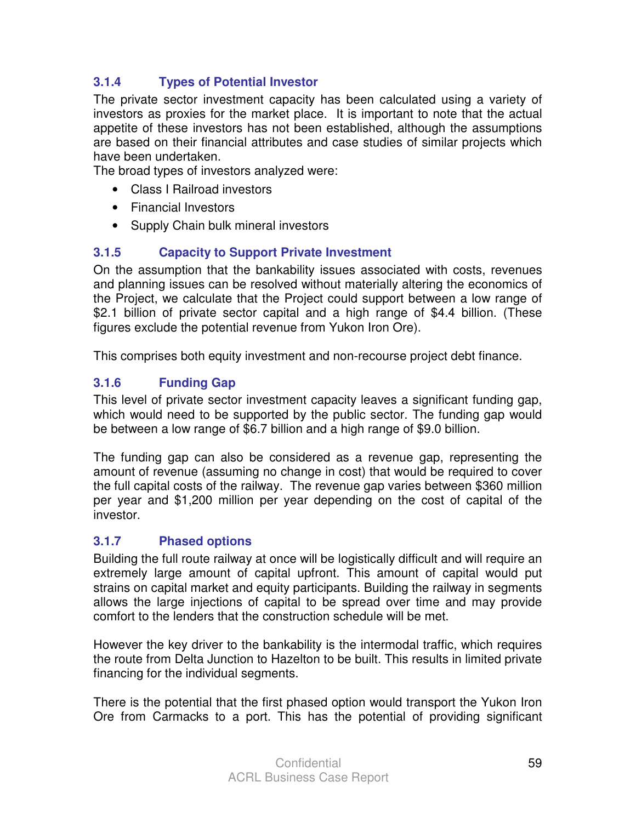# **3.1.4 Types of Potential Investor**

The private sector investment capacity has been calculated using a variety of investors as proxies for the market place. It is important to note that the actual appetite of these investors has not been established, although the assumptions are based on their financial attributes and case studies of similar projects which have been undertaken.

The broad types of investors analyzed were:

- Class I Railroad investors
- Financial Investors
- Supply Chain bulk mineral investors

# **3.1.5 Capacity to Support Private Investment**

On the assumption that the bankability issues associated with costs, revenues and planning issues can be resolved without materially altering the economics of the Project, we calculate that the Project could support between a low range of \$2.1 billion of private sector capital and a high range of \$4.4 billion. (These figures exclude the potential revenue from Yukon Iron Ore).

This comprises both equity investment and non-recourse project debt finance.

# **3.1.6 Funding Gap**

This level of private sector investment capacity leaves a significant funding gap, which would need to be supported by the public sector. The funding gap would be between a low range of \$6.7 billion and a high range of \$9.0 billion.

The funding gap can also be considered as a revenue gap, representing the amount of revenue (assuming no change in cost) that would be required to cover the full capital costs of the railway. The revenue gap varies between \$360 million per year and \$1,200 million per year depending on the cost of capital of the investor.

# **3.1.7 Phased options**

Building the full route railway at once will be logistically difficult and will require an extremely large amount of capital upfront. This amount of capital would put strains on capital market and equity participants. Building the railway in segments allows the large injections of capital to be spread over time and may provide comfort to the lenders that the construction schedule will be met.

However the key driver to the bankability is the intermodal traffic, which requires the route from Delta Junction to Hazelton to be built. This results in limited private financing for the individual segments.

There is the potential that the first phased option would transport the Yukon Iron Ore from Carmacks to a port. This has the potential of providing significant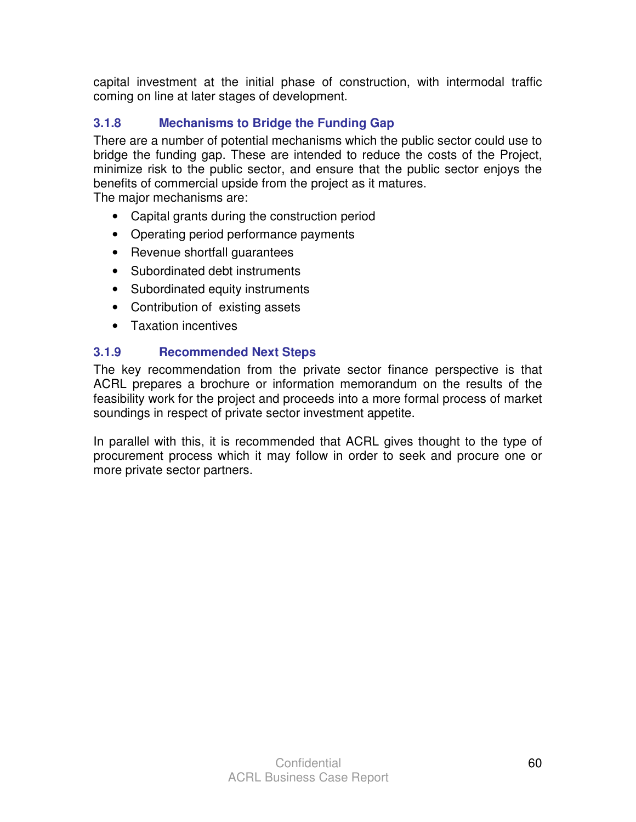capital investment at the initial phase of construction, with intermodal traffic coming on line at later stages of development.

# **3.1.8 Mechanisms to Bridge the Funding Gap**

There are a number of potential mechanisms which the public sector could use to bridge the funding gap. These are intended to reduce the costs of the Project, minimize risk to the public sector, and ensure that the public sector enjoys the benefits of commercial upside from the project as it matures. The major mechanisms are:

- Capital grants during the construction period
- Operating period performance payments
- Revenue shortfall guarantees
- Subordinated debt instruments
- Subordinated equity instruments
- Contribution of existing assets
- Taxation incentives

# **3.1.9 Recommended Next Steps**

The key recommendation from the private sector finance perspective is that ACRL prepares a brochure or information memorandum on the results of the feasibility work for the project and proceeds into a more formal process of market soundings in respect of private sector investment appetite.

In parallel with this, it is recommended that ACRL gives thought to the type of procurement process which it may follow in order to seek and procure one or more private sector partners.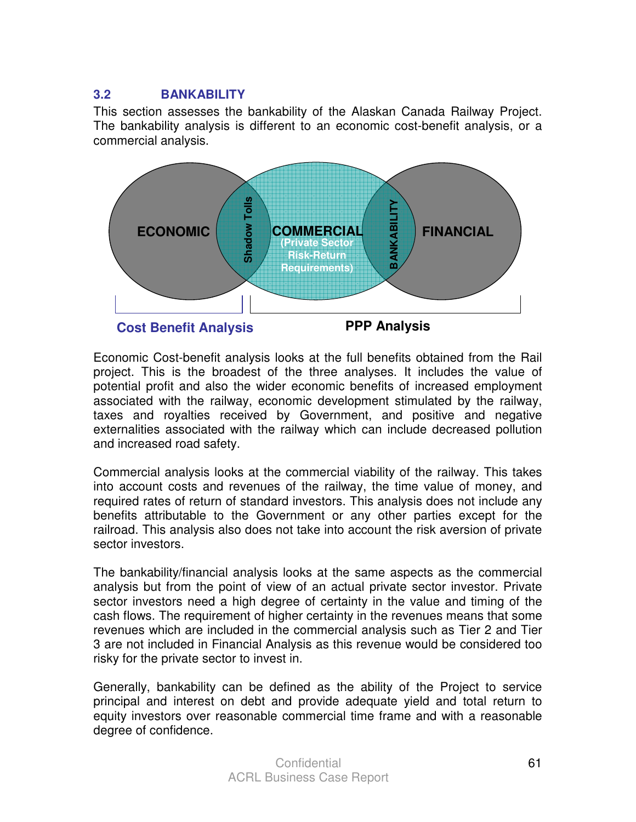### **3.2 BANKABILITY**

This section assesses the bankability of the Alaskan Canada Railway Project. The bankability analysis is different to an economic cost-benefit analysis, or a commercial analysis.



Economic Cost-benefit analysis looks at the full benefits obtained from the Rail project. This is the broadest of the three analyses. It includes the value of potential profit and also the wider economic benefits of increased employment associated with the railway, economic development stimulated by the railway, taxes and royalties received by Government, and positive and negative externalities associated with the railway which can include decreased pollution and increased road safety.

Commercial analysis looks at the commercial viability of the railway. This takes into account costs and revenues of the railway, the time value of money, and required rates of return of standard investors. This analysis does not include any benefits attributable to the Government or any other parties except for the railroad. This analysis also does not take into account the risk aversion of private sector investors.

The bankability/financial analysis looks at the same aspects as the commercial analysis but from the point of view of an actual private sector investor. Private sector investors need a high degree of certainty in the value and timing of the cash flows. The requirement of higher certainty in the revenues means that some revenues which are included in the commercial analysis such as Tier 2 and Tier 3 are not included in Financial Analysis as this revenue would be considered too risky for the private sector to invest in.

Generally, bankability can be defined as the ability of the Project to service principal and interest on debt and provide adequate yield and total return to equity investors over reasonable commercial time frame and with a reasonable degree of confidence.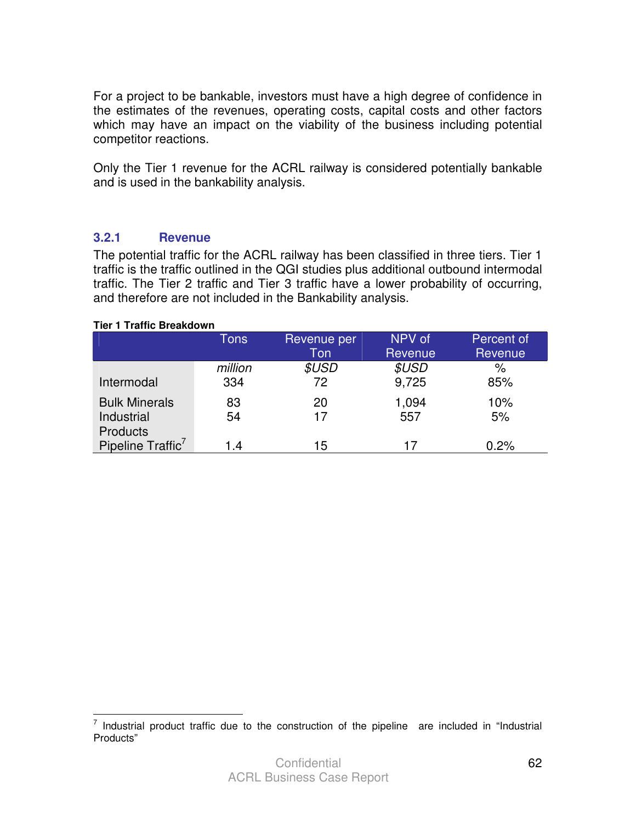For a project to be bankable, investors must have a high degree of confidence in the estimates of the revenues, operating costs, capital costs and other factors which may have an impact on the viability of the business including potential competitor reactions.

Only the Tier 1 revenue for the ACRL railway is considered potentially bankable and is used in the bankability analysis.

### **3.2.1 Revenue**

The potential traffic for the ACRL railway has been classified in three tiers. Tier 1 traffic is the traffic outlined in the QGI studies plus additional outbound intermodal traffic. The Tier 2 traffic and Tier 3 traffic have a lower probability of occurring, and therefore are not included in the Bankability analysis.

#### **Tier 1 Traffic Breakdown**

|                               | <b>Tons</b> | Revenue per         | NPV of  | Percent of |
|-------------------------------|-------------|---------------------|---------|------------|
|                               |             | Ton                 | Revenue | Revenue    |
|                               | million     | <i><b>\$USD</b></i> | \$USD   | $\%$       |
| Intermodal                    | 334         | 72                  | 9,725   | 85%        |
| <b>Bulk Minerals</b>          | 83          | 20                  | 1,094   | 10%        |
| Industrial                    | 54          | 17                  | 557     | 5%         |
| <b>Products</b>               |             |                     |         |            |
| Pipeline Traffic <sup>7</sup> | 1.4         | 15                  | 17      | 0.2%       |

To 11 and 10 and 10 and 10 and 10 and 10 and 10 and 10 and 10 and 10 and 10 and 10 and 10 and 10 and 10 and 1<br>To 11 and 10 and 10 and 10 and 10 and 10 and 10 and 10 and 10 and 10 and 10 and 10 and 10 and 10 and 10 and 10 Products"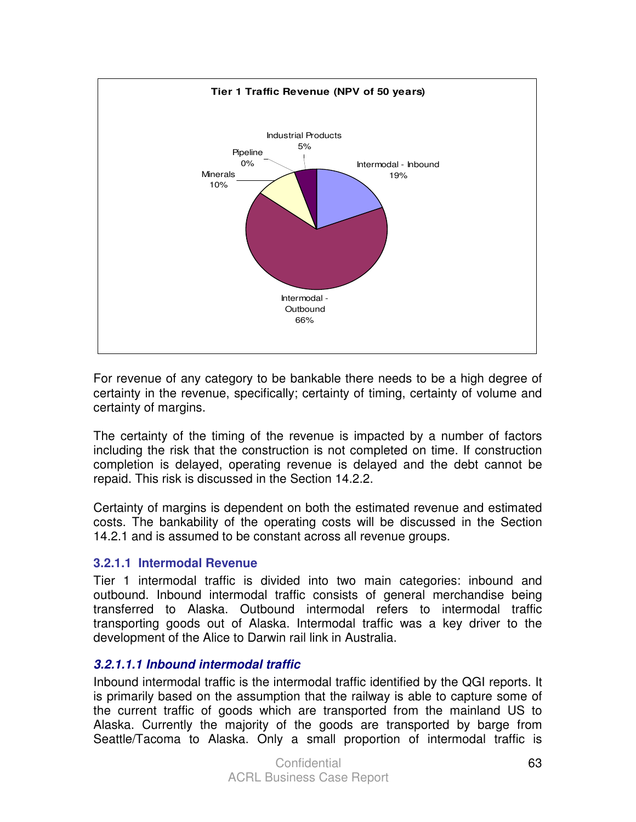

For revenue of any category to be bankable there needs to be a high degree of certainty in the revenue, specifically; certainty of timing, certainty of volume and certainty of margins.

The certainty of the timing of the revenue is impacted by a number of factors including the risk that the construction is not completed on time. If construction completion is delayed, operating revenue is delayed and the debt cannot be repaid. This risk is discussed in the Section 14.2.2.

Certainty of margins is dependent on both the estimated revenue and estimated costs. The bankability of the operating costs will be discussed in the Section 14.2.1 and is assumed to be constant across all revenue groups.

### **3.2.1.1 Intermodal Revenue**

Tier 1 intermodal traffic is divided into two main categories: inbound and outbound. Inbound intermodal traffic consists of general merchandise being transferred to Alaska. Outbound intermodal refers to intermodal traffic transporting goods out of Alaska. Intermodal traffic was a key driver to the development of the Alice to Darwin rail link in Australia.

### **3.2.1.1.1 Inbound intermodal traffic**

Inbound intermodal traffic is the intermodal traffic identified by the QGI reports. It is primarily based on the assumption that the railway is able to capture some of the current traffic of goods which are transported from the mainland US to Alaska. Currently the majority of the goods are transported by barge from Seattle/Tacoma to Alaska. Only a small proportion of intermodal traffic is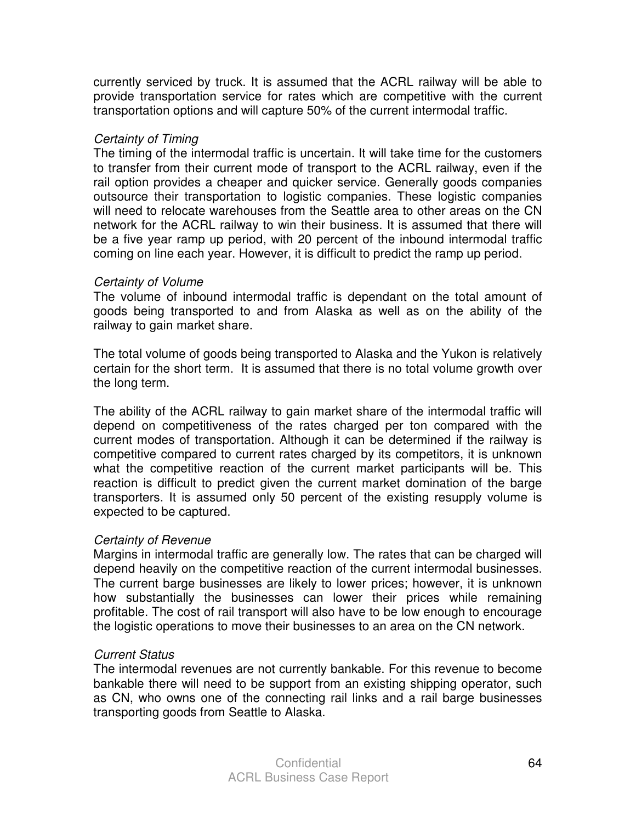currently serviced by truck. It is assumed that the ACRL railway will be able to provide transportation service for rates which are competitive with the current transportation options and will capture 50% of the current intermodal traffic.

### Certainty of Timing

The timing of the intermodal traffic is uncertain. It will take time for the customers to transfer from their current mode of transport to the ACRL railway, even if the rail option provides a cheaper and quicker service. Generally goods companies outsource their transportation to logistic companies. These logistic companies will need to relocate warehouses from the Seattle area to other areas on the CN network for the ACRL railway to win their business. It is assumed that there will be a five year ramp up period, with 20 percent of the inbound intermodal traffic coming on line each year. However, it is difficult to predict the ramp up period.

### Certainty of Volume

The volume of inbound intermodal traffic is dependant on the total amount of goods being transported to and from Alaska as well as on the ability of the railway to gain market share.

The total volume of goods being transported to Alaska and the Yukon is relatively certain for the short term. It is assumed that there is no total volume growth over the long term.

The ability of the ACRL railway to gain market share of the intermodal traffic will depend on competitiveness of the rates charged per ton compared with the current modes of transportation. Although it can be determined if the railway is competitive compared to current rates charged by its competitors, it is unknown what the competitive reaction of the current market participants will be. This reaction is difficult to predict given the current market domination of the barge transporters. It is assumed only 50 percent of the existing resupply volume is expected to be captured.

### Certainty of Revenue

Margins in intermodal traffic are generally low. The rates that can be charged will depend heavily on the competitive reaction of the current intermodal businesses. The current barge businesses are likely to lower prices; however, it is unknown how substantially the businesses can lower their prices while remaining profitable. The cost of rail transport will also have to be low enough to encourage the logistic operations to move their businesses to an area on the CN network.

### Current Status

The intermodal revenues are not currently bankable. For this revenue to become bankable there will need to be support from an existing shipping operator, such as CN, who owns one of the connecting rail links and a rail barge businesses transporting goods from Seattle to Alaska.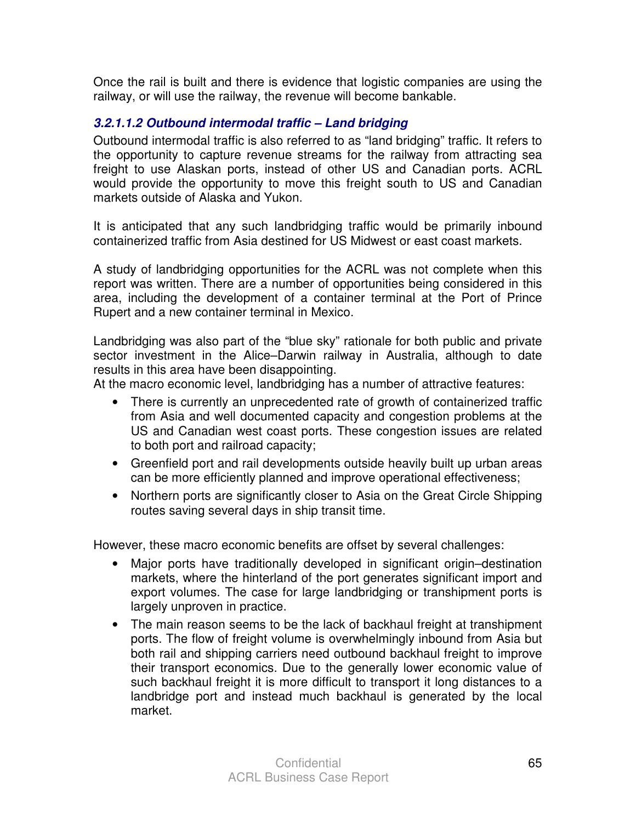Once the rail is built and there is evidence that logistic companies are using the railway, or will use the railway, the revenue will become bankable.

### **3.2.1.1.2 Outbound intermodal traffic – Land bridging**

Outbound intermodal traffic is also referred to as "land bridging" traffic. It refers to the opportunity to capture revenue streams for the railway from attracting sea freight to use Alaskan ports, instead of other US and Canadian ports. ACRL would provide the opportunity to move this freight south to US and Canadian markets outside of Alaska and Yukon.

It is anticipated that any such landbridging traffic would be primarily inbound containerized traffic from Asia destined for US Midwest or east coast markets.

A study of landbridging opportunities for the ACRL was not complete when this report was written. There are a number of opportunities being considered in this area, including the development of a container terminal at the Port of Prince Rupert and a new container terminal in Mexico.

Landbridging was also part of the "blue sky" rationale for both public and private sector investment in the Alice–Darwin railway in Australia, although to date results in this area have been disappointing.

At the macro economic level, landbridging has a number of attractive features:

- There is currently an unprecedented rate of growth of containerized traffic from Asia and well documented capacity and congestion problems at the US and Canadian west coast ports. These congestion issues are related to both port and railroad capacity;
- Greenfield port and rail developments outside heavily built up urban areas can be more efficiently planned and improve operational effectiveness;
- Northern ports are significantly closer to Asia on the Great Circle Shipping routes saving several days in ship transit time.

However, these macro economic benefits are offset by several challenges:

- Major ports have traditionally developed in significant origin–destination markets, where the hinterland of the port generates significant import and export volumes. The case for large landbridging or transhipment ports is largely unproven in practice.
- The main reason seems to be the lack of backhaul freight at transhipment ports. The flow of freight volume is overwhelmingly inbound from Asia but both rail and shipping carriers need outbound backhaul freight to improve their transport economics. Due to the generally lower economic value of such backhaul freight it is more difficult to transport it long distances to a landbridge port and instead much backhaul is generated by the local market.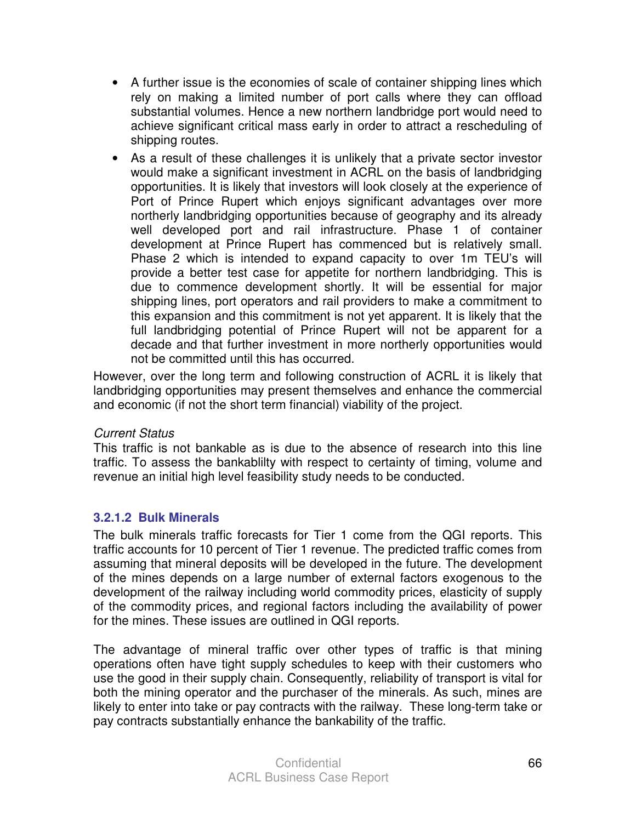- A further issue is the economies of scale of container shipping lines which rely on making a limited number of port calls where they can offload substantial volumes. Hence a new northern landbridge port would need to achieve significant critical mass early in order to attract a rescheduling of shipping routes.
- As a result of these challenges it is unlikely that a private sector investor would make a significant investment in ACRL on the basis of landbridging opportunities. It is likely that investors will look closely at the experience of Port of Prince Rupert which enjoys significant advantages over more northerly landbridging opportunities because of geography and its already well developed port and rail infrastructure. Phase 1 of container development at Prince Rupert has commenced but is relatively small. Phase 2 which is intended to expand capacity to over 1m TEU's will provide a better test case for appetite for northern landbridging. This is due to commence development shortly. It will be essential for major shipping lines, port operators and rail providers to make a commitment to this expansion and this commitment is not yet apparent. It is likely that the full landbridging potential of Prince Rupert will not be apparent for a decade and that further investment in more northerly opportunities would not be committed until this has occurred.

However, over the long term and following construction of ACRL it is likely that landbridging opportunities may present themselves and enhance the commercial and economic (if not the short term financial) viability of the project.

### Current Status

This traffic is not bankable as is due to the absence of research into this line traffic. To assess the bankablilty with respect to certainty of timing, volume and revenue an initial high level feasibility study needs to be conducted.

### **3.2.1.2 Bulk Minerals**

The bulk minerals traffic forecasts for Tier 1 come from the QGI reports. This traffic accounts for 10 percent of Tier 1 revenue. The predicted traffic comes from assuming that mineral deposits will be developed in the future. The development of the mines depends on a large number of external factors exogenous to the development of the railway including world commodity prices, elasticity of supply of the commodity prices, and regional factors including the availability of power for the mines. These issues are outlined in QGI reports.

The advantage of mineral traffic over other types of traffic is that mining operations often have tight supply schedules to keep with their customers who use the good in their supply chain. Consequently, reliability of transport is vital for both the mining operator and the purchaser of the minerals. As such, mines are likely to enter into take or pay contracts with the railway. These long-term take or pay contracts substantially enhance the bankability of the traffic.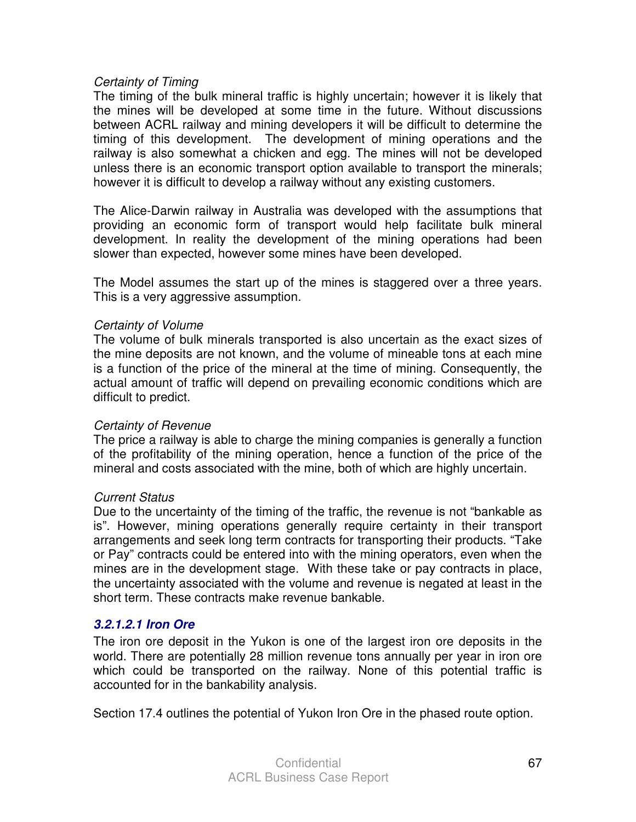### Certainty of Timing

The timing of the bulk mineral traffic is highly uncertain; however it is likely that the mines will be developed at some time in the future. Without discussions between ACRL railway and mining developers it will be difficult to determine the timing of this development. The development of mining operations and the railway is also somewhat a chicken and egg. The mines will not be developed unless there is an economic transport option available to transport the minerals; however it is difficult to develop a railway without any existing customers.

The Alice-Darwin railway in Australia was developed with the assumptions that providing an economic form of transport would help facilitate bulk mineral development. In reality the development of the mining operations had been slower than expected, however some mines have been developed.

The Model assumes the start up of the mines is staggered over a three years. This is a very aggressive assumption.

### Certainty of Volume

The volume of bulk minerals transported is also uncertain as the exact sizes of the mine deposits are not known, and the volume of mineable tons at each mine is a function of the price of the mineral at the time of mining. Consequently, the actual amount of traffic will depend on prevailing economic conditions which are difficult to predict.

### Certainty of Revenue

The price a railway is able to charge the mining companies is generally a function of the profitability of the mining operation, hence a function of the price of the mineral and costs associated with the mine, both of which are highly uncertain.

### Current Status

Due to the uncertainty of the timing of the traffic, the revenue is not "bankable as is". However, mining operations generally require certainty in their transport arrangements and seek long term contracts for transporting their products. "Take or Pay" contracts could be entered into with the mining operators, even when the mines are in the development stage. With these take or pay contracts in place, the uncertainty associated with the volume and revenue is negated at least in the short term. These contracts make revenue bankable.

### **3.2.1.2.1 Iron Ore**

The iron ore deposit in the Yukon is one of the largest iron ore deposits in the world. There are potentially 28 million revenue tons annually per year in iron ore which could be transported on the railway. None of this potential traffic is accounted for in the bankability analysis.

Section 17.4 outlines the potential of Yukon Iron Ore in the phased route option.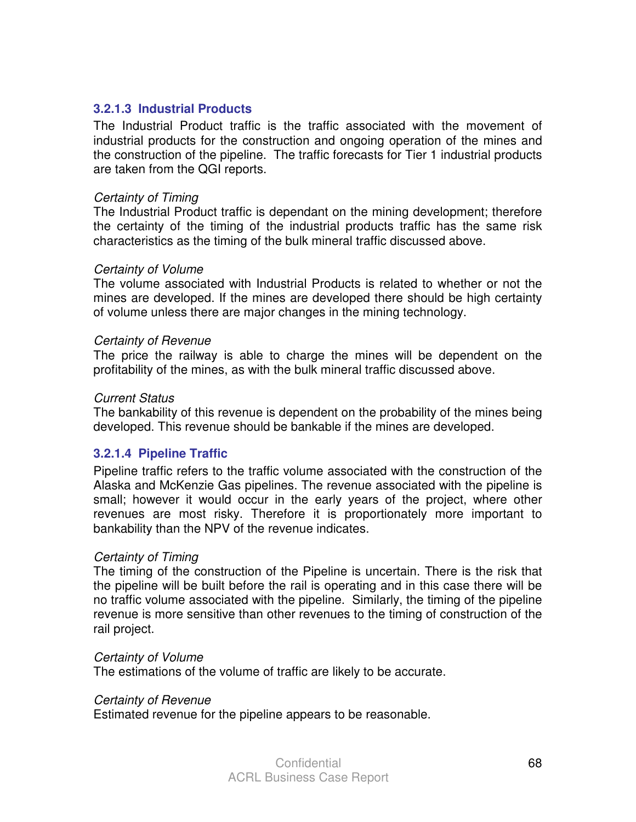#### **3.2.1.3 Industrial Products**

The Industrial Product traffic is the traffic associated with the movement of industrial products for the construction and ongoing operation of the mines and the construction of the pipeline. The traffic forecasts for Tier 1 industrial products are taken from the QGI reports.

#### Certainty of Timing

The Industrial Product traffic is dependant on the mining development; therefore the certainty of the timing of the industrial products traffic has the same risk characteristics as the timing of the bulk mineral traffic discussed above.

#### Certainty of Volume

The volume associated with Industrial Products is related to whether or not the mines are developed. If the mines are developed there should be high certainty of volume unless there are major changes in the mining technology.

#### Certainty of Revenue

The price the railway is able to charge the mines will be dependent on the profitability of the mines, as with the bulk mineral traffic discussed above.

#### Current Status

The bankability of this revenue is dependent on the probability of the mines being developed. This revenue should be bankable if the mines are developed.

#### **3.2.1.4 Pipeline Traffic**

Pipeline traffic refers to the traffic volume associated with the construction of the Alaska and McKenzie Gas pipelines. The revenue associated with the pipeline is small; however it would occur in the early years of the project, where other revenues are most risky. Therefore it is proportionately more important to bankability than the NPV of the revenue indicates.

#### Certainty of Timing

The timing of the construction of the Pipeline is uncertain. There is the risk that the pipeline will be built before the rail is operating and in this case there will be no traffic volume associated with the pipeline. Similarly, the timing of the pipeline revenue is more sensitive than other revenues to the timing of construction of the rail project.

#### Certainty of Volume

The estimations of the volume of traffic are likely to be accurate.

#### Certainty of Revenue

Estimated revenue for the pipeline appears to be reasonable.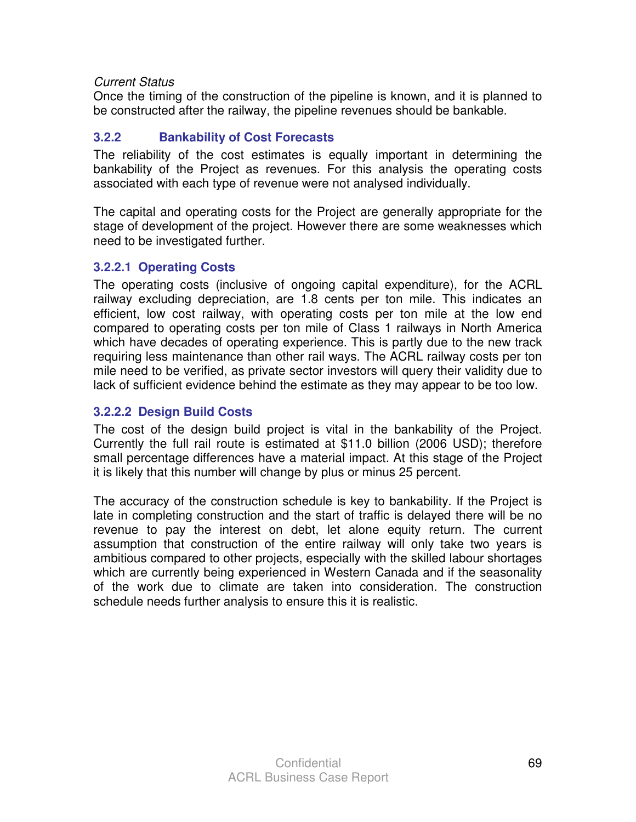### Current Status

Once the timing of the construction of the pipeline is known, and it is planned to be constructed after the railway, the pipeline revenues should be bankable.

### **3.2.2 Bankability of Cost Forecasts**

The reliability of the cost estimates is equally important in determining the bankability of the Project as revenues. For this analysis the operating costs associated with each type of revenue were not analysed individually.

The capital and operating costs for the Project are generally appropriate for the stage of development of the project. However there are some weaknesses which need to be investigated further.

### **3.2.2.1 Operating Costs**

The operating costs (inclusive of ongoing capital expenditure), for the ACRL railway excluding depreciation, are 1.8 cents per ton mile. This indicates an efficient, low cost railway, with operating costs per ton mile at the low end compared to operating costs per ton mile of Class 1 railways in North America which have decades of operating experience. This is partly due to the new track requiring less maintenance than other rail ways. The ACRL railway costs per ton mile need to be verified, as private sector investors will query their validity due to lack of sufficient evidence behind the estimate as they may appear to be too low.

### **3.2.2.2 Design Build Costs**

The cost of the design build project is vital in the bankability of the Project. Currently the full rail route is estimated at \$11.0 billion (2006 USD); therefore small percentage differences have a material impact. At this stage of the Project it is likely that this number will change by plus or minus 25 percent.

The accuracy of the construction schedule is key to bankability. If the Project is late in completing construction and the start of traffic is delayed there will be no revenue to pay the interest on debt, let alone equity return. The current assumption that construction of the entire railway will only take two years is ambitious compared to other projects, especially with the skilled labour shortages which are currently being experienced in Western Canada and if the seasonality of the work due to climate are taken into consideration. The construction schedule needs further analysis to ensure this it is realistic.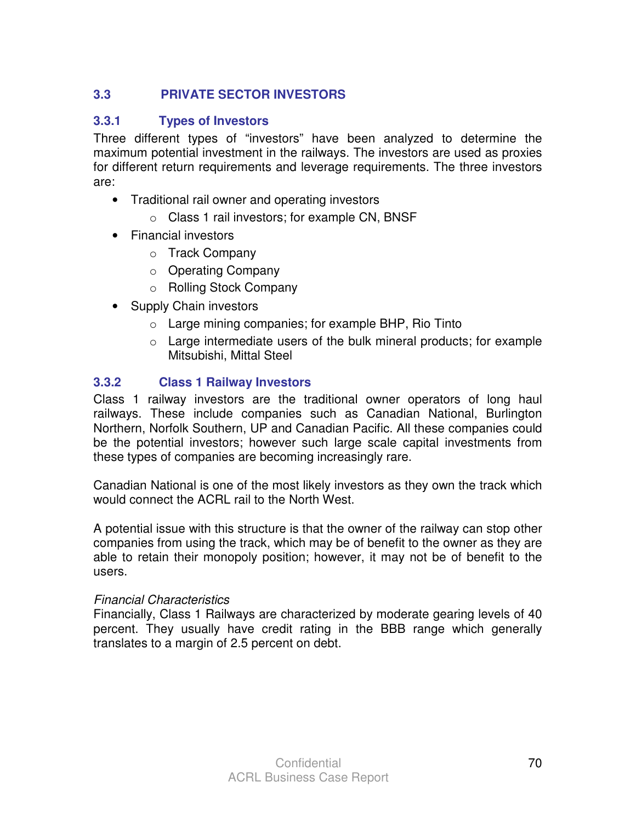# **3.3 PRIVATE SECTOR INVESTORS**

### **3.3.1 Types of Investors**

Three different types of "investors" have been analyzed to determine the maximum potential investment in the railways. The investors are used as proxies for different return requirements and leverage requirements. The three investors are:

- Traditional rail owner and operating investors
	- o Class 1 rail investors; for example CN, BNSF
- Financial investors
	- o Track Company
	- o Operating Company
	- o Rolling Stock Company
- Supply Chain investors
	- $\circ$  Large mining companies; for example BHP, Rio Tinto
	- $\circ$  Large intermediate users of the bulk mineral products; for example Mitsubishi, Mittal Steel

# **3.3.2 Class 1 Railway Investors**

Class 1 railway investors are the traditional owner operators of long haul railways. These include companies such as Canadian National, Burlington Northern, Norfolk Southern, UP and Canadian Pacific. All these companies could be the potential investors; however such large scale capital investments from these types of companies are becoming increasingly rare.

Canadian National is one of the most likely investors as they own the track which would connect the ACRL rail to the North West.

A potential issue with this structure is that the owner of the railway can stop other companies from using the track, which may be of benefit to the owner as they are able to retain their monopoly position; however, it may not be of benefit to the users.

### Financial Characteristics

Financially, Class 1 Railways are characterized by moderate gearing levels of 40 percent. They usually have credit rating in the BBB range which generally translates to a margin of 2.5 percent on debt.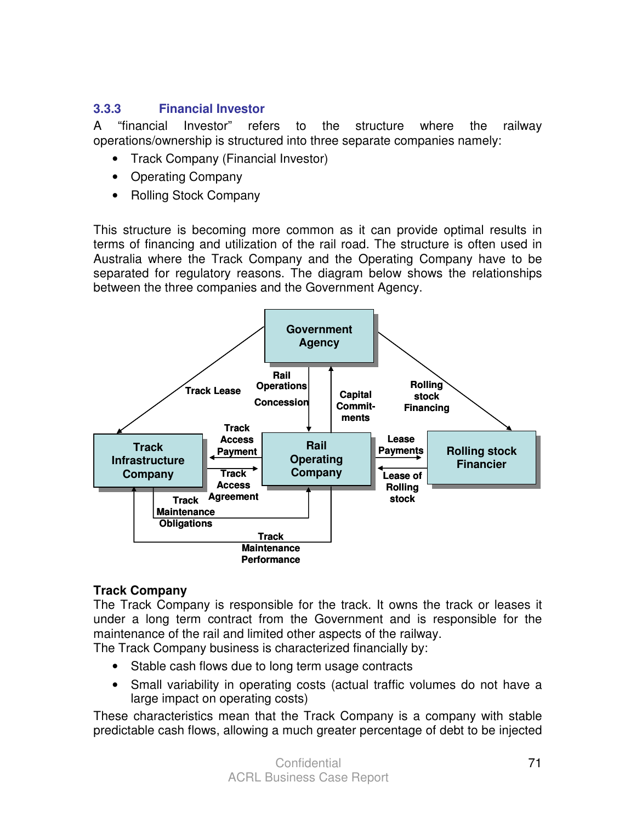# **3.3.3 Financial Investor**

A "financial Investor" refers to the structure where the railway operations/ownership is structured into three separate companies namely:

- Track Company (Financial Investor)
- Operating Company
- Rolling Stock Company

This structure is becoming more common as it can provide optimal results in terms of financing and utilization of the rail road. The structure is often used in Australia where the Track Company and the Operating Company have to be separated for regulatory reasons. The diagram below shows the relationships between the three companies and the Government Agency.



### **Track Company**

The Track Company is responsible for the track. It owns the track or leases it under a long term contract from the Government and is responsible for the maintenance of the rail and limited other aspects of the railway. The Track Company business is characterized financially by:

- Stable cash flows due to long term usage contracts
- Small variability in operating costs (actual traffic volumes do not have a large impact on operating costs)

These characteristics mean that the Track Company is a company with stable predictable cash flows, allowing a much greater percentage of debt to be injected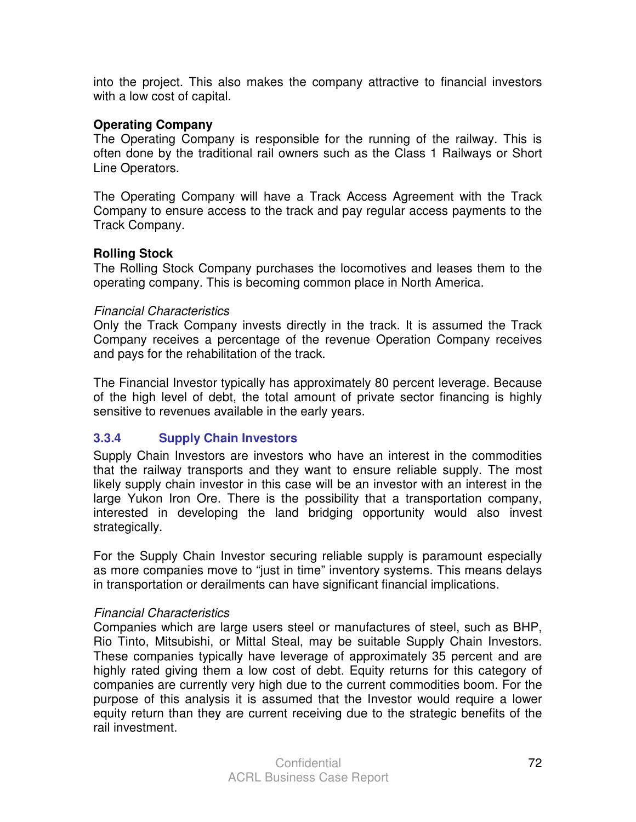into the project. This also makes the company attractive to financial investors with a low cost of capital.

#### **Operating Company**

The Operating Company is responsible for the running of the railway. This is often done by the traditional rail owners such as the Class 1 Railways or Short Line Operators.

The Operating Company will have a Track Access Agreement with the Track Company to ensure access to the track and pay regular access payments to the Track Company.

### **Rolling Stock**

The Rolling Stock Company purchases the locomotives and leases them to the operating company. This is becoming common place in North America.

#### Financial Characteristics

Only the Track Company invests directly in the track. It is assumed the Track Company receives a percentage of the revenue Operation Company receives and pays for the rehabilitation of the track.

The Financial Investor typically has approximately 80 percent leverage. Because of the high level of debt, the total amount of private sector financing is highly sensitive to revenues available in the early years.

### **3.3.4 Supply Chain Investors**

Supply Chain Investors are investors who have an interest in the commodities that the railway transports and they want to ensure reliable supply. The most likely supply chain investor in this case will be an investor with an interest in the large Yukon Iron Ore. There is the possibility that a transportation company, interested in developing the land bridging opportunity would also invest strategically.

For the Supply Chain Investor securing reliable supply is paramount especially as more companies move to "just in time" inventory systems. This means delays in transportation or derailments can have significant financial implications.

### Financial Characteristics

Companies which are large users steel or manufactures of steel, such as BHP, Rio Tinto, Mitsubishi, or Mittal Steal, may be suitable Supply Chain Investors. These companies typically have leverage of approximately 35 percent and are highly rated giving them a low cost of debt. Equity returns for this category of companies are currently very high due to the current commodities boom. For the purpose of this analysis it is assumed that the Investor would require a lower equity return than they are current receiving due to the strategic benefits of the rail investment.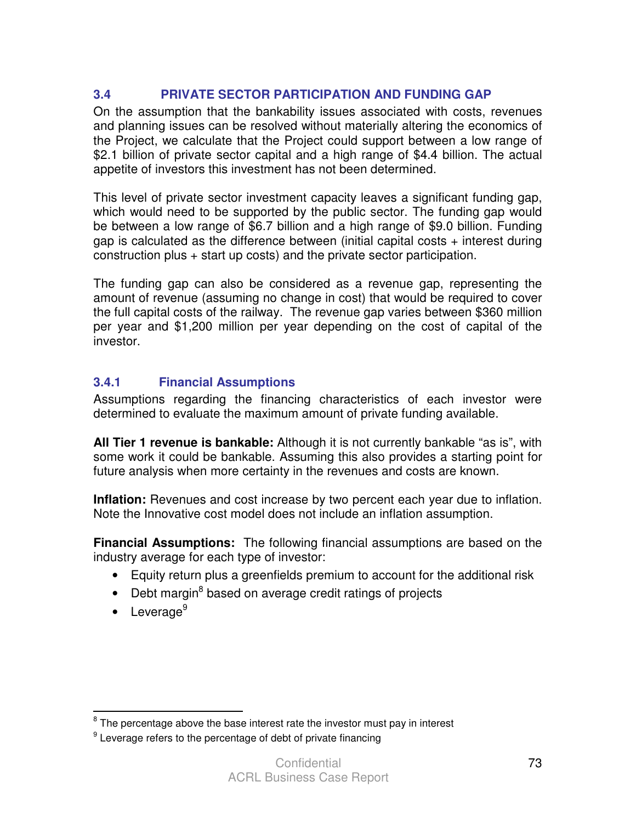## **3.4 PRIVATE SECTOR PARTICIPATION AND FUNDING GAP**

On the assumption that the bankability issues associated with costs, revenues and planning issues can be resolved without materially altering the economics of the Project, we calculate that the Project could support between a low range of \$2.1 billion of private sector capital and a high range of \$4.4 billion. The actual appetite of investors this investment has not been determined.

This level of private sector investment capacity leaves a significant funding gap, which would need to be supported by the public sector. The funding gap would be between a low range of \$6.7 billion and a high range of \$9.0 billion. Funding gap is calculated as the difference between (initial capital costs + interest during construction plus + start up costs) and the private sector participation.

The funding gap can also be considered as a revenue gap, representing the amount of revenue (assuming no change in cost) that would be required to cover the full capital costs of the railway. The revenue gap varies between \$360 million per year and \$1,200 million per year depending on the cost of capital of the investor.

# **3.4.1 Financial Assumptions**

Assumptions regarding the financing characteristics of each investor were determined to evaluate the maximum amount of private funding available.

**All Tier 1 revenue is bankable:** Although it is not currently bankable "as is", with some work it could be bankable. Assuming this also provides a starting point for future analysis when more certainty in the revenues and costs are known.

**Inflation:** Revenues and cost increase by two percent each year due to inflation. Note the Innovative cost model does not include an inflation assumption.

**Financial Assumptions:** The following financial assumptions are based on the industry average for each type of investor:

- Equity return plus a greenfields premium to account for the additional risk
- Debt margin<sup>8</sup> based on average credit ratings of projects
- $\bullet$  Leverage<sup>9</sup>

**EXECUTE:**<br><sup>8</sup> The percentage above the base interest rate the investor must pay in interest

 $9$  Leverage refers to the percentage of debt of private financing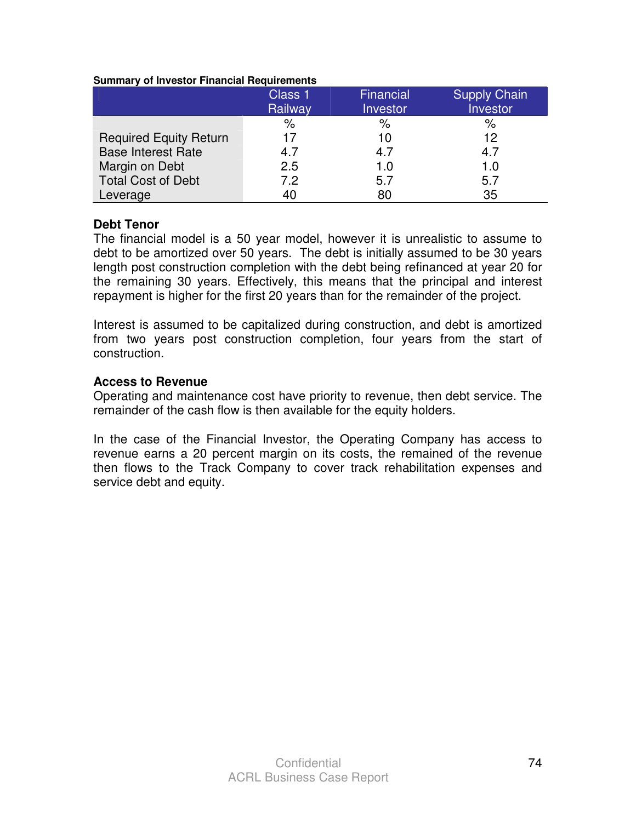#### **Summary of Investor Financial Requirements**

|                               | Class 1 | Financial | <b>Supply Chain</b> |
|-------------------------------|---------|-----------|---------------------|
|                               | Railway | Investor  | Investor            |
|                               | $\%$    | $\%$      | %                   |
| <b>Required Equity Return</b> | 17      | 10        | 12                  |
| <b>Base Interest Rate</b>     | 4.7     | 4.7       | 4.7                 |
| Margin on Debt                | 2.5     | 1.0       | 1.0                 |
| <b>Total Cost of Debt</b>     | 7.2     | 5.7       | 5.7                 |
| Leverage                      | 40      | 80        | 35                  |

#### **Debt Tenor**

The financial model is a 50 year model, however it is unrealistic to assume to debt to be amortized over 50 years. The debt is initially assumed to be 30 years length post construction completion with the debt being refinanced at year 20 for the remaining 30 years. Effectively, this means that the principal and interest repayment is higher for the first 20 years than for the remainder of the project.

Interest is assumed to be capitalized during construction, and debt is amortized from two years post construction completion, four years from the start of construction.

#### **Access to Revenue**

Operating and maintenance cost have priority to revenue, then debt service. The remainder of the cash flow is then available for the equity holders.

In the case of the Financial Investor, the Operating Company has access to revenue earns a 20 percent margin on its costs, the remained of the revenue then flows to the Track Company to cover track rehabilitation expenses and service debt and equity.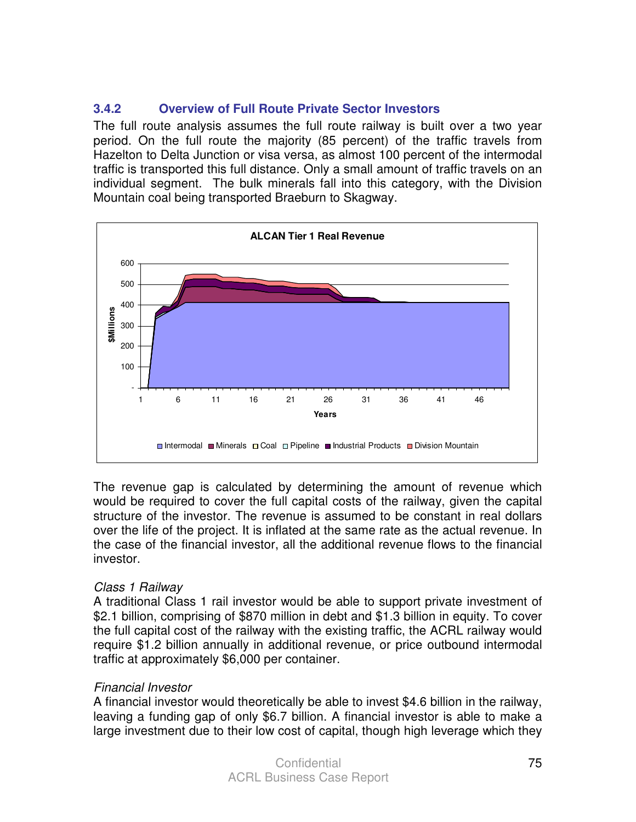## **3.4.2 Overview of Full Route Private Sector Investors**

The full route analysis assumes the full route railway is built over a two year period. On the full route the majority (85 percent) of the traffic travels from Hazelton to Delta Junction or visa versa, as almost 100 percent of the intermodal traffic is transported this full distance. Only a small amount of traffic travels on an individual segment. The bulk minerals fall into this category, with the Division Mountain coal being transported Braeburn to Skagway.



The revenue gap is calculated by determining the amount of revenue which would be required to cover the full capital costs of the railway, given the capital structure of the investor. The revenue is assumed to be constant in real dollars over the life of the project. It is inflated at the same rate as the actual revenue. In the case of the financial investor, all the additional revenue flows to the financial investor.

#### Class 1 Railway

A traditional Class 1 rail investor would be able to support private investment of \$2.1 billion, comprising of \$870 million in debt and \$1.3 billion in equity. To cover the full capital cost of the railway with the existing traffic, the ACRL railway would require \$1.2 billion annually in additional revenue, or price outbound intermodal traffic at approximately \$6,000 per container.

#### Financial Investor

A financial investor would theoretically be able to invest \$4.6 billion in the railway, leaving a funding gap of only \$6.7 billion. A financial investor is able to make a large investment due to their low cost of capital, though high leverage which they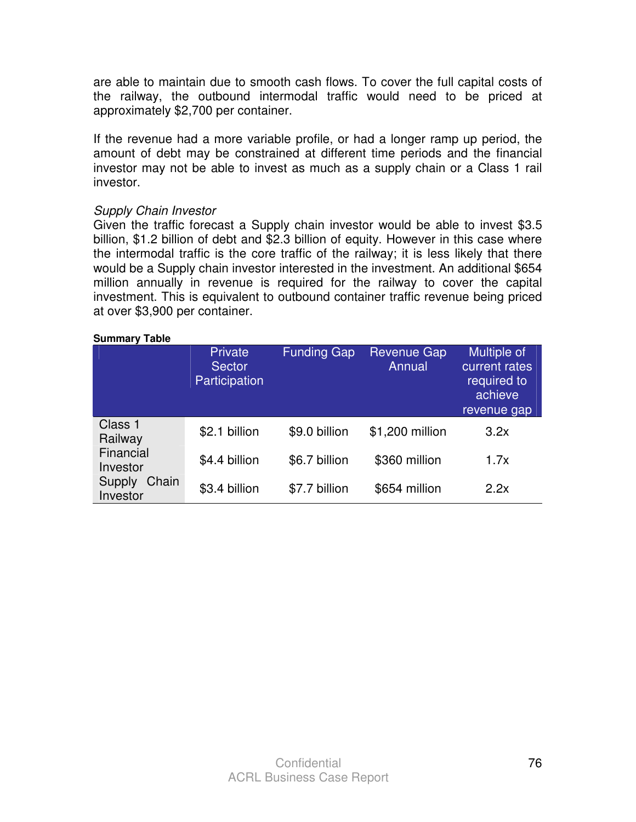are able to maintain due to smooth cash flows. To cover the full capital costs of the railway, the outbound intermodal traffic would need to be priced at approximately \$2,700 per container.

If the revenue had a more variable profile, or had a longer ramp up period, the amount of debt may be constrained at different time periods and the financial investor may not be able to invest as much as a supply chain or a Class 1 rail investor.

#### Supply Chain Investor

Given the traffic forecast a Supply chain investor would be able to invest \$3.5 billion, \$1.2 billion of debt and \$2.3 billion of equity. However in this case where the intermodal traffic is the core traffic of the railway; it is less likely that there would be a Supply chain investor interested in the investment. An additional \$654 million annually in revenue is required for the railway to cover the capital investment. This is equivalent to outbound container traffic revenue being priced at over \$3,900 per container.

#### **Summary Table**

|                             | Private<br><b>Sector</b><br>Participation | <b>Funding Gap</b> | <b>Revenue Gap</b><br>Annual | Multiple of<br>current rates<br>required to<br>achieve<br>revenue gap |
|-----------------------------|-------------------------------------------|--------------------|------------------------------|-----------------------------------------------------------------------|
| Class 1<br>Railway          | \$2.1 billion                             | \$9.0 billion      | \$1,200 million              | 3.2x                                                                  |
| Financial<br>Investor       | \$4.4 billion                             | \$6.7 billion      | \$360 million                | 1.7x                                                                  |
| Chain<br>Supply<br>Investor | \$3.4 billion                             | \$7.7 billion      | \$654 million                | 2.2x                                                                  |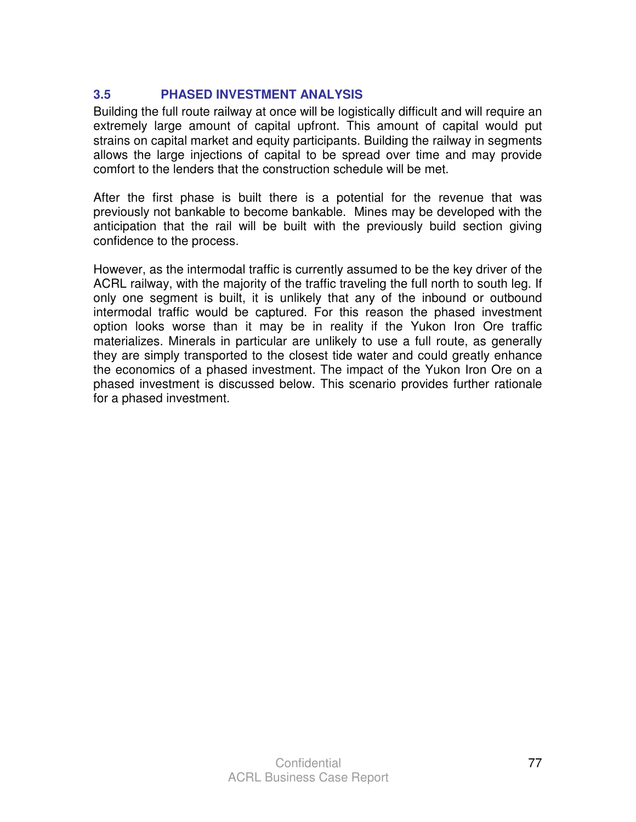## **3.5 PHASED INVESTMENT ANALYSIS**

Building the full route railway at once will be logistically difficult and will require an extremely large amount of capital upfront. This amount of capital would put strains on capital market and equity participants. Building the railway in segments allows the large injections of capital to be spread over time and may provide comfort to the lenders that the construction schedule will be met.

After the first phase is built there is a potential for the revenue that was previously not bankable to become bankable. Mines may be developed with the anticipation that the rail will be built with the previously build section giving confidence to the process.

However, as the intermodal traffic is currently assumed to be the key driver of the ACRL railway, with the majority of the traffic traveling the full north to south leg. If only one segment is built, it is unlikely that any of the inbound or outbound intermodal traffic would be captured. For this reason the phased investment option looks worse than it may be in reality if the Yukon Iron Ore traffic materializes. Minerals in particular are unlikely to use a full route, as generally they are simply transported to the closest tide water and could greatly enhance the economics of a phased investment. The impact of the Yukon Iron Ore on a phased investment is discussed below. This scenario provides further rationale for a phased investment.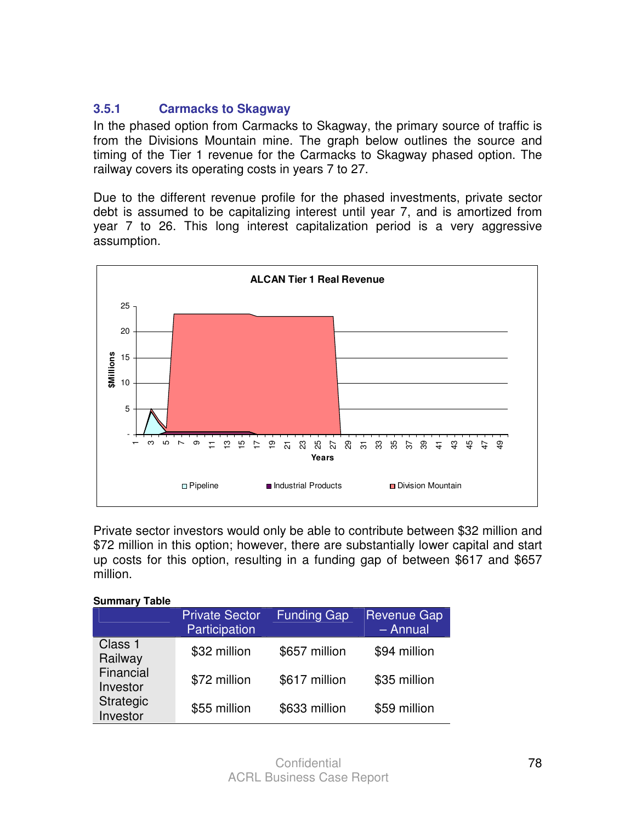## **3.5.1 Carmacks to Skagway**

In the phased option from Carmacks to Skagway, the primary source of traffic is from the Divisions Mountain mine. The graph below outlines the source and timing of the Tier 1 revenue for the Carmacks to Skagway phased option. The railway covers its operating costs in years 7 to 27.

Due to the different revenue profile for the phased investments, private sector debt is assumed to be capitalizing interest until year 7, and is amortized from year 7 to 26. This long interest capitalization period is a very aggressive assumption.



Private sector investors would only be able to contribute between \$32 million and \$72 million in this option; however, there are substantially lower capital and start up costs for this option, resulting in a funding gap of between \$617 and \$657 million.

| Summary<br>Taple      |                                        |                    |                                  |
|-----------------------|----------------------------------------|--------------------|----------------------------------|
|                       | <b>Private Sector</b><br>Participation | <b>Funding Gap</b> | <b>Revenue Gap</b><br>$-$ Annual |
| Class 1<br>Railway    | \$32 million                           | \$657 million      | \$94 million                     |
| Financial<br>Investor | \$72 million                           | \$617 million      | \$35 million                     |
| Strategic<br>Investor | \$55 million                           | \$633 million      | \$59 million                     |

**Summary Table** 

#### **Confidential** ACRL Business Case Report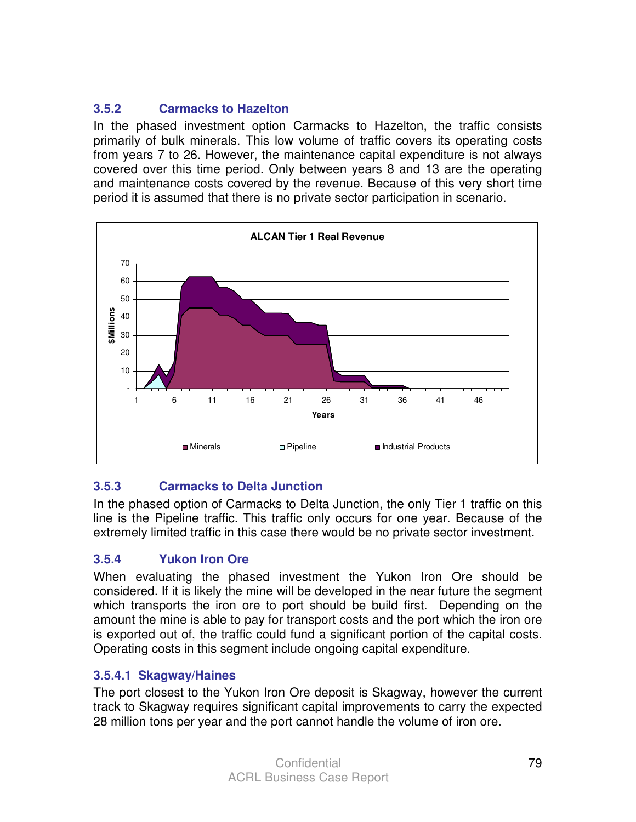# **3.5.2 Carmacks to Hazelton**

In the phased investment option Carmacks to Hazelton, the traffic consists primarily of bulk minerals. This low volume of traffic covers its operating costs from years 7 to 26. However, the maintenance capital expenditure is not always covered over this time period. Only between years 8 and 13 are the operating and maintenance costs covered by the revenue. Because of this very short time period it is assumed that there is no private sector participation in scenario.



# **3.5.3 Carmacks to Delta Junction**

In the phased option of Carmacks to Delta Junction, the only Tier 1 traffic on this line is the Pipeline traffic. This traffic only occurs for one year. Because of the extremely limited traffic in this case there would be no private sector investment.

## **3.5.4 Yukon Iron Ore**

When evaluating the phased investment the Yukon Iron Ore should be considered. If it is likely the mine will be developed in the near future the segment which transports the iron ore to port should be build first. Depending on the amount the mine is able to pay for transport costs and the port which the iron ore is exported out of, the traffic could fund a significant portion of the capital costs. Operating costs in this segment include ongoing capital expenditure.

## **3.5.4.1 Skagway/Haines**

The port closest to the Yukon Iron Ore deposit is Skagway, however the current track to Skagway requires significant capital improvements to carry the expected 28 million tons per year and the port cannot handle the volume of iron ore.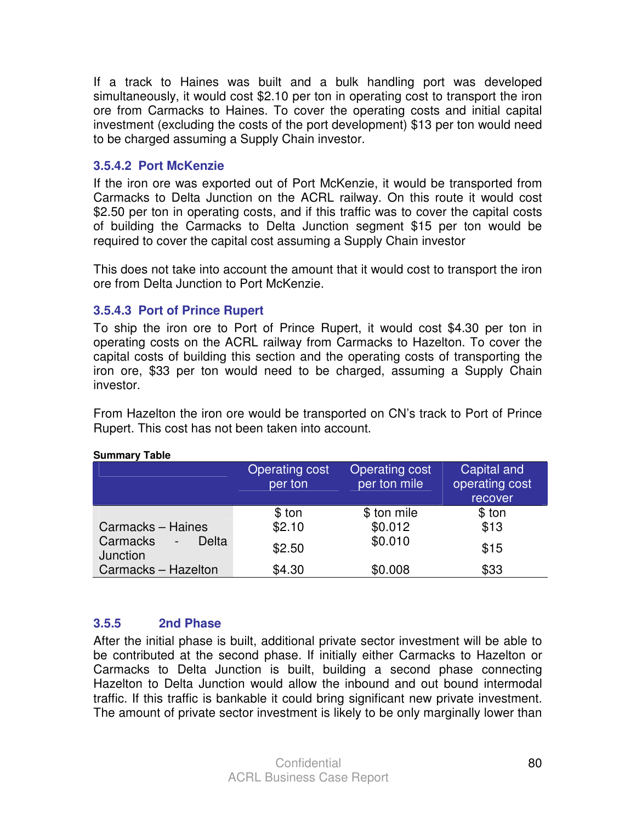If a track to Haines was built and a bulk handling port was developed simultaneously, it would cost \$2.10 per ton in operating cost to transport the iron ore from Carmacks to Haines. To cover the operating costs and initial capital investment (excluding the costs of the port development) \$13 per ton would need to be charged assuming a Supply Chain investor.

#### **3.5.4.2 Port McKenzie**

If the iron ore was exported out of Port McKenzie, it would be transported from Carmacks to Delta Junction on the ACRL railway. On this route it would cost \$2.50 per ton in operating costs, and if this traffic was to cover the capital costs of building the Carmacks to Delta Junction segment \$15 per ton would be required to cover the capital cost assuming a Supply Chain investor

This does not take into account the amount that it would cost to transport the iron ore from Delta Junction to Port McKenzie.

#### **3.5.4.3 Port of Prince Rupert**

To ship the iron ore to Port of Prince Rupert, it would cost \$4.30 per ton in operating costs on the ACRL railway from Carmacks to Hazelton. To cover the capital costs of building this section and the operating costs of transporting the iron ore, \$33 per ton would need to be charged, assuming a Supply Chain investor.

From Hazelton the iron ore would be transported on CN's track to Port of Prince Rupert. This cost has not been taken into account.

|                                                           | <b>Operating cost</b><br>per ton | Operating cost<br>per ton mile | Capital and<br>operating cost<br>recover |
|-----------------------------------------------------------|----------------------------------|--------------------------------|------------------------------------------|
| Carmacks - Haines                                         | \$ ton<br>\$2.10                 | \$ ton mile<br>\$0.012         | \$ ton<br>\$13                           |
| Carmacks<br>Delta<br>$\overline{\phantom{a}}$<br>Junction | \$2.50                           | \$0.010                        | \$15                                     |
| Carmacks - Hazelton                                       | \$4.30                           | \$0.008                        | \$33                                     |

#### **Summary Table**

## **3.5.5 2nd Phase**

After the initial phase is built, additional private sector investment will be able to be contributed at the second phase. If initially either Carmacks to Hazelton or Carmacks to Delta Junction is built, building a second phase connecting Hazelton to Delta Junction would allow the inbound and out bound intermodal traffic. If this traffic is bankable it could bring significant new private investment. The amount of private sector investment is likely to be only marginally lower than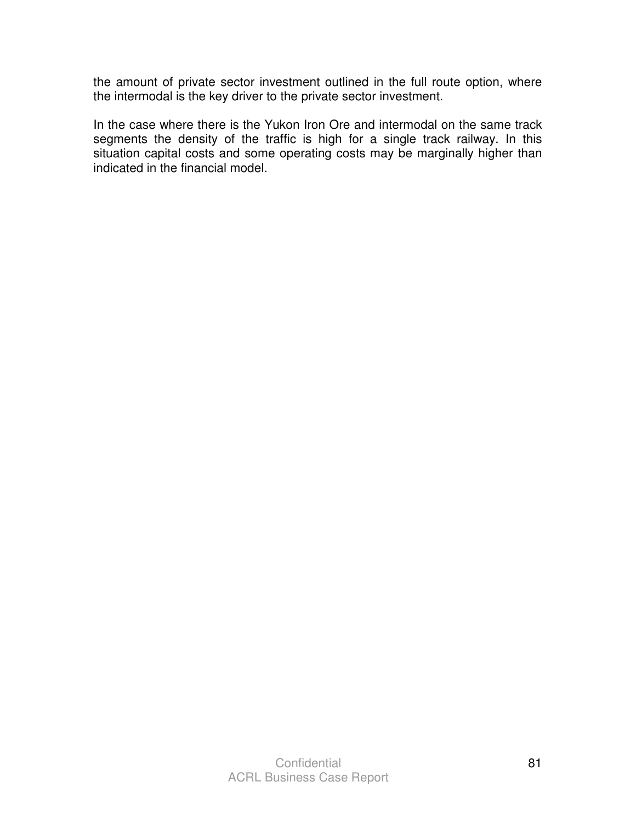the amount of private sector investment outlined in the full route option, where the intermodal is the key driver to the private sector investment.

In the case where there is the Yukon Iron Ore and intermodal on the same track segments the density of the traffic is high for a single track railway. In this situation capital costs and some operating costs may be marginally higher than indicated in the financial model.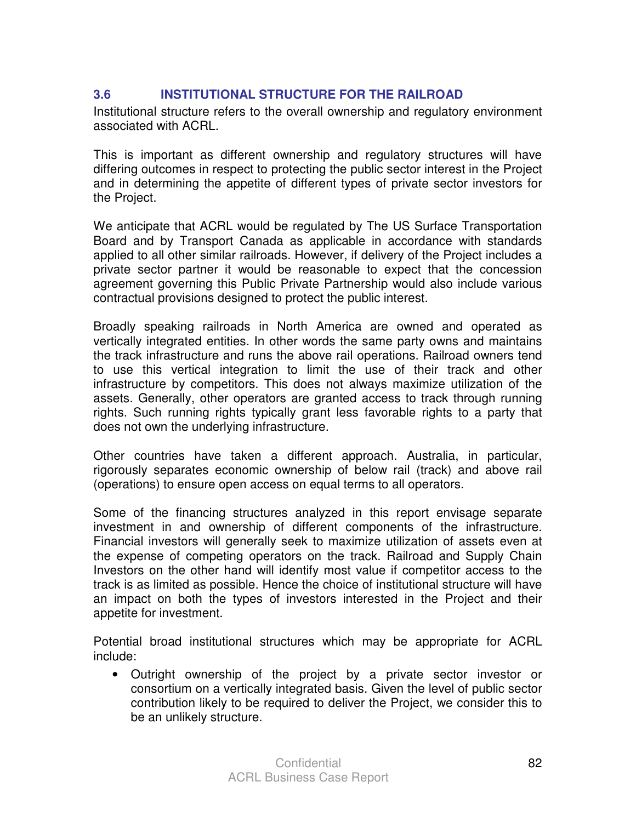## **3.6 INSTITUTIONAL STRUCTURE FOR THE RAILROAD**

Institutional structure refers to the overall ownership and regulatory environment associated with ACRL.

This is important as different ownership and regulatory structures will have differing outcomes in respect to protecting the public sector interest in the Project and in determining the appetite of different types of private sector investors for the Project.

We anticipate that ACRL would be regulated by The US Surface Transportation Board and by Transport Canada as applicable in accordance with standards applied to all other similar railroads. However, if delivery of the Project includes a private sector partner it would be reasonable to expect that the concession agreement governing this Public Private Partnership would also include various contractual provisions designed to protect the public interest.

Broadly speaking railroads in North America are owned and operated as vertically integrated entities. In other words the same party owns and maintains the track infrastructure and runs the above rail operations. Railroad owners tend to use this vertical integration to limit the use of their track and other infrastructure by competitors. This does not always maximize utilization of the assets. Generally, other operators are granted access to track through running rights. Such running rights typically grant less favorable rights to a party that does not own the underlying infrastructure.

Other countries have taken a different approach. Australia, in particular, rigorously separates economic ownership of below rail (track) and above rail (operations) to ensure open access on equal terms to all operators.

Some of the financing structures analyzed in this report envisage separate investment in and ownership of different components of the infrastructure. Financial investors will generally seek to maximize utilization of assets even at the expense of competing operators on the track. Railroad and Supply Chain Investors on the other hand will identify most value if competitor access to the track is as limited as possible. Hence the choice of institutional structure will have an impact on both the types of investors interested in the Project and their appetite for investment.

Potential broad institutional structures which may be appropriate for ACRL include:

• Outright ownership of the project by a private sector investor or consortium on a vertically integrated basis. Given the level of public sector contribution likely to be required to deliver the Project, we consider this to be an unlikely structure.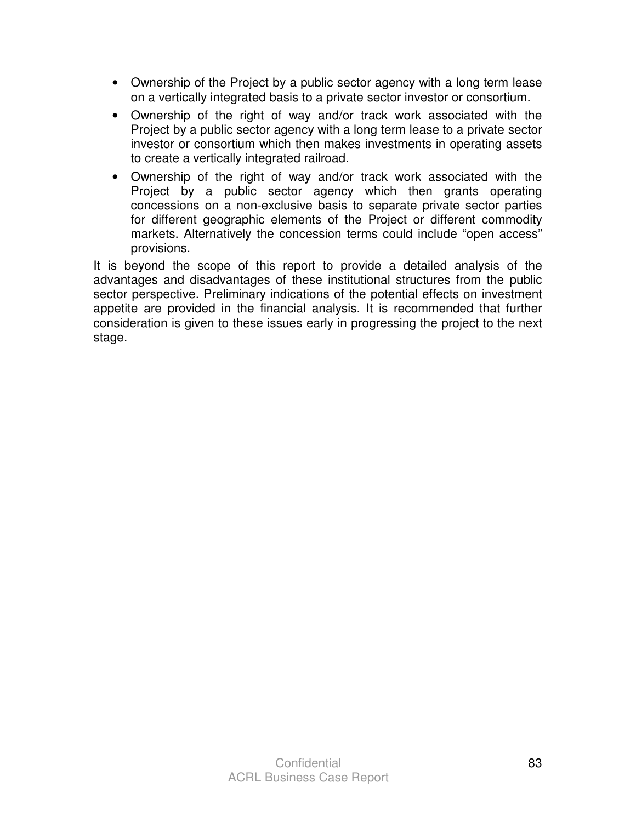- Ownership of the Project by a public sector agency with a long term lease on a vertically integrated basis to a private sector investor or consortium.
- Ownership of the right of way and/or track work associated with the Project by a public sector agency with a long term lease to a private sector investor or consortium which then makes investments in operating assets to create a vertically integrated railroad.
- Ownership of the right of way and/or track work associated with the Project by a public sector agency which then grants operating concessions on a non-exclusive basis to separate private sector parties for different geographic elements of the Project or different commodity markets. Alternatively the concession terms could include "open access" provisions.

It is beyond the scope of this report to provide a detailed analysis of the advantages and disadvantages of these institutional structures from the public sector perspective. Preliminary indications of the potential effects on investment appetite are provided in the financial analysis. It is recommended that further consideration is given to these issues early in progressing the project to the next stage.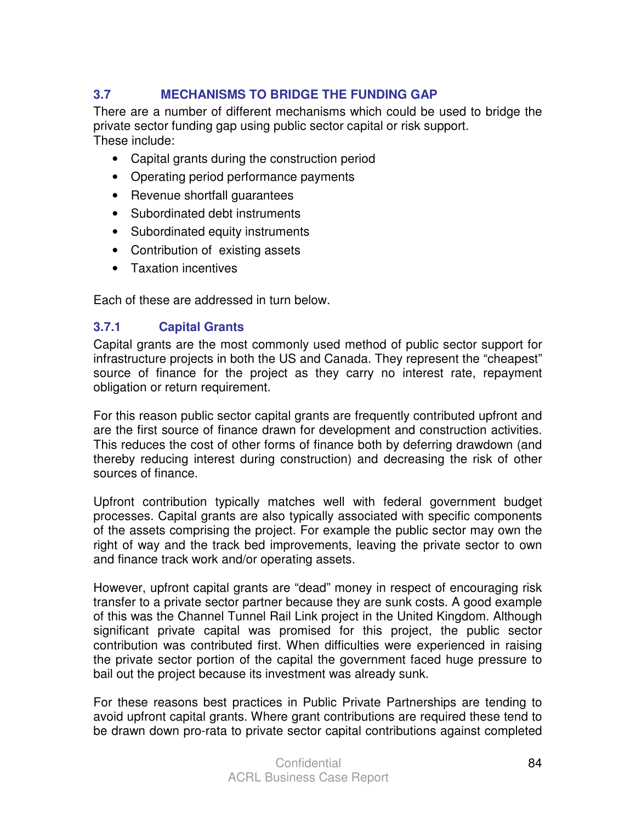# **3.7 MECHANISMS TO BRIDGE THE FUNDING GAP**

There are a number of different mechanisms which could be used to bridge the private sector funding gap using public sector capital or risk support. These include:

- Capital grants during the construction period
- Operating period performance payments
- Revenue shortfall guarantees
- Subordinated debt instruments
- Subordinated equity instruments
- Contribution of existing assets
- Taxation incentives

Each of these are addressed in turn below.

#### **3.7.1 Capital Grants**

Capital grants are the most commonly used method of public sector support for infrastructure projects in both the US and Canada. They represent the "cheapest" source of finance for the project as they carry no interest rate, repayment obligation or return requirement.

For this reason public sector capital grants are frequently contributed upfront and are the first source of finance drawn for development and construction activities. This reduces the cost of other forms of finance both by deferring drawdown (and thereby reducing interest during construction) and decreasing the risk of other sources of finance.

Upfront contribution typically matches well with federal government budget processes. Capital grants are also typically associated with specific components of the assets comprising the project. For example the public sector may own the right of way and the track bed improvements, leaving the private sector to own and finance track work and/or operating assets.

However, upfront capital grants are "dead" money in respect of encouraging risk transfer to a private sector partner because they are sunk costs. A good example of this was the Channel Tunnel Rail Link project in the United Kingdom. Although significant private capital was promised for this project, the public sector contribution was contributed first. When difficulties were experienced in raising the private sector portion of the capital the government faced huge pressure to bail out the project because its investment was already sunk.

For these reasons best practices in Public Private Partnerships are tending to avoid upfront capital grants. Where grant contributions are required these tend to be drawn down pro-rata to private sector capital contributions against completed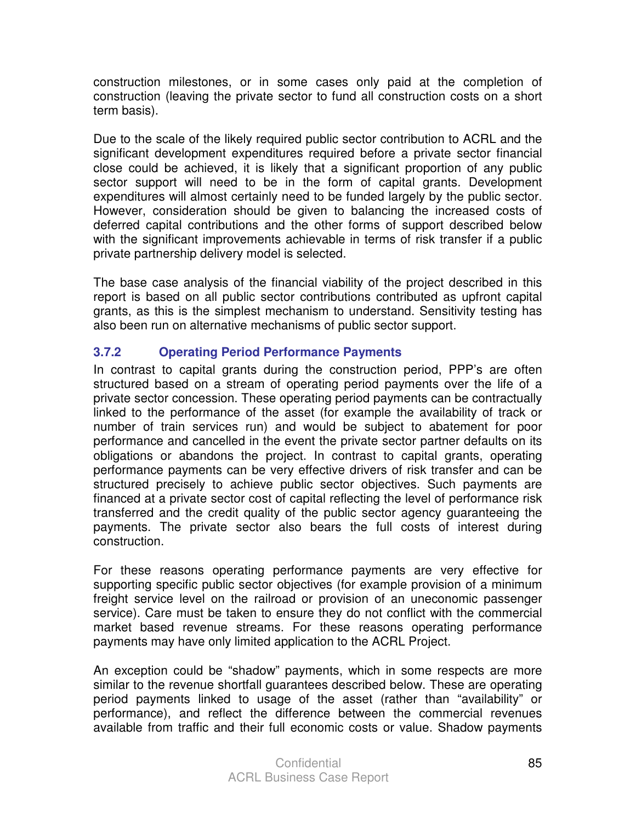construction milestones, or in some cases only paid at the completion of construction (leaving the private sector to fund all construction costs on a short term basis).

Due to the scale of the likely required public sector contribution to ACRL and the significant development expenditures required before a private sector financial close could be achieved, it is likely that a significant proportion of any public sector support will need to be in the form of capital grants. Development expenditures will almost certainly need to be funded largely by the public sector. However, consideration should be given to balancing the increased costs of deferred capital contributions and the other forms of support described below with the significant improvements achievable in terms of risk transfer if a public private partnership delivery model is selected.

The base case analysis of the financial viability of the project described in this report is based on all public sector contributions contributed as upfront capital grants, as this is the simplest mechanism to understand. Sensitivity testing has also been run on alternative mechanisms of public sector support.

# **3.7.2 Operating Period Performance Payments**

In contrast to capital grants during the construction period, PPP's are often structured based on a stream of operating period payments over the life of a private sector concession. These operating period payments can be contractually linked to the performance of the asset (for example the availability of track or number of train services run) and would be subject to abatement for poor performance and cancelled in the event the private sector partner defaults on its obligations or abandons the project. In contrast to capital grants, operating performance payments can be very effective drivers of risk transfer and can be structured precisely to achieve public sector objectives. Such payments are financed at a private sector cost of capital reflecting the level of performance risk transferred and the credit quality of the public sector agency guaranteeing the payments. The private sector also bears the full costs of interest during construction.

For these reasons operating performance payments are very effective for supporting specific public sector objectives (for example provision of a minimum freight service level on the railroad or provision of an uneconomic passenger service). Care must be taken to ensure they do not conflict with the commercial market based revenue streams. For these reasons operating performance payments may have only limited application to the ACRL Project.

An exception could be "shadow" payments, which in some respects are more similar to the revenue shortfall guarantees described below. These are operating period payments linked to usage of the asset (rather than "availability" or performance), and reflect the difference between the commercial revenues available from traffic and their full economic costs or value. Shadow payments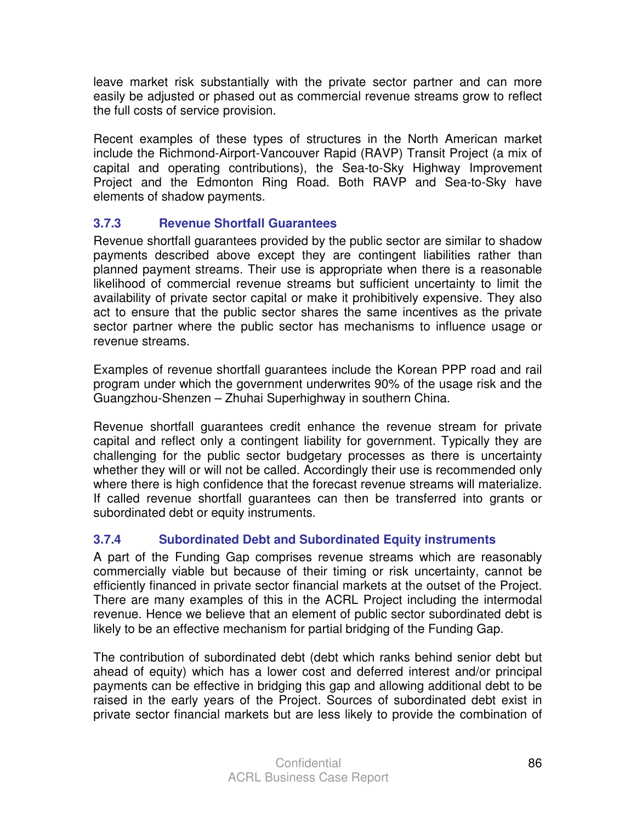leave market risk substantially with the private sector partner and can more easily be adjusted or phased out as commercial revenue streams grow to reflect the full costs of service provision.

Recent examples of these types of structures in the North American market include the Richmond-Airport-Vancouver Rapid (RAVP) Transit Project (a mix of capital and operating contributions), the Sea-to-Sky Highway Improvement Project and the Edmonton Ring Road. Both RAVP and Sea-to-Sky have elements of shadow payments.

# **3.7.3 Revenue Shortfall Guarantees**

Revenue shortfall guarantees provided by the public sector are similar to shadow payments described above except they are contingent liabilities rather than planned payment streams. Their use is appropriate when there is a reasonable likelihood of commercial revenue streams but sufficient uncertainty to limit the availability of private sector capital or make it prohibitively expensive. They also act to ensure that the public sector shares the same incentives as the private sector partner where the public sector has mechanisms to influence usage or revenue streams.

Examples of revenue shortfall guarantees include the Korean PPP road and rail program under which the government underwrites 90% of the usage risk and the Guangzhou-Shenzen – Zhuhai Superhighway in southern China.

Revenue shortfall guarantees credit enhance the revenue stream for private capital and reflect only a contingent liability for government. Typically they are challenging for the public sector budgetary processes as there is uncertainty whether they will or will not be called. Accordingly their use is recommended only where there is high confidence that the forecast revenue streams will materialize. If called revenue shortfall guarantees can then be transferred into grants or subordinated debt or equity instruments.

# **3.7.4 Subordinated Debt and Subordinated Equity instruments**

A part of the Funding Gap comprises revenue streams which are reasonably commercially viable but because of their timing or risk uncertainty, cannot be efficiently financed in private sector financial markets at the outset of the Project. There are many examples of this in the ACRL Project including the intermodal revenue. Hence we believe that an element of public sector subordinated debt is likely to be an effective mechanism for partial bridging of the Funding Gap.

The contribution of subordinated debt (debt which ranks behind senior debt but ahead of equity) which has a lower cost and deferred interest and/or principal payments can be effective in bridging this gap and allowing additional debt to be raised in the early years of the Project. Sources of subordinated debt exist in private sector financial markets but are less likely to provide the combination of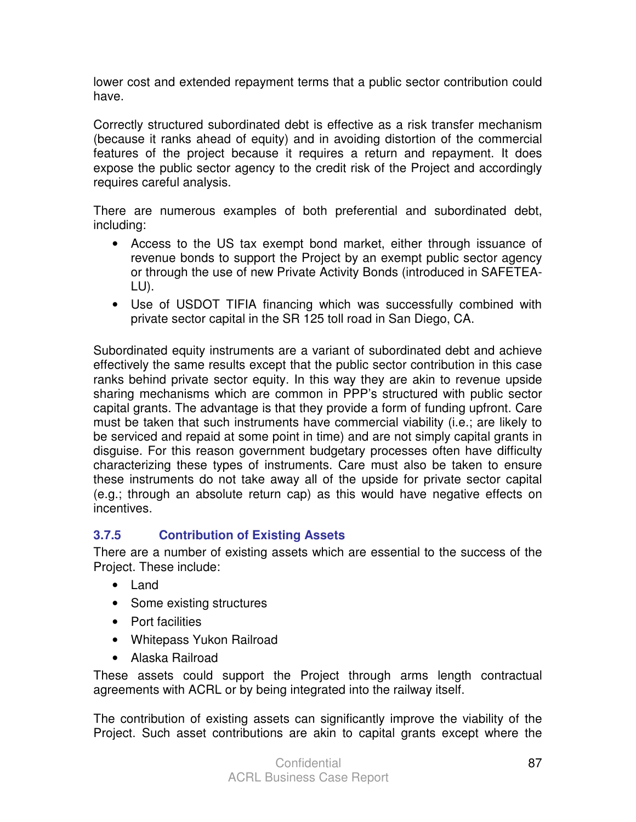lower cost and extended repayment terms that a public sector contribution could have.

Correctly structured subordinated debt is effective as a risk transfer mechanism (because it ranks ahead of equity) and in avoiding distortion of the commercial features of the project because it requires a return and repayment. It does expose the public sector agency to the credit risk of the Project and accordingly requires careful analysis.

There are numerous examples of both preferential and subordinated debt, including:

- Access to the US tax exempt bond market, either through issuance of revenue bonds to support the Project by an exempt public sector agency or through the use of new Private Activity Bonds (introduced in SAFETEA-LU).
- Use of USDOT TIFIA financing which was successfully combined with private sector capital in the SR 125 toll road in San Diego, CA.

Subordinated equity instruments are a variant of subordinated debt and achieve effectively the same results except that the public sector contribution in this case ranks behind private sector equity. In this way they are akin to revenue upside sharing mechanisms which are common in PPP's structured with public sector capital grants. The advantage is that they provide a form of funding upfront. Care must be taken that such instruments have commercial viability (i.e.; are likely to be serviced and repaid at some point in time) and are not simply capital grants in disguise. For this reason government budgetary processes often have difficulty characterizing these types of instruments. Care must also be taken to ensure these instruments do not take away all of the upside for private sector capital (e.g.; through an absolute return cap) as this would have negative effects on incentives.

# **3.7.5 Contribution of Existing Assets**

There are a number of existing assets which are essential to the success of the Project. These include:

- Land
- Some existing structures
- Port facilities
- Whitepass Yukon Railroad
- Alaska Railroad

These assets could support the Project through arms length contractual agreements with ACRL or by being integrated into the railway itself.

The contribution of existing assets can significantly improve the viability of the Project. Such asset contributions are akin to capital grants except where the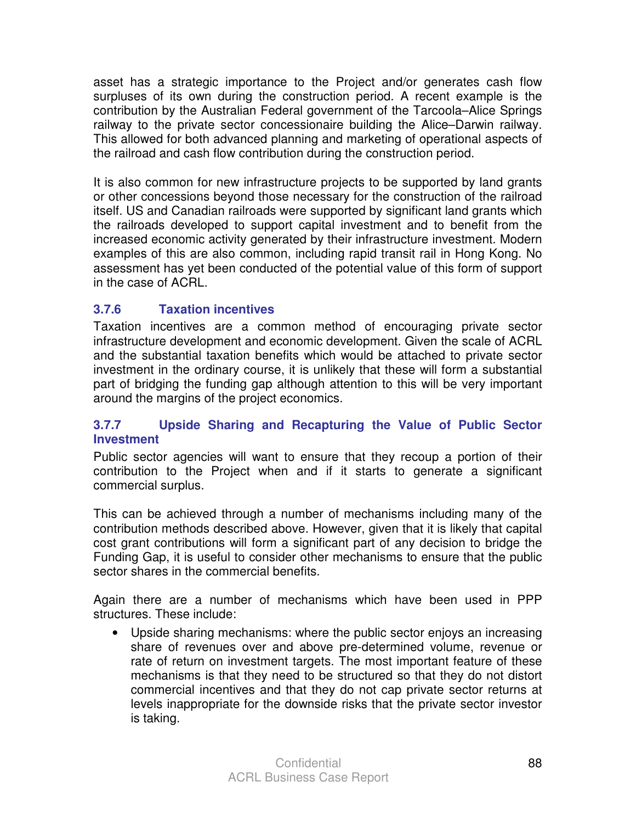asset has a strategic importance to the Project and/or generates cash flow surpluses of its own during the construction period. A recent example is the contribution by the Australian Federal government of the Tarcoola–Alice Springs railway to the private sector concessionaire building the Alice–Darwin railway. This allowed for both advanced planning and marketing of operational aspects of the railroad and cash flow contribution during the construction period.

It is also common for new infrastructure projects to be supported by land grants or other concessions beyond those necessary for the construction of the railroad itself. US and Canadian railroads were supported by significant land grants which the railroads developed to support capital investment and to benefit from the increased economic activity generated by their infrastructure investment. Modern examples of this are also common, including rapid transit rail in Hong Kong. No assessment has yet been conducted of the potential value of this form of support in the case of ACRL.

## **3.7.6 Taxation incentives**

Taxation incentives are a common method of encouraging private sector infrastructure development and economic development. Given the scale of ACRL and the substantial taxation benefits which would be attached to private sector investment in the ordinary course, it is unlikely that these will form a substantial part of bridging the funding gap although attention to this will be very important around the margins of the project economics.

#### **3.7.7 Upside Sharing and Recapturing the Value of Public Sector Investment**

Public sector agencies will want to ensure that they recoup a portion of their contribution to the Project when and if it starts to generate a significant commercial surplus.

This can be achieved through a number of mechanisms including many of the contribution methods described above. However, given that it is likely that capital cost grant contributions will form a significant part of any decision to bridge the Funding Gap, it is useful to consider other mechanisms to ensure that the public sector shares in the commercial benefits.

Again there are a number of mechanisms which have been used in PPP structures. These include:

• Upside sharing mechanisms: where the public sector enjoys an increasing share of revenues over and above pre-determined volume, revenue or rate of return on investment targets. The most important feature of these mechanisms is that they need to be structured so that they do not distort commercial incentives and that they do not cap private sector returns at levels inappropriate for the downside risks that the private sector investor is taking.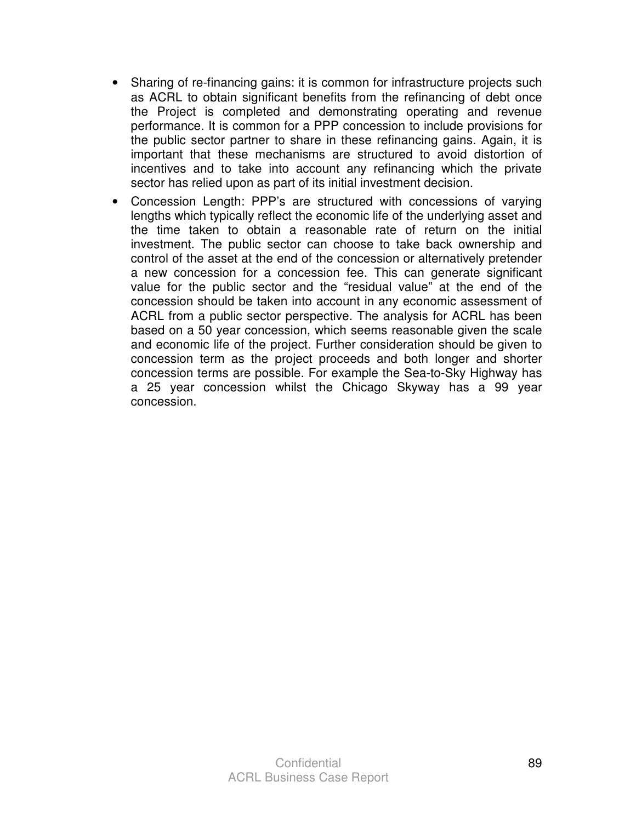- Sharing of re-financing gains: it is common for infrastructure projects such as ACRL to obtain significant benefits from the refinancing of debt once the Project is completed and demonstrating operating and revenue performance. It is common for a PPP concession to include provisions for the public sector partner to share in these refinancing gains. Again, it is important that these mechanisms are structured to avoid distortion of incentives and to take into account any refinancing which the private sector has relied upon as part of its initial investment decision.
- Concession Length: PPP's are structured with concessions of varying lengths which typically reflect the economic life of the underlying asset and the time taken to obtain a reasonable rate of return on the initial investment. The public sector can choose to take back ownership and control of the asset at the end of the concession or alternatively pretender a new concession for a concession fee. This can generate significant value for the public sector and the "residual value" at the end of the concession should be taken into account in any economic assessment of ACRL from a public sector perspective. The analysis for ACRL has been based on a 50 year concession, which seems reasonable given the scale and economic life of the project. Further consideration should be given to concession term as the project proceeds and both longer and shorter concession terms are possible. For example the Sea-to-Sky Highway has a 25 year concession whilst the Chicago Skyway has a 99 year concession.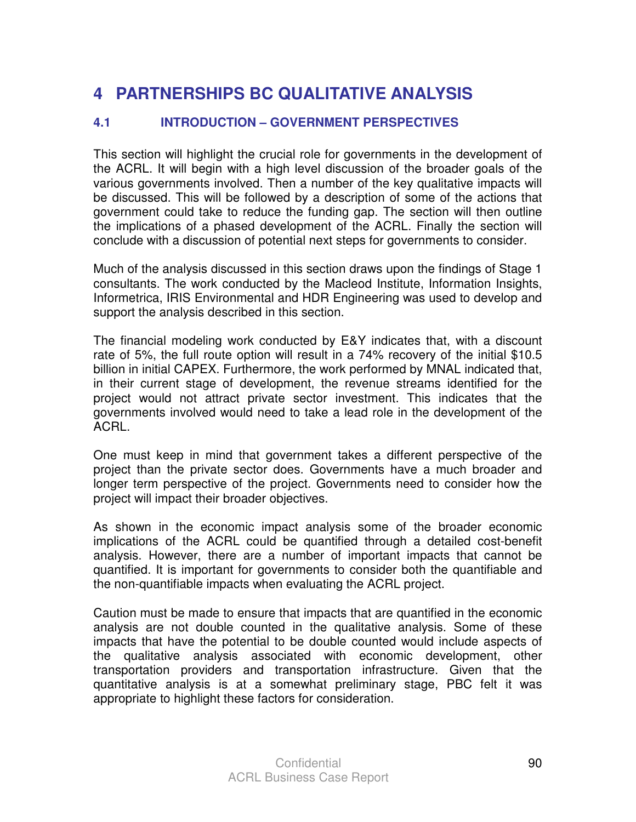# **4 PARTNERSHIPS BC QUALITATIVE ANALYSIS**

## **4.1 INTRODUCTION – GOVERNMENT PERSPECTIVES**

This section will highlight the crucial role for governments in the development of the ACRL. It will begin with a high level discussion of the broader goals of the various governments involved. Then a number of the key qualitative impacts will be discussed. This will be followed by a description of some of the actions that government could take to reduce the funding gap. The section will then outline the implications of a phased development of the ACRL. Finally the section will conclude with a discussion of potential next steps for governments to consider.

Much of the analysis discussed in this section draws upon the findings of Stage 1 consultants. The work conducted by the Macleod Institute, Information Insights, Informetrica, IRIS Environmental and HDR Engineering was used to develop and support the analysis described in this section.

The financial modeling work conducted by E&Y indicates that, with a discount rate of 5%, the full route option will result in a 74% recovery of the initial \$10.5 billion in initial CAPEX. Furthermore, the work performed by MNAL indicated that, in their current stage of development, the revenue streams identified for the project would not attract private sector investment. This indicates that the governments involved would need to take a lead role in the development of the ACRL.

One must keep in mind that government takes a different perspective of the project than the private sector does. Governments have a much broader and longer term perspective of the project. Governments need to consider how the project will impact their broader objectives.

As shown in the economic impact analysis some of the broader economic implications of the ACRL could be quantified through a detailed cost-benefit analysis. However, there are a number of important impacts that cannot be quantified. It is important for governments to consider both the quantifiable and the non-quantifiable impacts when evaluating the ACRL project.

Caution must be made to ensure that impacts that are quantified in the economic analysis are not double counted in the qualitative analysis. Some of these impacts that have the potential to be double counted would include aspects of the qualitative analysis associated with economic development, other transportation providers and transportation infrastructure. Given that the quantitative analysis is at a somewhat preliminary stage, PBC felt it was appropriate to highlight these factors for consideration.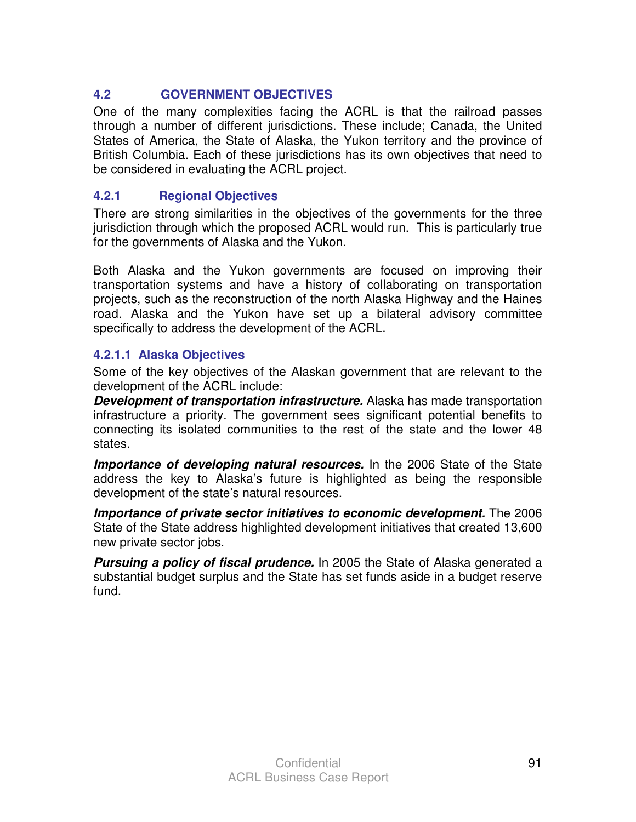# **4.2 GOVERNMENT OBJECTIVES**

One of the many complexities facing the ACRL is that the railroad passes through a number of different jurisdictions. These include; Canada, the United States of America, the State of Alaska, the Yukon territory and the province of British Columbia. Each of these jurisdictions has its own objectives that need to be considered in evaluating the ACRL project.

# **4.2.1 Regional Objectives**

There are strong similarities in the objectives of the governments for the three jurisdiction through which the proposed ACRL would run. This is particularly true for the governments of Alaska and the Yukon.

Both Alaska and the Yukon governments are focused on improving their transportation systems and have a history of collaborating on transportation projects, such as the reconstruction of the north Alaska Highway and the Haines road. Alaska and the Yukon have set up a bilateral advisory committee specifically to address the development of the ACRL.

## **4.2.1.1 Alaska Objectives**

Some of the key objectives of the Alaskan government that are relevant to the development of the ACRL include:

**Development of transportation infrastructure.** Alaska has made transportation infrastructure a priority. The government sees significant potential benefits to connecting its isolated communities to the rest of the state and the lower 48 states.

**Importance of developing natural resources.** In the 2006 State of the State address the key to Alaska's future is highlighted as being the responsible development of the state's natural resources.

**Importance of private sector initiatives to economic development.** The 2006 State of the State address highlighted development initiatives that created 13,600 new private sector jobs.

**Pursuing a policy of fiscal prudence.** In 2005 the State of Alaska generated a substantial budget surplus and the State has set funds aside in a budget reserve fund.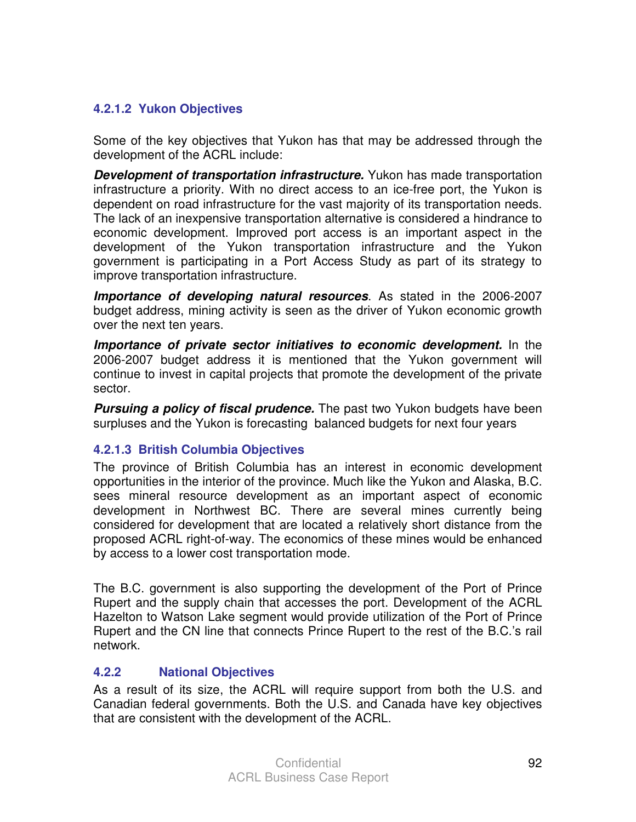## **4.2.1.2 Yukon Objectives**

Some of the key objectives that Yukon has that may be addressed through the development of the ACRL include:

**Development of transportation infrastructure.** Yukon has made transportation infrastructure a priority. With no direct access to an ice-free port, the Yukon is dependent on road infrastructure for the vast majority of its transportation needs. The lack of an inexpensive transportation alternative is considered a hindrance to economic development. Improved port access is an important aspect in the development of the Yukon transportation infrastructure and the Yukon government is participating in a Port Access Study as part of its strategy to improve transportation infrastructure.

**Importance of developing natural resources**. As stated in the 2006-2007 budget address, mining activity is seen as the driver of Yukon economic growth over the next ten years.

**Importance of private sector initiatives to economic development.** In the 2006-2007 budget address it is mentioned that the Yukon government will continue to invest in capital projects that promote the development of the private sector.

**Pursuing a policy of fiscal prudence.** The past two Yukon budgets have been surpluses and the Yukon is forecasting balanced budgets for next four years

## **4.2.1.3 British Columbia Objectives**

The province of British Columbia has an interest in economic development opportunities in the interior of the province. Much like the Yukon and Alaska, B.C. sees mineral resource development as an important aspect of economic development in Northwest BC. There are several mines currently being considered for development that are located a relatively short distance from the proposed ACRL right-of-way. The economics of these mines would be enhanced by access to a lower cost transportation mode.

The B.C. government is also supporting the development of the Port of Prince Rupert and the supply chain that accesses the port. Development of the ACRL Hazelton to Watson Lake segment would provide utilization of the Port of Prince Rupert and the CN line that connects Prince Rupert to the rest of the B.C.'s rail network.

## **4.2.2 National Objectives**

As a result of its size, the ACRL will require support from both the U.S. and Canadian federal governments. Both the U.S. and Canada have key objectives that are consistent with the development of the ACRL.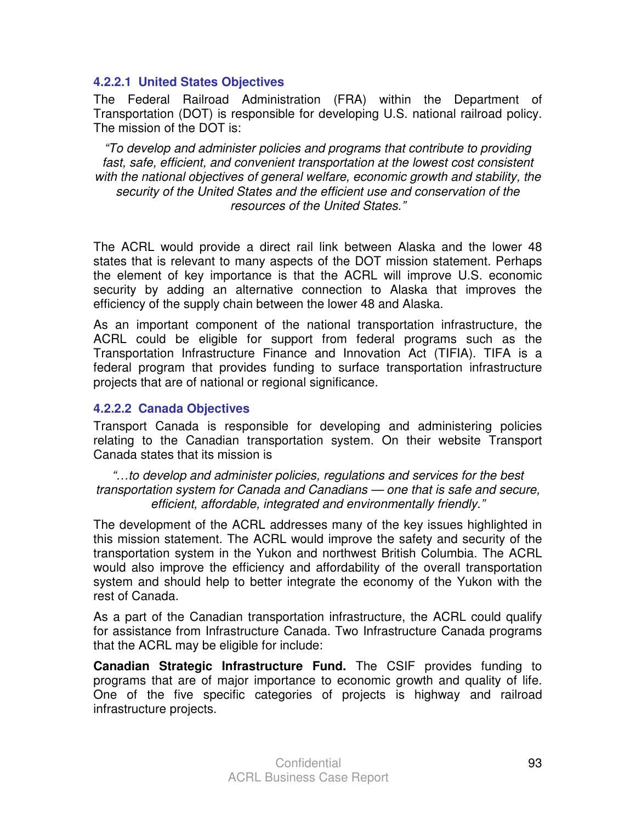#### **4.2.2.1 United States Objectives**

The Federal Railroad Administration (FRA) within the Department of Transportation (DOT) is responsible for developing U.S. national railroad policy. The mission of the DOT is:

"To develop and administer policies and programs that contribute to providing fast, safe, efficient, and convenient transportation at the lowest cost consistent with the national objectives of general welfare, economic growth and stability, the security of the United States and the efficient use and conservation of the resources of the United States."

The ACRL would provide a direct rail link between Alaska and the lower 48 states that is relevant to many aspects of the DOT mission statement. Perhaps the element of key importance is that the ACRL will improve U.S. economic security by adding an alternative connection to Alaska that improves the efficiency of the supply chain between the lower 48 and Alaska.

As an important component of the national transportation infrastructure, the ACRL could be eligible for support from federal programs such as the Transportation Infrastructure Finance and Innovation Act (TIFIA). TIFA is a federal program that provides funding to surface transportation infrastructure projects that are of national or regional significance.

#### **4.2.2.2 Canada Objectives**

Transport Canada is responsible for developing and administering policies relating to the Canadian transportation system. On their website Transport Canada states that its mission is

"…to develop and administer policies, regulations and services for the best transportation system for Canada and Canadians — one that is safe and secure, efficient, affordable, integrated and environmentally friendly."

The development of the ACRL addresses many of the key issues highlighted in this mission statement. The ACRL would improve the safety and security of the transportation system in the Yukon and northwest British Columbia. The ACRL would also improve the efficiency and affordability of the overall transportation system and should help to better integrate the economy of the Yukon with the rest of Canada.

As a part of the Canadian transportation infrastructure, the ACRL could qualify for assistance from Infrastructure Canada. Two Infrastructure Canada programs that the ACRL may be eligible for include:

**Canadian Strategic Infrastructure Fund.** The CSIF provides funding to programs that are of major importance to economic growth and quality of life. One of the five specific categories of projects is highway and railroad infrastructure projects.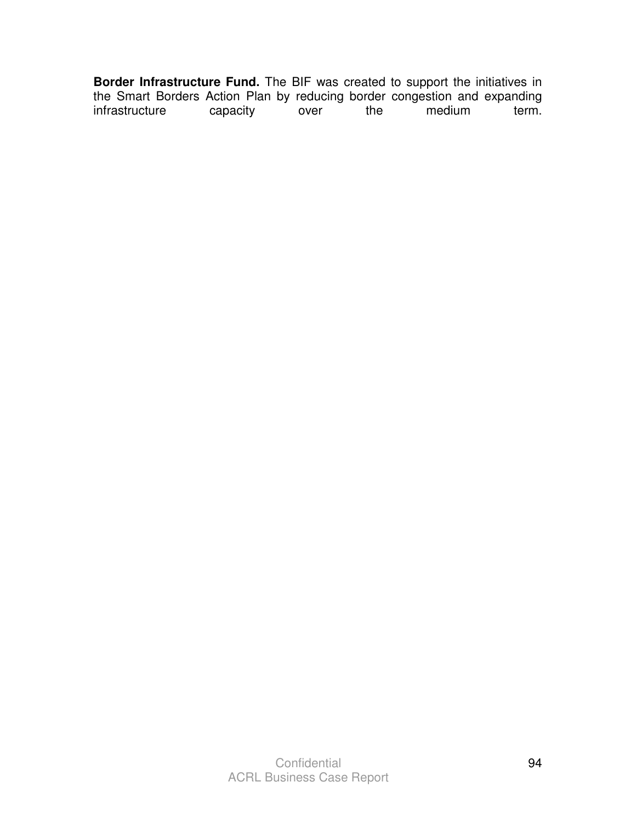**Border Infrastructure Fund.** The BIF was created to support the initiatives in the Smart Borders Action Plan by reducing border congestion and expanding<br>infrastructure capacity over the medium term. infrastructure capacity over the medium term.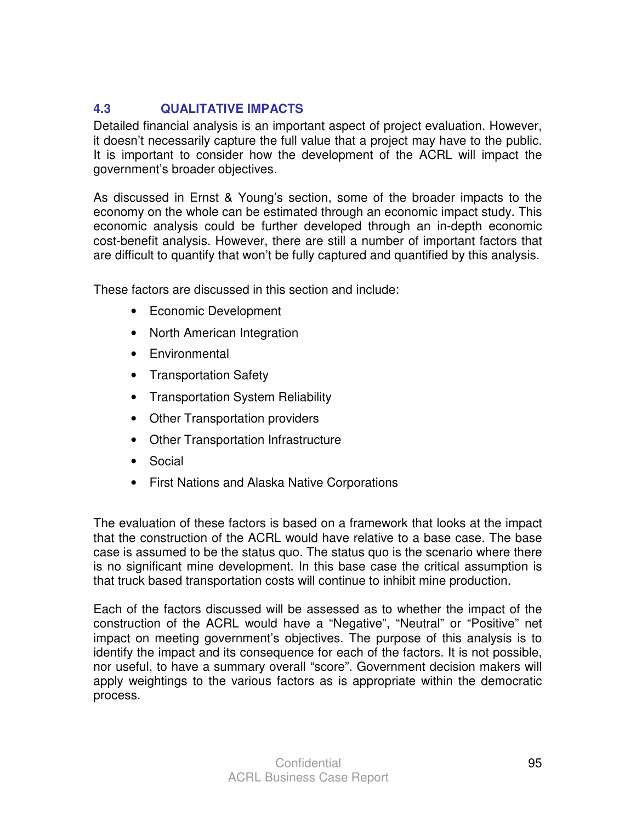# **4.3 QUALITATIVE IMPACTS**

Detailed financial analysis is an important aspect of project evaluation. However, it doesn't necessarily capture the full value that a project may have to the public. It is important to consider how the development of the ACRL will impact the government's broader objectives.

As discussed in Ernst & Young's section, some of the broader impacts to the economy on the whole can be estimated through an economic impact study. This economic analysis could be further developed through an in-depth economic cost-benefit analysis. However, there are still a number of important factors that are difficult to quantify that won't be fully captured and quantified by this analysis.

These factors are discussed in this section and include:

- Economic Development
- North American Integration
- Environmental
- Transportation Safety
- Transportation System Reliability
- Other Transportation providers
- Other Transportation Infrastructure
- Social
- First Nations and Alaska Native Corporations

The evaluation of these factors is based on a framework that looks at the impact that the construction of the ACRL would have relative to a base case. The base case is assumed to be the status quo. The status quo is the scenario where there is no significant mine development. In this base case the critical assumption is that truck based transportation costs will continue to inhibit mine production.

Each of the factors discussed will be assessed as to whether the impact of the construction of the ACRL would have a "Negative", "Neutral" or "Positive" net impact on meeting government's objectives. The purpose of this analysis is to identify the impact and its consequence for each of the factors. It is not possible, nor useful, to have a summary overall "score". Government decision makers will apply weightings to the various factors as is appropriate within the democratic process.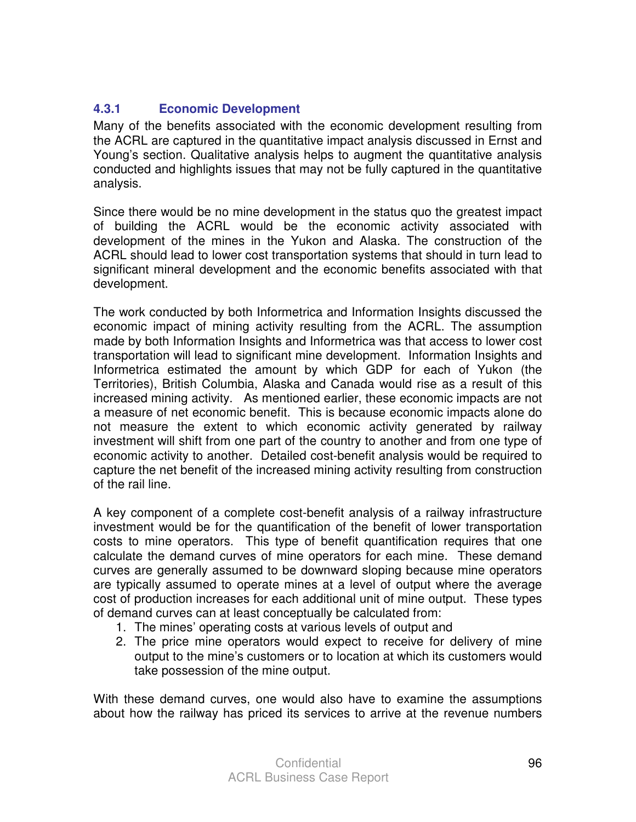## **4.3.1 Economic Development**

Many of the benefits associated with the economic development resulting from the ACRL are captured in the quantitative impact analysis discussed in Ernst and Young's section. Qualitative analysis helps to augment the quantitative analysis conducted and highlights issues that may not be fully captured in the quantitative analysis.

Since there would be no mine development in the status quo the greatest impact of building the ACRL would be the economic activity associated with development of the mines in the Yukon and Alaska. The construction of the ACRL should lead to lower cost transportation systems that should in turn lead to significant mineral development and the economic benefits associated with that development.

The work conducted by both Informetrica and Information Insights discussed the economic impact of mining activity resulting from the ACRL. The assumption made by both Information Insights and Informetrica was that access to lower cost transportation will lead to significant mine development. Information Insights and Informetrica estimated the amount by which GDP for each of Yukon (the Territories), British Columbia, Alaska and Canada would rise as a result of this increased mining activity. As mentioned earlier, these economic impacts are not a measure of net economic benefit. This is because economic impacts alone do not measure the extent to which economic activity generated by railway investment will shift from one part of the country to another and from one type of economic activity to another. Detailed cost-benefit analysis would be required to capture the net benefit of the increased mining activity resulting from construction of the rail line.

A key component of a complete cost-benefit analysis of a railway infrastructure investment would be for the quantification of the benefit of lower transportation costs to mine operators. This type of benefit quantification requires that one calculate the demand curves of mine operators for each mine. These demand curves are generally assumed to be downward sloping because mine operators are typically assumed to operate mines at a level of output where the average cost of production increases for each additional unit of mine output. These types of demand curves can at least conceptually be calculated from:

- 1. The mines' operating costs at various levels of output and
- 2. The price mine operators would expect to receive for delivery of mine output to the mine's customers or to location at which its customers would take possession of the mine output.

With these demand curves, one would also have to examine the assumptions about how the railway has priced its services to arrive at the revenue numbers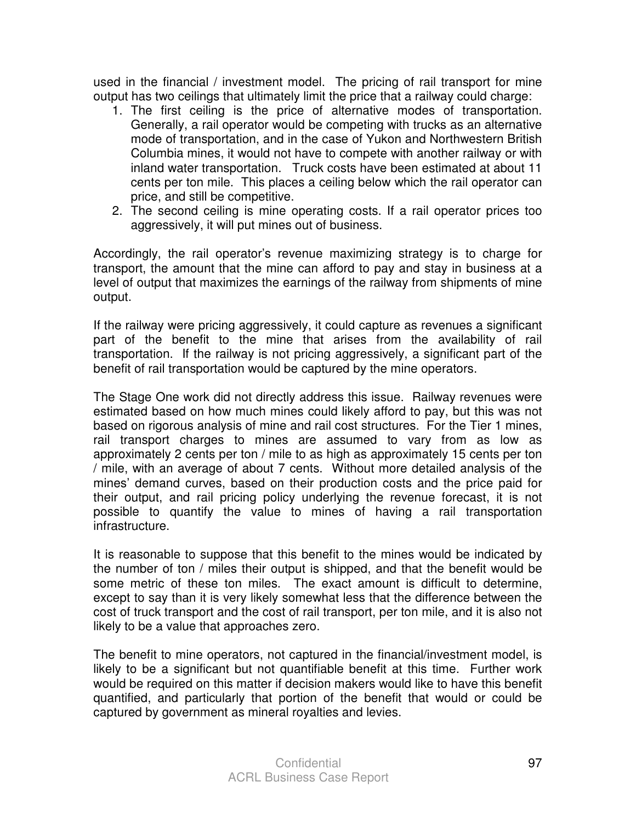used in the financial / investment model. The pricing of rail transport for mine output has two ceilings that ultimately limit the price that a railway could charge:

- 1. The first ceiling is the price of alternative modes of transportation. Generally, a rail operator would be competing with trucks as an alternative mode of transportation, and in the case of Yukon and Northwestern British Columbia mines, it would not have to compete with another railway or with inland water transportation. Truck costs have been estimated at about 11 cents per ton mile. This places a ceiling below which the rail operator can price, and still be competitive.
- 2. The second ceiling is mine operating costs. If a rail operator prices too aggressively, it will put mines out of business.

Accordingly, the rail operator's revenue maximizing strategy is to charge for transport, the amount that the mine can afford to pay and stay in business at a level of output that maximizes the earnings of the railway from shipments of mine output.

If the railway were pricing aggressively, it could capture as revenues a significant part of the benefit to the mine that arises from the availability of rail transportation. If the railway is not pricing aggressively, a significant part of the benefit of rail transportation would be captured by the mine operators.

The Stage One work did not directly address this issue. Railway revenues were estimated based on how much mines could likely afford to pay, but this was not based on rigorous analysis of mine and rail cost structures. For the Tier 1 mines, rail transport charges to mines are assumed to vary from as low as approximately 2 cents per ton / mile to as high as approximately 15 cents per ton / mile, with an average of about 7 cents. Without more detailed analysis of the mines' demand curves, based on their production costs and the price paid for their output, and rail pricing policy underlying the revenue forecast, it is not possible to quantify the value to mines of having a rail transportation infrastructure.

It is reasonable to suppose that this benefit to the mines would be indicated by the number of ton / miles their output is shipped, and that the benefit would be some metric of these ton miles. The exact amount is difficult to determine, except to say than it is very likely somewhat less that the difference between the cost of truck transport and the cost of rail transport, per ton mile, and it is also not likely to be a value that approaches zero.

The benefit to mine operators, not captured in the financial/investment model, is likely to be a significant but not quantifiable benefit at this time. Further work would be required on this matter if decision makers would like to have this benefit quantified, and particularly that portion of the benefit that would or could be captured by government as mineral royalties and levies.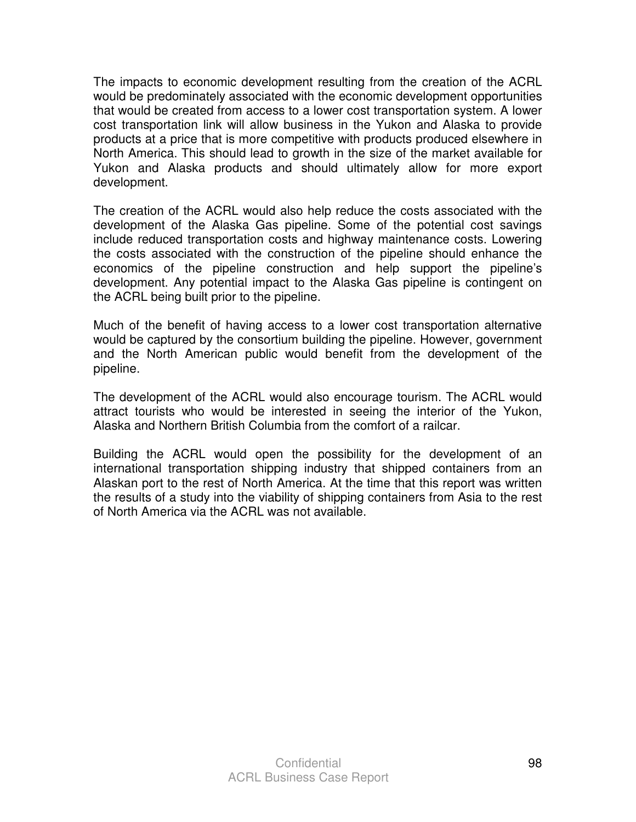The impacts to economic development resulting from the creation of the ACRL would be predominately associated with the economic development opportunities that would be created from access to a lower cost transportation system. A lower cost transportation link will allow business in the Yukon and Alaska to provide products at a price that is more competitive with products produced elsewhere in North America. This should lead to growth in the size of the market available for Yukon and Alaska products and should ultimately allow for more export development.

The creation of the ACRL would also help reduce the costs associated with the development of the Alaska Gas pipeline. Some of the potential cost savings include reduced transportation costs and highway maintenance costs. Lowering the costs associated with the construction of the pipeline should enhance the economics of the pipeline construction and help support the pipeline's development. Any potential impact to the Alaska Gas pipeline is contingent on the ACRL being built prior to the pipeline.

Much of the benefit of having access to a lower cost transportation alternative would be captured by the consortium building the pipeline. However, government and the North American public would benefit from the development of the pipeline.

The development of the ACRL would also encourage tourism. The ACRL would attract tourists who would be interested in seeing the interior of the Yukon, Alaska and Northern British Columbia from the comfort of a railcar.

Building the ACRL would open the possibility for the development of an international transportation shipping industry that shipped containers from an Alaskan port to the rest of North America. At the time that this report was written the results of a study into the viability of shipping containers from Asia to the rest of North America via the ACRL was not available.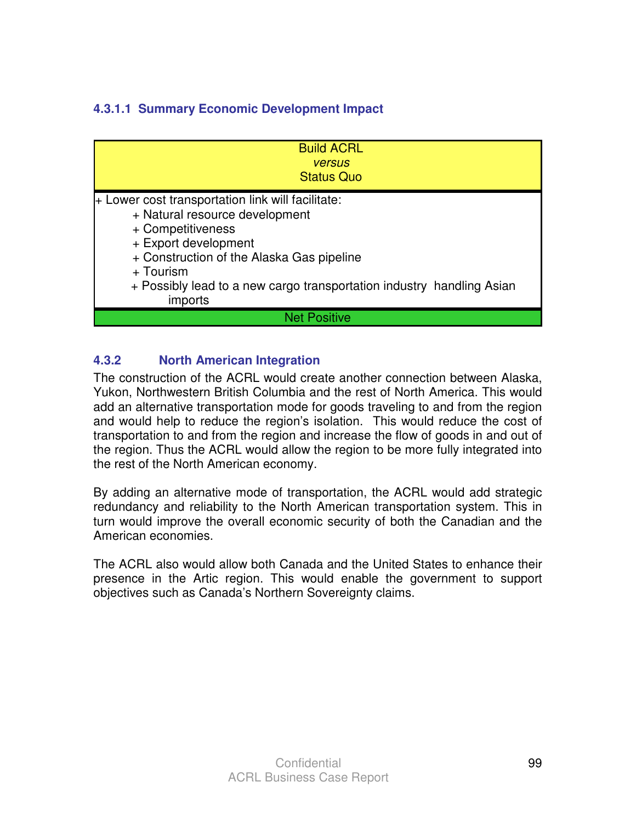# **4.3.1.1 Summary Economic Development Impact**

| <b>Build ACRL</b><br><b>versus</b><br><b>Status Quo</b>                                                                                                                                                                                                                        |
|--------------------------------------------------------------------------------------------------------------------------------------------------------------------------------------------------------------------------------------------------------------------------------|
| + Lower cost transportation link will facilitate:<br>+ Natural resource development<br>+ Competitiveness<br>+ Export development<br>+ Construction of the Alaska Gas pipeline<br>+ Tourism<br>+ Possibly lead to a new cargo transportation industry handling Asian<br>imports |
| <b>Net Positive</b>                                                                                                                                                                                                                                                            |

## **4.3.2 North American Integration**

The construction of the ACRL would create another connection between Alaska, Yukon, Northwestern British Columbia and the rest of North America. This would add an alternative transportation mode for goods traveling to and from the region and would help to reduce the region's isolation. This would reduce the cost of transportation to and from the region and increase the flow of goods in and out of the region. Thus the ACRL would allow the region to be more fully integrated into the rest of the North American economy.

By adding an alternative mode of transportation, the ACRL would add strategic redundancy and reliability to the North American transportation system. This in turn would improve the overall economic security of both the Canadian and the American economies.

The ACRL also would allow both Canada and the United States to enhance their presence in the Artic region. This would enable the government to support objectives such as Canada's Northern Sovereignty claims.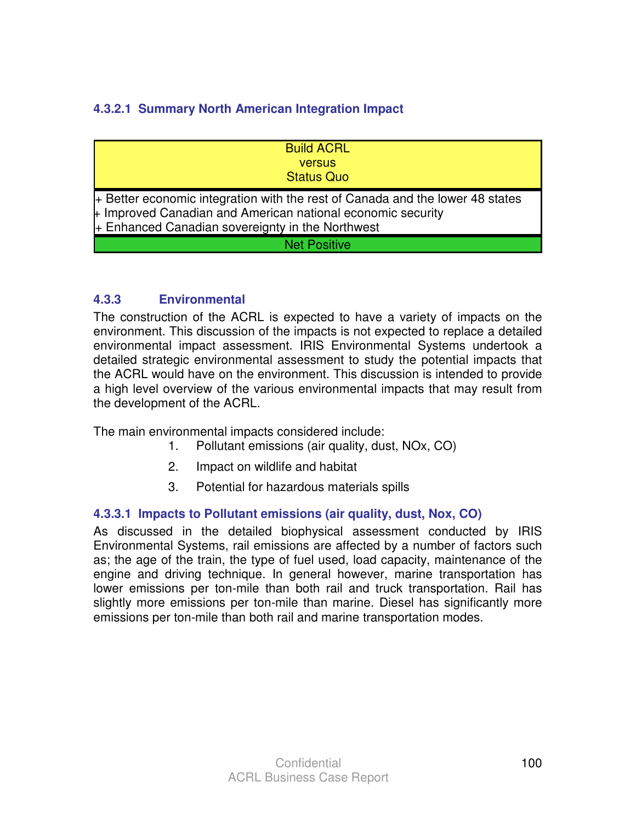# **4.3.2.1 Summary North American Integration Impact**

| <b>Build ACRL</b>                                                                                                                                                                                               |
|-----------------------------------------------------------------------------------------------------------------------------------------------------------------------------------------------------------------|
| <b>versus</b>                                                                                                                                                                                                   |
| <b>Status Quo</b>                                                                                                                                                                                               |
| + Better economic integration with the rest of Canada and the lower 48 states<br>$\,\,\textmd{I}$ Improved Canadian and American national economic security<br>+ Enhanced Canadian sovereignty in the Northwest |
| <b>Net Positive</b>                                                                                                                                                                                             |

#### **4.3.3 Environmental**

The construction of the ACRL is expected to have a variety of impacts on the environment. This discussion of the impacts is not expected to replace a detailed environmental impact assessment. IRIS Environmental Systems undertook a detailed strategic environmental assessment to study the potential impacts that the ACRL would have on the environment. This discussion is intended to provide a high level overview of the various environmental impacts that may result from the development of the ACRL.

The main environmental impacts considered include:

- 1. Pollutant emissions (air quality, dust, NOx, CO)
- 2. Impact on wildlife and habitat
- 3. Potential for hazardous materials spills

## **4.3.3.1 Impacts to Pollutant emissions (air quality, dust, Nox, CO)**

As discussed in the detailed biophysical assessment conducted by IRIS Environmental Systems, rail emissions are affected by a number of factors such as; the age of the train, the type of fuel used, load capacity, maintenance of the engine and driving technique. In general however, marine transportation has lower emissions per ton-mile than both rail and truck transportation. Rail has slightly more emissions per ton-mile than marine. Diesel has significantly more emissions per ton-mile than both rail and marine transportation modes.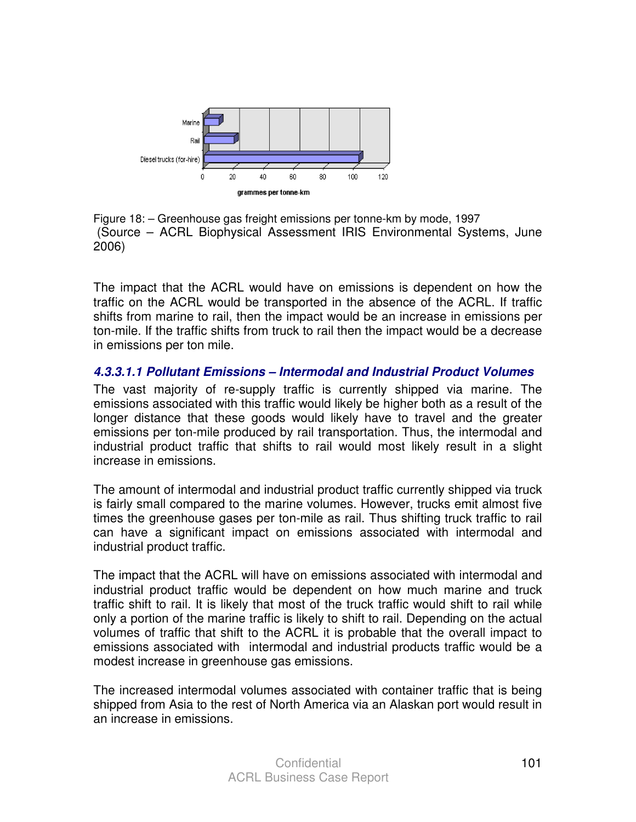

Figure 18: – Greenhouse gas freight emissions per tonne-km by mode, 1997 (Source – ACRL Biophysical Assessment IRIS Environmental Systems, June 2006)

The impact that the ACRL would have on emissions is dependent on how the traffic on the ACRL would be transported in the absence of the ACRL. If traffic shifts from marine to rail, then the impact would be an increase in emissions per ton-mile. If the traffic shifts from truck to rail then the impact would be a decrease in emissions per ton mile.

#### **4.3.3.1.1 Pollutant Emissions – Intermodal and Industrial Product Volumes**

The vast majority of re-supply traffic is currently shipped via marine. The emissions associated with this traffic would likely be higher both as a result of the longer distance that these goods would likely have to travel and the greater emissions per ton-mile produced by rail transportation. Thus, the intermodal and industrial product traffic that shifts to rail would most likely result in a slight increase in emissions.

The amount of intermodal and industrial product traffic currently shipped via truck is fairly small compared to the marine volumes. However, trucks emit almost five times the greenhouse gases per ton-mile as rail. Thus shifting truck traffic to rail can have a significant impact on emissions associated with intermodal and industrial product traffic.

The impact that the ACRL will have on emissions associated with intermodal and industrial product traffic would be dependent on how much marine and truck traffic shift to rail. It is likely that most of the truck traffic would shift to rail while only a portion of the marine traffic is likely to shift to rail. Depending on the actual volumes of traffic that shift to the ACRL it is probable that the overall impact to emissions associated with intermodal and industrial products traffic would be a modest increase in greenhouse gas emissions.

The increased intermodal volumes associated with container traffic that is being shipped from Asia to the rest of North America via an Alaskan port would result in an increase in emissions.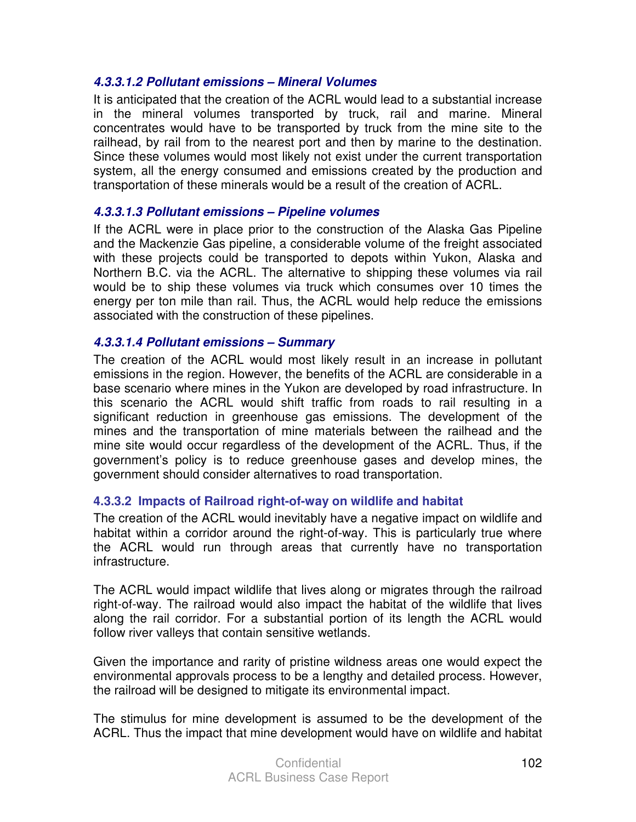#### **4.3.3.1.2 Pollutant emissions – Mineral Volumes**

It is anticipated that the creation of the ACRL would lead to a substantial increase in the mineral volumes transported by truck, rail and marine. Mineral concentrates would have to be transported by truck from the mine site to the railhead, by rail from to the nearest port and then by marine to the destination. Since these volumes would most likely not exist under the current transportation system, all the energy consumed and emissions created by the production and transportation of these minerals would be a result of the creation of ACRL.

#### **4.3.3.1.3 Pollutant emissions – Pipeline volumes**

If the ACRL were in place prior to the construction of the Alaska Gas Pipeline and the Mackenzie Gas pipeline, a considerable volume of the freight associated with these projects could be transported to depots within Yukon, Alaska and Northern B.C. via the ACRL. The alternative to shipping these volumes via rail would be to ship these volumes via truck which consumes over 10 times the energy per ton mile than rail. Thus, the ACRL would help reduce the emissions associated with the construction of these pipelines.

#### **4.3.3.1.4 Pollutant emissions – Summary**

The creation of the ACRL would most likely result in an increase in pollutant emissions in the region. However, the benefits of the ACRL are considerable in a base scenario where mines in the Yukon are developed by road infrastructure. In this scenario the ACRL would shift traffic from roads to rail resulting in a significant reduction in greenhouse gas emissions. The development of the mines and the transportation of mine materials between the railhead and the mine site would occur regardless of the development of the ACRL. Thus, if the government's policy is to reduce greenhouse gases and develop mines, the government should consider alternatives to road transportation.

## **4.3.3.2 Impacts of Railroad right-of-way on wildlife and habitat**

The creation of the ACRL would inevitably have a negative impact on wildlife and habitat within a corridor around the right-of-way. This is particularly true where the ACRL would run through areas that currently have no transportation infrastructure.

The ACRL would impact wildlife that lives along or migrates through the railroad right-of-way. The railroad would also impact the habitat of the wildlife that lives along the rail corridor. For a substantial portion of its length the ACRL would follow river valleys that contain sensitive wetlands.

Given the importance and rarity of pristine wildness areas one would expect the environmental approvals process to be a lengthy and detailed process. However, the railroad will be designed to mitigate its environmental impact.

The stimulus for mine development is assumed to be the development of the ACRL. Thus the impact that mine development would have on wildlife and habitat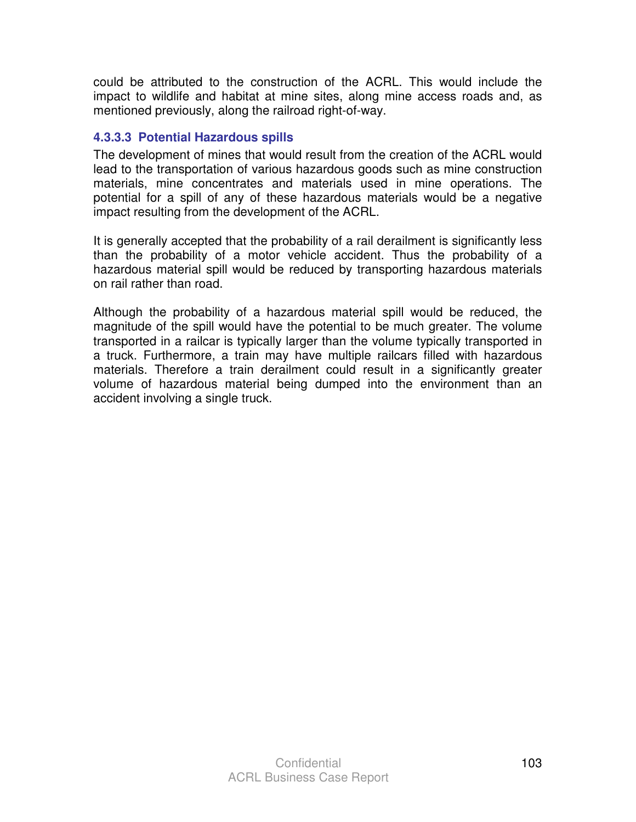could be attributed to the construction of the ACRL. This would include the impact to wildlife and habitat at mine sites, along mine access roads and, as mentioned previously, along the railroad right-of-way.

#### **4.3.3.3 Potential Hazardous spills**

The development of mines that would result from the creation of the ACRL would lead to the transportation of various hazardous goods such as mine construction materials, mine concentrates and materials used in mine operations. The potential for a spill of any of these hazardous materials would be a negative impact resulting from the development of the ACRL.

It is generally accepted that the probability of a rail derailment is significantly less than the probability of a motor vehicle accident. Thus the probability of a hazardous material spill would be reduced by transporting hazardous materials on rail rather than road.

Although the probability of a hazardous material spill would be reduced, the magnitude of the spill would have the potential to be much greater. The volume transported in a railcar is typically larger than the volume typically transported in a truck. Furthermore, a train may have multiple railcars filled with hazardous materials. Therefore a train derailment could result in a significantly greater volume of hazardous material being dumped into the environment than an accident involving a single truck.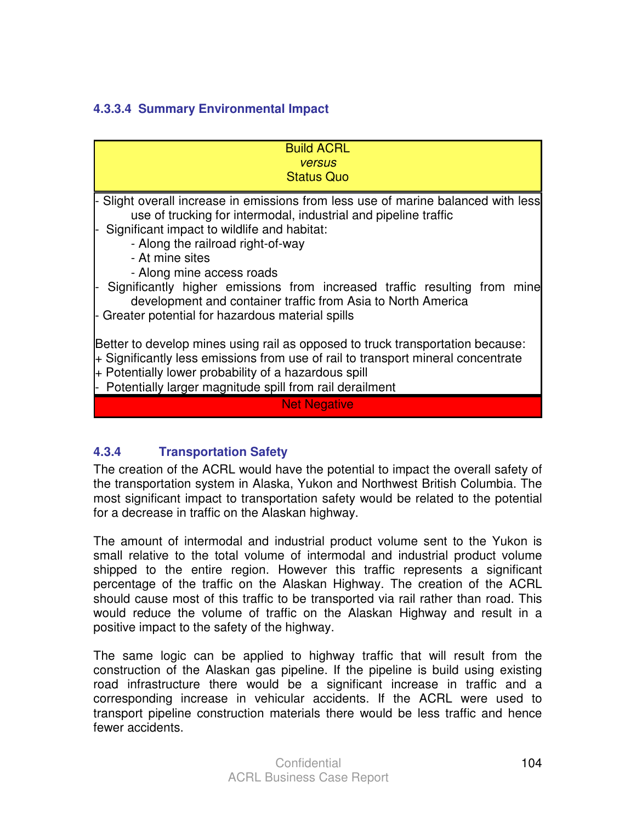## **4.3.3.4 Summary Environmental Impact**

| - Slight overall increase in emissions from less use of marine balanced with less<br>use of trucking for intermodal, industrial and pipeline traffic<br>- Along the railroad right-of-way<br>- At mine sites<br>- Along mine access roads<br>development and container traffic from Asia to North America | <b>Build ACRL</b><br><b>versus</b><br><b>Status Quo</b>                                                                                                                           |
|-----------------------------------------------------------------------------------------------------------------------------------------------------------------------------------------------------------------------------------------------------------------------------------------------------------|-----------------------------------------------------------------------------------------------------------------------------------------------------------------------------------|
| Better to develop mines using rail as opposed to truck transportation because:<br>+ Significantly less emissions from use of rail to transport mineral concentrate<br>+ Potentially lower probability of a hazardous spill<br>- Potentially larger magnitude spill from rail derailment                   | - Significant impact to wildlife and habitat:<br>- Significantly higher emissions from increased traffic resulting from mine<br>- Greater potential for hazardous material spills |
|                                                                                                                                                                                                                                                                                                           |                                                                                                                                                                                   |
|                                                                                                                                                                                                                                                                                                           | <b>Net Negative</b>                                                                                                                                                               |

# **4.3.4 Transportation Safety**

The creation of the ACRL would have the potential to impact the overall safety of the transportation system in Alaska, Yukon and Northwest British Columbia. The most significant impact to transportation safety would be related to the potential for a decrease in traffic on the Alaskan highway.

The amount of intermodal and industrial product volume sent to the Yukon is small relative to the total volume of intermodal and industrial product volume shipped to the entire region. However this traffic represents a significant percentage of the traffic on the Alaskan Highway. The creation of the ACRL should cause most of this traffic to be transported via rail rather than road. This would reduce the volume of traffic on the Alaskan Highway and result in a positive impact to the safety of the highway.

The same logic can be applied to highway traffic that will result from the construction of the Alaskan gas pipeline. If the pipeline is build using existing road infrastructure there would be a significant increase in traffic and a corresponding increase in vehicular accidents. If the ACRL were used to transport pipeline construction materials there would be less traffic and hence fewer accidents.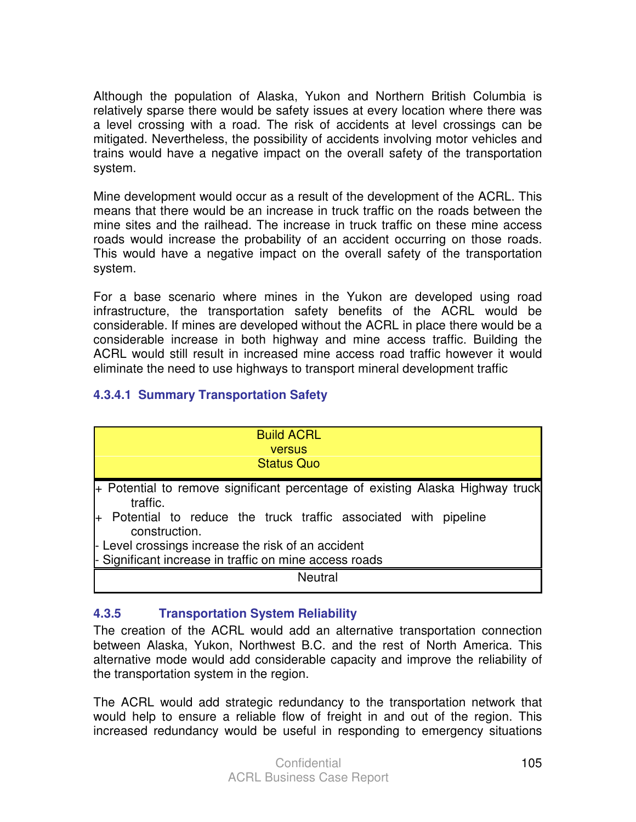Although the population of Alaska, Yukon and Northern British Columbia is relatively sparse there would be safety issues at every location where there was a level crossing with a road. The risk of accidents at level crossings can be mitigated. Nevertheless, the possibility of accidents involving motor vehicles and trains would have a negative impact on the overall safety of the transportation system.

Mine development would occur as a result of the development of the ACRL. This means that there would be an increase in truck traffic on the roads between the mine sites and the railhead. The increase in truck traffic on these mine access roads would increase the probability of an accident occurring on those roads. This would have a negative impact on the overall safety of the transportation system.

For a base scenario where mines in the Yukon are developed using road infrastructure, the transportation safety benefits of the ACRL would be considerable. If mines are developed without the ACRL in place there would be a considerable increase in both highway and mine access traffic. Building the ACRL would still result in increased mine access road traffic however it would eliminate the need to use highways to transport mineral development traffic

## **4.3.4.1 Summary Transportation Safety**

| <b>Build ACRL</b><br><b>versus</b><br><b>Status Quo</b>                                                                                                                        |
|--------------------------------------------------------------------------------------------------------------------------------------------------------------------------------|
| + Potential to remove significant percentage of existing Alaska Highway truck<br>traffic.<br>+ Potential to reduce the truck traffic associated with pipeline<br>construction. |
| - Level crossings increase the risk of an accident<br>- Significant increase in traffic on mine access roads                                                                   |
| <b>Neutral</b>                                                                                                                                                                 |

## **4.3.5 Transportation System Reliability**

The creation of the ACRL would add an alternative transportation connection between Alaska, Yukon, Northwest B.C. and the rest of North America. This alternative mode would add considerable capacity and improve the reliability of the transportation system in the region.

The ACRL would add strategic redundancy to the transportation network that would help to ensure a reliable flow of freight in and out of the region. This increased redundancy would be useful in responding to emergency situations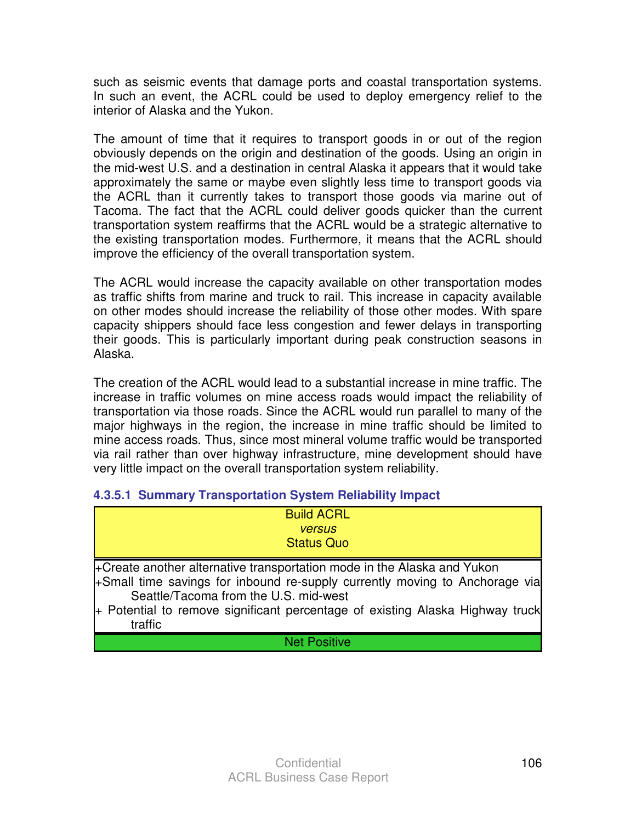such as seismic events that damage ports and coastal transportation systems. In such an event, the ACRL could be used to deploy emergency relief to the interior of Alaska and the Yukon.

The amount of time that it requires to transport goods in or out of the region obviously depends on the origin and destination of the goods. Using an origin in the mid-west U.S. and a destination in central Alaska it appears that it would take approximately the same or maybe even slightly less time to transport goods via the ACRL than it currently takes to transport those goods via marine out of Tacoma. The fact that the ACRL could deliver goods quicker than the current transportation system reaffirms that the ACRL would be a strategic alternative to the existing transportation modes. Furthermore, it means that the ACRL should improve the efficiency of the overall transportation system.

The ACRL would increase the capacity available on other transportation modes as traffic shifts from marine and truck to rail. This increase in capacity available on other modes should increase the reliability of those other modes. With spare capacity shippers should face less congestion and fewer delays in transporting their goods. This is particularly important during peak construction seasons in Alaska.

The creation of the ACRL would lead to a substantial increase in mine traffic. The increase in traffic volumes on mine access roads would impact the reliability of transportation via those roads. Since the ACRL would run parallel to many of the major highways in the region, the increase in mine traffic should be limited to mine access roads. Thus, since most mineral volume traffic would be transported via rail rather than over highway infrastructure, mine development should have very little impact on the overall transportation system reliability.

## **4.3.5.1 Summary Transportation System Reliability Impact**

| <b>Build ACRL</b><br><b>versus</b><br><b>Status Quo</b>                                                                                                                                                                                                                                     |
|---------------------------------------------------------------------------------------------------------------------------------------------------------------------------------------------------------------------------------------------------------------------------------------------|
| +Create another alternative transportation mode in the Alaska and Yukon<br>+Small time savings for inbound re-supply currently moving to Anchorage via<br>Seattle/Tacoma from the U.S. mid-west<br>+ Potential to remove significant percentage of existing Alaska Highway truck<br>traffic |
| <b>Net Positive</b>                                                                                                                                                                                                                                                                         |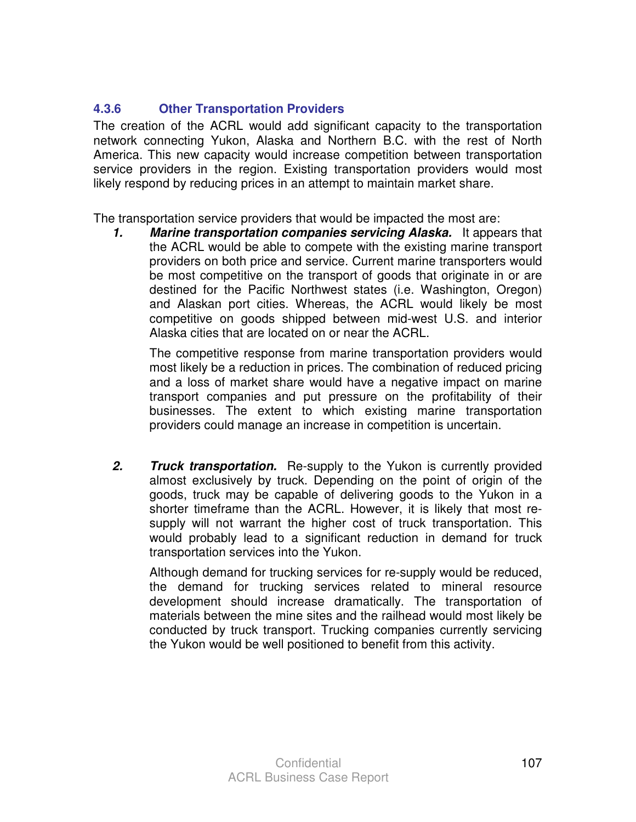## **4.3.6 Other Transportation Providers**

The creation of the ACRL would add significant capacity to the transportation network connecting Yukon, Alaska and Northern B.C. with the rest of North America. This new capacity would increase competition between transportation service providers in the region. Existing transportation providers would most likely respond by reducing prices in an attempt to maintain market share.

The transportation service providers that would be impacted the most are:

**1. Marine transportation companies servicing Alaska.** It appears that the ACRL would be able to compete with the existing marine transport providers on both price and service. Current marine transporters would be most competitive on the transport of goods that originate in or are destined for the Pacific Northwest states (i.e. Washington, Oregon) and Alaskan port cities. Whereas, the ACRL would likely be most competitive on goods shipped between mid-west U.S. and interior Alaska cities that are located on or near the ACRL.

 The competitive response from marine transportation providers would most likely be a reduction in prices. The combination of reduced pricing and a loss of market share would have a negative impact on marine transport companies and put pressure on the profitability of their businesses. The extent to which existing marine transportation providers could manage an increase in competition is uncertain.

**2. Truck transportation.** Re-supply to the Yukon is currently provided almost exclusively by truck. Depending on the point of origin of the goods, truck may be capable of delivering goods to the Yukon in a shorter timeframe than the ACRL. However, it is likely that most resupply will not warrant the higher cost of truck transportation. This would probably lead to a significant reduction in demand for truck transportation services into the Yukon.

 Although demand for trucking services for re-supply would be reduced, the demand for trucking services related to mineral resource development should increase dramatically. The transportation of materials between the mine sites and the railhead would most likely be conducted by truck transport. Trucking companies currently servicing the Yukon would be well positioned to benefit from this activity.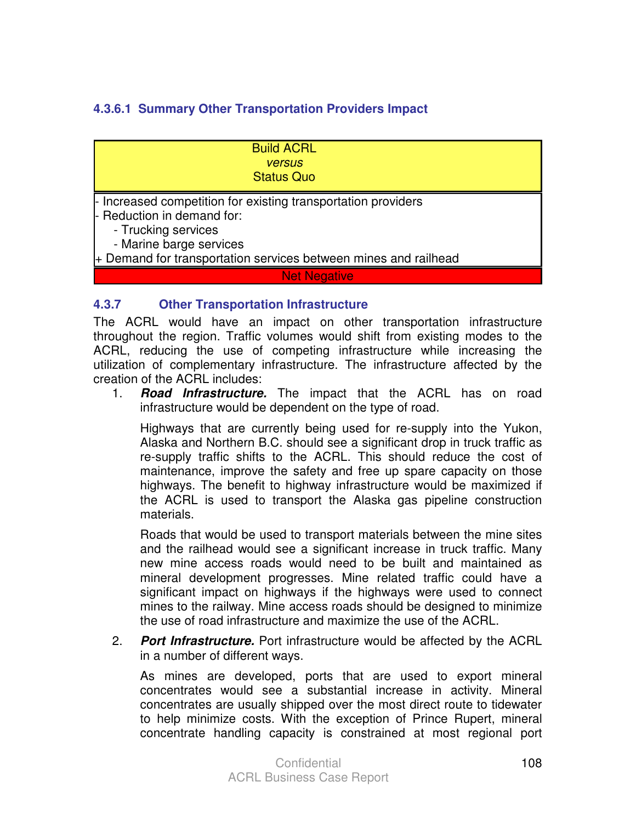## **4.3.6.1 Summary Other Transportation Providers Impact**

Build ACRL versus Status Quo

Increased competition for existing transportation providers Reduction in demand for:

- Trucking services

- Marine barge services

+ Demand for transportation services between mines and railhead

**Net Negative** 

#### **4.3.7 Other Transportation Infrastructure**

The ACRL would have an impact on other transportation infrastructure throughout the region. Traffic volumes would shift from existing modes to the ACRL, reducing the use of competing infrastructure while increasing the utilization of complementary infrastructure. The infrastructure affected by the creation of the ACRL includes:

1. **Road Infrastructure.** The impact that the ACRL has on road infrastructure would be dependent on the type of road.

 Highways that are currently being used for re-supply into the Yukon, Alaska and Northern B.C. should see a significant drop in truck traffic as re-supply traffic shifts to the ACRL. This should reduce the cost of maintenance, improve the safety and free up spare capacity on those highways. The benefit to highway infrastructure would be maximized if the ACRL is used to transport the Alaska gas pipeline construction materials.

 Roads that would be used to transport materials between the mine sites and the railhead would see a significant increase in truck traffic. Many new mine access roads would need to be built and maintained as mineral development progresses. Mine related traffic could have a significant impact on highways if the highways were used to connect mines to the railway. Mine access roads should be designed to minimize the use of road infrastructure and maximize the use of the ACRL.

2. **Port Infrastructure.** Port infrastructure would be affected by the ACRL in a number of different ways.

 As mines are developed, ports that are used to export mineral concentrates would see a substantial increase in activity. Mineral concentrates are usually shipped over the most direct route to tidewater to help minimize costs. With the exception of Prince Rupert, mineral concentrate handling capacity is constrained at most regional port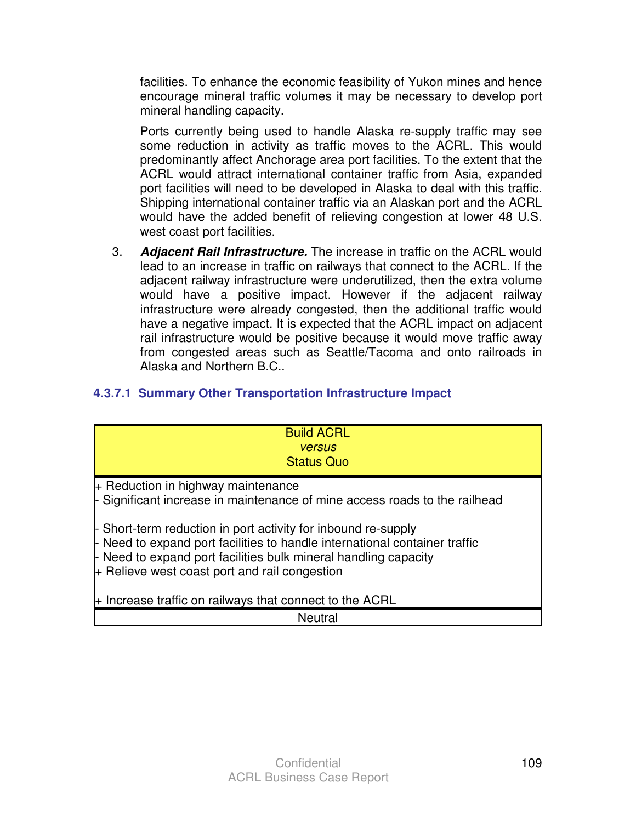facilities. To enhance the economic feasibility of Yukon mines and hence encourage mineral traffic volumes it may be necessary to develop port mineral handling capacity.

 Ports currently being used to handle Alaska re-supply traffic may see some reduction in activity as traffic moves to the ACRL. This would predominantly affect Anchorage area port facilities. To the extent that the ACRL would attract international container traffic from Asia, expanded port facilities will need to be developed in Alaska to deal with this traffic. Shipping international container traffic via an Alaskan port and the ACRL would have the added benefit of relieving congestion at lower 48 U.S. west coast port facilities.

3. **Adjacent Rail Infrastructure.** The increase in traffic on the ACRL would lead to an increase in traffic on railways that connect to the ACRL. If the adjacent railway infrastructure were underutilized, then the extra volume would have a positive impact. However if the adjacent railway infrastructure were already congested, then the additional traffic would have a negative impact. It is expected that the ACRL impact on adjacent rail infrastructure would be positive because it would move traffic away from congested areas such as Seattle/Tacoma and onto railroads in Alaska and Northern B.C..

# **4.3.7.1 Summary Other Transportation Infrastructure Impact**

| <b>Build ACRL</b><br><b>versus</b>                                                                                                                                                                                                                                |
|-------------------------------------------------------------------------------------------------------------------------------------------------------------------------------------------------------------------------------------------------------------------|
| <b>Status Quo</b>                                                                                                                                                                                                                                                 |
| + Reduction in highway maintenance<br>- Significant increase in maintenance of mine access roads to the railhead                                                                                                                                                  |
| - Short-term reduction in port activity for inbound re-supply<br>- Need to expand port facilities to handle international container traffic<br>- Need to expand port facilities bulk mineral handling capacity<br>$+$ Relieve west coast port and rail congestion |
| + Increase traffic on railways that connect to the ACRL                                                                                                                                                                                                           |
| <b>Neutral</b>                                                                                                                                                                                                                                                    |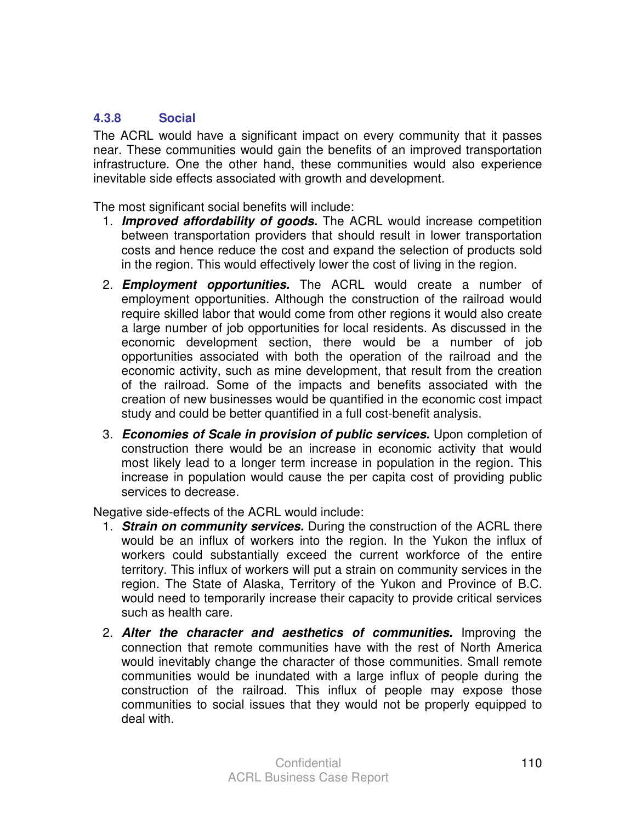#### **4.3.8 Social**

The ACRL would have a significant impact on every community that it passes near. These communities would gain the benefits of an improved transportation infrastructure. One the other hand, these communities would also experience inevitable side effects associated with growth and development.

The most significant social benefits will include:

- 1. **Improved affordability of goods.** The ACRL would increase competition between transportation providers that should result in lower transportation costs and hence reduce the cost and expand the selection of products sold in the region. This would effectively lower the cost of living in the region.
- 2. **Employment opportunities.** The ACRL would create a number of employment opportunities. Although the construction of the railroad would require skilled labor that would come from other regions it would also create a large number of job opportunities for local residents. As discussed in the economic development section, there would be a number of job opportunities associated with both the operation of the railroad and the economic activity, such as mine development, that result from the creation of the railroad. Some of the impacts and benefits associated with the creation of new businesses would be quantified in the economic cost impact study and could be better quantified in a full cost-benefit analysis.
- 3. **Economies of Scale in provision of public services.** Upon completion of construction there would be an increase in economic activity that would most likely lead to a longer term increase in population in the region. This increase in population would cause the per capita cost of providing public services to decrease.

Negative side-effects of the ACRL would include:

- 1. **Strain on community services.** During the construction of the ACRL there would be an influx of workers into the region. In the Yukon the influx of workers could substantially exceed the current workforce of the entire territory. This influx of workers will put a strain on community services in the region. The State of Alaska, Territory of the Yukon and Province of B.C. would need to temporarily increase their capacity to provide critical services such as health care.
- 2. **Alter the character and aesthetics of communities.** Improving the connection that remote communities have with the rest of North America would inevitably change the character of those communities. Small remote communities would be inundated with a large influx of people during the construction of the railroad. This influx of people may expose those communities to social issues that they would not be properly equipped to deal with.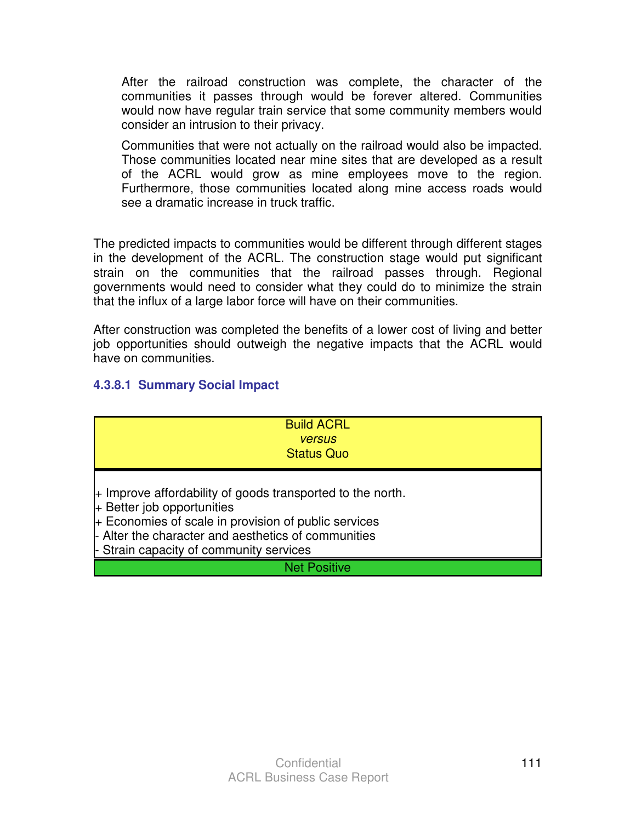After the railroad construction was complete, the character of the communities it passes through would be forever altered. Communities would now have regular train service that some community members would consider an intrusion to their privacy.

 Communities that were not actually on the railroad would also be impacted. Those communities located near mine sites that are developed as a result of the ACRL would grow as mine employees move to the region. Furthermore, those communities located along mine access roads would see a dramatic increase in truck traffic.

The predicted impacts to communities would be different through different stages in the development of the ACRL. The construction stage would put significant strain on the communities that the railroad passes through. Regional governments would need to consider what they could do to minimize the strain that the influx of a large labor force will have on their communities.

After construction was completed the benefits of a lower cost of living and better job opportunities should outweigh the negative impacts that the ACRL would have on communities.

## **4.3.8.1 Summary Social Impact**

| <b>Build ACRL</b><br><b>versus</b><br><b>Status Quo</b>                                                                                                                                                                                              |
|------------------------------------------------------------------------------------------------------------------------------------------------------------------------------------------------------------------------------------------------------|
| + Improve affordability of goods transported to the north.<br>$+$ Better job opportunities<br>+ Economies of scale in provision of public services<br>- Alter the character and aesthetics of communities<br>- Strain capacity of community services |
| <b>Net Positive</b>                                                                                                                                                                                                                                  |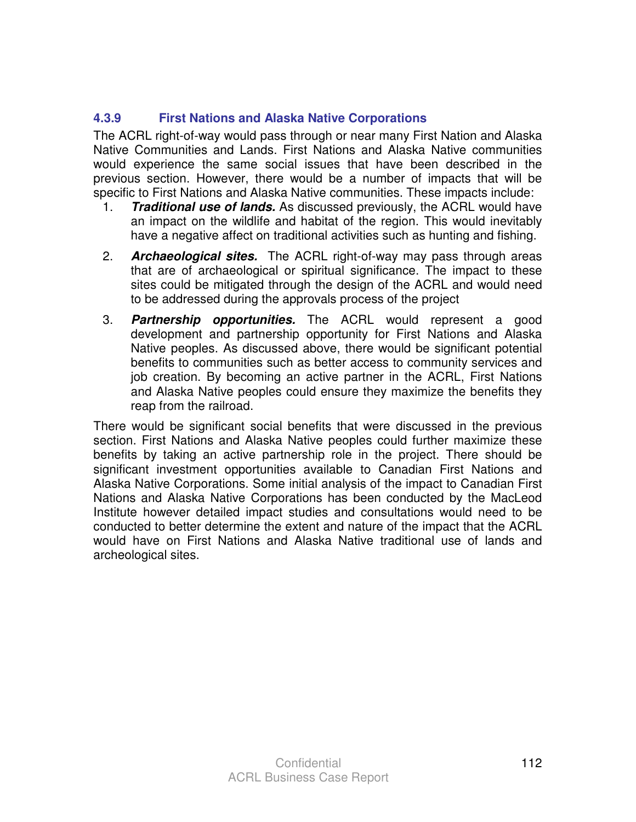## **4.3.9 First Nations and Alaska Native Corporations**

The ACRL right-of-way would pass through or near many First Nation and Alaska Native Communities and Lands. First Nations and Alaska Native communities would experience the same social issues that have been described in the previous section. However, there would be a number of impacts that will be specific to First Nations and Alaska Native communities. These impacts include:

- 1. **Traditional use of lands.** As discussed previously, the ACRL would have an impact on the wildlife and habitat of the region. This would inevitably have a negative affect on traditional activities such as hunting and fishing.
- 2. **Archaeological sites.** The ACRL right-of-way may pass through areas that are of archaeological or spiritual significance. The impact to these sites could be mitigated through the design of the ACRL and would need to be addressed during the approvals process of the project
- 3. **Partnership opportunities.** The ACRL would represent a good development and partnership opportunity for First Nations and Alaska Native peoples. As discussed above, there would be significant potential benefits to communities such as better access to community services and job creation. By becoming an active partner in the ACRL, First Nations and Alaska Native peoples could ensure they maximize the benefits they reap from the railroad.

There would be significant social benefits that were discussed in the previous section. First Nations and Alaska Native peoples could further maximize these benefits by taking an active partnership role in the project. There should be significant investment opportunities available to Canadian First Nations and Alaska Native Corporations. Some initial analysis of the impact to Canadian First Nations and Alaska Native Corporations has been conducted by the MacLeod Institute however detailed impact studies and consultations would need to be conducted to better determine the extent and nature of the impact that the ACRL would have on First Nations and Alaska Native traditional use of lands and archeological sites.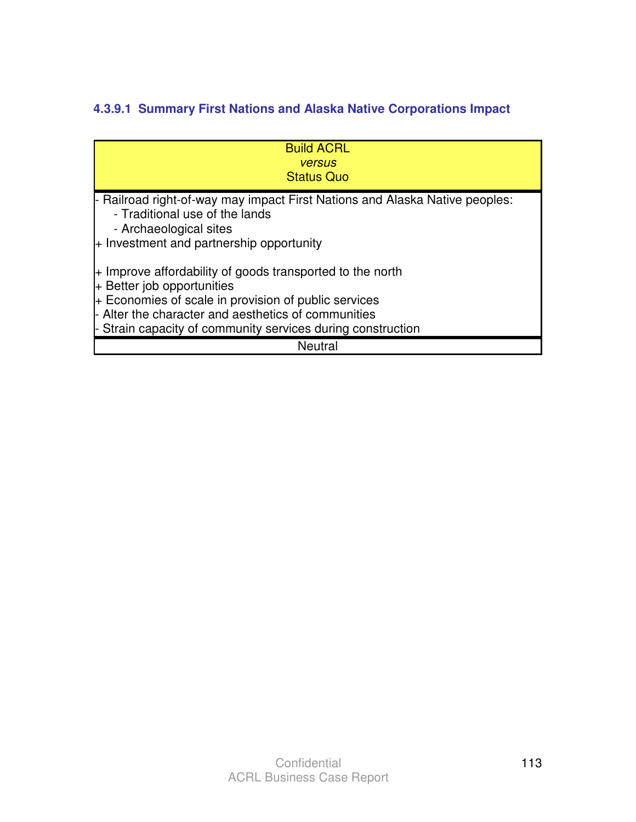# **4.3.9.1 Summary First Nations and Alaska Native Corporations Impact**

| <b>Build ACRL</b><br><b>versus</b><br><b>Status Quo</b>                                                                                                                                                                                                                 |
|-------------------------------------------------------------------------------------------------------------------------------------------------------------------------------------------------------------------------------------------------------------------------|
| - Railroad right-of-way may impact First Nations and Alaska Native peoples:<br>- Traditional use of the lands<br>- Archaeological sites<br>$+$ Investment and partnership opportunity                                                                                   |
| + Improve affordability of goods transported to the north<br>$+$ Better job opportunities<br>+ Economies of scale in provision of public services<br>- Alter the character and aesthetics of communities<br>- Strain capacity of community services during construction |
| <b>Neutral</b>                                                                                                                                                                                                                                                          |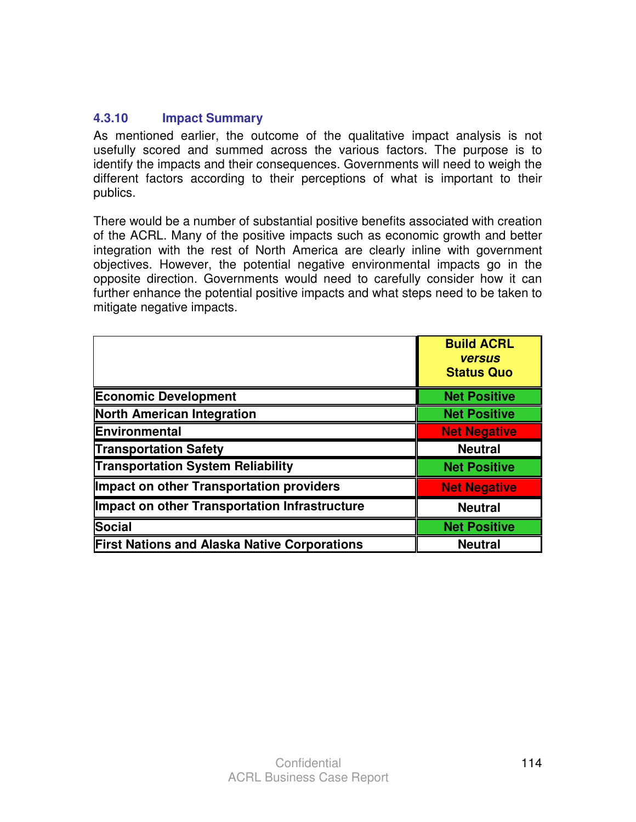#### **4.3.10 Impact Summary**

As mentioned earlier, the outcome of the qualitative impact analysis is not usefully scored and summed across the various factors. The purpose is to identify the impacts and their consequences. Governments will need to weigh the different factors according to their perceptions of what is important to their publics.

There would be a number of substantial positive benefits associated with creation of the ACRL. Many of the positive impacts such as economic growth and better integration with the rest of North America are clearly inline with government objectives. However, the potential negative environmental impacts go in the opposite direction. Governments would need to carefully consider how it can further enhance the potential positive impacts and what steps need to be taken to mitigate negative impacts.

|                                                     | <b>Build ACRL</b><br><b>versus</b><br><b>Status Quo</b> |
|-----------------------------------------------------|---------------------------------------------------------|
| <b>Economic Development</b>                         | <b>Net Positive</b>                                     |
| <b>North American Integration</b>                   | <b>Net Positive</b>                                     |
| Environmental                                       | <b>Net Negative</b>                                     |
| <b>Transportation Safety</b>                        | <b>Neutral</b>                                          |
| <b>Transportation System Reliability</b>            | <b>Net Positive</b>                                     |
| Impact on other Transportation providers            | <b>Net Negative</b>                                     |
| Impact on other Transportation Infrastructure       | <b>Neutral</b>                                          |
| <b>Social</b>                                       | <b>Net Positive</b>                                     |
| <b>First Nations and Alaska Native Corporations</b> | <b>Neutral</b>                                          |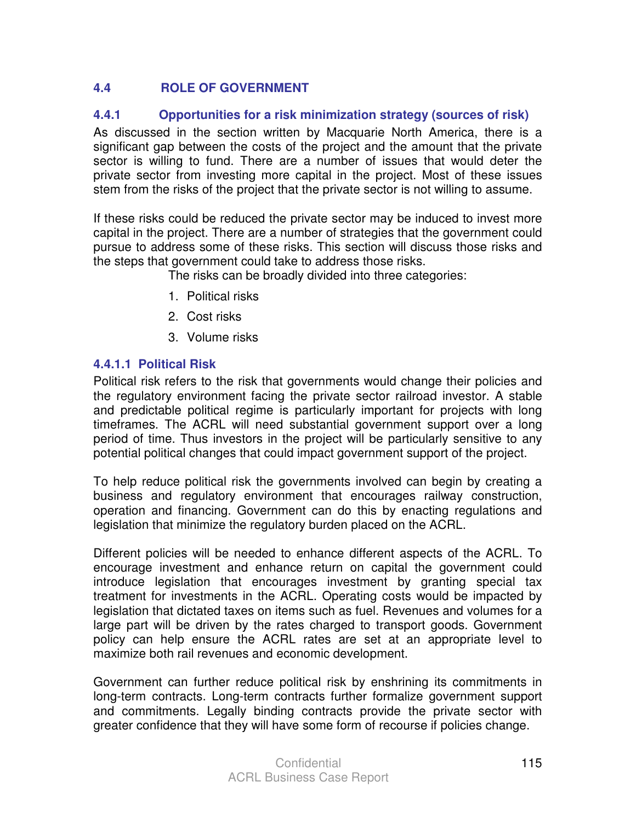# **4.4 ROLE OF GOVERNMENT**

## **4.4.1 Opportunities for a risk minimization strategy (sources of risk)**

As discussed in the section written by Macquarie North America, there is a significant gap between the costs of the project and the amount that the private sector is willing to fund. There are a number of issues that would deter the private sector from investing more capital in the project. Most of these issues stem from the risks of the project that the private sector is not willing to assume.

If these risks could be reduced the private sector may be induced to invest more capital in the project. There are a number of strategies that the government could pursue to address some of these risks. This section will discuss those risks and the steps that government could take to address those risks.

The risks can be broadly divided into three categories:

- 1. Political risks
- 2. Cost risks
- 3. Volume risks

#### **4.4.1.1 Political Risk**

Political risk refers to the risk that governments would change their policies and the regulatory environment facing the private sector railroad investor. A stable and predictable political regime is particularly important for projects with long timeframes. The ACRL will need substantial government support over a long period of time. Thus investors in the project will be particularly sensitive to any potential political changes that could impact government support of the project.

To help reduce political risk the governments involved can begin by creating a business and regulatory environment that encourages railway construction, operation and financing. Government can do this by enacting regulations and legislation that minimize the regulatory burden placed on the ACRL.

Different policies will be needed to enhance different aspects of the ACRL. To encourage investment and enhance return on capital the government could introduce legislation that encourages investment by granting special tax treatment for investments in the ACRL. Operating costs would be impacted by legislation that dictated taxes on items such as fuel. Revenues and volumes for a large part will be driven by the rates charged to transport goods. Government policy can help ensure the ACRL rates are set at an appropriate level to maximize both rail revenues and economic development.

Government can further reduce political risk by enshrining its commitments in long-term contracts. Long-term contracts further formalize government support and commitments. Legally binding contracts provide the private sector with greater confidence that they will have some form of recourse if policies change.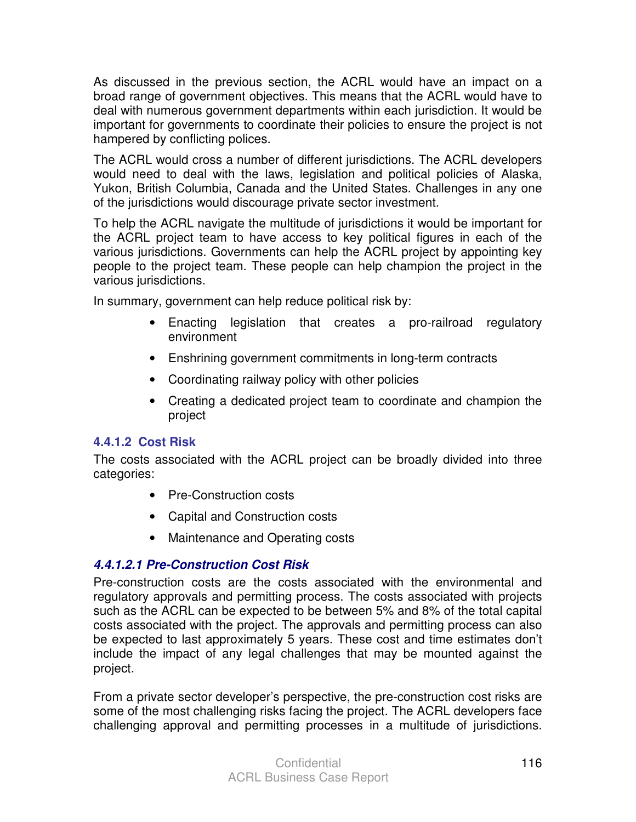As discussed in the previous section, the ACRL would have an impact on a broad range of government objectives. This means that the ACRL would have to deal with numerous government departments within each jurisdiction. It would be important for governments to coordinate their policies to ensure the project is not hampered by conflicting polices.

The ACRL would cross a number of different jurisdictions. The ACRL developers would need to deal with the laws, legislation and political policies of Alaska, Yukon, British Columbia, Canada and the United States. Challenges in any one of the jurisdictions would discourage private sector investment.

To help the ACRL navigate the multitude of jurisdictions it would be important for the ACRL project team to have access to key political figures in each of the various jurisdictions. Governments can help the ACRL project by appointing key people to the project team. These people can help champion the project in the various jurisdictions.

In summary, government can help reduce political risk by:

- Enacting legislation that creates a pro-railroad regulatory environment
- Enshrining government commitments in long-term contracts
- Coordinating railway policy with other policies
- Creating a dedicated project team to coordinate and champion the project

#### **4.4.1.2 Cost Risk**

The costs associated with the ACRL project can be broadly divided into three categories:

- Pre-Construction costs
- Capital and Construction costs
- Maintenance and Operating costs

# **4.4.1.2.1 Pre-Construction Cost Risk**

Pre-construction costs are the costs associated with the environmental and regulatory approvals and permitting process. The costs associated with projects such as the ACRL can be expected to be between 5% and 8% of the total capital costs associated with the project. The approvals and permitting process can also be expected to last approximately 5 years. These cost and time estimates don't include the impact of any legal challenges that may be mounted against the project.

From a private sector developer's perspective, the pre-construction cost risks are some of the most challenging risks facing the project. The ACRL developers face challenging approval and permitting processes in a multitude of jurisdictions.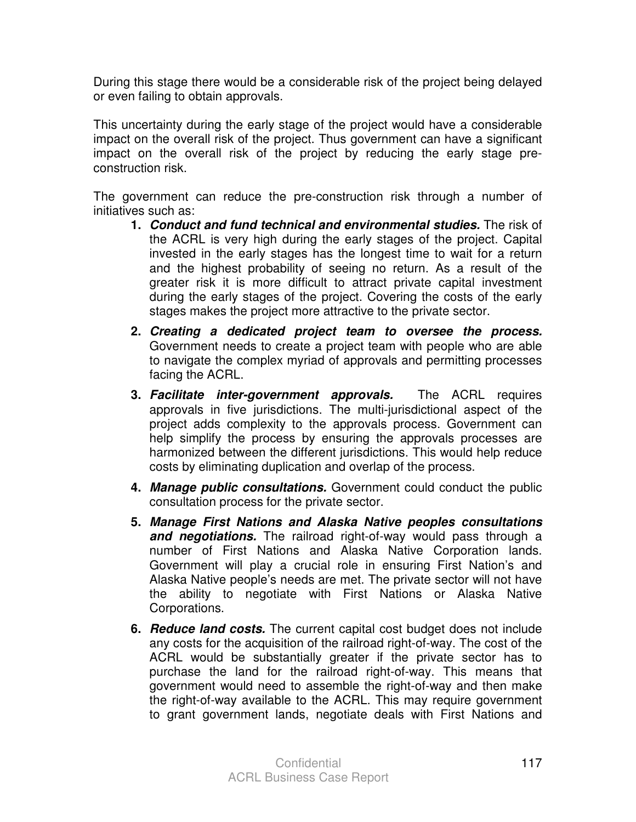During this stage there would be a considerable risk of the project being delayed or even failing to obtain approvals.

This uncertainty during the early stage of the project would have a considerable impact on the overall risk of the project. Thus government can have a significant impact on the overall risk of the project by reducing the early stage preconstruction risk.

The government can reduce the pre-construction risk through a number of initiatives such as:

- **1. Conduct and fund technical and environmental studies.** The risk of the ACRL is very high during the early stages of the project. Capital invested in the early stages has the longest time to wait for a return and the highest probability of seeing no return. As a result of the greater risk it is more difficult to attract private capital investment during the early stages of the project. Covering the costs of the early stages makes the project more attractive to the private sector.
- **2. Creating a dedicated project team to oversee the process.**  Government needs to create a project team with people who are able to navigate the complex myriad of approvals and permitting processes facing the ACRL.
- **3. Facilitate inter-government approvals.** The ACRL requires approvals in five jurisdictions. The multi-jurisdictional aspect of the project adds complexity to the approvals process. Government can help simplify the process by ensuring the approvals processes are harmonized between the different jurisdictions. This would help reduce costs by eliminating duplication and overlap of the process.
- **4. Manage public consultations.** Government could conduct the public consultation process for the private sector.
- **5. Manage First Nations and Alaska Native peoples consultations and negotiations.** The railroad right-of-way would pass through a number of First Nations and Alaska Native Corporation lands. Government will play a crucial role in ensuring First Nation's and Alaska Native people's needs are met. The private sector will not have the ability to negotiate with First Nations or Alaska Native Corporations.
- **6. Reduce land costs.** The current capital cost budget does not include any costs for the acquisition of the railroad right-of-way. The cost of the ACRL would be substantially greater if the private sector has to purchase the land for the railroad right-of-way. This means that government would need to assemble the right-of-way and then make the right-of-way available to the ACRL. This may require government to grant government lands, negotiate deals with First Nations and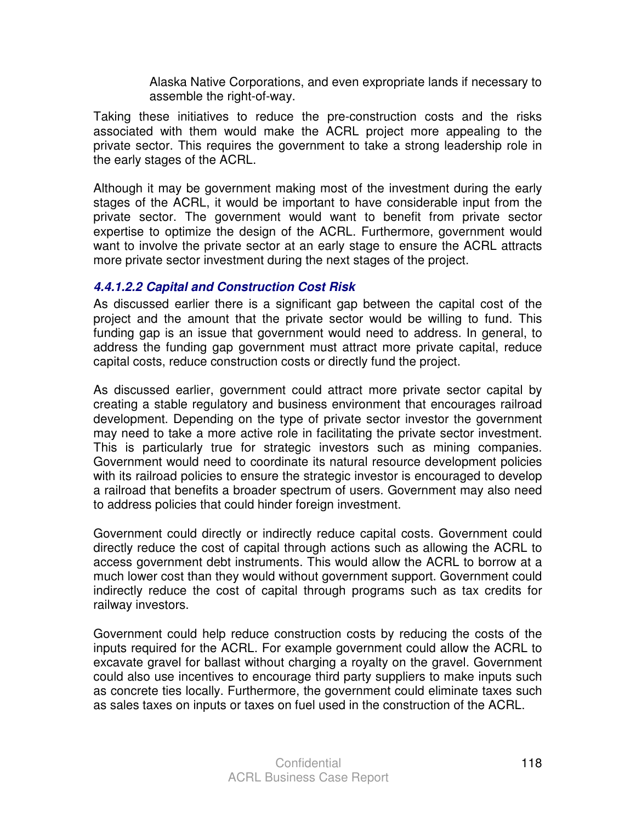Alaska Native Corporations, and even expropriate lands if necessary to assemble the right-of-way.

Taking these initiatives to reduce the pre-construction costs and the risks associated with them would make the ACRL project more appealing to the private sector. This requires the government to take a strong leadership role in the early stages of the ACRL.

Although it may be government making most of the investment during the early stages of the ACRL, it would be important to have considerable input from the private sector. The government would want to benefit from private sector expertise to optimize the design of the ACRL. Furthermore, government would want to involve the private sector at an early stage to ensure the ACRL attracts more private sector investment during the next stages of the project.

#### **4.4.1.2.2 Capital and Construction Cost Risk**

As discussed earlier there is a significant gap between the capital cost of the project and the amount that the private sector would be willing to fund. This funding gap is an issue that government would need to address. In general, to address the funding gap government must attract more private capital, reduce capital costs, reduce construction costs or directly fund the project.

As discussed earlier, government could attract more private sector capital by creating a stable regulatory and business environment that encourages railroad development. Depending on the type of private sector investor the government may need to take a more active role in facilitating the private sector investment. This is particularly true for strategic investors such as mining companies. Government would need to coordinate its natural resource development policies with its railroad policies to ensure the strategic investor is encouraged to develop a railroad that benefits a broader spectrum of users. Government may also need to address policies that could hinder foreign investment.

Government could directly or indirectly reduce capital costs. Government could directly reduce the cost of capital through actions such as allowing the ACRL to access government debt instruments. This would allow the ACRL to borrow at a much lower cost than they would without government support. Government could indirectly reduce the cost of capital through programs such as tax credits for railway investors.

Government could help reduce construction costs by reducing the costs of the inputs required for the ACRL. For example government could allow the ACRL to excavate gravel for ballast without charging a royalty on the gravel. Government could also use incentives to encourage third party suppliers to make inputs such as concrete ties locally. Furthermore, the government could eliminate taxes such as sales taxes on inputs or taxes on fuel used in the construction of the ACRL.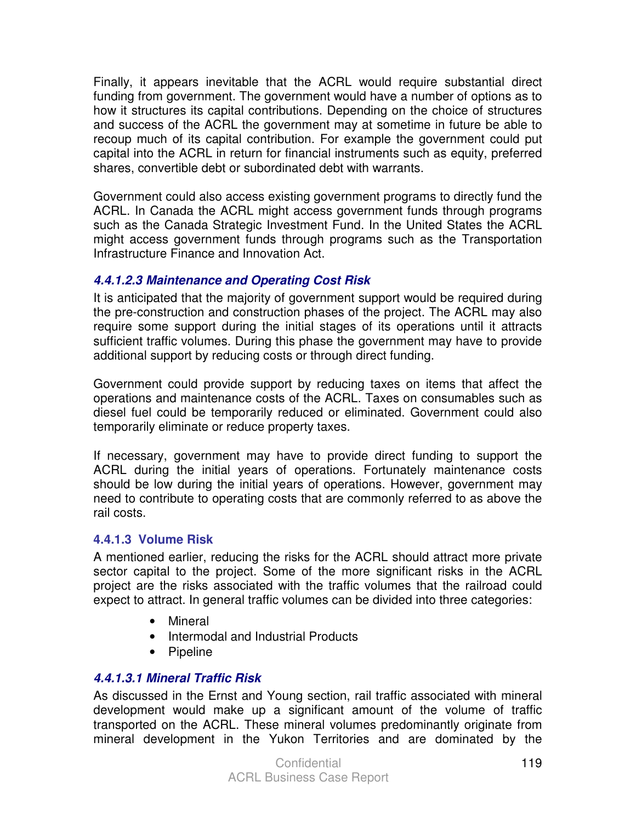Finally, it appears inevitable that the ACRL would require substantial direct funding from government. The government would have a number of options as to how it structures its capital contributions. Depending on the choice of structures and success of the ACRL the government may at sometime in future be able to recoup much of its capital contribution. For example the government could put capital into the ACRL in return for financial instruments such as equity, preferred shares, convertible debt or subordinated debt with warrants.

Government could also access existing government programs to directly fund the ACRL. In Canada the ACRL might access government funds through programs such as the Canada Strategic Investment Fund. In the United States the ACRL might access government funds through programs such as the Transportation Infrastructure Finance and Innovation Act.

## **4.4.1.2.3 Maintenance and Operating Cost Risk**

It is anticipated that the majority of government support would be required during the pre-construction and construction phases of the project. The ACRL may also require some support during the initial stages of its operations until it attracts sufficient traffic volumes. During this phase the government may have to provide additional support by reducing costs or through direct funding.

Government could provide support by reducing taxes on items that affect the operations and maintenance costs of the ACRL. Taxes on consumables such as diesel fuel could be temporarily reduced or eliminated. Government could also temporarily eliminate or reduce property taxes.

If necessary, government may have to provide direct funding to support the ACRL during the initial years of operations. Fortunately maintenance costs should be low during the initial years of operations. However, government may need to contribute to operating costs that are commonly referred to as above the rail costs.

#### **4.4.1.3 Volume Risk**

A mentioned earlier, reducing the risks for the ACRL should attract more private sector capital to the project. Some of the more significant risks in the ACRL project are the risks associated with the traffic volumes that the railroad could expect to attract. In general traffic volumes can be divided into three categories:

- Mineral
- Intermodal and Industrial Products
- Pipeline

# **4.4.1.3.1 Mineral Traffic Risk**

As discussed in the Ernst and Young section, rail traffic associated with mineral development would make up a significant amount of the volume of traffic transported on the ACRL. These mineral volumes predominantly originate from mineral development in the Yukon Territories and are dominated by the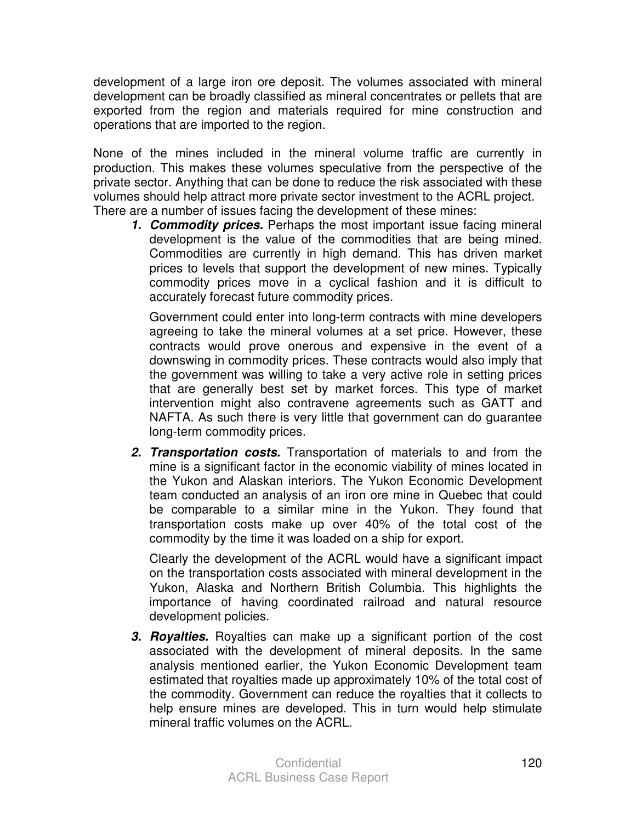development of a large iron ore deposit. The volumes associated with mineral development can be broadly classified as mineral concentrates or pellets that are exported from the region and materials required for mine construction and operations that are imported to the region.

None of the mines included in the mineral volume traffic are currently in production. This makes these volumes speculative from the perspective of the private sector. Anything that can be done to reduce the risk associated with these volumes should help attract more private sector investment to the ACRL project. There are a number of issues facing the development of these mines:

**1. Commodity prices.** Perhaps the most important issue facing mineral development is the value of the commodities that are being mined. Commodities are currently in high demand. This has driven market prices to levels that support the development of new mines. Typically commodity prices move in a cyclical fashion and it is difficult to accurately forecast future commodity prices.

 Government could enter into long-term contracts with mine developers agreeing to take the mineral volumes at a set price. However, these contracts would prove onerous and expensive in the event of a downswing in commodity prices. These contracts would also imply that the government was willing to take a very active role in setting prices that are generally best set by market forces. This type of market intervention might also contravene agreements such as GATT and NAFTA. As such there is very little that government can do guarantee long-term commodity prices.

**2. Transportation costs.** Transportation of materials to and from the mine is a significant factor in the economic viability of mines located in the Yukon and Alaskan interiors. The Yukon Economic Development team conducted an analysis of an iron ore mine in Quebec that could be comparable to a similar mine in the Yukon. They found that transportation costs make up over 40% of the total cost of the commodity by the time it was loaded on a ship for export.

 Clearly the development of the ACRL would have a significant impact on the transportation costs associated with mineral development in the Yukon, Alaska and Northern British Columbia. This highlights the importance of having coordinated railroad and natural resource development policies.

**3. Royalties.** Royalties can make up a significant portion of the cost associated with the development of mineral deposits. In the same analysis mentioned earlier, the Yukon Economic Development team estimated that royalties made up approximately 10% of the total cost of the commodity. Government can reduce the royalties that it collects to help ensure mines are developed. This in turn would help stimulate mineral traffic volumes on the ACRL.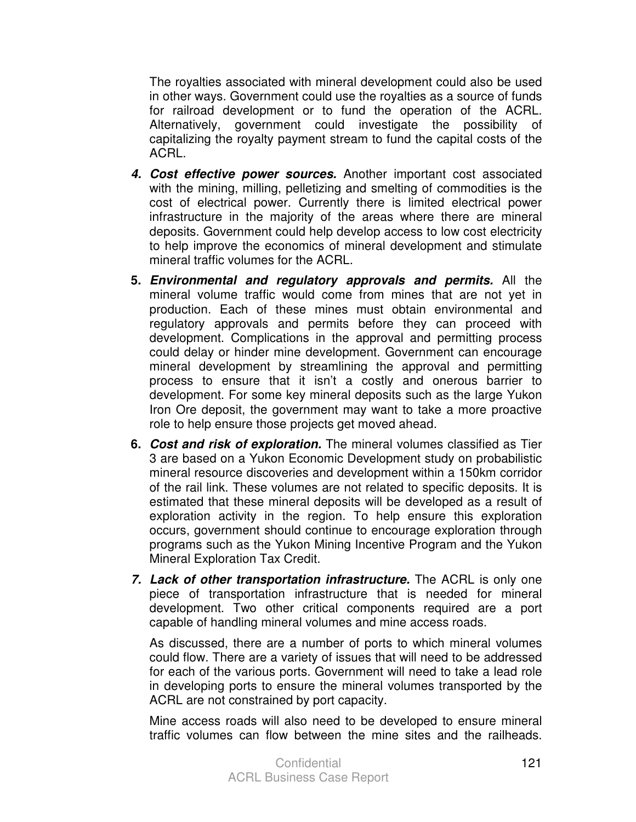The royalties associated with mineral development could also be used in other ways. Government could use the royalties as a source of funds for railroad development or to fund the operation of the ACRL. Alternatively, government could investigate the possibility of capitalizing the royalty payment stream to fund the capital costs of the ACRL.

- **4. Cost effective power sources.** Another important cost associated with the mining, milling, pelletizing and smelting of commodities is the cost of electrical power. Currently there is limited electrical power infrastructure in the majority of the areas where there are mineral deposits. Government could help develop access to low cost electricity to help improve the economics of mineral development and stimulate mineral traffic volumes for the ACRL.
- **5. Environmental and regulatory approvals and permits.** All the mineral volume traffic would come from mines that are not yet in production. Each of these mines must obtain environmental and regulatory approvals and permits before they can proceed with development. Complications in the approval and permitting process could delay or hinder mine development. Government can encourage mineral development by streamlining the approval and permitting process to ensure that it isn't a costly and onerous barrier to development. For some key mineral deposits such as the large Yukon Iron Ore deposit, the government may want to take a more proactive role to help ensure those projects get moved ahead.
- **6. Cost and risk of exploration.** The mineral volumes classified as Tier 3 are based on a Yukon Economic Development study on probabilistic mineral resource discoveries and development within a 150km corridor of the rail link. These volumes are not related to specific deposits. It is estimated that these mineral deposits will be developed as a result of exploration activity in the region. To help ensure this exploration occurs, government should continue to encourage exploration through programs such as the Yukon Mining Incentive Program and the Yukon Mineral Exploration Tax Credit.
- **7. Lack of other transportation infrastructure.** The ACRL is only one piece of transportation infrastructure that is needed for mineral development. Two other critical components required are a port capable of handling mineral volumes and mine access roads.

 As discussed, there are a number of ports to which mineral volumes could flow. There are a variety of issues that will need to be addressed for each of the various ports. Government will need to take a lead role in developing ports to ensure the mineral volumes transported by the ACRL are not constrained by port capacity.

 Mine access roads will also need to be developed to ensure mineral traffic volumes can flow between the mine sites and the railheads.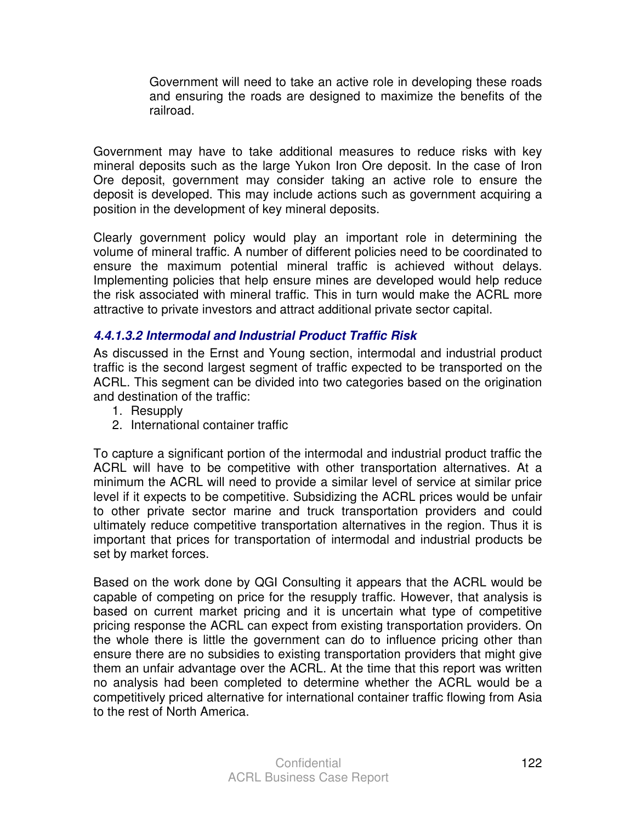Government will need to take an active role in developing these roads and ensuring the roads are designed to maximize the benefits of the railroad.

Government may have to take additional measures to reduce risks with key mineral deposits such as the large Yukon Iron Ore deposit. In the case of Iron Ore deposit, government may consider taking an active role to ensure the deposit is developed. This may include actions such as government acquiring a position in the development of key mineral deposits.

Clearly government policy would play an important role in determining the volume of mineral traffic. A number of different policies need to be coordinated to ensure the maximum potential mineral traffic is achieved without delays. Implementing policies that help ensure mines are developed would help reduce the risk associated with mineral traffic. This in turn would make the ACRL more attractive to private investors and attract additional private sector capital.

#### **4.4.1.3.2 Intermodal and Industrial Product Traffic Risk**

As discussed in the Ernst and Young section, intermodal and industrial product traffic is the second largest segment of traffic expected to be transported on the ACRL. This segment can be divided into two categories based on the origination and destination of the traffic:

- 1. Resupply
- 2. International container traffic

To capture a significant portion of the intermodal and industrial product traffic the ACRL will have to be competitive with other transportation alternatives. At a minimum the ACRL will need to provide a similar level of service at similar price level if it expects to be competitive. Subsidizing the ACRL prices would be unfair to other private sector marine and truck transportation providers and could ultimately reduce competitive transportation alternatives in the region. Thus it is important that prices for transportation of intermodal and industrial products be set by market forces.

Based on the work done by QGI Consulting it appears that the ACRL would be capable of competing on price for the resupply traffic. However, that analysis is based on current market pricing and it is uncertain what type of competitive pricing response the ACRL can expect from existing transportation providers. On the whole there is little the government can do to influence pricing other than ensure there are no subsidies to existing transportation providers that might give them an unfair advantage over the ACRL. At the time that this report was written no analysis had been completed to determine whether the ACRL would be a competitively priced alternative for international container traffic flowing from Asia to the rest of North America.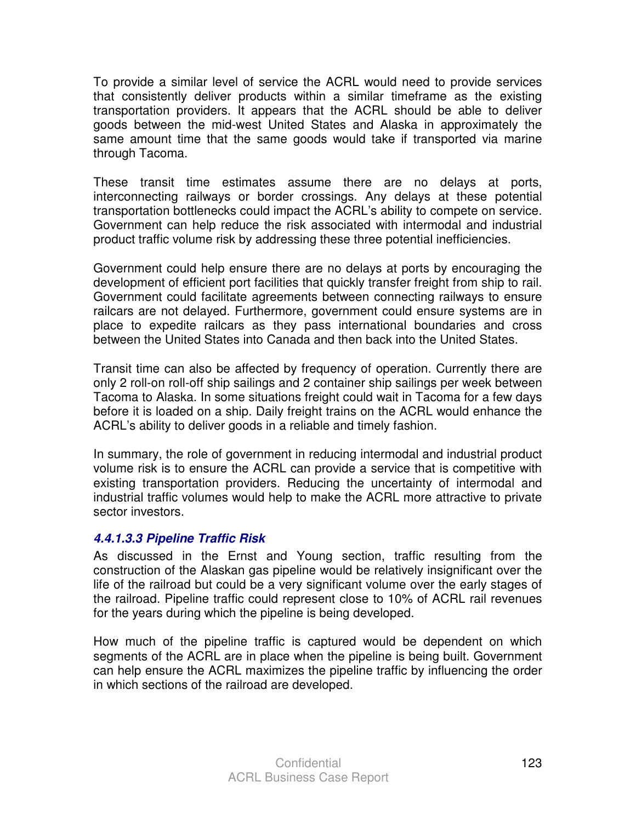To provide a similar level of service the ACRL would need to provide services that consistently deliver products within a similar timeframe as the existing transportation providers. It appears that the ACRL should be able to deliver goods between the mid-west United States and Alaska in approximately the same amount time that the same goods would take if transported via marine through Tacoma.

These transit time estimates assume there are no delays at ports, interconnecting railways or border crossings. Any delays at these potential transportation bottlenecks could impact the ACRL's ability to compete on service. Government can help reduce the risk associated with intermodal and industrial product traffic volume risk by addressing these three potential inefficiencies.

Government could help ensure there are no delays at ports by encouraging the development of efficient port facilities that quickly transfer freight from ship to rail. Government could facilitate agreements between connecting railways to ensure railcars are not delayed. Furthermore, government could ensure systems are in place to expedite railcars as they pass international boundaries and cross between the United States into Canada and then back into the United States.

Transit time can also be affected by frequency of operation. Currently there are only 2 roll-on roll-off ship sailings and 2 container ship sailings per week between Tacoma to Alaska. In some situations freight could wait in Tacoma for a few days before it is loaded on a ship. Daily freight trains on the ACRL would enhance the ACRL's ability to deliver goods in a reliable and timely fashion.

In summary, the role of government in reducing intermodal and industrial product volume risk is to ensure the ACRL can provide a service that is competitive with existing transportation providers. Reducing the uncertainty of intermodal and industrial traffic volumes would help to make the ACRL more attractive to private sector investors.

#### **4.4.1.3.3 Pipeline Traffic Risk**

As discussed in the Ernst and Young section, traffic resulting from the construction of the Alaskan gas pipeline would be relatively insignificant over the life of the railroad but could be a very significant volume over the early stages of the railroad. Pipeline traffic could represent close to 10% of ACRL rail revenues for the years during which the pipeline is being developed.

How much of the pipeline traffic is captured would be dependent on which segments of the ACRL are in place when the pipeline is being built. Government can help ensure the ACRL maximizes the pipeline traffic by influencing the order in which sections of the railroad are developed.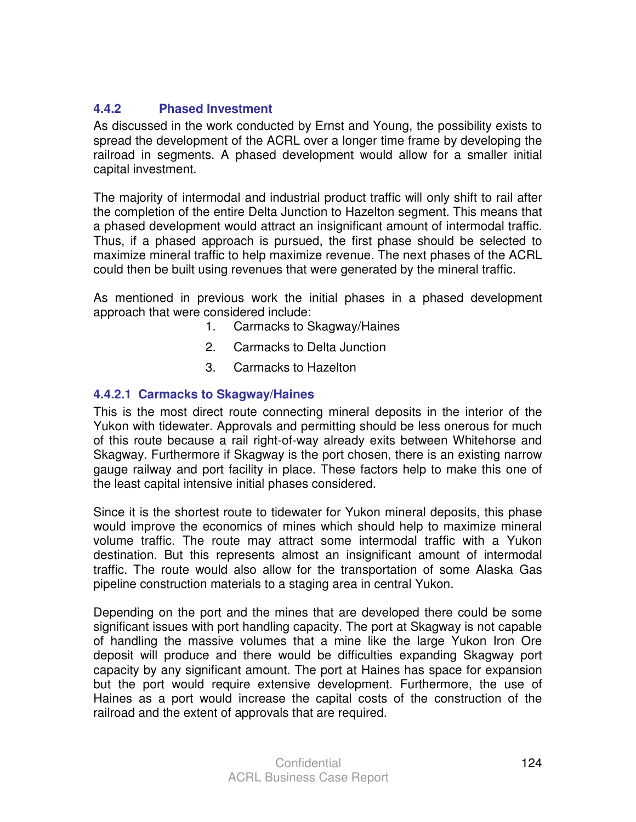#### **4.4.2 Phased Investment**

As discussed in the work conducted by Ernst and Young, the possibility exists to spread the development of the ACRL over a longer time frame by developing the railroad in segments. A phased development would allow for a smaller initial capital investment.

The majority of intermodal and industrial product traffic will only shift to rail after the completion of the entire Delta Junction to Hazelton segment. This means that a phased development would attract an insignificant amount of intermodal traffic. Thus, if a phased approach is pursued, the first phase should be selected to maximize mineral traffic to help maximize revenue. The next phases of the ACRL could then be built using revenues that were generated by the mineral traffic.

As mentioned in previous work the initial phases in a phased development approach that were considered include:

- 1. Carmacks to Skagway/Haines
- 2. Carmacks to Delta Junction
- 3. Carmacks to Hazelton

#### **4.4.2.1 Carmacks to Skagway/Haines**

This is the most direct route connecting mineral deposits in the interior of the Yukon with tidewater. Approvals and permitting should be less onerous for much of this route because a rail right-of-way already exits between Whitehorse and Skagway. Furthermore if Skagway is the port chosen, there is an existing narrow gauge railway and port facility in place. These factors help to make this one of the least capital intensive initial phases considered.

Since it is the shortest route to tidewater for Yukon mineral deposits, this phase would improve the economics of mines which should help to maximize mineral volume traffic. The route may attract some intermodal traffic with a Yukon destination. But this represents almost an insignificant amount of intermodal traffic. The route would also allow for the transportation of some Alaska Gas pipeline construction materials to a staging area in central Yukon.

Depending on the port and the mines that are developed there could be some significant issues with port handling capacity. The port at Skagway is not capable of handling the massive volumes that a mine like the large Yukon Iron Ore deposit will produce and there would be difficulties expanding Skagway port capacity by any significant amount. The port at Haines has space for expansion but the port would require extensive development. Furthermore, the use of Haines as a port would increase the capital costs of the construction of the railroad and the extent of approvals that are required.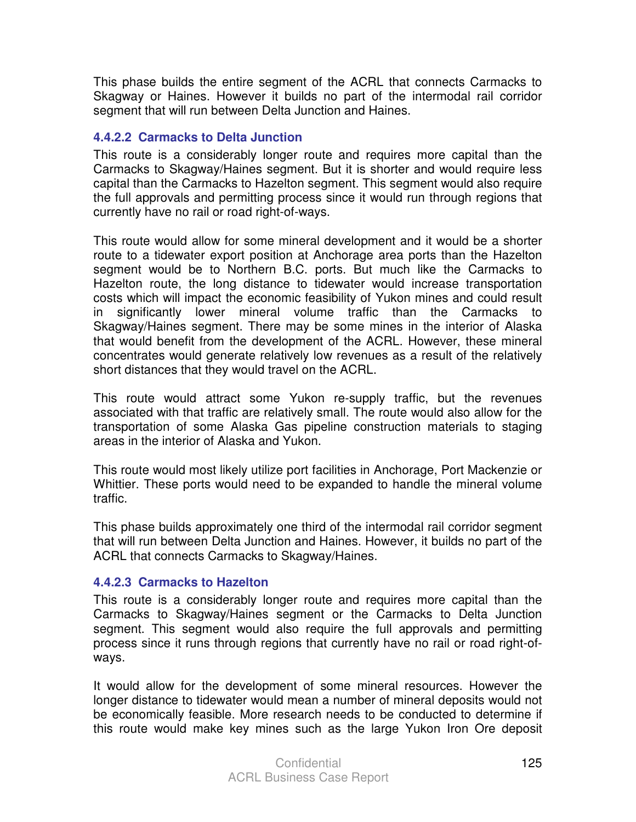This phase builds the entire segment of the ACRL that connects Carmacks to Skagway or Haines. However it builds no part of the intermodal rail corridor segment that will run between Delta Junction and Haines.

#### **4.4.2.2 Carmacks to Delta Junction**

This route is a considerably longer route and requires more capital than the Carmacks to Skagway/Haines segment. But it is shorter and would require less capital than the Carmacks to Hazelton segment. This segment would also require the full approvals and permitting process since it would run through regions that currently have no rail or road right-of-ways.

This route would allow for some mineral development and it would be a shorter route to a tidewater export position at Anchorage area ports than the Hazelton segment would be to Northern B.C. ports. But much like the Carmacks to Hazelton route, the long distance to tidewater would increase transportation costs which will impact the economic feasibility of Yukon mines and could result in significantly lower mineral volume traffic than the Carmacks to Skagway/Haines segment. There may be some mines in the interior of Alaska that would benefit from the development of the ACRL. However, these mineral concentrates would generate relatively low revenues as a result of the relatively short distances that they would travel on the ACRL.

This route would attract some Yukon re-supply traffic, but the revenues associated with that traffic are relatively small. The route would also allow for the transportation of some Alaska Gas pipeline construction materials to staging areas in the interior of Alaska and Yukon.

This route would most likely utilize port facilities in Anchorage, Port Mackenzie or Whittier. These ports would need to be expanded to handle the mineral volume traffic.

This phase builds approximately one third of the intermodal rail corridor segment that will run between Delta Junction and Haines. However, it builds no part of the ACRL that connects Carmacks to Skagway/Haines.

#### **4.4.2.3 Carmacks to Hazelton**

This route is a considerably longer route and requires more capital than the Carmacks to Skagway/Haines segment or the Carmacks to Delta Junction segment. This segment would also require the full approvals and permitting process since it runs through regions that currently have no rail or road right-ofways.

It would allow for the development of some mineral resources. However the longer distance to tidewater would mean a number of mineral deposits would not be economically feasible. More research needs to be conducted to determine if this route would make key mines such as the large Yukon Iron Ore deposit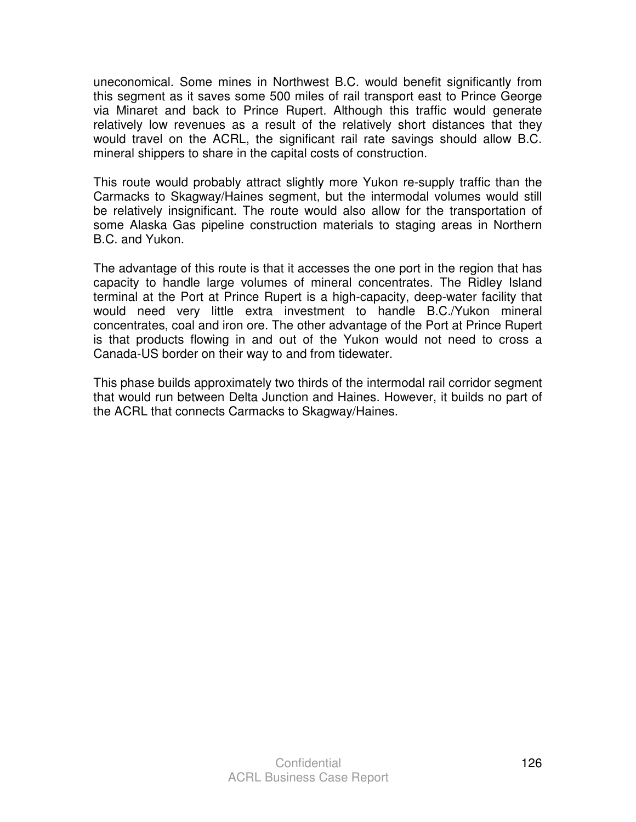uneconomical. Some mines in Northwest B.C. would benefit significantly from this segment as it saves some 500 miles of rail transport east to Prince George via Minaret and back to Prince Rupert. Although this traffic would generate relatively low revenues as a result of the relatively short distances that they would travel on the ACRL, the significant rail rate savings should allow B.C. mineral shippers to share in the capital costs of construction.

This route would probably attract slightly more Yukon re-supply traffic than the Carmacks to Skagway/Haines segment, but the intermodal volumes would still be relatively insignificant. The route would also allow for the transportation of some Alaska Gas pipeline construction materials to staging areas in Northern B.C. and Yukon.

The advantage of this route is that it accesses the one port in the region that has capacity to handle large volumes of mineral concentrates. The Ridley Island terminal at the Port at Prince Rupert is a high-capacity, deep-water facility that would need very little extra investment to handle B.C./Yukon mineral concentrates, coal and iron ore. The other advantage of the Port at Prince Rupert is that products flowing in and out of the Yukon would not need to cross a Canada-US border on their way to and from tidewater.

This phase builds approximately two thirds of the intermodal rail corridor segment that would run between Delta Junction and Haines. However, it builds no part of the ACRL that connects Carmacks to Skagway/Haines.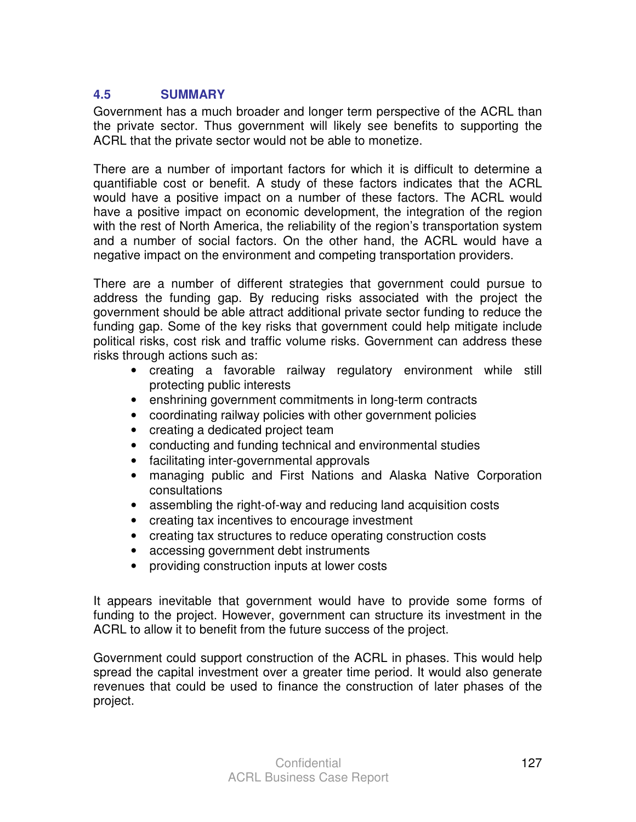## **4.5 SUMMARY**

Government has a much broader and longer term perspective of the ACRL than the private sector. Thus government will likely see benefits to supporting the ACRL that the private sector would not be able to monetize.

There are a number of important factors for which it is difficult to determine a quantifiable cost or benefit. A study of these factors indicates that the ACRL would have a positive impact on a number of these factors. The ACRL would have a positive impact on economic development, the integration of the region with the rest of North America, the reliability of the region's transportation system and a number of social factors. On the other hand, the ACRL would have a negative impact on the environment and competing transportation providers.

There are a number of different strategies that government could pursue to address the funding gap. By reducing risks associated with the project the government should be able attract additional private sector funding to reduce the funding gap. Some of the key risks that government could help mitigate include political risks, cost risk and traffic volume risks. Government can address these risks through actions such as:

- creating a favorable railway regulatory environment while still protecting public interests
- enshrining government commitments in long-term contracts
- coordinating railway policies with other government policies
- creating a dedicated project team
- conducting and funding technical and environmental studies
- facilitating inter-governmental approvals
- managing public and First Nations and Alaska Native Corporation consultations
- assembling the right-of-way and reducing land acquisition costs
- creating tax incentives to encourage investment
- creating tax structures to reduce operating construction costs
- accessing government debt instruments
- providing construction inputs at lower costs

It appears inevitable that government would have to provide some forms of funding to the project. However, government can structure its investment in the ACRL to allow it to benefit from the future success of the project.

Government could support construction of the ACRL in phases. This would help spread the capital investment over a greater time period. It would also generate revenues that could be used to finance the construction of later phases of the project.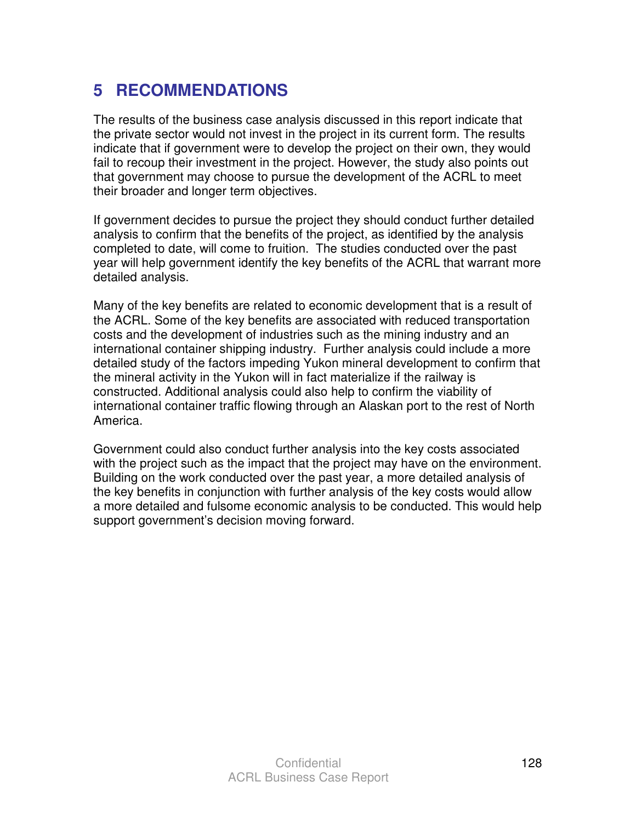# **5 RECOMMENDATIONS**

The results of the business case analysis discussed in this report indicate that the private sector would not invest in the project in its current form. The results indicate that if government were to develop the project on their own, they would fail to recoup their investment in the project. However, the study also points out that government may choose to pursue the development of the ACRL to meet their broader and longer term objectives.

If government decides to pursue the project they should conduct further detailed analysis to confirm that the benefits of the project, as identified by the analysis completed to date, will come to fruition. The studies conducted over the past year will help government identify the key benefits of the ACRL that warrant more detailed analysis.

Many of the key benefits are related to economic development that is a result of the ACRL. Some of the key benefits are associated with reduced transportation costs and the development of industries such as the mining industry and an international container shipping industry. Further analysis could include a more detailed study of the factors impeding Yukon mineral development to confirm that the mineral activity in the Yukon will in fact materialize if the railway is constructed. Additional analysis could also help to confirm the viability of international container traffic flowing through an Alaskan port to the rest of North America.

Government could also conduct further analysis into the key costs associated with the project such as the impact that the project may have on the environment. Building on the work conducted over the past year, a more detailed analysis of the key benefits in conjunction with further analysis of the key costs would allow a more detailed and fulsome economic analysis to be conducted. This would help support government's decision moving forward.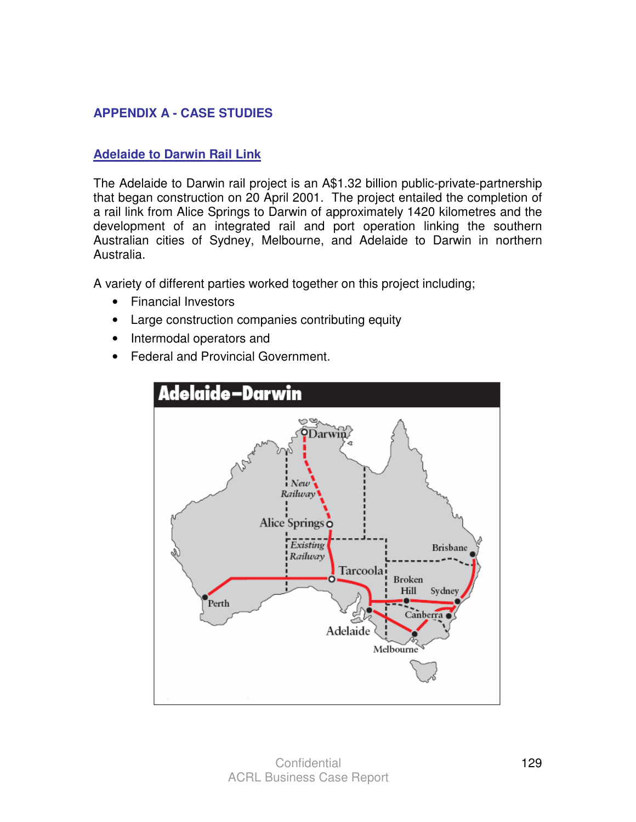# **APPENDIX A - CASE STUDIES**

#### **Adelaide to Darwin Rail Link**

The Adelaide to Darwin rail project is an A\$1.32 billion public-private-partnership that began construction on 20 April 2001. The project entailed the completion of a rail link from Alice Springs to Darwin of approximately 1420 kilometres and the development of an integrated rail and port operation linking the southern Australian cities of Sydney, Melbourne, and Adelaide to Darwin in northern Australia.

A variety of different parties worked together on this project including;

- Financial Investors
- Large construction companies contributing equity
- Intermodal operators and
- Federal and Provincial Government.

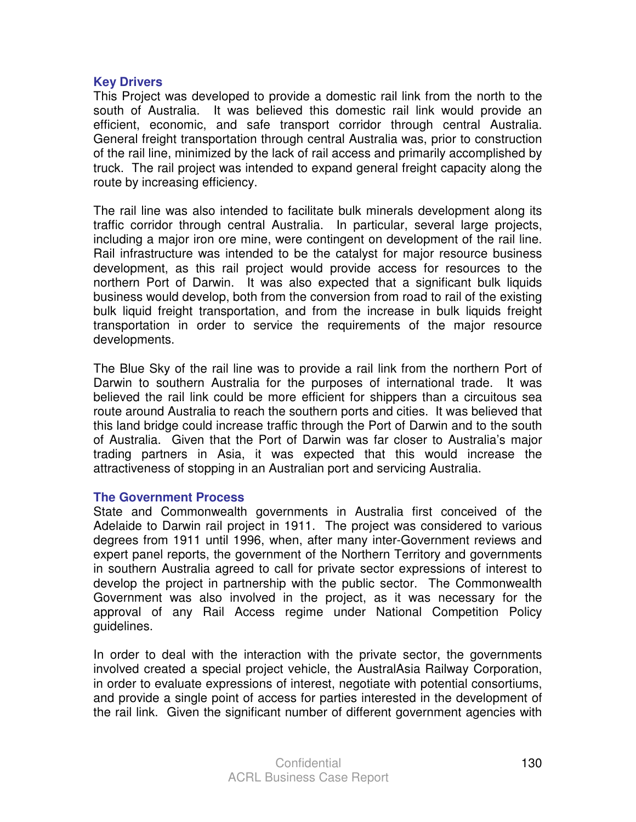#### **Key Drivers**

This Project was developed to provide a domestic rail link from the north to the south of Australia. It was believed this domestic rail link would provide an efficient, economic, and safe transport corridor through central Australia. General freight transportation through central Australia was, prior to construction of the rail line, minimized by the lack of rail access and primarily accomplished by truck. The rail project was intended to expand general freight capacity along the route by increasing efficiency.

The rail line was also intended to facilitate bulk minerals development along its traffic corridor through central Australia. In particular, several large projects, including a major iron ore mine, were contingent on development of the rail line. Rail infrastructure was intended to be the catalyst for major resource business development, as this rail project would provide access for resources to the northern Port of Darwin. It was also expected that a significant bulk liquids business would develop, both from the conversion from road to rail of the existing bulk liquid freight transportation, and from the increase in bulk liquids freight transportation in order to service the requirements of the major resource developments.

The Blue Sky of the rail line was to provide a rail link from the northern Port of Darwin to southern Australia for the purposes of international trade. It was believed the rail link could be more efficient for shippers than a circuitous sea route around Australia to reach the southern ports and cities. It was believed that this land bridge could increase traffic through the Port of Darwin and to the south of Australia. Given that the Port of Darwin was far closer to Australia's major trading partners in Asia, it was expected that this would increase the attractiveness of stopping in an Australian port and servicing Australia.

#### **The Government Process**

State and Commonwealth governments in Australia first conceived of the Adelaide to Darwin rail project in 1911. The project was considered to various degrees from 1911 until 1996, when, after many inter-Government reviews and expert panel reports, the government of the Northern Territory and governments in southern Australia agreed to call for private sector expressions of interest to develop the project in partnership with the public sector. The Commonwealth Government was also involved in the project, as it was necessary for the approval of any Rail Access regime under National Competition Policy guidelines.

In order to deal with the interaction with the private sector, the governments involved created a special project vehicle, the AustralAsia Railway Corporation, in order to evaluate expressions of interest, negotiate with potential consortiums, and provide a single point of access for parties interested in the development of the rail link. Given the significant number of different government agencies with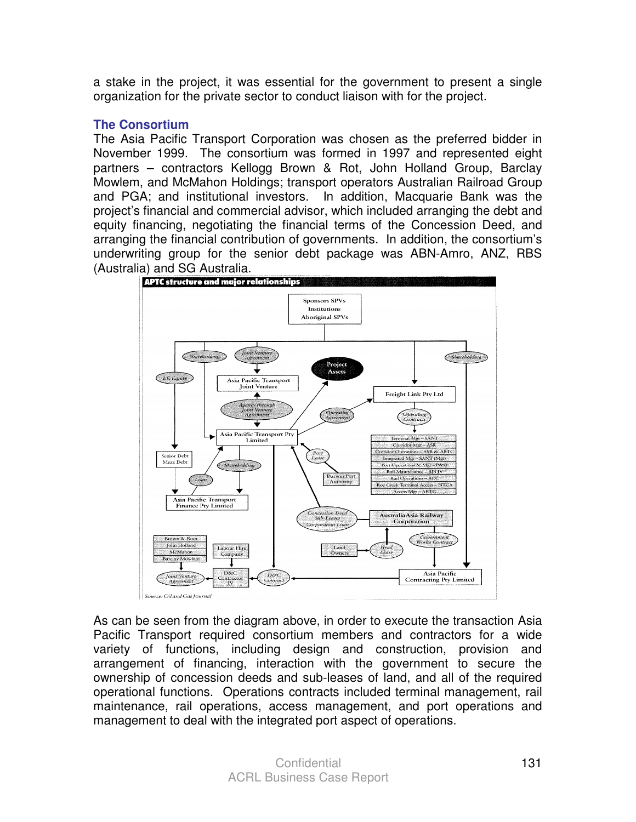a stake in the project, it was essential for the government to present a single organization for the private sector to conduct liaison with for the project.

#### **The Consortium**

The Asia Pacific Transport Corporation was chosen as the preferred bidder in November 1999. The consortium was formed in 1997 and represented eight partners – contractors Kellogg Brown & Rot, John Holland Group, Barclay Mowlem, and McMahon Holdings; transport operators Australian Railroad Group and PGA; and institutional investors. In addition, Macquarie Bank was the project's financial and commercial advisor, which included arranging the debt and equity financing, negotiating the financial terms of the Concession Deed, and arranging the financial contribution of governments. In addition, the consortium's underwriting group for the senior debt package was ABN-Amro, ANZ, RBS (Australia) and SG Australia.



As can be seen from the diagram above, in order to execute the transaction Asia Pacific Transport required consortium members and contractors for a wide variety of functions, including design and construction, provision and arrangement of financing, interaction with the government to secure the ownership of concession deeds and sub-leases of land, and all of the required operational functions. Operations contracts included terminal management, rail maintenance, rail operations, access management, and port operations and management to deal with the integrated port aspect of operations.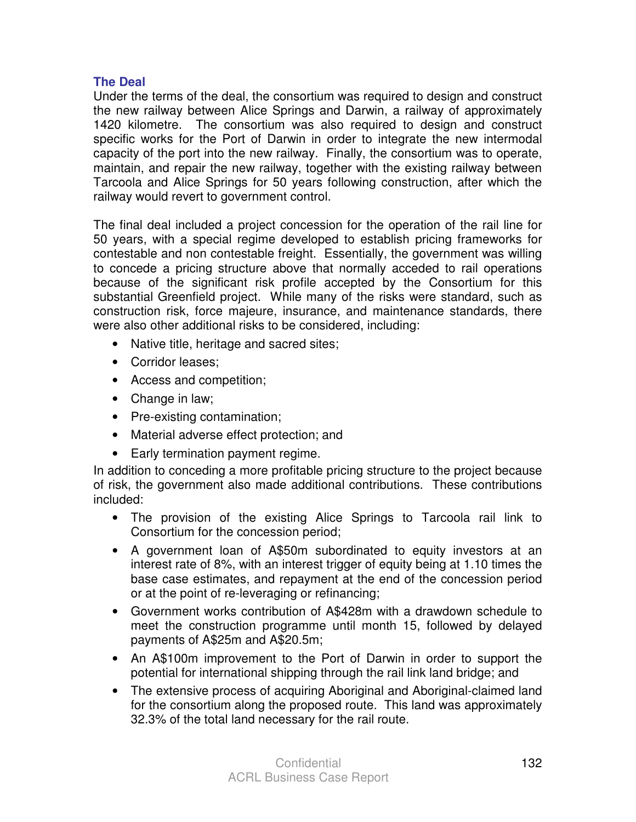#### **The Deal**

Under the terms of the deal, the consortium was required to design and construct the new railway between Alice Springs and Darwin, a railway of approximately 1420 kilometre. The consortium was also required to design and construct specific works for the Port of Darwin in order to integrate the new intermodal capacity of the port into the new railway. Finally, the consortium was to operate, maintain, and repair the new railway, together with the existing railway between Tarcoola and Alice Springs for 50 years following construction, after which the railway would revert to government control.

The final deal included a project concession for the operation of the rail line for 50 years, with a special regime developed to establish pricing frameworks for contestable and non contestable freight. Essentially, the government was willing to concede a pricing structure above that normally acceded to rail operations because of the significant risk profile accepted by the Consortium for this substantial Greenfield project. While many of the risks were standard, such as construction risk, force majeure, insurance, and maintenance standards, there were also other additional risks to be considered, including:

- Native title, heritage and sacred sites;
- Corridor leases;
- Access and competition;
- Change in law;
- Pre-existing contamination;
- Material adverse effect protection; and
- Early termination payment regime.

In addition to conceding a more profitable pricing structure to the project because of risk, the government also made additional contributions. These contributions included:

- The provision of the existing Alice Springs to Tarcoola rail link to Consortium for the concession period;
- A government loan of A\$50m subordinated to equity investors at an interest rate of 8%, with an interest trigger of equity being at 1.10 times the base case estimates, and repayment at the end of the concession period or at the point of re-leveraging or refinancing;
- Government works contribution of A\$428m with a drawdown schedule to meet the construction programme until month 15, followed by delayed payments of A\$25m and A\$20.5m;
- An A\$100m improvement to the Port of Darwin in order to support the potential for international shipping through the rail link land bridge; and
- The extensive process of acquiring Aboriginal and Aboriginal-claimed land for the consortium along the proposed route. This land was approximately 32.3% of the total land necessary for the rail route.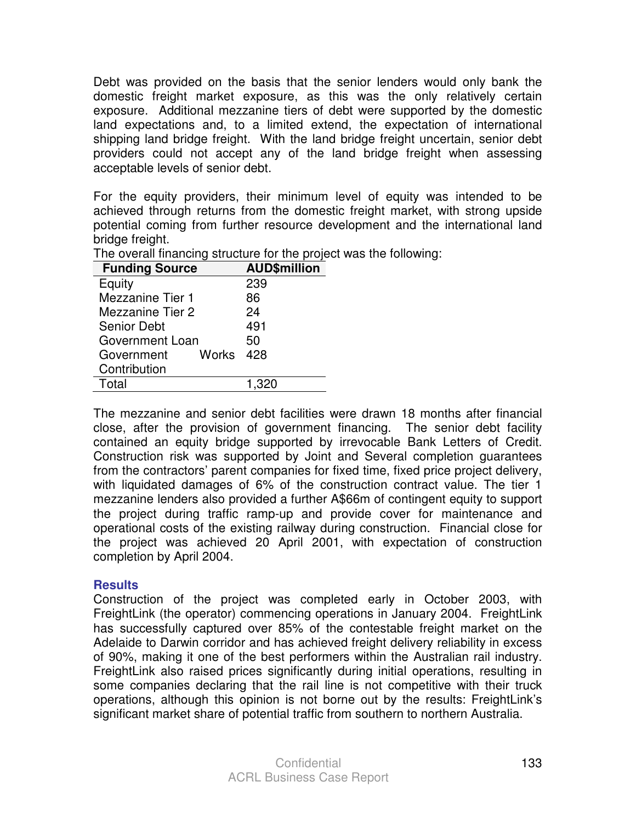Debt was provided on the basis that the senior lenders would only bank the domestic freight market exposure, as this was the only relatively certain exposure. Additional mezzanine tiers of debt were supported by the domestic land expectations and, to a limited extend, the expectation of international shipping land bridge freight. With the land bridge freight uncertain, senior debt providers could not accept any of the land bridge freight when assessing acceptable levels of senior debt.

For the equity providers, their minimum level of equity was intended to be achieved through returns from the domestic freight market, with strong upside potential coming from further resource development and the international land bridge freight.

| <b>AUD\$million</b> |
|---------------------|
| 239                 |
| 86                  |
| 24                  |
| 491                 |
| 50                  |
| Works 428           |
|                     |
| 1.320               |
|                     |

The overall financing structure for the project was the following:

The mezzanine and senior debt facilities were drawn 18 months after financial close, after the provision of government financing. The senior debt facility contained an equity bridge supported by irrevocable Bank Letters of Credit. Construction risk was supported by Joint and Several completion guarantees from the contractors' parent companies for fixed time, fixed price project delivery, with liquidated damages of 6% of the construction contract value. The tier 1 mezzanine lenders also provided a further A\$66m of contingent equity to support the project during traffic ramp-up and provide cover for maintenance and operational costs of the existing railway during construction. Financial close for the project was achieved 20 April 2001, with expectation of construction completion by April 2004.

#### **Results**

Construction of the project was completed early in October 2003, with FreightLink (the operator) commencing operations in January 2004. FreightLink has successfully captured over 85% of the contestable freight market on the Adelaide to Darwin corridor and has achieved freight delivery reliability in excess of 90%, making it one of the best performers within the Australian rail industry. FreightLink also raised prices significantly during initial operations, resulting in some companies declaring that the rail line is not competitive with their truck operations, although this opinion is not borne out by the results: FreightLink's significant market share of potential traffic from southern to northern Australia.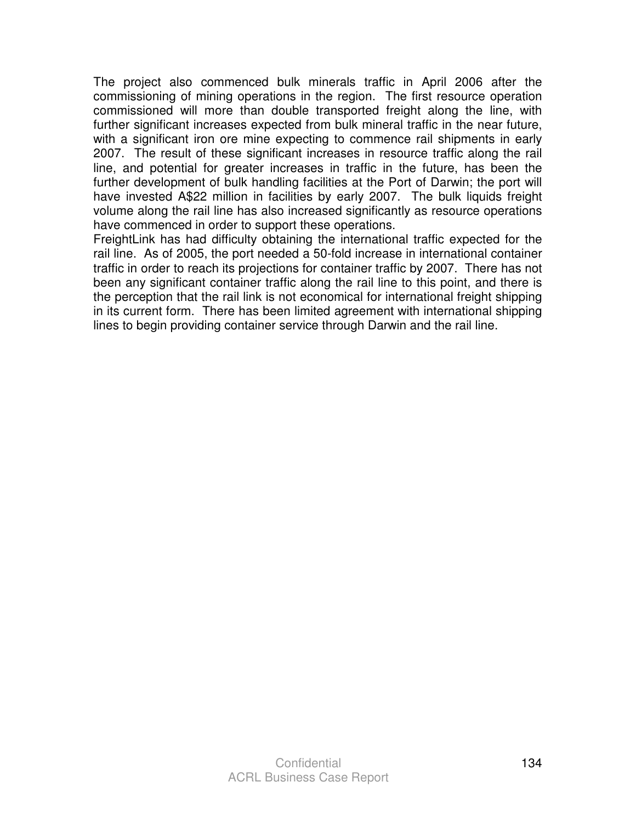The project also commenced bulk minerals traffic in April 2006 after the commissioning of mining operations in the region. The first resource operation commissioned will more than double transported freight along the line, with further significant increases expected from bulk mineral traffic in the near future, with a significant iron ore mine expecting to commence rail shipments in early 2007. The result of these significant increases in resource traffic along the rail line, and potential for greater increases in traffic in the future, has been the further development of bulk handling facilities at the Port of Darwin; the port will have invested A\$22 million in facilities by early 2007. The bulk liquids freight volume along the rail line has also increased significantly as resource operations have commenced in order to support these operations.

FreightLink has had difficulty obtaining the international traffic expected for the rail line. As of 2005, the port needed a 50-fold increase in international container traffic in order to reach its projections for container traffic by 2007. There has not been any significant container traffic along the rail line to this point, and there is the perception that the rail link is not economical for international freight shipping in its current form. There has been limited agreement with international shipping lines to begin providing container service through Darwin and the rail line.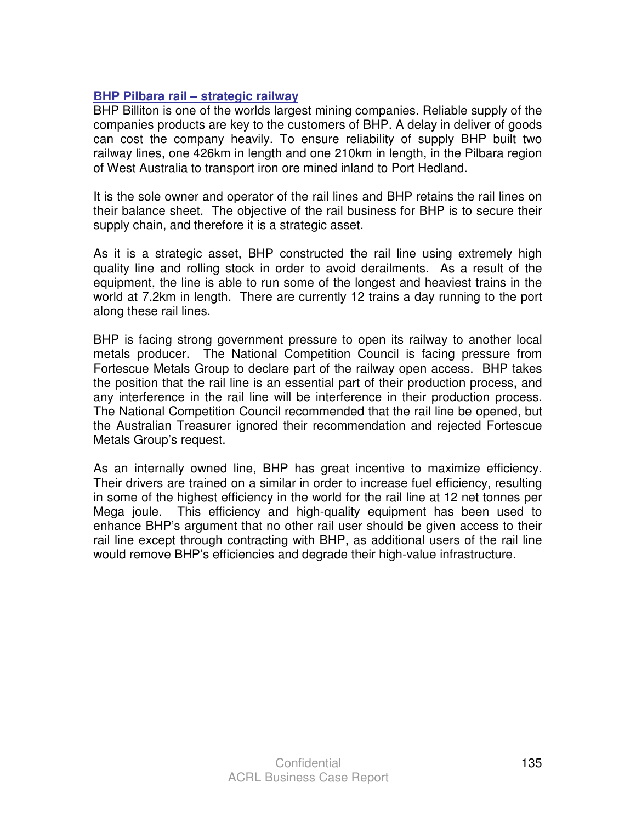## **BHP Pilbara rail – strategic railway**

BHP Billiton is one of the worlds largest mining companies. Reliable supply of the companies products are key to the customers of BHP. A delay in deliver of goods can cost the company heavily. To ensure reliability of supply BHP built two railway lines, one 426km in length and one 210km in length, in the Pilbara region of West Australia to transport iron ore mined inland to Port Hedland.

It is the sole owner and operator of the rail lines and BHP retains the rail lines on their balance sheet. The objective of the rail business for BHP is to secure their supply chain, and therefore it is a strategic asset.

As it is a strategic asset, BHP constructed the rail line using extremely high quality line and rolling stock in order to avoid derailments. As a result of the equipment, the line is able to run some of the longest and heaviest trains in the world at 7.2km in length. There are currently 12 trains a day running to the port along these rail lines.

BHP is facing strong government pressure to open its railway to another local metals producer. The National Competition Council is facing pressure from Fortescue Metals Group to declare part of the railway open access. BHP takes the position that the rail line is an essential part of their production process, and any interference in the rail line will be interference in their production process. The National Competition Council recommended that the rail line be opened, but the Australian Treasurer ignored their recommendation and rejected Fortescue Metals Group's request.

As an internally owned line, BHP has great incentive to maximize efficiency. Their drivers are trained on a similar in order to increase fuel efficiency, resulting in some of the highest efficiency in the world for the rail line at 12 net tonnes per Mega joule. This efficiency and high-quality equipment has been used to enhance BHP's argument that no other rail user should be given access to their rail line except through contracting with BHP, as additional users of the rail line would remove BHP's efficiencies and degrade their high-value infrastructure.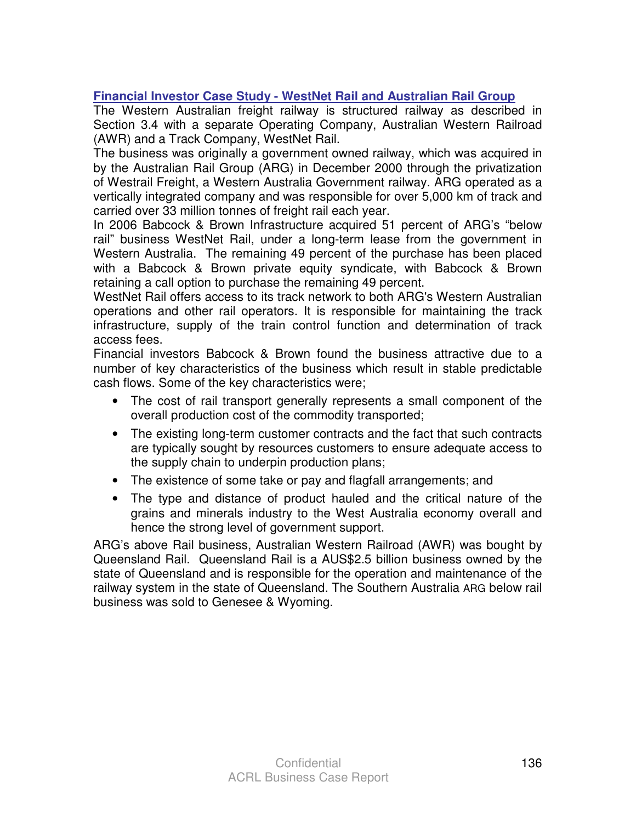# **Financial Investor Case Study - WestNet Rail and Australian Rail Group**

The Western Australian freight railway is structured railway as described in Section 3.4 with a separate Operating Company, Australian Western Railroad (AWR) and a Track Company, WestNet Rail.

The business was originally a government owned railway, which was acquired in by the Australian Rail Group (ARG) in December 2000 through the privatization of Westrail Freight, a Western Australia Government railway. ARG operated as a vertically integrated company and was responsible for over 5,000 km of track and carried over 33 million tonnes of freight rail each year.

In 2006 Babcock & Brown Infrastructure acquired 51 percent of ARG's "below rail" business WestNet Rail, under a long-term lease from the government in Western Australia. The remaining 49 percent of the purchase has been placed with a Babcock & Brown private equity syndicate, with Babcock & Brown retaining a call option to purchase the remaining 49 percent.

WestNet Rail offers access to its track network to both ARG's Western Australian operations and other rail operators. It is responsible for maintaining the track infrastructure, supply of the train control function and determination of track access fees.

Financial investors Babcock & Brown found the business attractive due to a number of key characteristics of the business which result in stable predictable cash flows. Some of the key characteristics were;

- The cost of rail transport generally represents a small component of the overall production cost of the commodity transported;
- The existing long-term customer contracts and the fact that such contracts are typically sought by resources customers to ensure adequate access to the supply chain to underpin production plans;
- The existence of some take or pay and flagfall arrangements; and
- The type and distance of product hauled and the critical nature of the grains and minerals industry to the West Australia economy overall and hence the strong level of government support.

ARG's above Rail business, Australian Western Railroad (AWR) was bought by Queensland Rail. Queensland Rail is a AUS\$2.5 billion business owned by the state of Queensland and is responsible for the operation and maintenance of the railway system in the state of Queensland. The Southern Australia ARG below rail business was sold to Genesee & Wyoming.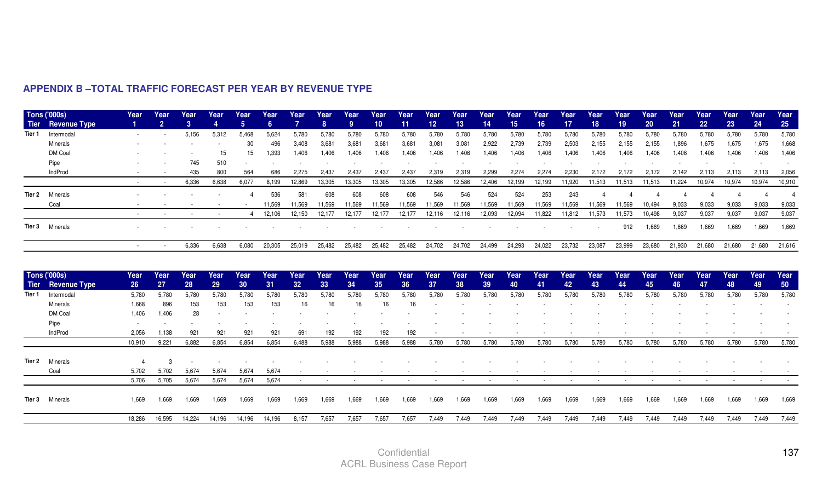| Intermodal<br>5,156<br>5,624<br>5,780<br>5,780<br>5,780<br>5,780<br>5,780<br>5,780<br>5,780<br>5,780<br>5,780<br>5,780<br>5,780<br>5,780<br>5,780<br>5,780<br>5,780<br>5,780<br>Tier 1<br>5,312<br>5.468<br>5.780<br><b>Minerals</b><br>30<br>3,681<br>2,739<br>2,739<br>2,155<br>2,155<br>1,896<br>1,675<br>496<br>3,408<br>3.681<br>3,681<br>3,681<br>3,081<br>3,081<br>2,922<br>2,503<br>2,155<br>1,675<br>DM Coal<br>1,393<br>1,406<br>1,406<br>1,406<br>1,406<br>1,406<br>1,406<br>1,406<br>1,406<br>1,406<br>1,406<br>1,406<br>1,406<br>15<br>15<br>1,406<br>1,406<br>1,406<br>1,406<br>1,406<br>745<br>510<br>Pipe<br>800<br>564<br>2,274<br>IndProd<br>435<br>686<br>2,275<br>2,437<br>2,437<br>2,437<br>2,437<br>2,319<br>2,319<br>2,299<br>2,274<br>2,230<br>2,172<br>2,172<br>2,172<br>2,142<br>2,113<br>2,113<br>6,336<br>12,586<br>12,586<br>11,513<br>11,224<br>10,974<br>6,638<br>6,077<br>8,199<br>12,869<br>13,305<br>13,305<br>13,305<br>13,305<br>12,406<br>12,199<br>12,199<br>11,920<br>11,513<br>11,513<br>10,974<br>$\overline{\phantom{a}}$<br>536<br>581<br>608<br>608<br>608<br>546<br>546<br>524<br>524<br>253<br>243<br>Minerals<br>608<br>Tier 2<br>11,569<br>11,569<br>11,569<br>11,569<br>11,569<br>11,569<br>11,569<br>11,569<br>11,569<br>11,569<br>11,569<br>11,569<br>11,569<br>11,569<br>10,494<br>9,033<br>9,033<br>Coal<br>9,033<br>12,150<br>12,177<br>12,177<br>11,822<br>11,573<br>11,573<br>9,037<br>9,037<br>12,106<br>12,177<br>12,177<br>12,116<br>12,116<br>12,093<br>12,094<br>11,812<br>10,498<br>9,037<br>4<br>Tier 3 Minerals<br>912<br>1,669<br>1,669<br>1,669<br>1,669<br>6,336<br>20,305<br>25,019<br>25,482<br>25,482<br>25,482<br>25,482<br>24,702<br>24,702<br>24,499<br>24,293<br>24,022<br>23,732<br>23,087<br>23,999<br>23,680<br>21,930<br>21,680<br>21,680<br>6,638<br>6,080<br>$\sim$<br><b>Tons ('000s)</b><br>Year<br>Year<br>Year<br>Year<br>Year<br>Year<br>Year<br>Year<br>Year<br>Year<br>Year<br>Year<br>Year<br>Year<br>Year<br>Year<br>Year<br>Year<br>Year<br>Year<br>Year<br>Year<br>Year<br><b>Tier</b> Revenue Type<br>27<br>28<br>29<br>30<br>31<br>33<br>34<br>35<br>36<br>37<br>38<br>39<br>40<br>41<br>42<br>43<br>44<br>45<br>46<br>47<br>48<br>26<br>32 <sub>2</sub><br>Tier 1<br>5,780<br>Intermodal<br>5,780<br>5,780<br>5,780<br>5,780<br>5,780<br>5,780<br>5,780<br>5,780<br>5,780<br>5,780<br>5,780<br>5,780<br>5,780<br>5,780<br>5,780<br>5,780<br>5,780<br>5,780<br>5,780<br>5,780<br>5,780<br>5,780<br>153<br>896<br>153<br>153<br>153<br>16<br>Minerals<br>1,668<br>16<br>16<br>16<br>16<br>DM Coal<br>1,406<br>1,406<br>28<br>Pipe<br>$\overline{\phantom{a}}$<br>IndProd<br>2.056<br>1.138<br>921<br>921<br>921<br>921<br>691<br>192<br>192<br>192<br>192<br>5,780<br>5,780<br>5,780<br>5,780<br>5,780<br>9,221<br>6,882<br>6,854<br>6,854<br>5,988<br>5,988<br>5,988<br>5,988<br>5,780<br>5,780<br>5,780<br>5,780<br>5,780<br>5,780<br>5,780<br>6,854<br>6,488<br>10,910<br>Minerals<br>Tier 2<br>5,674<br>Coal<br>5.702<br>5.702<br>5.674<br>5,674<br>5.674<br>5,705<br>5,674<br>5,674<br>5,674<br>5,674<br>5,706<br>1.669<br>1,669<br>1,669<br>1.669<br>1,669<br>1.669<br>1.669<br>1.669<br>1,669<br>1.669<br>1,669<br>1,669<br>1,669<br>1,669<br>1.669<br>1,669<br>1.669<br>1,669<br>1.669<br>1.669<br>1,669<br>1,669<br>1.669<br><b>Tier 3</b> Minerals<br>18,286<br>16,595<br>14,224<br>8,157<br>7,657<br>7,657<br>7,657<br>7,657<br>14,196<br>14,196<br>14,196<br>7,449<br>7,449<br>7,449<br>7,449<br>7,449<br>7,449<br>7,449<br>7,449<br>7,449<br>7,449<br>7,449<br>7,449<br>7,449 | Tier | Tons ('000s)<br><b>Revenue Type</b> | Year | Year<br>$\overline{2}$ | Year<br>$\overline{3}$ | Year | Year<br>5 <sup>5</sup> | Year<br>6 | Year<br>$\overline{7}$ | Year<br>8 | Year<br>9 <sup>°</sup> | Year<br>10 <sub>1</sub> | Year<br>11 | Year<br>12 <sub>2</sub> | Year<br>13 | Year<br>14 | Year<br>15 | Year<br>16 <sup>°</sup> | Year<br>17 | Year<br>18 | Year<br>19 | Year<br>20 | Year<br>21 | Year<br>22 | Year<br>23 | Year<br>24 | Year<br>25 |
|----------------------------------------------------------------------------------------------------------------------------------------------------------------------------------------------------------------------------------------------------------------------------------------------------------------------------------------------------------------------------------------------------------------------------------------------------------------------------------------------------------------------------------------------------------------------------------------------------------------------------------------------------------------------------------------------------------------------------------------------------------------------------------------------------------------------------------------------------------------------------------------------------------------------------------------------------------------------------------------------------------------------------------------------------------------------------------------------------------------------------------------------------------------------------------------------------------------------------------------------------------------------------------------------------------------------------------------------------------------------------------------------------------------------------------------------------------------------------------------------------------------------------------------------------------------------------------------------------------------------------------------------------------------------------------------------------------------------------------------------------------------------------------------------------------------------------------------------------------------------------------------------------------------------------------------------------------------------------------------------------------------------------------------------------------------------------------------------------------------------------------------------------------------------------------------------------------------------------------------------------------------------------------------------------------------------------------------------------------------------------------------------------------------------------------------------------------------------------------------------------------------------------------------------------------------------------------------------------------------------------------------------------------------------------------------------------------------------------------------------------------------------------------------------------------------------------------------------------------------------------------------------------------------------------------------------------------------------------------------------------------------------------------------------------------------------------------------------------------------------------------------------------------------------------------------------------------------------------------------------------------------------------------------------------------------------------------------------------------------------------------------------------------------------------------------------------------------------------------------------------------------------------------------------------------------------------------------|------|-------------------------------------|------|------------------------|------------------------|------|------------------------|-----------|------------------------|-----------|------------------------|-------------------------|------------|-------------------------|------------|------------|------------|-------------------------|------------|------------|------------|------------|------------|------------|------------|------------|------------|
|                                                                                                                                                                                                                                                                                                                                                                                                                                                                                                                                                                                                                                                                                                                                                                                                                                                                                                                                                                                                                                                                                                                                                                                                                                                                                                                                                                                                                                                                                                                                                                                                                                                                                                                                                                                                                                                                                                                                                                                                                                                                                                                                                                                                                                                                                                                                                                                                                                                                                                                                                                                                                                                                                                                                                                                                                                                                                                                                                                                                                                                                                                                                                                                                                                                                                                                                                                                                                                                                                                                                                                                        |      |                                     |      |                        |                        |      |                        |           |                        |           |                        |                         |            |                         |            |            |            |                         |            |            |            |            |            |            |            | 5,780      | 5,780      |
|                                                                                                                                                                                                                                                                                                                                                                                                                                                                                                                                                                                                                                                                                                                                                                                                                                                                                                                                                                                                                                                                                                                                                                                                                                                                                                                                                                                                                                                                                                                                                                                                                                                                                                                                                                                                                                                                                                                                                                                                                                                                                                                                                                                                                                                                                                                                                                                                                                                                                                                                                                                                                                                                                                                                                                                                                                                                                                                                                                                                                                                                                                                                                                                                                                                                                                                                                                                                                                                                                                                                                                                        |      |                                     |      |                        |                        |      |                        |           |                        |           |                        |                         |            |                         |            |            |            |                         |            |            |            |            |            |            |            | 1,675      | 1,668      |
|                                                                                                                                                                                                                                                                                                                                                                                                                                                                                                                                                                                                                                                                                                                                                                                                                                                                                                                                                                                                                                                                                                                                                                                                                                                                                                                                                                                                                                                                                                                                                                                                                                                                                                                                                                                                                                                                                                                                                                                                                                                                                                                                                                                                                                                                                                                                                                                                                                                                                                                                                                                                                                                                                                                                                                                                                                                                                                                                                                                                                                                                                                                                                                                                                                                                                                                                                                                                                                                                                                                                                                                        |      |                                     |      |                        |                        |      |                        |           |                        |           |                        |                         |            |                         |            |            |            |                         |            |            |            |            |            |            |            | 1,406      | 1,406      |
|                                                                                                                                                                                                                                                                                                                                                                                                                                                                                                                                                                                                                                                                                                                                                                                                                                                                                                                                                                                                                                                                                                                                                                                                                                                                                                                                                                                                                                                                                                                                                                                                                                                                                                                                                                                                                                                                                                                                                                                                                                                                                                                                                                                                                                                                                                                                                                                                                                                                                                                                                                                                                                                                                                                                                                                                                                                                                                                                                                                                                                                                                                                                                                                                                                                                                                                                                                                                                                                                                                                                                                                        |      |                                     |      |                        |                        |      |                        |           |                        |           |                        |                         |            |                         |            |            |            |                         |            |            |            |            |            |            |            |            |            |
|                                                                                                                                                                                                                                                                                                                                                                                                                                                                                                                                                                                                                                                                                                                                                                                                                                                                                                                                                                                                                                                                                                                                                                                                                                                                                                                                                                                                                                                                                                                                                                                                                                                                                                                                                                                                                                                                                                                                                                                                                                                                                                                                                                                                                                                                                                                                                                                                                                                                                                                                                                                                                                                                                                                                                                                                                                                                                                                                                                                                                                                                                                                                                                                                                                                                                                                                                                                                                                                                                                                                                                                        |      |                                     |      |                        |                        |      |                        |           |                        |           |                        |                         |            |                         |            |            |            |                         |            |            |            |            |            |            |            | 2,113      | 2,056      |
|                                                                                                                                                                                                                                                                                                                                                                                                                                                                                                                                                                                                                                                                                                                                                                                                                                                                                                                                                                                                                                                                                                                                                                                                                                                                                                                                                                                                                                                                                                                                                                                                                                                                                                                                                                                                                                                                                                                                                                                                                                                                                                                                                                                                                                                                                                                                                                                                                                                                                                                                                                                                                                                                                                                                                                                                                                                                                                                                                                                                                                                                                                                                                                                                                                                                                                                                                                                                                                                                                                                                                                                        |      |                                     |      |                        |                        |      |                        |           |                        |           |                        |                         |            |                         |            |            |            |                         |            |            |            |            |            |            |            | 10,974     | 10,910     |
|                                                                                                                                                                                                                                                                                                                                                                                                                                                                                                                                                                                                                                                                                                                                                                                                                                                                                                                                                                                                                                                                                                                                                                                                                                                                                                                                                                                                                                                                                                                                                                                                                                                                                                                                                                                                                                                                                                                                                                                                                                                                                                                                                                                                                                                                                                                                                                                                                                                                                                                                                                                                                                                                                                                                                                                                                                                                                                                                                                                                                                                                                                                                                                                                                                                                                                                                                                                                                                                                                                                                                                                        |      |                                     |      |                        |                        |      |                        |           |                        |           |                        |                         |            |                         |            |            |            |                         |            |            |            |            |            |            |            |            |            |
|                                                                                                                                                                                                                                                                                                                                                                                                                                                                                                                                                                                                                                                                                                                                                                                                                                                                                                                                                                                                                                                                                                                                                                                                                                                                                                                                                                                                                                                                                                                                                                                                                                                                                                                                                                                                                                                                                                                                                                                                                                                                                                                                                                                                                                                                                                                                                                                                                                                                                                                                                                                                                                                                                                                                                                                                                                                                                                                                                                                                                                                                                                                                                                                                                                                                                                                                                                                                                                                                                                                                                                                        |      |                                     |      |                        |                        |      |                        |           |                        |           |                        |                         |            |                         |            |            |            |                         |            |            |            |            |            |            |            | 9,033      | 9,033      |
|                                                                                                                                                                                                                                                                                                                                                                                                                                                                                                                                                                                                                                                                                                                                                                                                                                                                                                                                                                                                                                                                                                                                                                                                                                                                                                                                                                                                                                                                                                                                                                                                                                                                                                                                                                                                                                                                                                                                                                                                                                                                                                                                                                                                                                                                                                                                                                                                                                                                                                                                                                                                                                                                                                                                                                                                                                                                                                                                                                                                                                                                                                                                                                                                                                                                                                                                                                                                                                                                                                                                                                                        |      |                                     |      |                        |                        |      |                        |           |                        |           |                        |                         |            |                         |            |            |            |                         |            |            |            |            |            |            |            | 9,037      | 9,037      |
|                                                                                                                                                                                                                                                                                                                                                                                                                                                                                                                                                                                                                                                                                                                                                                                                                                                                                                                                                                                                                                                                                                                                                                                                                                                                                                                                                                                                                                                                                                                                                                                                                                                                                                                                                                                                                                                                                                                                                                                                                                                                                                                                                                                                                                                                                                                                                                                                                                                                                                                                                                                                                                                                                                                                                                                                                                                                                                                                                                                                                                                                                                                                                                                                                                                                                                                                                                                                                                                                                                                                                                                        |      |                                     |      |                        |                        |      |                        |           |                        |           |                        |                         |            |                         |            |            |            |                         |            |            |            |            |            |            |            | 1,669      | 1,669      |
|                                                                                                                                                                                                                                                                                                                                                                                                                                                                                                                                                                                                                                                                                                                                                                                                                                                                                                                                                                                                                                                                                                                                                                                                                                                                                                                                                                                                                                                                                                                                                                                                                                                                                                                                                                                                                                                                                                                                                                                                                                                                                                                                                                                                                                                                                                                                                                                                                                                                                                                                                                                                                                                                                                                                                                                                                                                                                                                                                                                                                                                                                                                                                                                                                                                                                                                                                                                                                                                                                                                                                                                        |      |                                     |      |                        |                        |      |                        |           |                        |           |                        |                         |            |                         |            |            |            |                         |            |            |            |            |            |            |            | 21,680     | 21,616     |
|                                                                                                                                                                                                                                                                                                                                                                                                                                                                                                                                                                                                                                                                                                                                                                                                                                                                                                                                                                                                                                                                                                                                                                                                                                                                                                                                                                                                                                                                                                                                                                                                                                                                                                                                                                                                                                                                                                                                                                                                                                                                                                                                                                                                                                                                                                                                                                                                                                                                                                                                                                                                                                                                                                                                                                                                                                                                                                                                                                                                                                                                                                                                                                                                                                                                                                                                                                                                                                                                                                                                                                                        |      |                                     |      |                        |                        |      |                        |           |                        |           |                        |                         |            |                         |            |            |            |                         |            |            |            |            |            |            |            | Year       | Year       |
|                                                                                                                                                                                                                                                                                                                                                                                                                                                                                                                                                                                                                                                                                                                                                                                                                                                                                                                                                                                                                                                                                                                                                                                                                                                                                                                                                                                                                                                                                                                                                                                                                                                                                                                                                                                                                                                                                                                                                                                                                                                                                                                                                                                                                                                                                                                                                                                                                                                                                                                                                                                                                                                                                                                                                                                                                                                                                                                                                                                                                                                                                                                                                                                                                                                                                                                                                                                                                                                                                                                                                                                        |      |                                     |      |                        |                        |      |                        |           |                        |           |                        |                         |            |                         |            |            |            |                         |            |            |            |            |            |            |            | 49         | 50         |
|                                                                                                                                                                                                                                                                                                                                                                                                                                                                                                                                                                                                                                                                                                                                                                                                                                                                                                                                                                                                                                                                                                                                                                                                                                                                                                                                                                                                                                                                                                                                                                                                                                                                                                                                                                                                                                                                                                                                                                                                                                                                                                                                                                                                                                                                                                                                                                                                                                                                                                                                                                                                                                                                                                                                                                                                                                                                                                                                                                                                                                                                                                                                                                                                                                                                                                                                                                                                                                                                                                                                                                                        |      |                                     |      |                        |                        |      |                        |           |                        |           |                        |                         |            |                         |            |            |            |                         |            |            |            |            |            |            |            | 5,780      | 5,780      |
|                                                                                                                                                                                                                                                                                                                                                                                                                                                                                                                                                                                                                                                                                                                                                                                                                                                                                                                                                                                                                                                                                                                                                                                                                                                                                                                                                                                                                                                                                                                                                                                                                                                                                                                                                                                                                                                                                                                                                                                                                                                                                                                                                                                                                                                                                                                                                                                                                                                                                                                                                                                                                                                                                                                                                                                                                                                                                                                                                                                                                                                                                                                                                                                                                                                                                                                                                                                                                                                                                                                                                                                        |      |                                     |      |                        |                        |      |                        |           |                        |           |                        |                         |            |                         |            |            |            |                         |            |            |            |            |            |            |            |            |            |
|                                                                                                                                                                                                                                                                                                                                                                                                                                                                                                                                                                                                                                                                                                                                                                                                                                                                                                                                                                                                                                                                                                                                                                                                                                                                                                                                                                                                                                                                                                                                                                                                                                                                                                                                                                                                                                                                                                                                                                                                                                                                                                                                                                                                                                                                                                                                                                                                                                                                                                                                                                                                                                                                                                                                                                                                                                                                                                                                                                                                                                                                                                                                                                                                                                                                                                                                                                                                                                                                                                                                                                                        |      |                                     |      |                        |                        |      |                        |           |                        |           |                        |                         |            |                         |            |            |            |                         |            |            |            |            |            |            |            |            |            |
|                                                                                                                                                                                                                                                                                                                                                                                                                                                                                                                                                                                                                                                                                                                                                                                                                                                                                                                                                                                                                                                                                                                                                                                                                                                                                                                                                                                                                                                                                                                                                                                                                                                                                                                                                                                                                                                                                                                                                                                                                                                                                                                                                                                                                                                                                                                                                                                                                                                                                                                                                                                                                                                                                                                                                                                                                                                                                                                                                                                                                                                                                                                                                                                                                                                                                                                                                                                                                                                                                                                                                                                        |      |                                     |      |                        |                        |      |                        |           |                        |           |                        |                         |            |                         |            |            |            |                         |            |            |            |            |            |            |            |            |            |
|                                                                                                                                                                                                                                                                                                                                                                                                                                                                                                                                                                                                                                                                                                                                                                                                                                                                                                                                                                                                                                                                                                                                                                                                                                                                                                                                                                                                                                                                                                                                                                                                                                                                                                                                                                                                                                                                                                                                                                                                                                                                                                                                                                                                                                                                                                                                                                                                                                                                                                                                                                                                                                                                                                                                                                                                                                                                                                                                                                                                                                                                                                                                                                                                                                                                                                                                                                                                                                                                                                                                                                                        |      |                                     |      |                        |                        |      |                        |           |                        |           |                        |                         |            |                         |            |            |            |                         |            |            |            |            |            |            |            |            |            |
|                                                                                                                                                                                                                                                                                                                                                                                                                                                                                                                                                                                                                                                                                                                                                                                                                                                                                                                                                                                                                                                                                                                                                                                                                                                                                                                                                                                                                                                                                                                                                                                                                                                                                                                                                                                                                                                                                                                                                                                                                                                                                                                                                                                                                                                                                                                                                                                                                                                                                                                                                                                                                                                                                                                                                                                                                                                                                                                                                                                                                                                                                                                                                                                                                                                                                                                                                                                                                                                                                                                                                                                        |      |                                     |      |                        |                        |      |                        |           |                        |           |                        |                         |            |                         |            |            |            |                         |            |            |            |            |            |            |            | 5,780      | 5,780      |
|                                                                                                                                                                                                                                                                                                                                                                                                                                                                                                                                                                                                                                                                                                                                                                                                                                                                                                                                                                                                                                                                                                                                                                                                                                                                                                                                                                                                                                                                                                                                                                                                                                                                                                                                                                                                                                                                                                                                                                                                                                                                                                                                                                                                                                                                                                                                                                                                                                                                                                                                                                                                                                                                                                                                                                                                                                                                                                                                                                                                                                                                                                                                                                                                                                                                                                                                                                                                                                                                                                                                                                                        |      |                                     |      |                        |                        |      |                        |           |                        |           |                        |                         |            |                         |            |            |            |                         |            |            |            |            |            |            |            |            |            |
|                                                                                                                                                                                                                                                                                                                                                                                                                                                                                                                                                                                                                                                                                                                                                                                                                                                                                                                                                                                                                                                                                                                                                                                                                                                                                                                                                                                                                                                                                                                                                                                                                                                                                                                                                                                                                                                                                                                                                                                                                                                                                                                                                                                                                                                                                                                                                                                                                                                                                                                                                                                                                                                                                                                                                                                                                                                                                                                                                                                                                                                                                                                                                                                                                                                                                                                                                                                                                                                                                                                                                                                        |      |                                     |      |                        |                        |      |                        |           |                        |           |                        |                         |            |                         |            |            |            |                         |            |            |            |            |            |            |            |            |            |
|                                                                                                                                                                                                                                                                                                                                                                                                                                                                                                                                                                                                                                                                                                                                                                                                                                                                                                                                                                                                                                                                                                                                                                                                                                                                                                                                                                                                                                                                                                                                                                                                                                                                                                                                                                                                                                                                                                                                                                                                                                                                                                                                                                                                                                                                                                                                                                                                                                                                                                                                                                                                                                                                                                                                                                                                                                                                                                                                                                                                                                                                                                                                                                                                                                                                                                                                                                                                                                                                                                                                                                                        |      |                                     |      |                        |                        |      |                        |           |                        |           |                        |                         |            |                         |            |            |            |                         |            |            |            |            |            |            |            |            |            |
|                                                                                                                                                                                                                                                                                                                                                                                                                                                                                                                                                                                                                                                                                                                                                                                                                                                                                                                                                                                                                                                                                                                                                                                                                                                                                                                                                                                                                                                                                                                                                                                                                                                                                                                                                                                                                                                                                                                                                                                                                                                                                                                                                                                                                                                                                                                                                                                                                                                                                                                                                                                                                                                                                                                                                                                                                                                                                                                                                                                                                                                                                                                                                                                                                                                                                                                                                                                                                                                                                                                                                                                        |      |                                     |      |                        |                        |      |                        |           |                        |           |                        |                         |            |                         |            |            |            |                         |            |            |            |            |            |            |            | 1.669      | 1,669      |
|                                                                                                                                                                                                                                                                                                                                                                                                                                                                                                                                                                                                                                                                                                                                                                                                                                                                                                                                                                                                                                                                                                                                                                                                                                                                                                                                                                                                                                                                                                                                                                                                                                                                                                                                                                                                                                                                                                                                                                                                                                                                                                                                                                                                                                                                                                                                                                                                                                                                                                                                                                                                                                                                                                                                                                                                                                                                                                                                                                                                                                                                                                                                                                                                                                                                                                                                                                                                                                                                                                                                                                                        |      |                                     |      |                        |                        |      |                        |           |                        |           |                        |                         |            |                         |            |            |            |                         |            |            |            |            |            |            |            |            |            |

#### **APPENDIX B –TOTAL TRAFFIC FORECAST PER YEAR BY REVENUE TYPE**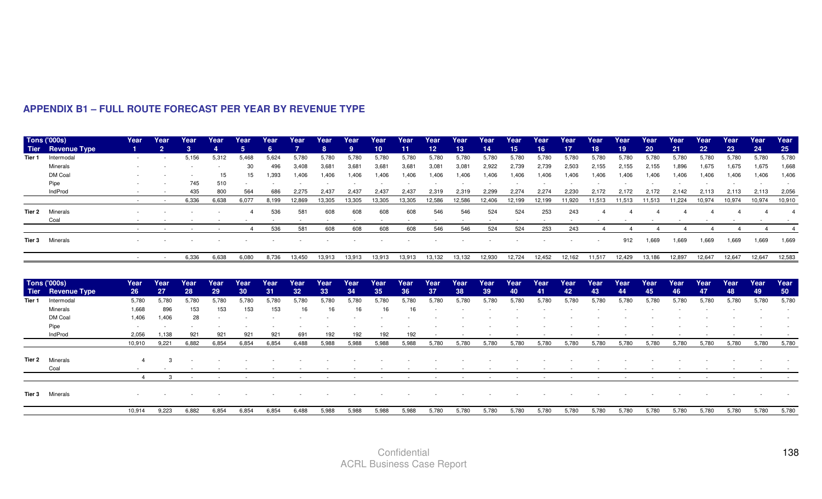|        | <b>Tons ('000s)</b> | Year           | Year           | Year  | Year  | Year                  | Year                     | Year            | Year   | Year   | Year            | Year   | Year   | Year                     | Year                     | Year   | Year                     | Year   | Year            | Year   | Year   | Year   | Year   | Year     | Year   | Year   |
|--------|---------------------|----------------|----------------|-------|-------|-----------------------|--------------------------|-----------------|--------|--------|-----------------|--------|--------|--------------------------|--------------------------|--------|--------------------------|--------|-----------------|--------|--------|--------|--------|----------|--------|--------|
| Tier   | <b>Revenue Type</b> |                | $\overline{2}$ | 3     |       | 5                     | 6.                       |                 | 8      | 9      | 10 <sup>°</sup> | 11     | 12     | 13                       | 14                       | 15     | 16                       | 17     | 18 <sup>°</sup> | 19     | 20     | 21     | 22     | 23       | 24     | 25     |
| Tier 1 | Intermodal          |                |                | 5,156 | 5,312 | 5,468                 | 5,624                    | 5.780           | 5,780  | 5,780  | 5,780           | 5,780  | 5,780  | 5,780                    | 5.780                    | 5,780  | 5,780                    | 5.780  | 5,780           | 5,780  | 5,780  | 5,780  | 5,780  | 5,780    | 5,780  | 5,780  |
|        | Minerals            |                |                |       |       | 30                    | 496                      | 3,408           | 3,681  | 3,681  | 3,681           | 3,681  | 3,081  | 3,081                    | 2,922                    | 2,739  | 2,739                    | 2,503  | 2,155           | 2,155  | 2,155  | 1,896  | 1,675  | 1,675    | 1,675  | 1,668  |
|        | DM Coal             |                |                |       | 15    | 15                    | 1,393                    | 1,406           | 1,406  | 1,406  | 1,406           | 1,406  | 1,406  | 1,406                    | 1,406                    | 1,406  | 1,406                    | 1,406  | 1,406           | 1,406  | 1,406  | 1,406  | 1,406  | 1,406    | 1,406  | 1,406  |
|        | Pipe                |                |                | 745   | 510   |                       | $\overline{\phantom{a}}$ |                 |        |        |                 |        |        |                          |                          |        |                          |        |                 |        |        |        |        |          |        |        |
|        | IndProd             |                |                | 435   | 800   | 564                   | 686                      | 2.275           | 2.437  | 2.437  | 2.437           | 2,437  | 2,319  | 2.319                    | 2,299                    | 2.274  | 2.274                    | 2.230  | 2.172           | 2.172  | 2.172  | 2.142  | 2,113  | 2,113    | 2,113  | 2,056  |
|        |                     | $\sim$         |                | 6,336 | 6,638 | 6,077                 | 8,199                    | 12,869          | 13,305 | 13,305 | 13,305          | 13,305 | 12,586 | 12,586                   | 12,406                   | 12,199 | 12,199                   | 11,920 | 11,513          | 11,513 | 11,513 | 11,224 | 10,974 | 10,974   | 10,974 | 10,910 |
| Tier 2 | Minerals            |                |                |       |       |                       | 536                      | 581             | 608    | 608    | 608             | 608    | 546    | 546                      | 524                      | 524    | 253                      | 243    |                 |        |        |        |        |          |        |        |
|        | Coal                |                |                |       |       |                       | $\sim$                   | ۰.              | $\sim$ | $\sim$ | $\sim$          | $\sim$ | $\sim$ | $\overline{\phantom{a}}$ | $\overline{\phantom{a}}$ | $\sim$ | $\overline{\phantom{a}}$ | $\sim$ |                 |        |        |        |        |          |        |        |
|        |                     |                |                |       |       | $\boldsymbol{\Delta}$ | 536                      | 581             | 608    | 608    | 608             | 608    | 546    | 546                      | 524                      | 524    | 253                      | 243    |                 |        |        |        |        | $\Delta$ |        |        |
|        | Tier 3 Minerals     |                |                |       |       |                       |                          |                 |        |        |                 |        |        |                          |                          |        |                          |        |                 | 912    | 1,669  | 1,669  | 1,669  | 1,669    | 1,669  | 1,669  |
|        |                     | $\sim$         |                | 6,336 | 6,638 | 6,080                 | 8,736                    | 13,450          | 13,913 | 13,913 | 13,913          | 13,913 | 13,132 | 13,132                   | 12,930                   | 12,724 | 12,452                   | 12,162 | 11,517          | 12,429 | 13,186 | 12,897 | 12,647 | 12,647   | 12,647 | 12,583 |
|        | <b>Tons ('000s)</b> | Year           | Year           | Year  | Year  | Year                  | Year                     | Year            | Year   | Year   | Year            | Year   | Year   | Year                     | Year                     | Year   | Year                     | Year   | Year            | Year   | Year   | Year   | Year   | Year     | Year   | Year   |
| Tier   | <b>Revenue Type</b> | 26             | 27             | 28    | 29    | 30                    | 31                       | 32 <sub>2</sub> | 33     | 34     | 35              | 36     | 37     | 38                       | 39                       | 40     | 41                       | 42     | 43              | 44     | 45     | 46     | 47     | 48       | 49     | 50     |
| Tier 1 | Intermodal          | 5,780          | 5,780          | 5,780 | 5,780 | 5,780                 | 5,780                    | 5,780           | 5,780  | 5,780  | 5,780           | 5,780  | 5,780  | 5,780                    | 5.780                    | 5,780  | 5,780                    | 5,780  | 5,780           | 5,780  | 5,780  | 5,780  | 5.780  | 5,780    | 5,780  | 5,780  |
|        | Minerals            | 1.668          | 896            | 153   | 153   | 153                   | 153                      | 16              | 16     | 16     | 16              | 16     |        |                          |                          |        |                          |        |                 |        |        |        |        |          |        |        |
|        | DM Coal             | 1,406          | 1,406          | 28    |       |                       |                          |                 |        |        |                 |        |        |                          |                          |        |                          |        |                 |        |        |        |        |          |        |        |
|        | Pipe                |                |                |       |       |                       |                          |                 |        |        |                 |        |        |                          |                          |        |                          |        |                 |        |        |        |        |          |        |        |
|        | IndProd             | 2,056          | 1.138          | 921   | 921   | 921                   | 921                      | 691             | 192    | 192    | 192             | 192    |        |                          |                          |        |                          |        |                 |        |        |        |        |          |        |        |
|        |                     | 10,910         | 9.221          | 6.882 | 6,854 | 6,854                 | 6.854                    | 6.488           | 5,988  | 5.988  | 5,988           | 5,988  | 5,780  | 5,780                    | 5,780                    | 5,780  | 5,780                    | 5,780  | 5,780           | 5,780  | 5,780  | 5,780  | 5,780  | 5,780    | 5,780  | 5,780  |
| Tier 2 | Minerals            |                |                |       |       |                       |                          |                 |        |        |                 |        |        |                          |                          |        |                          |        |                 |        |        |        |        |          |        |        |
|        | Coal                |                |                |       |       |                       |                          |                 |        |        |                 |        |        |                          |                          |        |                          |        |                 |        |        |        |        |          |        |        |
|        |                     | $\overline{4}$ | 3              |       |       |                       |                          |                 |        |        |                 |        |        |                          |                          |        |                          |        |                 |        |        |        |        |          |        |        |
|        | Tier 3 Minerals     |                |                |       |       |                       |                          |                 |        |        |                 |        |        |                          |                          |        |                          |        |                 |        |        |        |        |          |        |        |
|        |                     | 10,914         | 9,223          | 6,882 | 6,854 | 6,854                 | 6,854                    | 6,488           | 5,988  | 5.988  | 5,988           | 5,988  | 5,780  | 5,780                    | 5,780                    | 5,780  | 5,780                    | 5,780  | 5,780           | 5,780  | 5,780  | 5,780  | 5,780  | 5,780    | 5,780  | 5,780  |

#### **APPENDIX B1 – FULL ROUTE FORECAST PER YEAR BY REVENUE TYPE**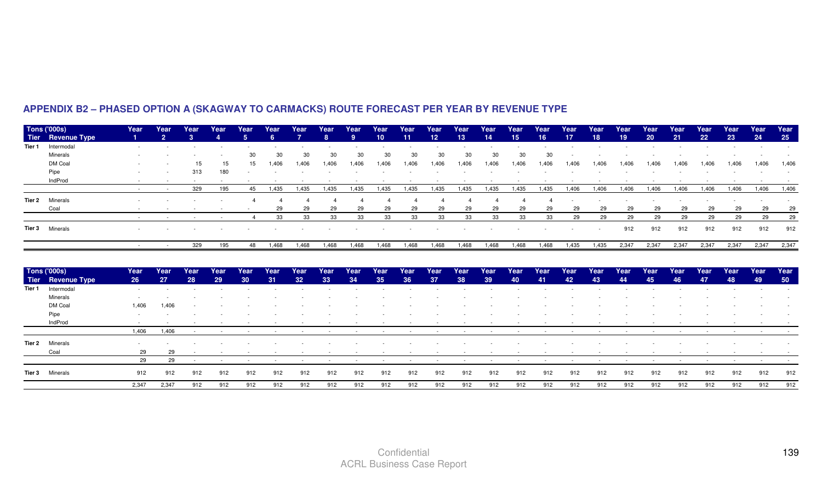|        | Tons ('000s)<br>Tier Revenue Type | Year            | Year<br>$\overline{2}$ | Year<br>$\mathbf{3}$ | Year | Year<br>5 <sup>1</sup> | Year<br>6 | Year  | Year<br>8 | Year<br>9 | Year<br>10 <sup>10</sup> | Year<br>11 | Year<br>12 <sup>°</sup> | Year<br>13 <sup>°</sup> | Year<br>14 | Year<br>15 | Year<br>16 <sup>°</sup> | Year<br>17 | Year<br>18 | Year<br>19 | Year<br>20 | Year<br>21 | Year<br>22 <sub>2</sub> | Year<br>23 | Year<br>24 | Year<br>25 |
|--------|-----------------------------------|-----------------|------------------------|----------------------|------|------------------------|-----------|-------|-----------|-----------|--------------------------|------------|-------------------------|-------------------------|------------|------------|-------------------------|------------|------------|------------|------------|------------|-------------------------|------------|------------|------------|
| Tier 1 | Intermodal                        |                 |                        |                      |      |                        |           |       |           |           |                          |            |                         |                         |            |            |                         |            |            |            |            |            |                         |            |            |            |
|        | Minerals                          |                 |                        |                      |      |                        |           | 30    | 30        | 30        | 30                       |            | 30                      | 30                      | 30         | 30         |                         |            |            |            |            |            |                         |            |            |            |
|        | DM Coal                           |                 |                        |                      |      |                        | .406      | 1.406 | A06,      | .406      | 1.406                    |            | 1.406                   | .406                    | 1.406      | .406       |                         | ∣.406      |            |            |            |            |                         |            |            | 1.406      |
|        | Pipe                              |                 |                        | 313                  |      |                        |           |       |           |           |                          |            |                         |                         |            |            |                         |            |            |            |            |            |                         |            |            |            |
|        | IndProd                           |                 |                        |                      |      |                        |           |       |           |           |                          |            |                         |                         |            |            |                         |            |            |            |            |            |                         |            |            |            |
|        |                                   | <b>Contract</b> | $\sim$                 | 329                  | 195  | 45                     | 1,435     | 1,435 | 1,435     | 1,435     | 1,435                    | 1,435      | 1,435                   | 1,435                   | 1,435      | 1,435      | 1,435                   | 1,406      | 1,406      | 1,406      | 1,406      | 1,406      | 1,406                   | 1,406      | 1,406      | 1,406      |
| Tier 2 | Minerals                          |                 |                        |                      |      |                        |           |       |           |           |                          |            |                         |                         |            |            |                         |            |            |            |            |            |                         |            |            |            |
|        | Coal                              |                 |                        |                      |      |                        | 29        | 29    | 29        | 29        | 29                       | 29         | 29                      | 29                      | 29         | 29         | 29                      | 29         | 29         | 29         | 29         | 29         | 29                      | 29         | 29         | 29         |
|        |                                   |                 |                        |                      |      |                        | 33        | 33    | 33        | 33        | 33                       | 33         | 33                      | 33                      | 33         | 33         | 33                      | 29         | 29         | 29         | 29         | 29         | 29                      | 29         | 29         | 29         |
|        | <b>Tier 3</b> Minerals            |                 |                        |                      |      |                        |           |       |           |           |                          |            |                         |                         |            |            |                         |            |            | 912        | 912        | 912        | 912                     | 912        | 912        | 912        |
|        |                                   | $\sim$          | $\sim$                 | 329                  | 195  | 48                     | 1,468     | 1,468 | 1,468     | 1,468     | 1,468                    | 1,468      | 1,468                   | 1,468                   | 1,468      | 1,468      | 1,468                   | 1,435      | 1,435      | 2,347      | 2,347      | 2,347      | 2,347                   | 2,347      | 2,347      | 2,347      |
|        |                                   |                 |                        |                      |      |                        |           |       |           |           |                          |            |                         |                         |            |            |                         |            |            |            |            |            |                         |            |            |            |
|        | <b>Tons ('000s)</b>               | Year            | Year                   | Year                 | Year | Year                   | Year      | Year  | Year      | Year      | Year                     | Year       | Year                    | Year                    | Year       | Year       | Year                    | Year       | Year       | Year       | Year       | Year       | Year                    | Year       | Year       | Year       |
|        | Tier Revenue Type                 | 26              | 27                     | 28                   | 29   | 30                     | 31        | 32    | 33        | 34        | 35                       | 36         | 37                      | 38                      | 39         | 40         | 41                      | 42         | 43         | 44         | 45         | 46         | 47                      | 48         | 49         | 50         |
| Tier 1 | Intermodal                        |                 |                        |                      |      |                        |           |       |           |           |                          |            |                         |                         |            |            |                         |            |            |            |            |            |                         |            |            |            |
|        | Minerals                          |                 |                        |                      |      |                        |           |       |           |           |                          |            |                         |                         |            |            |                         |            |            |            |            |            |                         |            |            |            |
|        | DM Coal                           | 1.406           | .406                   |                      |      |                        |           |       |           |           |                          |            |                         |                         |            |            |                         |            |            |            |            |            |                         |            |            |            |
|        | Pipe                              |                 |                        |                      |      |                        |           |       |           |           |                          |            |                         |                         |            |            |                         |            |            |            |            |            |                         |            |            |            |
|        | IndProd                           |                 |                        |                      |      |                        |           |       |           |           |                          |            |                         |                         |            |            |                         |            |            |            |            |            |                         |            |            |            |
|        |                                   | 1,406           | 1,406                  |                      |      |                        |           |       |           |           |                          |            |                         |                         |            |            |                         |            |            |            |            |            |                         |            |            |            |
| Tier 2 | Minerals                          |                 |                        |                      |      |                        |           |       |           |           |                          |            |                         |                         |            |            |                         |            |            |            |            |            |                         |            |            |            |
|        | Coal                              | 29              | 29                     |                      |      |                        |           |       |           |           |                          |            |                         |                         |            |            |                         |            |            |            |            |            |                         |            |            |            |
|        |                                   | 29              | 29                     |                      |      |                        |           |       |           |           |                          |            |                         |                         |            |            |                         |            |            |            |            |            |                         |            |            |            |
|        |                                   |                 |                        |                      |      |                        |           |       |           |           |                          |            |                         |                         |            |            |                         |            |            |            |            |            |                         |            |            |            |

# **APPENDIX B2 – PHASED OPTION A (SKAGWAY TO CARMACKS) ROUTE FORECAST PER YEAR BY REVENUE TYPE**

2,347 2,347

2,347 912 912 912 912 912 912 912 912 912 912 912 912 912 912 912 912 912 912 912 912 912 912 912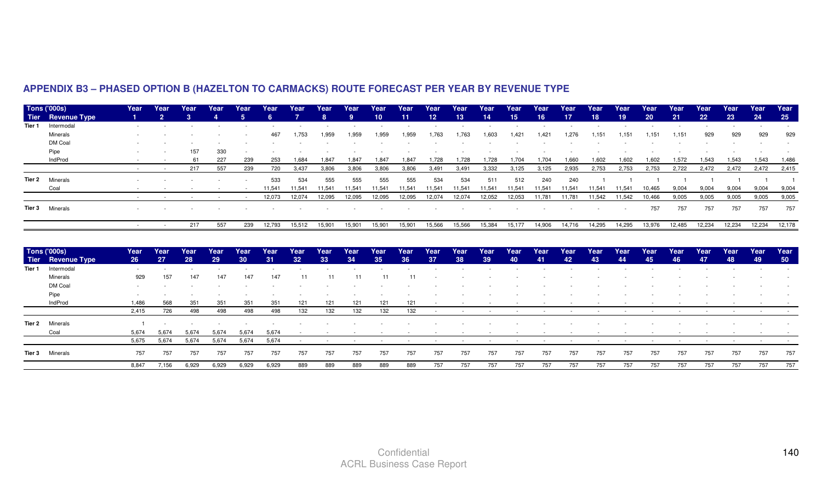|        | <b>Tons ('000s)</b>    | Year | Year           | Year | Year | Year   | Year   | Year   | Year   | Year   | Year            | Year            | Year            | Year   | Year            | Year            | Year   | Year   | Year   | Year   | Year            | Year   | Year            | Year   | Year   | Year   |
|--------|------------------------|------|----------------|------|------|--------|--------|--------|--------|--------|-----------------|-----------------|-----------------|--------|-----------------|-----------------|--------|--------|--------|--------|-----------------|--------|-----------------|--------|--------|--------|
|        | Tier Revenue Type      |      | $\overline{2}$ |      |      |        |        |        |        |        | 10 <sup>°</sup> | 11 <sup>1</sup> | 12 <sup>°</sup> | 13     | 14 <sup>°</sup> | 15 <sub>1</sub> | 16'    | 17     | 18     | 19.    | 20 <sub>2</sub> | 21     | 22 <sub>2</sub> | 23     | 24     | 25     |
| Tier 1 | Intermodal             |      |                |      |      |        |        |        |        |        |                 |                 |                 |        |                 |                 |        |        |        |        |                 |        |                 |        |        |        |
|        | Minerals               |      |                |      |      | $\sim$ | 467    | 1,753  | 1,959  | 1,959  | 1,959           | 1,959           | 1,763           | 1,763  | 1,603           | 1,421           | ,421   | 1,276  | 1,151  | 1,151  | 1,151           | 1,151  | 929             | 929    | 929    | 929    |
|        | DM Coal                |      |                |      |      |        |        |        |        |        |                 |                 |                 |        |                 |                 |        |        |        |        |                 |        |                 |        |        |        |
|        | Pipe                   |      |                | 157  | 330  |        |        |        |        |        |                 |                 |                 |        |                 |                 |        |        |        |        |                 |        |                 |        |        |        |
|        | IndProd                |      |                | -61  | 227  | 239    | 253    | 1,684  | 1,847  | 1,847  | 1.847           | 1,847           | 1,728           | 1,728  | 1,728           | 1.704           | 1,704  | 1,660  | 1,602  | 1,602  | 1,602           | 1,572  | 1,543           | 1.543  | 1,543  | 1,486  |
|        |                        |      |                | 217  | 557  | 239    | 720    | 3,437  | 3,806  | 3,806  | 3,806           | 3,806           | 3,491           | 3,49   | 3,332           | 3,125           | 3,125  | 2,935  | 2,753  | 2,753  | 2,753           | 2,722  | 2,472           | 2,472  | 2,472  | 2,415  |
|        | <b>Tier 2</b> Minerals |      |                |      |      |        | 533    | 534    | 555    | 555    | 555             | 555             | 534             | 534    | 511             | 512             | 240    | 240    |        |        |                 |        |                 |        |        |        |
|        | Coal                   |      |                |      |      |        | 11.541 | 11.541 | 11.541 | 11.541 | 11.541          | 11.541          | 11.541          | 11.54  | 11,541          | 11,541          | 11,541 | 11.541 | 11,541 | 11.541 | 10,465          | 9,004  | 9,004           | 9.004  | 9.004  | 9,004  |
|        |                        |      |                |      |      |        | 12,073 | 12,074 | 12,095 | 12,095 | 12,095          | 12,095          | 12,074          | 12,074 | 12,052          | 12,053          | 11,781 | 11.781 | 11,542 | 11,542 | 10,466          | 9,005  | 9,005           | 9,005  | 9,005  | 9,005  |
|        | <b>Tier 3</b> Minerals |      |                |      |      |        |        |        |        |        |                 |                 |                 |        |                 |                 |        |        |        |        | 757             | 757    | 757             | 757    | 757    | 757    |
|        |                        |      |                | 217  | 557  | 239    | 12,793 | 15,512 | 15,901 | 15,90  | 15.901          | 15.90           | 15,566          | 15,566 | 15,384          | 15,177          | 14,906 | 14,716 | 14,295 | 14,295 | 13,976          | 12,485 | 12,234          | 12,234 | 12,234 | 12,178 |
|        |                        |      |                |      |      |        |        |        |        |        |                 |                 |                 |        |                 |                 |        |        |        |        |                 |        |                 |        |        |        |

# **APPENDIX B3 – PHASED OPTION B (HAZELTON TO CARMACKS) ROUTE FORECAST PER YEAR BY REVENUE TYPE**

| <b>Tons ('000s)</b>    | Year  | <b>Year</b> | Year  | Year  | Year            | Year  | Year            | Year | Year | Year | Year            | Year | Year | Year            | Year | Year | Year | Year | Year | Year | Year | Year | Year | Year | Year   |
|------------------------|-------|-------------|-------|-------|-----------------|-------|-----------------|------|------|------|-----------------|------|------|-----------------|------|------|------|------|------|------|------|------|------|------|--------|
| Tier Revenue Type      | -26   | 27          | 28    | 29    | 30 <sub>°</sub> | 31    | 32 <sup>°</sup> | 33   | 34   | 35   | 36 <sup>°</sup> | -37  | 38   | 39 <sup>°</sup> | 40   | -41. | 42   | 43   | 44   | 45   | 46   | -47  | 48   | 49   | - 50 - |
| Tier 1 Intermodal      |       |             |       |       |                 |       |                 |      |      |      |                 |      |      |                 |      |      |      |      |      |      |      |      |      |      |        |
| Minerals               | 929   | 157         | 147   | 147   | 147             | 147   | 11              | 11   | 11   |      |                 |      |      |                 |      |      |      |      |      |      |      |      |      |      |        |
| DM Coal                |       |             |       |       |                 |       |                 |      |      |      |                 |      |      |                 |      |      |      |      |      |      |      |      |      |      |        |
| Pipe                   |       |             |       |       |                 |       |                 |      |      |      |                 |      |      |                 |      |      |      |      |      |      |      |      |      |      |        |
| IndProd                | 1.486 | 568         | 351   | 351   | 351             | 351   | 121             | 121  | 121  | 121  | 121             |      |      |                 |      |      |      |      |      |      |      |      |      |      |        |
|                        | 2,415 | 726         | 498   | 498   | 498             | 498   | 132             | 132  | 132  | 132  | 132             |      |      | $\sim$          |      |      |      |      |      |      |      |      |      |      |        |
| <b>Tier 2</b> Minerals |       |             |       |       |                 |       |                 |      |      |      |                 |      |      |                 |      |      |      |      |      |      |      |      |      |      |        |
| Coal                   | 5.674 | 5.674       | 5.674 | 5.674 | 5,674           | 5.674 |                 |      |      |      |                 |      |      |                 |      |      |      |      |      |      |      |      |      |      |        |
|                        | 5,675 | 5,674       | 5,674 | 5,674 | 5,674           | 5,674 |                 |      |      |      |                 |      |      |                 |      |      |      |      |      |      |      |      |      |      |        |
| Tier 3 Minerals        | 757   | 757         | 757   | 757   | 757             | 757   | 757             | 757  | 757  | 757  | 757             | 757  | 757  | 757             | 757  | 757  | 757  | 757  | 757  | 757  | 757  | 757  | 757  | 757  | 757    |
|                        | 8.847 | 7,156       | 6,929 | 6.929 | 6,929           | 6,929 | 889             | 889  | 889  | 889  | 889             | 757  | 757  | 757             | 757  | 757  | 757  | 757  | 757  | 757  | 757  | 757  | 757  | 757  | 757    |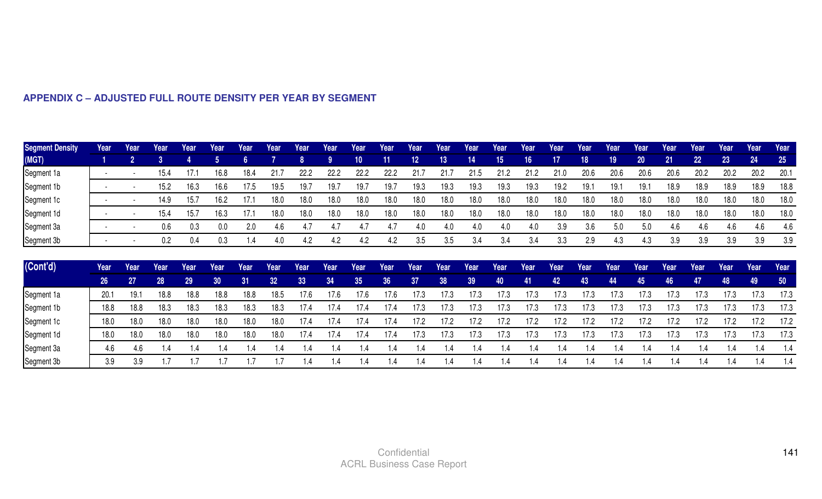| <b>Segment Density</b> | Year            | Year           | Year | Year | Year            | Year | Year          | Year           | Year | Year            | Year            | Year            | Year | Year    | Year            | Year | Year | Year    | Year | Year | Year | Year | Year            | Year          | Year      |
|------------------------|-----------------|----------------|------|------|-----------------|------|---------------|----------------|------|-----------------|-----------------|-----------------|------|---------|-----------------|------|------|---------|------|------|------|------|-----------------|---------------|-----------|
| (MGT)                  |                 | $\overline{2}$ | 3    |      | 5               |      |               | 8              |      | 10 <sub>1</sub> | 11              | 12 <sub>2</sub> | 13   | 14      | 15 <sub>1</sub> | 16   |      | 18      | 19   | 20   | 21   | 22   | 23 <sup>°</sup> | 24            | <b>25</b> |
| Segment 1a             |                 |                | 15.4 | 17.1 | 16.8            | 18.4 | 21.7          | 22.2           | 22.2 | 22.2            | 22.2            | 21.7            | 21.7 | 21.5    | 21.2            | 21.2 | 21.0 | 20.6    | 20.6 | 20.6 | 20.6 | 20.2 | 20.2            | 20.2          | 20.1      |
| Segment 1b             |                 |                | 15.2 | 16.3 | 16.6            | 17.5 | 19.5          | 19.7           | 19.7 | 19.7            | 19.7            | 19.3            | 19.3 | 19.3    | 19.3            | 19.3 | 19.2 | 19.1    | 19.1 | 19.1 | 18.9 | 18.9 | 18.9            | 18.9          | 18.8      |
| Segment 1c             |                 |                | 14.9 | 15.7 | 16.2            | 17.1 | 18.0          | 18.0           | 18.0 | 18.0            | 18.0            | 18.0            | 18.0 | 18.0    | 18.0            | 18.0 | 18.0 | 18.0    | 18.0 | 18.0 | 18.0 | 18.0 | 18.0            | 18.0          | 18.0      |
| Segment 1d             |                 |                | 15.4 | 15.7 | 16.3            | 17.1 | 18.0          | 18.0           | 18.0 | 18.0            | 18.0            | 18.0            | 18.0 | 18.0    | 18.0            | 18.0 | 18.0 | 18.0    | 18.0 | 18.0 | 18.0 | 18.0 | 18.0            | 18.0          | 18.0      |
| Segment 3a             |                 |                | 0.6  | 0.3  | 0.0             | 2.0  | 4.6           | 4.7            | 4.7  | 4.7             | 4.7             | 4.0             | 4.0  | 4.0     | 4.0             | 4.0  | 3.9  | 3.6     | 5.0  | 5.0  | 4.6  | 4.6  | 4.6             | 4.6           | 4.6       |
| Segment 3b             |                 |                | 0.2  | 0.4  | 0.3             | 1.4  | 4.0           | 4.2            | 4.2  | 4.2             | 4.2             | 3.5             | 3.5  | 3.4     | 3.4             | 3.4  | 3.3  | 2.9     | 4.3  | 4.3  | 3.9  | 3.9  | 3.9             | 3.9           | 3.9       |
| $ $ (Cont'd)           | Year            | Year           | Year | Year | Year            | Year | Year          | Year           | Year | Year            | Year            | Year            | Year | Year    | Year            | Year | Year | Year    | Year | Year | Year | Year | Year            | Year          | Year      |
|                        | 26 <sup>°</sup> | 27             | 28   | 29   | 30 <sub>2</sub> | 31   | 32            | 33             | 34   | 35 <sub>1</sub> | 36 <sup>°</sup> | 37              | 38   | 39      | 40              | 41   | 42   | 43      | 44   | 45   | 46   | 47   | 48              | 49            | 50        |
| Segment 1a             | 20.1            | : 19           | 18.8 | 18.8 | 18.8            | 18.8 | 18.5          | 17.6           | 17.6 | 17.6            | 17.6            | 17.3            | 17.3 | 17.3    | 17.3            | 17.3 | 17.3 | 17.3    | 17.3 | 17.3 | 17.3 | 17.3 | 17.3            | 17.3          | 17.3      |
| Segment 1b             | 18.8            | 18.8           | 18.3 | 18.3 | 18.3            | 18.3 | 18.3          | 17.4           | 17.4 | 17.4            | 17.4            | 17.3            | 17.3 | 17.3    | 17.3            | 17.3 | 17.3 | 17.3    | 17.3 | 17.3 | 17.3 | 17.3 | 17.3            | 17.3          | 17.3      |
| Segment 1c             | 18.0            | 18.0           | 18.0 | 18.0 | 18.0            | 18.0 | 18.0          | 17.4           | 17.4 | 17.4            | 17.4            | 17.2            | 17.2 | 17.2    | 17.2            | 17.2 | 17.2 | 17.2    | 17.2 | 17.2 | 17.2 | 17.2 | 17.2            | 17.2          | 17.2      |
| Segment 1d             | 18.0            | 18.0           | 18.0 | 18.0 | 18.0            | 18.0 | 18.0          | 17.4           | 17.4 | 17.4            | 17.4            | 17.3            | 17.3 | 17.3    | 17.3            | 17.3 | 17.3 | 17.3    | 17.3 | 17.3 | 17.3 | 17.3 | 17.3            | 17.3          | 17.3      |
| Segment 3a             | 4.6             | 4.6            | 1.4  | 1.4  | 1.4             | 1.4  | $\mathsf{.4}$ | 1.4            | 1.4  | 1.4             | .4              | 1.4             | 1.4  | $\cdot$ | $\cdot$         | 1.4  | 1.4  | l.4     | 1.4  | 1.4  | 1.4  | 1.4  | 1.4             | 1.4           | 1.4       |
| Segment 3b             | 3.9             | 3.9            | 1.7  |      |                 |      | .7            | $\overline{1}$ | 1.4  | 1.4             | .4              |                 | 1.4  | $\cdot$ |                 |      | 1.4  | $\cdot$ | 1.4  | 1.4  | 1.4  | 4. ا | 1.4             | $\mathsf{.4}$ | 1.4       |

# **APPENDIX C – ADJUSTED FULL ROUTE DENSITY PER YEAR BY SEGMENT**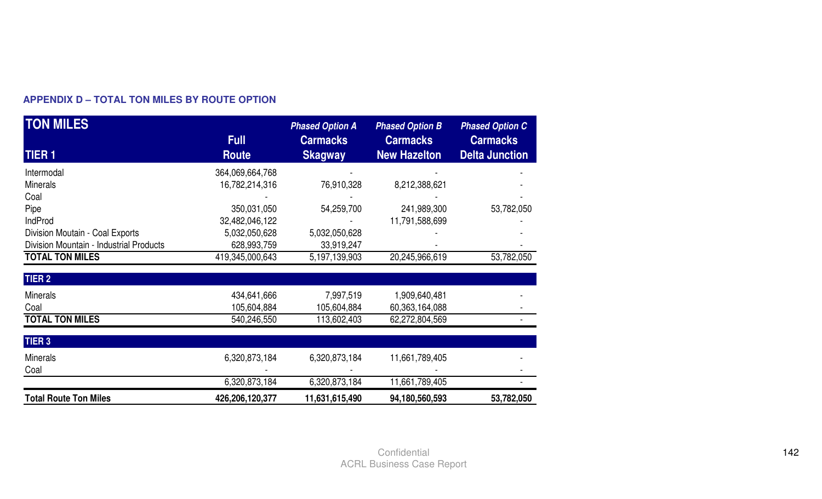| <b>TON MILES</b>                        |                 | <b>Phased Option A</b> | <b>Phased Option B</b> | <b>Phased Option C</b> |
|-----------------------------------------|-----------------|------------------------|------------------------|------------------------|
|                                         | <b>Full</b>     | <b>Carmacks</b>        | <b>Carmacks</b>        | <b>Carmacks</b>        |
| <b>TIER1</b>                            | <b>Route</b>    | <b>Skagway</b>         | <b>New Hazelton</b>    | <b>Delta Junction</b>  |
| Intermodal                              | 364,069,664,768 |                        |                        |                        |
| <b>Minerals</b>                         | 16,782,214,316  | 76,910,328             | 8,212,388,621          |                        |
| Coal                                    |                 |                        |                        |                        |
| Pipe                                    | 350,031,050     | 54,259,700             | 241,989,300            | 53,782,050             |
| IndProd                                 | 32,482,046,122  |                        | 11,791,588,699         |                        |
| Division Moutain - Coal Exports         | 5,032,050,628   | 5,032,050,628          |                        |                        |
| Division Mountain - Industrial Products | 628,993,759     | 33,919,247             |                        |                        |
| <b>TOTAL TON MILES</b>                  | 419,345,000,643 | 5,197,139,903          | 20,245,966,619         | 53,782,050             |
|                                         |                 |                        |                        |                        |
| <b>TIER 2</b>                           |                 |                        |                        |                        |
| <b>Minerals</b>                         | 434,641,666     | 7,997,519              | 1,909,640,481          |                        |
| Coal                                    | 105,604,884     | 105,604,884            | 60,363,164,088         |                        |
| <b>TOTAL TON MILES</b>                  | 540,246,550     | 113,602,403            | 62,272,804,569         |                        |
|                                         |                 |                        |                        |                        |
| <b>TIER 3</b>                           |                 |                        |                        |                        |
| <b>Minerals</b>                         | 6,320,873,184   | 6,320,873,184          | 11,661,789,405         |                        |
| Coal                                    |                 |                        |                        |                        |
|                                         | 6,320,873,184   | 6,320,873,184          | 11,661,789,405         |                        |
| <b>Total Route Ton Miles</b>            | 426,206,120,377 | 11,631,615,490         | 94,180,560,593         | 53,782,050             |

# **APPENDIX D – TOTAL TON MILES BY ROUTE OPTION**